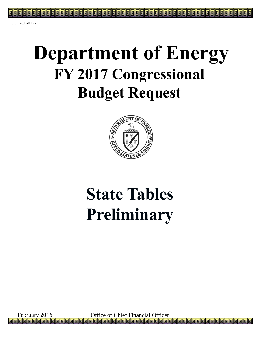# **Department of Energy FY 2017 Congressional Budget Request**



# **State Tables Preliminary**

February 2016 Office of Chief Financial Officer l G **lalla**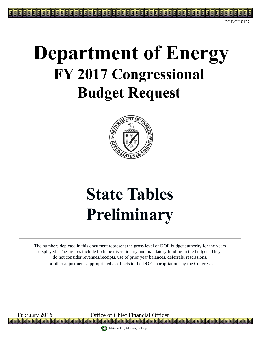#### DOE/CF-0127

# **Department of Energy FY 2017 Congressional Budget Request**



# **State Tables Preliminary**

The numbers depicted in this document represent the gross level of DOE budget authority for the years displayed. The figures include both the discretionary and mandatory funding in the budget. They do not consider revenues/receipts, use of prior year balances, deferrals, rescissions, or other adjustments appropriated as offsets to the DOE appropriations by the Congress**.**

February 2016 Office of Chief Financial Officer

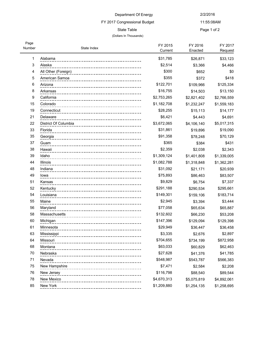# FY 2017 Congressional Budget

#### (Dollars In Thousands)

11:55:08AM State Table **Page 1 of 2** 

| Page<br>Number | State Index          | FY 2015<br>Current | FY 2016<br>Enacted | FY 2017<br>Request |
|----------------|----------------------|--------------------|--------------------|--------------------|
| 1              | Alabama              | \$31,785           | \$26,871           | \$33,123           |
| 3              | Alaska               | \$2,514            | \$3,366            | \$4,466            |
| 4              | All Other (Foreign)  | \$300              | \$652              | \$0                |
| 5              | American Samoa       | \$355              | \$372              | \$418              |
| 6              | Arizona              | \$122,701          | \$109,966          | \$125,334          |
| 8              | Arkansas             | \$16,755           | \$14,503           | \$13,150           |
| 9              | California           | \$2,753,265        | \$2,821,402        | \$2,766,559        |
| 15             | Colorado             | \$1,182,708        | \$1,232,247        | \$1,559,183        |
| 19             | Connecticut          | \$28,255           | \$15,113           | \$14,177           |
| 21             | Delaware             | \$6,421            | \$4,443            | \$4,691            |
| 22             | District Of Columbia | \$3,672,065        | \$4,106,140        | \$5,017,315        |
| 33             | Florida              | \$31,861           | \$19,896           | \$19,090           |
| 35             | Georgia              | \$91,358           | \$78,248           | \$70,129           |
| 37             | Guam                 | \$365              | \$384              | \$431              |
| 38             | Hawaii               | \$2,359            | \$2,038            | \$2,343            |
| 39             | Idaho                | \$1,309,124        | \$1,401,808        | \$1,339,005        |
| 44             | Illinois             | \$1,082,788        | \$1,318,848        | \$1,362,281        |
| 48             | Indiana              | \$31,092           | \$21,171           | \$20,939           |
| 49             | lowa                 | \$75,893           | \$86,463           | \$83,507           |
| 51             | Kansas               | \$9,829            | \$6,754            | \$7,337            |
| 52             | Kentucky             | \$291,188          | \$290,534          | \$295,661          |
| 54             | Louisiana            | \$149,301          | \$159,106          | \$183,714          |
| 55             | Maine                | \$2,945            | \$3,394            | \$3,444            |
| 56             | Maryland             | \$77,058           | \$65,634           | \$65,887           |
| 58             | Massachusetts        | \$132,602          | \$66,230           | \$53,208           |
| 60             | Michigan             | \$147,396          | \$129,094          | \$129,398          |
| 61             | Minnesota            | \$29,949           | \$36,447           | \$36,458           |
| 63             | Mississippi          | \$3,335            | \$2,676            | \$2,897            |
| 64             | Missouri             | \$704,655          | \$734,199          | \$872,958          |
| 68             | Montana              | \$63,033           | \$60,829           | \$62,463           |
| 70             | Nebraska             | \$27,628           | \$41,376           | \$41,785           |
| 71             | Nevada               | \$548,987          | \$543,787          | \$566,383          |
| 75             | New Hampshire        | \$7,471            | \$2,584            | \$2,208            |
| 76             | New Jersey           | \$116,798          | \$88,540           | \$89,544           |
| 78             | New Mexico           | \$4,670,313        | \$5,075,819        | \$4,892,061        |
| 85             | New York             | \$1,209,880        | \$1,254,135        | \$1,258,695        |
|                |                      |                    |                    |                    |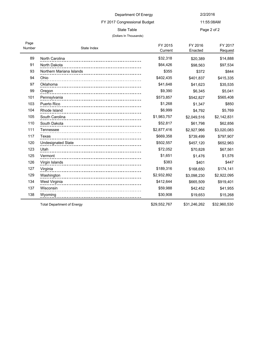### FY 2017 Congressional Budget

#### (Dollars In Thousands)

11:55:08AM

State Table **Page 2 of 2** 

| Page<br>Number | State Index                       | FY 2015<br>Current | FY 2016<br>Enacted | FY 2017<br>Request |
|----------------|-----------------------------------|--------------------|--------------------|--------------------|
| 89             | North Carolina                    | \$32,318           | \$20,389           | \$14,888           |
| 91             | North Dakota                      | \$64,426           | \$98,563           | \$97,534           |
| 93             | Northern Mariana Islands          | \$355              | \$372              | \$844              |
| 94             | Ohio                              | \$402,435          | \$401,837          | \$415,335          |
| 97             | Oklahoma                          | \$41,648           | \$41,623           | \$35,535           |
| 99             | Oregon                            | \$9,390            | \$6,345            | \$5,041            |
| 101            | Pennsylvania                      | \$573,857          | \$542,827          | \$565,408          |
| 103            | Puerto Rico                       | \$1,268            | \$1,347            | \$850              |
| 104            | Rhode Island                      | \$6,999            | \$4,792            | \$5,769            |
| 105            | South Carolina                    | \$1,983,757        | \$2,049,516        | \$2,142,831        |
| 110            | South Dakota                      | \$52,817           | \$61,798           | \$62,856           |
| 111            | Tennessee                         | \$2,877,416        | \$2,927,966        | \$3,020,083        |
| 117            | Texas                             | \$669,358          | \$739,499          | \$797,907          |
| 120            | <b>Undesignated State</b>         | \$502,557          | \$457,120          | \$652,963          |
| 123            | Utah                              | \$72,052           | \$70,828           | \$67,561           |
| 125            | Vermont                           | \$1,651            | \$1,476            | \$1,576            |
| 126            | Virgin Islands                    | \$383              | \$401              | \$447              |
| 127            | Virginia                          | \$189,316          | \$168,650          | \$174,141          |
| 129            | Washington                        | \$2,932,892        | \$3,098,230        | \$2,922,095        |
| 134            | West Virginia                     | \$412,644          | \$665,509          | \$919,401          |
| 137            | Wisconsin                         | \$59,988           | \$42,452           | \$41,955           |
| 138            | Wyoming                           | \$30,908           | \$19,653           | \$15,268           |
|                | <b>Total Department of Energy</b> | \$29,552,767       | \$31,246,262       | \$32,960,530       |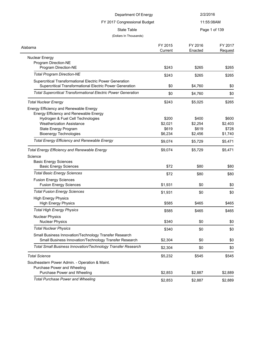| Department Of Energy                                                                                                 |                    | 2/2/2016           |                    |
|----------------------------------------------------------------------------------------------------------------------|--------------------|--------------------|--------------------|
| FY 2017 Congressional Budget<br><b>State Table</b>                                                                   |                    | 11:55:08AM         |                    |
|                                                                                                                      |                    | Page 1 of 139      |                    |
| (Dollars In Thousands)                                                                                               |                    |                    |                    |
| Alabama                                                                                                              | FY 2015<br>Current | FY 2016<br>Enacted | FY 2017<br>Request |
| <b>Nuclear Energy</b>                                                                                                |                    |                    |                    |
| Program Direction-NE<br>Program Direction-NE                                                                         | \$243              | \$265              | \$265              |
| <b>Total Program Direction-NE</b>                                                                                    | \$243              | \$265              | \$265              |
| Supercritical Transformational Electric Power Generation<br>Supercritical Transformational Electric Power Generation | \$0                | \$4,760            | \$0                |
| <b>Total Supercritical Transformational Electric Power Generation</b>                                                | \$0                | \$4,760            | \$0                |
| <b>Total Nuclear Energy</b>                                                                                          | \$243              | \$5,025            | \$265              |
| Energy Efficiency and Renewable Energy                                                                               |                    |                    |                    |
| Energy Efficiency and Renewable Energy<br>Hydrogen & Fuel Cell Technologies                                          | \$200              | \$400              | \$600              |
| <b>Weatherization Assistance</b>                                                                                     | \$2,021            | \$2,254            | \$2,403            |
| State Energy Program                                                                                                 | \$619              | \$619              | \$728              |
| <b>Bioenergy Technologies</b>                                                                                        | \$6,234            | \$2,456            | \$1,740            |
| <b>Total Energy Efficiency and Renewable Energy</b>                                                                  | \$9,074            | \$5,729            | \$5,471            |
| <b>Total Energy Efficiency and Renewable Energy</b>                                                                  | \$9,074            | \$5,729            | \$5,471            |
| Science                                                                                                              |                    |                    |                    |
| <b>Basic Energy Sciences</b><br><b>Basic Energy Sciences</b>                                                         | \$72               | \$80               | \$80               |
|                                                                                                                      |                    |                    |                    |
| <b>Total Basic Energy Sciences</b>                                                                                   | \$72               | \$80               | \$80               |
| <b>Fusion Energy Sciences</b><br><b>Fusion Energy Sciences</b>                                                       | \$1,931            | \$0                | \$0                |
| <b>Total Fusion Energy Sciences</b>                                                                                  | \$1,931            | \$0                | \$0                |
| <b>High Energy Physics</b><br><b>High Energy Physics</b>                                                             | \$585              | \$465              | \$465              |
| <b>Total High Energy Physics</b>                                                                                     | \$585              | \$465              | \$465              |
| <b>Nuclear Physics</b>                                                                                               |                    |                    |                    |
| <b>Nuclear Physics</b>                                                                                               | \$340              | \$0                | \$0                |
| <b>Total Nuclear Physics</b>                                                                                         | \$340              | \$0                | \$0                |
| Small Business Innovation/Technology Transfer Research<br>Small Business Innovation/Technology Transfer Research     | \$2,304            | \$0                | \$0                |
| Total Small Business Innovation/Technology Transfer Research                                                         | \$2,304            | \$0                | \$0                |
| <b>Total Science</b>                                                                                                 | \$5,232            | \$545              | \$545              |
| Southeastern Power Admin. - Operation & Maint.                                                                       |                    |                    |                    |
| Purchase Power and Wheeling                                                                                          |                    |                    |                    |
| Purchase Power and Wheeling                                                                                          | \$2,853            | \$2,887            | \$2,889            |
| <b>Total Purchase Power and Wheeling</b>                                                                             | \$2,853            | \$2,887            | \$2,889            |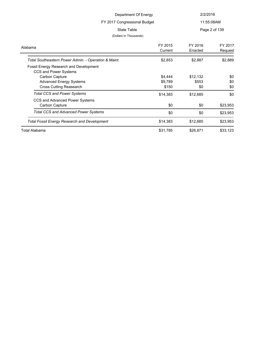| Department Of Energy                                                   |                              | 2/2/2016           |                    |
|------------------------------------------------------------------------|------------------------------|--------------------|--------------------|
|                                                                        | FY 2017 Congressional Budget |                    | 11:55:08AM         |
| State Table                                                            |                              |                    | Page 2 of 139      |
| (Dollars In Thousands)                                                 |                              |                    |                    |
| Alabama                                                                | FY 2015<br>Current           | FY 2016<br>Enacted | FY 2017<br>Request |
| Total Southeastern Power Admin. - Operation & Maint.                   | \$2,853                      | \$2,887            | \$2,889            |
| <b>Fossil Energy Research and Development</b><br>CCS and Power Systems |                              |                    |                    |
| Carbon Capture                                                         | \$4,444                      | \$12,132           | \$0                |
| <b>Advanced Energy Systems</b>                                         | \$9,789                      | \$553              | \$0                |
| <b>Cross Cutting Reasearch</b>                                         | \$150                        | \$0                | \$0                |
| <b>Total CCS and Power Systems</b>                                     | \$14,383                     | \$12,685           | \$0                |
| CCS and Advanced Power Systems<br><b>Carbon Capture</b>                | \$0                          | \$0                | \$23,953           |
| <b>Total CCS and Advanced Power Systems</b>                            | \$0                          | \$0                | \$23,953           |

Total Fossil Energy Research and Development **\$14,383** \$14,383 \$12,685 \$23,953

Total Alabama \$31,785 \$26,871 \$33,123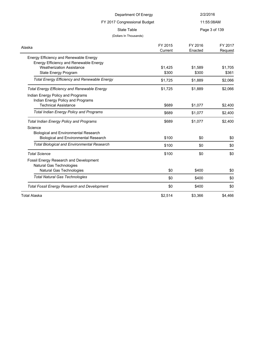| Department Of Energy                                                                                    |                        | 2/2/2016           |                    |  |
|---------------------------------------------------------------------------------------------------------|------------------------|--------------------|--------------------|--|
| FY 2017 Congressional Budget                                                                            |                        | 11:55:08AM         |                    |  |
| <b>State Table</b>                                                                                      | (Dollars In Thousands) |                    | Page 3 of 139      |  |
| Alaska                                                                                                  | FY 2015<br>Current     | FY 2016<br>Enacted | FY 2017<br>Request |  |
| Energy Efficiency and Renewable Energy                                                                  |                        |                    |                    |  |
| Energy Efficiency and Renewable Energy<br><b>Weatherization Assistance</b><br>State Energy Program      | \$1,425<br>\$300       | \$1,589<br>\$300   | \$1,705<br>\$361   |  |
| <b>Total Energy Efficiency and Renewable Energy</b>                                                     | \$1,725                | \$1,889            | \$2,066            |  |
| <b>Total Energy Efficiency and Renewable Energy</b>                                                     | \$1,725                | \$1,889            | \$2,066            |  |
| Indian Energy Policy and Programs<br>Indian Energy Policy and Programs<br><b>Technical Assistance</b>   | \$689                  | \$1,077            | \$2,400            |  |
| <b>Total Indian Energy Policy and Programs</b>                                                          | \$689                  | \$1,077            | \$2,400            |  |
| <b>Total Indian Energy Policy and Programs</b>                                                          | \$689                  | \$1,077            | \$2,400            |  |
| Science<br><b>Biological and Environmental Research</b><br><b>Biological and Environmental Research</b> | \$100                  | \$0                | \$0                |  |
| <b>Total Biological and Environmental Research</b>                                                      | \$100                  | \$0                | \$0                |  |
| <b>Total Science</b>                                                                                    | \$100                  | \$0                | \$0                |  |
| Fossil Energy Research and Development<br>Natural Gas Technologies                                      |                        |                    |                    |  |
| Natural Gas Technologies                                                                                | \$0                    | \$400              | \$0                |  |
| <b>Total Natural Gas Technologies</b>                                                                   | \$0                    | \$400              | \$0                |  |
| <b>Total Fossil Energy Research and Development</b>                                                     | \$0                    | \$400              | \$0                |  |
| <b>Total Alaska</b>                                                                                     | \$2,514                | \$3,366            | \$4,466            |  |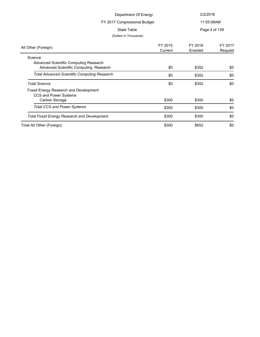| Department Of Energy                                                                        |                              | 2/2/2016           |                    |  |
|---------------------------------------------------------------------------------------------|------------------------------|--------------------|--------------------|--|
|                                                                                             | FY 2017 Congressional Budget |                    | 11:55:08AM         |  |
| State Table                                                                                 |                              |                    | Page 4 of 139      |  |
| (Dollars In Thousands)                                                                      |                              |                    |                    |  |
| All Other (Foreign)                                                                         | FY 2015<br>Current           | FY 2016<br>Enacted | FY 2017<br>Request |  |
| Science<br>Advanced Scientific Computing Research<br>Advanced Scientific Computing Research | \$0                          | \$352              | \$0                |  |
| <b>Total Advanced Scientific Computing Research</b>                                         | \$0                          | \$352              | \$0                |  |
| <b>Total Science</b>                                                                        | \$0                          | \$352              | \$0                |  |
| Fossil Energy Research and Development<br>CCS and Power Systems<br>Carbon Storage           | \$300                        | \$300              | \$0                |  |
| <b>Total CCS and Power Systems</b>                                                          | \$300                        | \$300              | \$0                |  |
| <b>Total Fossil Energy Research and Development</b>                                         | \$300                        | \$300              | \$0                |  |
| Total All Other (Foreign)                                                                   | \$300                        | \$652              | \$0                |  |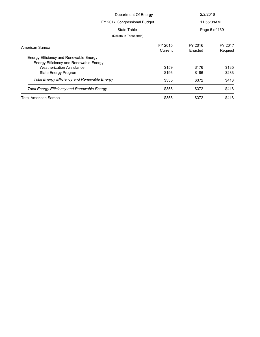| Department Of Energy                                |         | 2/2/2016   |               |
|-----------------------------------------------------|---------|------------|---------------|
| FY 2017 Congressional Budget                        |         | 11:55:08AM |               |
| State Table                                         |         |            | Page 5 of 139 |
| (Dollars In Thousands)                              |         |            |               |
| American Samoa                                      | FY 2015 | FY 2016    | FY 2017       |
|                                                     | Current | Enacted    | Request       |
| Energy Efficiency and Renewable Energy              |         |            |               |
| Energy Efficiency and Renewable Energy              |         |            |               |
| <b>Weatherization Assistance</b>                    | \$159   | \$176      | \$185         |
| State Energy Program                                | \$196   | \$196      | \$233         |
| <b>Total Energy Efficiency and Renewable Energy</b> | \$355   | \$372      | \$418         |
| <b>Total Energy Efficiency and Renewable Energy</b> | \$355   | \$372      | \$418         |
| <b>Total American Samoa</b>                         | \$355   | \$372      | \$418         |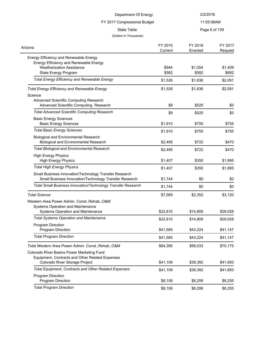| Department Of Energy                                                                                                                         |                    | 2/2/2016                    |                    |
|----------------------------------------------------------------------------------------------------------------------------------------------|--------------------|-----------------------------|--------------------|
| FY 2017 Congressional Budget<br><b>State Table</b>                                                                                           |                    | 11:55:08AM<br>Page 6 of 139 |                    |
|                                                                                                                                              |                    |                             |                    |
| Arizona                                                                                                                                      | FY 2015<br>Current | FY 2016<br>Enacted          | FY 2017<br>Request |
| Energy Efficiency and Renewable Energy<br>Energy Efficiency and Renewable Energy<br><b>Weatherization Assistance</b><br>State Energy Program | \$944<br>\$582     | \$1,054<br>\$582            | \$1,409<br>\$682   |
| <b>Total Energy Efficiency and Renewable Energy</b>                                                                                          | \$1,526            | \$1,636                     | \$2,091            |
| <b>Total Energy Efficiency and Renewable Energy</b>                                                                                          | \$1,526            | \$1,636                     | \$2,091            |
| Science<br><b>Advanced Scientific Computing Research</b><br>Advanced Scientific Computing Research                                           | \$9                | \$525                       | \$0                |
| <b>Total Advanced Scientific Computing Research</b>                                                                                          | \$9                | \$525                       | \$0                |
| <b>Basic Energy Sciences</b><br><b>Basic Energy Sciences</b>                                                                                 | \$1,910            | \$755                       | \$755              |
| <b>Total Basic Energy Sciences</b>                                                                                                           | \$1,910            | \$755                       | \$755              |
| <b>Biological and Environmental Research</b><br><b>Biological and Environmental Research</b>                                                 | \$2,495            | \$722                       | \$470              |
| <b>Total Biological and Environmental Research</b>                                                                                           | \$2,495            | \$722                       | \$470              |
| <b>High Energy Physics</b><br><b>High Energy Physics</b>                                                                                     | \$1,407            | \$350                       | \$1,895            |
| <b>Total High Energy Physics</b>                                                                                                             | \$1,407            | \$350                       | \$1,895            |
| Small Business Innovation/Technology Transfer Research<br>Small Business Innovation/Technology Transfer Research                             | \$1,744            | \$0                         | \$0                |
| Total Small Business Innovation/Technology Transfer Research                                                                                 | \$1,744            | \$0                         | \$0                |
| <b>Total Science</b>                                                                                                                         | \$7,565            | \$2,352                     | \$3,120            |
| Western Area Power Admin. Const., Rehab., O&M<br>Systems Operation and Maintenance<br>Systems Operation and Maintenance                      | \$22,810           | \$14,809                    | \$29,028           |
| <b>Total Systems Operation and Maintenance</b>                                                                                               | \$22,810           | \$14,809                    | \$29,028           |
| Program Direction<br>Program Direction                                                                                                       | \$41,585           | \$43,224                    | \$41,147           |
| <b>Total Program Direction</b>                                                                                                               | \$41,585           | \$43,224                    | \$41,147           |
| Total Western Area Power Admin. Const., Rehab., O&M                                                                                          | \$64,395           | \$58,033                    | \$70,175           |
| Colorado River Basins Power Marketing Fund<br>Equipment, Contracts and Other Related Expenses<br>Colorado River Storage Project              | \$41,109           | \$38,392                    | \$41,693           |
| <b>Total Equipment, Contracts and Other Related Expenses</b>                                                                                 | \$41,109           | \$38,392                    | \$41,693           |
| Program Direction<br>Program Direction                                                                                                       | \$8,106            | \$8,206                     | \$8,255            |
| <b>Total Program Direction</b>                                                                                                               | \$8,106            | \$8,206                     | \$8,255            |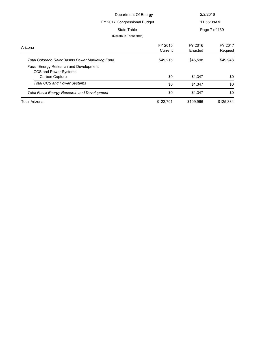| Department Of Energy<br>FY 2017 Congressional Budget<br>State Table |                    | 2/2/2016           |                    |
|---------------------------------------------------------------------|--------------------|--------------------|--------------------|
|                                                                     |                    |                    | 11:55:08AM         |
|                                                                     |                    |                    | Page 7 of 139      |
| (Dollars In Thousands)                                              |                    |                    |                    |
| Arizona                                                             | FY 2015<br>Current | FY 2016<br>Enacted | FY 2017<br>Request |
| <b>Total Colorado River Basins Power Marketing Fund</b>             | \$49,215           | \$46,598           | \$49,948           |
| Fossil Energy Research and Development<br>CCS and Power Systems     |                    |                    |                    |
| Carbon Capture                                                      | \$0                | \$1,347            | \$0                |
| <b>Total CCS and Power Systems</b>                                  | \$0                | \$1,347            | \$0                |
| <b>Total Fossil Energy Research and Development</b>                 | \$0                | \$1,347            | \$0                |
| <b>Total Arizona</b>                                                | \$122,701          | \$109,966          | \$125,334          |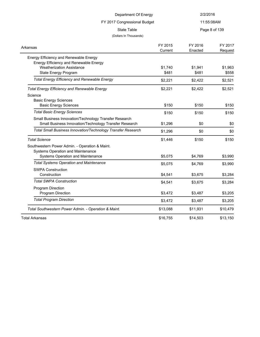| Department Of Energy                                                |          | 2/2/2016 |               |  |
|---------------------------------------------------------------------|----------|----------|---------------|--|
| FY 2017 Congressional Budget                                        |          |          |               |  |
|                                                                     |          |          | 11:55:08AM    |  |
| <b>State Table</b>                                                  |          |          | Page 8 of 139 |  |
| (Dollars In Thousands)                                              |          |          |               |  |
| Arkansas                                                            | FY 2015  | FY 2016  | FY 2017       |  |
|                                                                     | Current  | Enacted  | Request       |  |
| Energy Efficiency and Renewable Energy                              |          |          |               |  |
| Energy Efficiency and Renewable Energy                              |          |          |               |  |
| <b>Weatherization Assistance</b>                                    | \$1,740  | \$1,941  | \$1,963       |  |
| State Energy Program                                                | \$481    | \$481    | \$558         |  |
| <b>Total Energy Efficiency and Renewable Energy</b>                 | \$2,221  | \$2,422  | \$2,521       |  |
| <b>Total Energy Efficiency and Renewable Energy</b>                 | \$2,221  | \$2,422  | \$2,521       |  |
| Science                                                             |          |          |               |  |
| <b>Basic Energy Sciences</b>                                        |          |          |               |  |
| <b>Basic Energy Sciences</b>                                        | \$150    | \$150    | \$150         |  |
| <b>Total Basic Energy Sciences</b>                                  | \$150    | \$150    | \$150         |  |
| Small Business Innovation/Technology Transfer Research              |          |          |               |  |
| Small Business Innovation/Technology Transfer Research              | \$1,296  | \$0      | \$0           |  |
| <b>Total Small Business Innovation/Technology Transfer Research</b> | \$1,296  | \$0      | \$0           |  |
| <b>Total Science</b>                                                | \$1,446  | \$150    | \$150         |  |
| Southwestern Power Admin. - Operation & Maint.                      |          |          |               |  |
| Systems Operation and Maintenance                                   |          |          |               |  |
| Systems Operation and Maintenance                                   | \$5,075  | \$4,769  | \$3,990       |  |
| <b>Total Systems Operation and Maintenance</b>                      | \$5,075  | \$4,769  | \$3,990       |  |
| <b>SWPA Construction</b>                                            |          |          |               |  |
| Construction                                                        | \$4,541  | \$3,675  | \$3,284       |  |
| <b>Total SWPA Construction</b>                                      | \$4,541  | \$3,675  | \$3,284       |  |
| Program Direction                                                   |          |          |               |  |
| Program Direction                                                   | \$3,472  | \$3,487  | \$3,205       |  |
| <b>Total Program Direction</b>                                      | \$3,472  | \$3,487  | \$3,205       |  |
| Total Southwestern Power Admin. - Operation & Maint.                | \$13,088 | \$11,931 | \$10,479      |  |
| <b>Total Arkansas</b>                                               | \$16,755 | \$14,503 | \$13,150      |  |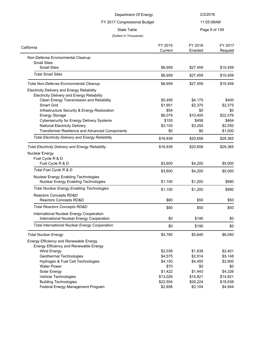| Department Of Energy<br>FY 2017 Congressional Budget                                 |                    | 2/2/2016           |                    |
|--------------------------------------------------------------------------------------|--------------------|--------------------|--------------------|
|                                                                                      |                    | 11:55:08AM         |                    |
| <b>State Table</b>                                                                   |                    |                    | Page 9 of 139      |
| (Dollars In Thousands)                                                               |                    |                    |                    |
| California                                                                           | FY 2015<br>Current | FY 2016<br>Enacted | FY 2017<br>Request |
| Non-Defense Environmental Cleanup                                                    |                    |                    |                    |
| <b>Small Sites</b>                                                                   |                    |                    |                    |
| <b>Small Sites</b>                                                                   | \$8,959            | \$27,459           | \$10,459           |
| <b>Total Small Sites</b>                                                             | \$8,959            | \$27,459           | \$10,459           |
| <b>Total Non-Defense Environmental Cleanup</b>                                       | \$8,959            | \$27,459           | \$10,459           |
| Electricity Delivery and Energy Reliability                                          |                    |                    |                    |
| <b>Electricity Delivery and Energy Reliability</b>                                   |                    |                    |                    |
| Clean Energy Transmission and Reliability                                            | \$5,495            | \$4,175            | \$400              |
| Smart Grid                                                                           | \$1,951            | \$2,375            | \$2,375            |
| Infrastructure Security & Energy Restoration                                         | \$54               | \$0                | \$0                |
| <b>Energy Storage</b>                                                                | \$6,079            | \$10,400           | \$22,576           |
| <b>Cybersecurity for Energy Delivery Systems</b>                                     | \$155              | \$458              | \$464              |
| <b>National Electricity Delivery</b>                                                 | \$3,105            | \$3,250            | \$2,550            |
| Transformer Resilience and Advanced Components                                       | \$0                | \$0                | \$1,000            |
| <b>Total Electricity Delivery and Energy Reliability</b>                             | \$16,839           | \$20,658           | \$29,365           |
| <b>Total Electricity Delivery and Energy Reliability</b>                             | \$16,839           | \$20,658           | \$29,365           |
| <b>Nuclear Energy</b>                                                                |                    |                    |                    |
| Fuel Cycle R & D                                                                     |                    |                    |                    |
| Fuel Cycle R & D                                                                     | \$3,600            | \$4,200            | \$5,000            |
| Total Fuel Cycle R & D                                                               |                    |                    |                    |
|                                                                                      | \$3,600            | \$4,200            | \$5,000            |
| <b>Nuclear Energy Enabling Technologies</b>                                          |                    |                    |                    |
| <b>Nuclear Energy Enabling Technologies</b>                                          | \$1,100            | \$1,200            | \$990              |
| <b>Total Nuclear Energy Enabling Technologies</b>                                    | \$1,100            | \$1,200            | \$990              |
| Reactors Concepts RD&D                                                               |                    |                    |                    |
| Reactors Concepts RD&D                                                               | \$80               | \$50               | \$50               |
| <b>Total Reactors Concepts RD&amp;D</b>                                              | \$80               | \$50               | \$50               |
| International Nuclear Energy Cooperation<br>International Nuclear Energy Cooperation | \$0                | \$190              | \$0                |
| <b>Total International Nuclear Energy Cooperation</b>                                |                    |                    |                    |
|                                                                                      | \$0                | \$190              | \$0                |
| <b>Total Nuclear Energy</b>                                                          | \$4,780            | \$5,640            | \$6,040            |
| Energy Efficiency and Renewable Energy                                               |                    |                    |                    |
| Energy Efficiency and Renewable Energy                                               |                    |                    |                    |
| Wind Energy                                                                          | \$2,036            | \$1,638            | \$2,401            |
| Geothermal Technologies                                                              | \$4,575            | \$2,914            | \$5,148            |
| Hydrogen & Fuel Cell Technologies                                                    | \$4,150            | \$4,400            | \$2,900            |
| <b>Water Power</b>                                                                   | \$70               | \$0                | \$0                |
| Solar Energy                                                                         | \$1,422            | \$1,443            | \$4,326            |
| Vehicle Technologies                                                                 | \$13,029           | \$14,821           | \$14,821           |
| <b>Building Technologies</b>                                                         | \$22,504           | \$28,224           | \$19,538           |
| Federal Energy Management Program                                                    | \$2,856            | \$3,104            | \$4,944            |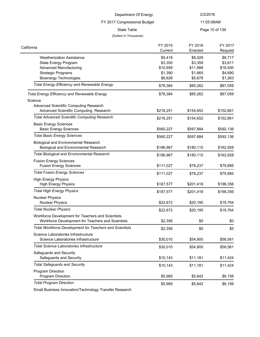FY 2017 Congressional Budget

(Dollars In Thousands)

11:55:08AM

State Table **Page 10 of 139** 

#### FY 2017 Request FY 2016 Enacted FY 2015 **Current** California Weatherization Assistance **being the set of the set of the set of the set of the set of the set of the set of the set of the set of the set of the set of the set of the set of the set of the set of the set of the set of th** State Energy Program **63,359** \$3,811 Advanced Manufacturing **810,958** \$11,988 \$16,500 Strategic Programs  $$1,390$   $$1,665$   $$4,690$ Bioenergy Technologies **66,626** \$5,678 \$1,263 Total Energy Efficiency and Renewable Energy **\$78,384** \$85,262 \$87,059 *Total Energy Efficiency and Renewable Energy* \$78,384 \$85,262 \$87,059 Science Advanced Scientific Computing Research Advanced Scientific Computing Research  $$218,251$   $$154,652$   $$152,661$ Total Advanced Scientific Computing Research **\$218,251** \$154,652 \$152,661 Basic Energy Sciences Basic Energy Sciences **1980 1991 12:33 1360,227** \$560,227 \$592,136 *Total Basic Energy Sciences* \$560,227 \$597,884 \$592,136 Biological and Environmental Research Biological and Environmental Research  $$196,967$  \$180,115 \$162,928 Total Biological and Environmental Research **\$196,967** \$180,115 \$162,928 Fusion Energy Sciences Fusion Energy Sciences \$111,027 \$78,237 \$79,885 **Total Fusion Energy Sciences 5111,027** \$78,237 \$79,885 High Energy Physics High Energy Physics **6187,577** \$201,418 \$198,356 **Total High Energy Physics**  $$187,577$   $$201,418$   $$198,356$ Nuclear Physics Nuclear Physics \$20,195 \$19,764 **Total Nuclear Physics**  $$22,672$   $$20,195$   $$19,764$ Workforce Development for Teachers and Scientists Workforce Development for Teachers and Scientists  $$2,356$   $$0$   $$0$ *Total Workforce Development for Teachers and Scientists*  $$2,356$   $$0$   $$0$   $$0$ Science Laboratories Infrastructure Science Laboratories Infrastructure **\$30,010** \$54,800 \$58,561 **Total Science Laboratories Infrastructure**  $$30,010$  \$54,800 \$58,561 Safeguards and Security Safeguards and Security **810,143** \$11,181 \$11,424 **Total Safeguards and Security 10.143 511,181 511,424 511,424** Program Direction Program Direction \$5,985 \$5,642 \$6,156

**Total Program Direction**  $$5,985$   $$5,642$   $$6,156$ 

Small Business Innovation/Technology Transfer Research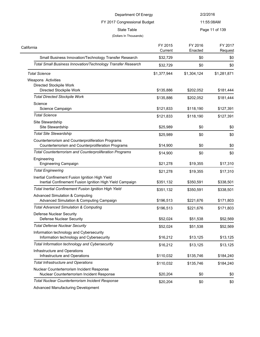| Department Of Energy<br>FY 2017 Congressional Budget                                                        |                    | 2/2/2016           |                    |
|-------------------------------------------------------------------------------------------------------------|--------------------|--------------------|--------------------|
|                                                                                                             |                    |                    | 11:55:08AM         |
| <b>State Table</b><br>(Dollars In Thousands)                                                                |                    |                    | Page 11 of 139     |
| California                                                                                                  | FY 2015<br>Current | FY 2016<br>Enacted | FY 2017<br>Request |
| Small Business Innovation/Technology Transfer Research                                                      | \$32,729           | \$0                | \$0                |
| Total Small Business Innovation/Technology Transfer Research                                                | \$32,729           | \$0                | \$0                |
| <b>Total Science</b>                                                                                        | \$1,377,944        | \$1,304,124        | \$1,281,871        |
| <b>Weapons Activities</b>                                                                                   |                    |                    |                    |
| Directed Stockpile Work<br>Directed Stockpile Work                                                          | \$135,886          | \$202,052          | \$181,444          |
| <b>Total Directed Stockpile Work</b>                                                                        | \$135,886          | \$202,052          | \$181,444          |
| Science<br>Science Campaign                                                                                 | \$121,833          | \$118,190          | \$127,391          |
| <b>Total Science</b>                                                                                        | \$121,833          | \$118,190          | \$127,391          |
| Site Stewardship<br>Site Stewardship                                                                        | \$25,989           | \$0                | \$0                |
| <b>Total Site Stewardship</b>                                                                               | \$25,989           | \$0                | \$0                |
| Counterterrorism and Counterproliferation Programs<br>Counterterrorism and Counterproliferation Programs    | \$14,900           | \$0                | \$0                |
| Total Counterterrorism and Counterproliferation Programs                                                    | \$14,900           | \$0                | \$0                |
| Engineering<br><b>Engineering Campaign</b>                                                                  | \$21,278           | \$19,355           | \$17,310           |
| <b>Total Engineering</b>                                                                                    | \$21,278           | \$19,355           | \$17,310           |
| Inertial Confinement Fusion Ignition High Yield<br>Inertial Confinement Fusion Ignition High Yield Campaign | \$351,132          | \$350,591          | \$338,501          |
| <b>Total Inertial Confinement Fusion Ignition High Yield</b>                                                | \$351,132          | \$350,591          | \$338,501          |
| <b>Advanced Simulation &amp; Computing</b><br>Advanced Simulation & Computing Campaign                      | \$196,513          | \$221,676          | \$171,803          |
| <b>Total Advanced Simulation &amp; Computing</b>                                                            | \$196,513          | \$221,676          | \$171,803          |
| Defense Nuclear Security<br><b>Defense Nuclear Security</b>                                                 | \$52,024           | \$51,538           | \$52,569           |
| <b>Total Defense Nuclear Security</b>                                                                       | \$52,024           | \$51,538           | \$52,569           |
| Information technology and Cybersecurity<br>Information technology and Cybersecurity                        | \$16,212           | \$13,125           | \$13,125           |
| Total Information technology and Cybersecurity                                                              | \$16,212           | \$13,125           | \$13,125           |
| Infrastructure and Operations<br>Infrastructure and Operations                                              | \$110,032          | \$135,746          | \$184,240          |
| <b>Total Infrastructure and Operations</b>                                                                  | \$110,032          | \$135,746          | \$184,240          |
| Nuclear Counterterrorism Incident Response<br>Nuclear Counterterrorism Incident Response                    | \$20,204           | \$0                | \$0                |
| Total Nuclear Counterterrorism Incident Response                                                            | \$20,204           | \$0                | \$0                |

Advanced Manufacturing Development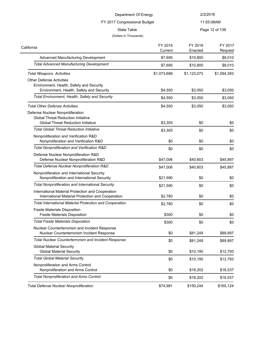| Department Of Energy<br>FY 2017 Congressional Budget                                                                       |                    | 2/2/2016<br>11:55:08AM |                    |
|----------------------------------------------------------------------------------------------------------------------------|--------------------|------------------------|--------------------|
|                                                                                                                            |                    |                        |                    |
| lifornia                                                                                                                   | FY 2015<br>Current | FY 2016<br>Enacted     | FY 2017<br>Request |
| Advanced Manufacturing Development                                                                                         | \$7,695            | \$10,800               | \$8,010            |
| <b>Total Advanced Manufacturing Development</b>                                                                            | \$7,695            | \$10,800               | \$8,010            |
| <b>Total Weapons Activities</b>                                                                                            | \$1,073,698        | \$1,123,073            | \$1,094,393        |
| <b>Other Defense Activities</b><br>Environment, Health, Safety and Security<br>Environment, Health, Safety and Security    | \$4,550            | \$3,050                | \$3,050            |
| Total Environment, Health, Safety and Security                                                                             | \$4,550            | \$3,050                | \$3,050            |
| <b>Total Other Defense Activities</b>                                                                                      | \$4,550            | \$3,050                | \$3,050            |
| Defense Nuclear Nonproliferation<br><b>Global Threat Reduction Initiative</b><br><b>Global Threat Reduction Initiative</b> | \$3,305            | \$0                    | \$0                |
| <b>Total Global Threat Reduction Initiative</b>                                                                            | \$3,305            | \$0                    | \$0                |
| Nonproliferation and Verification R&D<br>Nonproliferation and Verification R&D                                             | \$0                | \$0                    | \$0                |
| Total Nonproliferation and Verification R&D                                                                                | \$0                | \$0                    | \$0                |
| Defense Nuclear Nonproliferation R&D<br>Defense Nuclear Nonproliferation R&D                                               | \$47,006           | \$40,603               | \$45,897           |
| Total Defense Nuclear Nonproliferation R&D                                                                                 | \$47,006           | \$40,603               | \$45,897           |
| Nonproliferation and International Security<br>Nonproliferation and International Security                                 | \$21,590           | \$0                    | \$0                |
| <b>Total Nonproliferation and International Security</b>                                                                   | \$21,590           | \$0                    | \$0                |
| International Material Protection and Cooperation<br>International Material Protection and Cooperation                     | \$2.780            | \$0                    | \$0                |

| International Material Protection and Cooperation<br>International Material Protection and Cooperation | \$2,780 | \$0      | \$0      |
|--------------------------------------------------------------------------------------------------------|---------|----------|----------|
| <b>Total International Material Protection and Cooperation</b>                                         | \$2,780 | \$0      | \$0      |
| <b>Fissile Materials Disposition</b><br><b>Fissile Materials Disposition</b>                           | \$300   | \$0      | \$0      |
| <b>Total Fissile Materials Disposition</b>                                                             | \$300   | \$0      | \$0      |
| Nuclear Counterterrorism and Incident Response<br>Nuclear Counterterrorism Incident Response           | \$0     | \$81,249 | \$89,897 |
| <b>Total Nuclear Counterterrorism and Incident Response</b>                                            | \$0     | \$81,249 | \$89,897 |
| <b>Global Material Security</b><br><b>Global Material Security</b>                                     | \$0     | \$10,190 | \$12,793 |
| Total Global Material Security                                                                         | \$0     | \$10,190 | \$12,793 |
| Nonproliferation and Arms Control<br>Nonproliferation and Arms Control                                 | \$0     | \$18,202 | \$16,537 |
| <b>Total Nonproliferation and Arms Control</b>                                                         | \$0     | \$18,202 | \$16,537 |
|                                                                                                        |         |          |          |

**Total Defense Nuclear Nonproliferation 574,981** \$150,244 \$165,124

California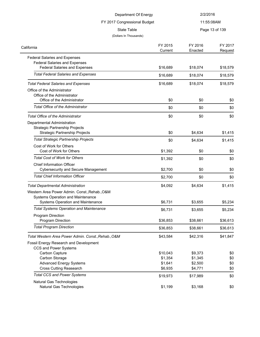| Department Of Energy                                                         |                    | 2/2/2016           |                    |
|------------------------------------------------------------------------------|--------------------|--------------------|--------------------|
| FY 2017 Congressional Budget                                                 |                    | 11:55:08AM         |                    |
| <b>State Table</b>                                                           |                    |                    | Page 13 of 139     |
| (Dollars In Thousands)                                                       |                    |                    |                    |
| California                                                                   | FY 2015<br>Current | FY 2016<br>Enacted | FY 2017<br>Request |
| <b>Federal Salaries and Expenses</b>                                         |                    |                    |                    |
| <b>Federal Salaries and Expenses</b><br><b>Federal Salaries and Expenses</b> | \$16,689           | \$18,074           | \$18,579           |
| <b>Total Federal Salaries and Expenses</b>                                   | \$16,689           | \$18,074           | \$18,579           |
|                                                                              |                    |                    |                    |
| <b>Total Federal Salaries and Expenses</b>                                   | \$16,689           | \$18,074           | \$18,579           |
| Office of the Administrator<br>Office of the Administrator                   |                    |                    |                    |
| Office of the Administrator                                                  | \$0                | \$0                | \$0                |
| <b>Total Office of the Administrator</b>                                     | \$0                | \$0                | \$0                |
| <b>Total Office of the Administrator</b>                                     | \$0                | \$0                | \$0                |
| Departmental Administration                                                  |                    |                    |                    |
| <b>Strategic Partnership Projects</b>                                        |                    |                    |                    |
| <b>Strategic Partnership Projects</b>                                        | \$0                | \$4,634            | \$1,415            |
| <b>Total Strategic Partnership Projects</b>                                  | \$0                | \$4,634            | \$1,415            |
| Cost of Work for Others                                                      |                    |                    |                    |
| Cost of Work for Others                                                      | \$1,392            | \$0                | \$0                |
| <b>Total Cost of Work for Others</b>                                         | \$1,392            | \$0                | \$0                |
| Chief Information Officer                                                    |                    |                    |                    |
| <b>Cybersecurity and Secure Management</b>                                   | \$2,700            | \$0                | \$0                |
| <b>Total Chief Information Officer</b>                                       | \$2,700            | \$0                | \$0                |
| <b>Total Departmental Administration</b>                                     | \$4,092            | \$4,634            | \$1,415            |
| Western Area Power Admin. Const., Rehab., O&M                                |                    |                    |                    |
| Systems Operation and Maintenance                                            |                    |                    |                    |
| Systems Operation and Maintenance                                            | \$6,731            | \$3,655            | \$5,234            |
| <b>Total Systems Operation and Maintenance</b>                               | \$6,731            | \$3,655            | \$5,234            |
| Program Direction                                                            |                    |                    |                    |
| Program Direction                                                            | \$36,853           | \$38,661           | \$36,613           |
| <b>Total Program Direction</b>                                               | \$36,853           | \$38,661           | \$36,613           |
| Total Western Area Power Admin. Const., Rehab., O&M                          | \$43,584           | \$42,316           | \$41,847           |
| Fossil Energy Research and Development                                       |                    |                    |                    |
| CCS and Power Systems                                                        |                    |                    |                    |
| Carbon Capture                                                               | \$10,043           | \$9,373            | \$0                |
| Carbon Storage                                                               | \$1,354            | \$1,345            | \$0                |
| <b>Advanced Energy Systems</b>                                               | \$1,641            | \$2,500            | \$0                |
| <b>Cross Cutting Reasearch</b>                                               | \$6,935            | \$4,771            | \$0                |
| <b>Total CCS and Power Systems</b>                                           | \$19,973           | \$17,989           | \$0                |
| Natural Gas Technologies                                                     |                    |                    |                    |
| Natural Gas Technologies                                                     | \$1,199            | \$3,168            | \$0                |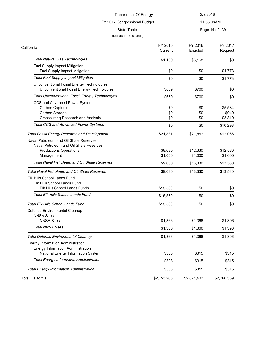# FY 2017 Congressional Budget

# 11:55:08AM

State Table **Page 14 of 139** 

#### (Dollars In Thousands)

| California                                                                                                                      | FY 2015<br>Current | FY 2016<br>Enacted  | FY 2017<br>Request          |
|---------------------------------------------------------------------------------------------------------------------------------|--------------------|---------------------|-----------------------------|
| <b>Total Natural Gas Technologies</b>                                                                                           | \$1,199            | \$3,168             | \$0                         |
| Fuel Supply Impact Mitigation                                                                                                   |                    |                     |                             |
| Fuel Supply Impact Mitigation                                                                                                   | \$0                | \$0                 | \$1,773                     |
| <b>Total Fuel Supply Impact Mitigation</b>                                                                                      | \$0                | \$0                 | \$1,773                     |
| Unconventional Fossil Energy Technologies<br>Unconventional Fossil Energy Technologies                                          | \$659              | \$700               | \$0                         |
| <b>Total Unconventional Fossil Energy Technologies</b>                                                                          | \$659              | \$700               | \$0                         |
| CCS and Advanced Power Systems<br>Carbon Capture<br>Carbon Storage<br><b>Crosscutting Research and Analysis</b>                 | \$0<br>\$0<br>\$0  | \$0<br>\$0<br>\$0   | \$5,534<br>\$949<br>\$3,810 |
| <b>Total CCS and Advanced Power Systems</b>                                                                                     | \$0                | \$0                 | \$10,293                    |
|                                                                                                                                 |                    |                     |                             |
| <b>Total Fossil Energy Research and Development</b>                                                                             | \$21,831           | \$21,857            | \$12,066                    |
| Naval Petroleum and Oil Shale Reserves<br>Naval Petroleum and Oil Shale Reserves<br><b>Productions Operations</b><br>Management | \$8,680<br>\$1,000 | \$12,330<br>\$1,000 | \$12,580<br>\$1,000         |
| <b>Total Naval Petroleum and Oil Shale Reserves</b>                                                                             | \$9,680            | \$13,330            | \$13,580                    |
|                                                                                                                                 |                    |                     |                             |
| Total Naval Petroleum and Oil Shale Reserves<br>Elk Hills School Lands Fund<br>Elk Hills School Lands Fund                      | \$9,680            | \$13,330            | \$13,580                    |
| <b>Elk Hills School Lands Funds</b>                                                                                             | \$15,580           | \$0                 | \$0                         |
| Total Elk Hills School Lands Fund                                                                                               | \$15,580           | \$0                 | \$0                         |
| <b>Total Elk Hills School Lands Fund</b>                                                                                        | \$15,580           | \$0                 | \$0                         |
| Defense Environmental Cleanup<br><b>NNSA Sites</b>                                                                              |                    |                     |                             |
| <b>NNSA Sites</b>                                                                                                               | \$1,366            | \$1,366             | \$1,396                     |
| <b>Total NNSA Sites</b>                                                                                                         | \$1,366            | \$1,366             | \$1,396                     |
| <b>Total Defense Environmental Cleanup</b>                                                                                      | \$1,366            | \$1,366             | \$1,396                     |
| Energy Information Administration<br><b>Energy Information Administration</b><br>National Energy Information System             | \$308              | \$315               | \$315                       |
| <b>Total Energy Information Administration</b>                                                                                  |                    |                     |                             |
|                                                                                                                                 | \$308              | \$315               | \$315                       |
| <b>Total Energy Information Administration</b>                                                                                  | \$308              | \$315               | \$315                       |
| <b>Total California</b>                                                                                                         | \$2,753,265        | \$2,821,402         | \$2,766,559                 |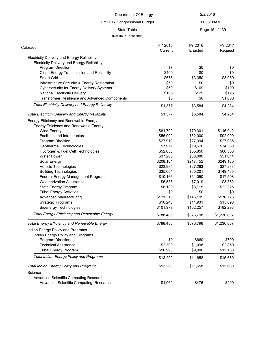# FY 2017 Congressional Budget

11:55:08AM

### State Table **Page 15 of 139**

#### (Dollars In Thousands)

| Colorado                                                 | FY 2015   | FY 2016   | FY 2017     |
|----------------------------------------------------------|-----------|-----------|-------------|
|                                                          | Current   | Enacted   | Request     |
| <b>Electricity Delivery and Energy Reliability</b>       |           |           |             |
| <b>Electricity Delivery and Energy Reliability</b>       |           |           |             |
| Program Direction                                        | \$7       | \$0       | \$0         |
| Clean Energy Transmission and Reliability                | \$400     | \$0       | \$0         |
| <b>Smart Grid</b>                                        | \$675     | \$3,350   | \$3,050     |
| Infrastructure Security & Energy Restoration             | \$50      | \$0       | \$0         |
| <b>Cybersecurity for Energy Delivery Systems</b>         | \$50      | \$109     | \$109       |
| <b>National Electricity Delivery</b>                     | \$195     | \$125     | \$125       |
| <b>Transformer Resilience and Advanced Components</b>    | \$0       | \$0       | \$1,000     |
| <b>Total Electricity Delivery and Energy Reliability</b> | \$1,377   | \$3,584   | \$4,284     |
| <b>Total Electricity Delivery and Energy Reliability</b> | \$1,377   | \$3,584   | \$4,284     |
| Energy Efficiency and Renewable Energy                   |           |           |             |
| Energy Efficiency and Renewable Energy                   |           |           |             |
| <b>Wind Energy</b>                                       | \$81,702  | \$70,301  | \$116,942   |
| Facilities and Infrastructure                            | \$56,000  | \$62,000  | \$92,000    |
| Program Direction                                        | \$27,919  | \$27,394  | \$27,085    |
| Geothermal Technologies                                  | \$7,971   | \$19,670  | \$34,550    |
| Hydrogen & Fuel Cell Technologies                        | \$52,050  | \$55,850  | \$60,300    |
| <b>Water Power</b>                                       | \$37,265  | \$50,080  | \$51,014    |
| Solar Energy                                             | \$208,104 | \$217,452 | \$249,160   |
| Vehicle Technologies                                     | \$23,985  | \$27,283  | \$27,283    |
| <b>Building Technologies</b>                             | \$35,004  | \$60,201  | \$149,485   |
| Federal Energy Management Program                        | \$10,166  | \$11,050  | \$17,598    |
| <b>Weatherization Assistance</b>                         | \$6,586   | \$7,019   | \$8,352     |
| State Energy Program                                     | \$8,189   | \$8,115   | \$22,325    |
| <b>Tribal Energy Activities</b>                          | \$0       | \$0       | \$0         |
| <b>Advanced Manufacturing</b>                            | \$121,318 | \$146,195 | \$176,725   |
| <b>Strategic Programs</b>                                | \$10,248  | \$11,931  | \$15,690    |
| <b>Bioenergy Technologies</b>                            | \$101,979 | \$102,257 | \$182,298   |
| <b>Total Energy Efficiency and Renewable Energy</b>      | \$788,486 | \$876,798 | \$1,230,807 |
| <b>Total Energy Efficiency and Renewable Energy</b>      | \$788,486 | \$876,798 | \$1,230,807 |
| Indian Energy Policy and Programs                        |           |           |             |
| Indian Energy Policy and Programs                        |           |           |             |
| Program Direction                                        | \$0       | \$660     | \$700       |
| <b>Technical Assistance</b>                              | \$2,300   | \$1,098   | \$2,850     |
| <b>Tribal Energy Program</b>                             | \$10,990  | \$9,900   | \$12,130    |
| <b>Total Indian Energy Policy and Programs</b>           | \$13,290  | \$11,658  | \$15,680    |
| <b>Total Indian Energy Policy and Programs</b>           | \$13,290  | \$11,658  | \$15,680    |
| Science                                                  |           |           |             |
| Advanced Scientific Computing Research                   |           |           |             |
| Advanced Scientific Computing Research                   | \$1,062   | \$476     | \$200       |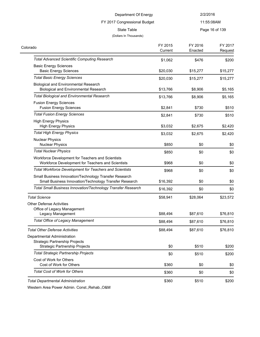#### FY 2017 Congressional Budget

11:55:08AM

State Table **Page 16 of 139** 

#### (Dollars In Thousands)

| Colorado                                                                                                         | FY 2015<br>Current | FY 2016<br>Enacted | FY 2017<br>Request |
|------------------------------------------------------------------------------------------------------------------|--------------------|--------------------|--------------------|
| <b>Total Advanced Scientific Computing Research</b>                                                              | \$1,062            | \$476              | \$200              |
| <b>Basic Energy Sciences</b><br><b>Basic Energy Sciences</b>                                                     | \$20,030           | \$15,277           | \$15,277           |
| <b>Total Basic Energy Sciences</b>                                                                               | \$20,030           | \$15,277           | \$15,277           |
| <b>Biological and Environmental Research</b><br><b>Biological and Environmental Research</b>                     | \$13,766           | \$8,906            | \$5,165            |
| <b>Total Biological and Environmental Research</b>                                                               | \$13,766           | \$8,906            | \$5,165            |
| <b>Fusion Energy Sciences</b><br><b>Fusion Energy Sciences</b>                                                   | \$2,841            | \$730              | \$510              |
| <b>Total Fusion Energy Sciences</b>                                                                              | \$2,841            | \$730              | \$510              |
| <b>High Energy Physics</b><br><b>High Energy Physics</b>                                                         | \$3,032            | \$2,675            | \$2,420            |
| <b>Total High Energy Physics</b>                                                                                 | \$3,032            | \$2,675            | \$2,420            |
| <b>Nuclear Physics</b><br><b>Nuclear Physics</b>                                                                 | \$850              | \$0                | \$0                |
| <b>Total Nuclear Physics</b>                                                                                     | \$850              | \$0                | \$0                |
| Workforce Development for Teachers and Scientists<br>Workforce Development for Teachers and Scientists           | \$968              | \$0                | \$0                |
| <b>Total Workforce Development for Teachers and Scientists</b>                                                   | \$968              | \$0                | \$0                |
| Small Business Innovation/Technology Transfer Research<br>Small Business Innovation/Technology Transfer Research | \$16,392           | \$0                | \$0                |
| Total Small Business Innovation/Technology Transfer Research                                                     | \$16,392           | \$0                | \$0                |
| <b>Total Science</b>                                                                                             | \$58,941           | \$28,064           | \$23,572           |
| <b>Other Defense Activities</b><br>Office of Legacy Management                                                   |                    |                    |                    |
| Legacy Management                                                                                                | \$88,494           | \$87,610           | \$76,810           |
| <b>Total Office of Legacy Management</b>                                                                         | \$88,494           | \$87,610           | \$76,810           |
| <b>Total Other Defense Activities</b>                                                                            | \$88,494           | \$87,610           | \$76,810           |
| Departmental Administration                                                                                      |                    |                    |                    |
| <b>Strategic Partnership Projects</b>                                                                            |                    |                    |                    |
| <b>Strategic Partnership Projects</b>                                                                            | \$0                | \$510              | \$200              |
| <b>Total Strategic Partnership Projects</b>                                                                      | \$0                | \$510              | \$200              |
| Cost of Work for Others<br>Cost of Work for Others                                                               | \$360              | \$0                | \$0                |
| <b>Total Cost of Work for Others</b>                                                                             | \$360              | \$0                | \$0                |
| <b>Total Departmental Administration</b>                                                                         | \$360              | \$510              | \$200              |

Western Area Power Admin. Const.,Rehab.,O&M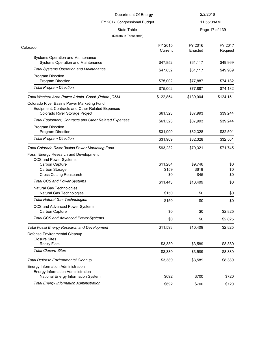| Department Of Energy                                                                                                            |           | 2/2/2016   |                |
|---------------------------------------------------------------------------------------------------------------------------------|-----------|------------|----------------|
| FY 2017 Congressional Budget                                                                                                    |           | 11:55:08AM |                |
| State Table                                                                                                                     |           |            | Page 17 of 139 |
| (Dollars In Thousands)                                                                                                          |           |            |                |
| orado                                                                                                                           | FY 2015   | FY 2016    | FY 2017        |
|                                                                                                                                 | Current   | Enacted    | Request        |
| Systems Operation and Maintenance<br>Systems Operation and Maintenance                                                          | \$47,852  | \$61,117   | \$49,969       |
| <b>Total Systems Operation and Maintenance</b>                                                                                  | \$47,852  | \$61,117   | \$49,969       |
| Program Direction<br><b>Program Direction</b>                                                                                   | \$75,002  | \$77,887   | \$74,182       |
| <b>Total Program Direction</b>                                                                                                  | \$75,002  | \$77,887   | \$74,182       |
| Total Western Area Power Admin. Const.,Rehab.,O&M                                                                               | \$122,854 | \$139,004  | \$124,151      |
| Colorado River Basins Power Marketing Fund<br>Equipment, Contracts and Other Related Expenses<br>Colorado River Storage Project | \$61,323  | \$37,993   | \$39,244       |
| <b>Total Equipment, Contracts and Other Related Expenses</b>                                                                    | \$61,323  | \$37,993   | \$39,244       |
| <b>Program Direction</b>                                                                                                        |           |            |                |

Program Direction **1990 1991 1991 1991 1992 1993 1991 1992 1993 1993 1993 1993 1993 1993 1993 1993 1993 1993 1993 1993 1993 1994 1995 1995 1995 1995 1995 1995 1995** *Total Program Direction* \$31,909 \$32,328 \$32,501

Carbon Capture **\$11,284** \$9,746 \$0 Carbon Storage **\$159** \$618 \$00 Cross Cutting Reasearch **\$0** \$45 \$0 **Total CCS and Power Systems**  $$11,443$   $$10,409$   $$0$ 

Natural Gas Technologies \$150 \$0 \$0 **Total Natural Gas Technologies**  $$0$   $$0$   $$0$ 

Carbon Capture  $$0$  \$2,825 **Total CCS and Advanced Power Systems \$1** \$0 \$2,825

Rocky Flats \$3,389 \$3,589 \$8,389 **Total Closure Sites** \$3,389 \$8,389

National Energy Information System **\$692** \$700 \$720 Total Energy Information Administration<br>
\$720 \$720

*Total Fossil Energy Research and Development* \$11,593 \$10,409 \$2,825

**Total Defense Environmental Cleanup 53,389** \$3,389 \$3,589 \$8,389

Total Colorado River Basins Power Marketing Fund<br> **Total Colorado River Basins Power Marketing Fund**<br> **Following Structure 3**89,232 \$70,321 \$71,745

Colorado

Fossil Energy Research and Development

CCS and Advanced Power Systems

CCS and Power Systems

Natural Gas Technologies

Defense Environmental Cleanup

Energy Information Administration Energy Information Administration

Closure Sites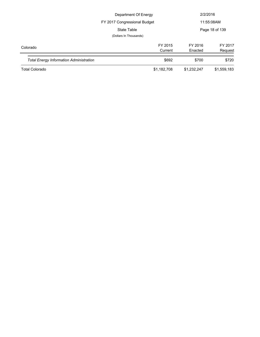| Department Of Energy                           |                              |             | 2/2/2016       |
|------------------------------------------------|------------------------------|-------------|----------------|
|                                                | FY 2017 Congressional Budget |             | 11:55:08AM     |
|                                                | State Table                  |             | Page 18 of 139 |
|                                                | (Dollars In Thousands)       |             |                |
| Colorado                                       | FY 2015                      | FY 2016     | FY 2017        |
|                                                | Current                      | Enacted     | Request        |
| <b>Total Energy Information Administration</b> | \$692                        | \$700       | \$720          |
| <b>Total Colorado</b>                          | \$1,182,708                  | \$1,232,247 | \$1,559,183    |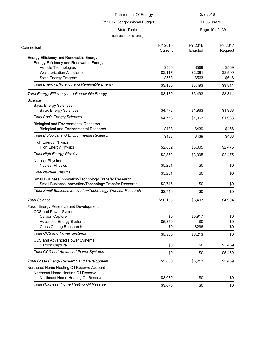| Department Of Energy                                                                                             |                  | 2/2/2016         |                  |
|------------------------------------------------------------------------------------------------------------------|------------------|------------------|------------------|
| FY 2017 Congressional Budget                                                                                     |                  | 11:55:08AM       |                  |
| <b>State Table</b>                                                                                               |                  |                  | Page 19 of 139   |
| (Dollars In Thousands)                                                                                           |                  |                  |                  |
|                                                                                                                  | FY 2015          | FY 2016          | FY 2017          |
| Connecticut                                                                                                      | Current          | Enacted          | Request          |
| Energy Efficiency and Renewable Energy                                                                           |                  |                  |                  |
| Energy Efficiency and Renewable Energy                                                                           |                  |                  |                  |
| Vehicle Technologies<br><b>Weatherization Assistance</b>                                                         | \$500<br>\$2,117 | \$569<br>\$2,361 | \$569<br>\$2,599 |
| State Energy Program                                                                                             | \$563            | \$563            | \$646            |
|                                                                                                                  |                  |                  |                  |
| <b>Total Energy Efficiency and Renewable Energy</b>                                                              | \$3,180          | \$3,493          | \$3,814          |
| <b>Total Energy Efficiency and Renewable Energy</b>                                                              | \$3,180          | \$3,493          | \$3,814          |
| Science                                                                                                          |                  |                  |                  |
| <b>Basic Energy Sciences</b>                                                                                     |                  |                  |                  |
| <b>Basic Energy Sciences</b>                                                                                     | \$4,778          | \$1,963          | \$1,963          |
| <b>Total Basic Energy Sciences</b>                                                                               | \$4,778          | \$1,963          | \$1,963          |
| <b>Biological and Environmental Research</b><br><b>Biological and Environmental Research</b>                     | \$488            | \$439            | \$466            |
| <b>Total Biological and Environmental Research</b>                                                               | \$488            | \$439            | \$466            |
| <b>High Energy Physics</b>                                                                                       |                  |                  |                  |
| <b>High Energy Physics</b>                                                                                       | \$2,862          | \$3,005          | \$2,475          |
| <b>Total High Energy Physics</b>                                                                                 | \$2,862          | \$3,005          | \$2,475          |
| <b>Nuclear Physics</b>                                                                                           |                  |                  |                  |
| <b>Nuclear Physics</b>                                                                                           | \$5,281          | \$0              | \$0              |
| <b>Total Nuclear Physics</b>                                                                                     | \$5,281          | \$0              | \$0              |
| Small Business Innovation/Technology Transfer Research<br>Small Business Innovation/Technology Transfer Research | \$2,746          | \$0              | \$0              |
| Total Small Business Innovation/Technology Transfer Research                                                     | \$2,746          | \$0              | \$0              |
| <b>Total Science</b>                                                                                             | \$16,155         | \$5,407          | \$4.904          |
| Fossil Energy Research and Development                                                                           |                  |                  |                  |
| CCS and Power Systems                                                                                            |                  |                  |                  |
| Carbon Capture                                                                                                   | \$0              | \$5,917          | \$0              |
| <b>Advanced Energy Systems</b>                                                                                   | \$5,850          | \$0              | \$0              |
| <b>Cross Cutting Reasearch</b>                                                                                   | \$0              | \$296            | \$0              |
| <b>Total CCS and Power Systems</b>                                                                               | \$5,850          | \$6,213          | \$0              |
| CCS and Advanced Power Systems                                                                                   |                  |                  |                  |
| Carbon Capture                                                                                                   | \$0              | \$0              | \$5,459          |
| <b>Total CCS and Advanced Power Systems</b>                                                                      | \$0              | \$0              | \$5,459          |
| <b>Total Fossil Energy Research and Development</b>                                                              | \$5,850          | \$6,213          | \$5,459          |
| Northeast Home Heating Oil Reserve Account                                                                       |                  |                  |                  |
| Northeast Home Heating Oil Reserve                                                                               |                  |                  |                  |
| Northeast Home Heating Oil Reserve                                                                               | \$3,070          | \$0              | \$0              |
| <b>Total Northeast Home Heating Oil Reserve</b>                                                                  | \$3,070          | \$0              | \$0              |
|                                                                                                                  |                  |                  |                  |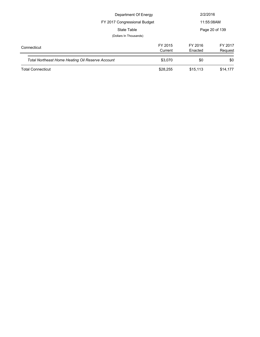| Department Of Energy                             |                    |                    | 2/2/2016           |  |
|--------------------------------------------------|--------------------|--------------------|--------------------|--|
| FY 2017 Congressional Budget                     |                    | 11:55:08AM         |                    |  |
| State Table                                      |                    | Page 20 of 139     |                    |  |
| (Dollars In Thousands)                           |                    |                    |                    |  |
| Connecticut                                      | FY 2015<br>Current | FY 2016<br>Enacted | FY 2017<br>Request |  |
| Total Northeast Home Heating Oil Reserve Account | \$3,070            | \$0                | \$0                |  |
| <b>Total Connecticut</b>                         | \$28,255           | \$15,113           | \$14,177           |  |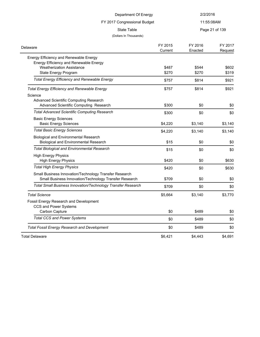| Department Of Energy                                                                                                   |         | 2/2/2016   |                |
|------------------------------------------------------------------------------------------------------------------------|---------|------------|----------------|
| FY 2017 Congressional Budget                                                                                           |         | 11:55:08AM |                |
| <b>State Table</b>                                                                                                     |         |            | Page 21 of 139 |
| (Dollars In Thousands)                                                                                                 |         |            |                |
|                                                                                                                        | FY 2015 | FY 2016    | FY 2017        |
| Delaware                                                                                                               | Current | Enacted    | Request        |
| Energy Efficiency and Renewable Energy                                                                                 |         |            |                |
| Energy Efficiency and Renewable Energy                                                                                 |         |            |                |
| <b>Weatherization Assistance</b>                                                                                       | \$487   | \$544      | \$602          |
| State Energy Program                                                                                                   | \$270   | \$270      | \$319          |
| <b>Total Energy Efficiency and Renewable Energy</b>                                                                    | \$757   | \$814      | \$921          |
| <b>Total Energy Efficiency and Renewable Energy</b>                                                                    | \$757   | \$814      | \$921          |
| Science                                                                                                                |         |            |                |
| Advanced Scientific Computing Research                                                                                 |         |            |                |
| Advanced Scientific Computing Research                                                                                 | \$300   | \$0        | \$0            |
| <b>Total Advanced Scientific Computing Research</b>                                                                    | \$300   | \$0        | \$0            |
| <b>Basic Energy Sciences</b>                                                                                           |         |            |                |
| <b>Basic Energy Sciences</b><br><b>Total Basic Energy Sciences</b>                                                     | \$4,220 | \$3,140    | \$3,140        |
|                                                                                                                        | \$4,220 | \$3,140    | \$3,140        |
| <b>Biological and Environmental Research</b><br><b>Biological and Environmental Research</b>                           | \$15    | \$0        | \$0            |
| <b>Total Biological and Environmental Research</b>                                                                     | \$15    | \$0        | \$0            |
| <b>High Energy Physics</b>                                                                                             |         |            |                |
| <b>High Energy Physics</b>                                                                                             | \$420   | \$0        | \$630          |
| <b>Total High Energy Physics</b>                                                                                       | \$420   | \$0        | \$630          |
| Small Business Innovation/Technology Transfer Research                                                                 |         |            |                |
| Small Business Innovation/Technology Transfer Research<br>Total Small Business Innovation/Technology Transfer Research | \$709   | \$0        | \$0            |
|                                                                                                                        | \$709   | \$0        | \$0            |
| <b>Total Science</b>                                                                                                   | \$5,664 | \$3,140    | \$3,770        |
| Fossil Energy Research and Development                                                                                 |         |            |                |
| CCS and Power Systems                                                                                                  |         |            |                |
| Carbon Capture                                                                                                         | \$0     | \$489      | \$0            |
| <b>Total CCS and Power Systems</b>                                                                                     | \$0     | \$489      | \$0            |
| <b>Total Fossil Energy Research and Development</b>                                                                    | \$0     | \$489      | \$0            |
| <b>Total Delaware</b>                                                                                                  | \$6,421 | \$4,443    | \$4,691        |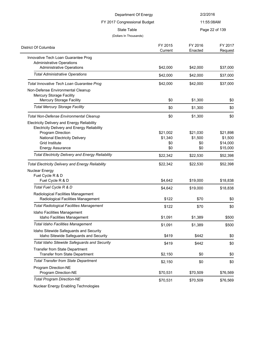| Department Of Energy                                                     |                    | 2/2/2016           |                    |
|--------------------------------------------------------------------------|--------------------|--------------------|--------------------|
| FY 2017 Congressional Budget<br>State Table                              |                    | 11:55:08AM         |                    |
|                                                                          |                    |                    | Page 22 of 139     |
| (Dollars In Thousands)                                                   |                    |                    |                    |
| District Of Columbia                                                     | FY 2015<br>Current | FY 2016<br>Enacted | FY 2017<br>Request |
| Innovative Tech Loan Guarantee Prog                                      |                    |                    |                    |
| <b>Administrative Operations</b><br><b>Administrative Operations</b>     | \$42,000           | \$42,000           | \$37,000           |
| <b>Total Administrative Operations</b>                                   | \$42,000           | \$42,000           | \$37,000           |
| Total Innovative Tech Loan Guarantee Prog                                | \$42,000           | \$42,000           | \$37,000           |
| Non-Defense Environmental Cleanup                                        |                    |                    |                    |
| Mercury Storage Facility<br><b>Mercury Storage Facility</b>              | \$0                | \$1,300            | \$0                |
| <b>Total Mercury Storage Facility</b>                                    | \$0                | \$1,300            | \$0                |
| <b>Total Non-Defense Environmental Cleanup</b>                           | \$0                | \$1,300            | \$0                |
| <b>Electricity Delivery and Energy Reliability</b>                       |                    |                    |                    |
| <b>Electricity Delivery and Energy Reliability</b>                       |                    |                    |                    |
| Program Direction                                                        | \$21,002           | \$21,030           | \$21,898           |
| National Electricity Delivery                                            | \$1,340            | \$1,500            | \$1,500            |
| <b>Grid Institute</b>                                                    | \$0                | \$0                | \$14,000           |
| <b>Energy Assurance</b>                                                  | \$0                | \$0                | \$15,000           |
| <b>Total Electricity Delivery and Energy Reliability</b>                 | \$22,342           | \$22,530           | \$52,398           |
| <b>Total Electricity Delivery and Energy Reliability</b>                 | \$22,342           | \$22,530           | \$52,398           |
| Nuclear Energy                                                           |                    |                    |                    |
| Fuel Cycle R & D                                                         |                    |                    |                    |
| Fuel Cycle R & D                                                         | \$4,642            | \$19,000           | \$18,838           |
| Total Fuel Cycle R & D                                                   | \$4,642            | \$19,000           | \$18,838           |
| Radiological Facilities Management<br>Radiological Facilities Management | \$122              | \$70               | \$0                |
| <b>Total Radiological Facilities Management</b>                          | \$122              | \$70               | \$0                |
| Idaho Facilities Management<br>Idaho Facilities Management               | \$1,091            | \$1,389            | \$500              |
| <b>Total Idaho Facilities Management</b>                                 | \$1,091            | \$1,389            | \$500              |
| Idaho Sitewide Safeguards and Security                                   |                    |                    |                    |
| Idaho Sitewide Safeguards and Security                                   | \$419              | \$442              | \$0                |
| Total Idaho Sitewide Safeguards and Security                             | \$419              | \$442              | \$0                |
| Transfer from State Department<br>Transfer from State Department         | \$2,150            | \$0                | \$0                |
| <b>Total Transfer from State Department</b>                              | \$2,150            | \$0                | \$0                |
| Program Direction-NE<br>Program Direction-NE                             | \$70,531           | \$70,509           | \$76,569           |
| <b>Total Program Direction-NE</b>                                        | \$70,531           | \$70,509           | \$76,569           |
|                                                                          |                    |                    |                    |

Nuclear Energy Enabling Technologies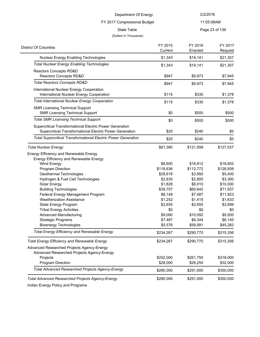### FY 2017 Congressional Budget

11:55:08AM

State Table **Page 23 of 139** 

#### (Dollars In Thousands)

| Page 23 of 13 |  |
|---------------|--|
|---------------|--|

| District Of Columbia                                                  | FY 2015<br>Current | FY 2016<br>Enacted | FY 2017<br>Request |
|-----------------------------------------------------------------------|--------------------|--------------------|--------------------|
| Nuclear Energy Enabling Technologies                                  | \$1,343            | \$19,141           | \$21,307           |
| <b>Total Nuclear Energy Enabling Technologies</b>                     | \$1,343            | \$19,141           | \$21,307           |
| Reactors Concepts RD&D                                                |                    |                    |                    |
| Reactors Concepts RD&D                                                | \$947              | \$9,973            | \$7,945            |
| <b>Total Reactors Concepts RD&amp;D</b>                               | \$947              | \$9,973            | \$7,945            |
| International Nuclear Energy Cooperation                              |                    |                    |                    |
| International Nuclear Energy Cooperation                              | \$115              | \$335              | \$1,378            |
| <b>Total International Nuclear Energy Cooperation</b>                 | \$115              | \$335              | \$1,378            |
| <b>SMR Licensing Technical Support</b>                                |                    |                    |                    |
| <b>SMR Licensing Technical Support</b>                                | \$0                | \$500              | \$500              |
| <b>Total SMR Licensing Technical Support</b>                          | \$0                | \$500              | \$500              |
| Supercritical Transformational Electric Power Generation              |                    |                    |                    |
| Supercritical Transformational Electric Power Generation              | \$20               | \$240              | \$0                |
| <b>Total Supercritical Transformational Electric Power Generation</b> | \$20               | \$240              | \$0                |
| <b>Total Nuclear Energy</b>                                           | \$81,380           | \$121,599          | \$127,037          |
| Energy Efficiency and Renewable Energy                                |                    |                    |                    |
| Energy Efficiency and Renewable Energy                                |                    |                    |                    |
| Wind Energy                                                           | \$8,600            | \$16,612           | \$18,602           |
| Program Direction                                                     | \$118,636          | \$112,772          | \$128,939          |
| Geothermal Technologies                                               | \$28,618           | \$3,950            | \$5,400            |
| Hydrogen & Fuel Cell Technologies                                     | \$2,630            | \$2,800            | \$3,300            |
| Solar Energy                                                          | \$1,828            | \$6,010            | \$10,000           |
| <b>Building Technologies</b>                                          | \$39,757           | \$60,642           | \$71,937           |
| Federal Energy Management Program                                     | \$8,148            | \$7,487            | \$11,923           |
| <b>Weatherization Assistance</b>                                      | \$1,252            | \$1,415            | \$1,633            |
| State Energy Program                                                  | \$2,655            | \$2,655            | \$2,699            |
| <b>Tribal Energy Activities</b>                                       | \$0                | \$0                | \$0                |
| <b>Advanced Manufacturing</b>                                         | \$9,080            | \$10,092           | \$9,500            |
| <b>Strategic Programs</b>                                             | \$7,487            | \$6,344            | \$6,140            |
| <b>Bioenergy Technologies</b>                                         | \$5,576            | \$59,991           | \$45,283           |
| Total Energy Efficiency and Renewable Energy                          | \$234,267          | \$290,770          | \$315,356          |
| <b>Total Energy Efficiency and Renewable Energy</b>                   | \$234,267          | \$290,770          | \$315,356          |
| Advanced Researched Projects Agency-Energy                            |                    |                    |                    |
| Advanced Researched Projects Agency-Energy                            |                    |                    |                    |
| Projects                                                              | \$252,000          | \$261,750          | \$318,000          |
| Program Direction                                                     | \$28,000           | \$29,250           | \$32,000           |
| Total Advanced Researched Projects Agency-Energy                      | \$280,000          | \$291,000          | \$350,000          |
| <b>Total Advanced Researched Projects Agency-Energy</b>               | \$280,000          | \$291,000          | \$350,000          |
|                                                                       |                    |                    |                    |

Indian Energy Policy and Programs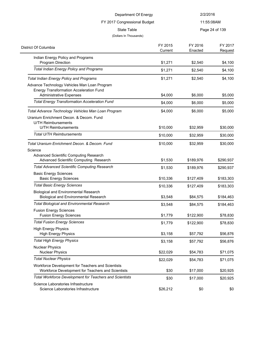| Department Of Energy<br>FY 2017 Congressional Budget                                                                                             |                    | 2/2/2016              |                       |  |
|--------------------------------------------------------------------------------------------------------------------------------------------------|--------------------|-----------------------|-----------------------|--|
|                                                                                                                                                  |                    |                       | 11:55:08AM            |  |
| <b>State Table</b><br>(Dollars In Thousands)                                                                                                     |                    |                       | Page 24 of 139        |  |
| District Of Columbia                                                                                                                             | FY 2015<br>Current | FY 2016<br>Enacted    | FY 2017<br>Request    |  |
| Indian Energy Policy and Programs<br>Program Direction                                                                                           | \$1,271            | \$2,540               | \$4,100               |  |
| <b>Total Indian Energy Policy and Programs</b>                                                                                                   | \$1,271            | \$2,540               | \$4,100               |  |
| <b>Total Indian Energy Policy and Programs</b><br>Advance Technology Vehicles Man Loan Program<br><b>Energy Transformation Acceleration Fund</b> | \$1,271            | \$2,540               | \$4,100               |  |
| <b>Administrative Expenses</b>                                                                                                                   | \$4,000            | \$6,000               | \$5,000               |  |
| <b>Total Energy Transformation Acceleration Fund</b>                                                                                             | \$4,000            | \$6,000               | \$5,000               |  |
| Total Advance Technology Vehicles Man Loan Program<br>Uranium Enrichment Decon. & Decom. Fund                                                    | \$4,000            | \$6,000               | \$5,000               |  |
| <b>U/TH Reimbursements</b><br><b>U/TH Reimbursements</b>                                                                                         | \$10,000           | \$32,959              | \$30,000              |  |
| <b>Total U/TH Reimbursements</b>                                                                                                                 | \$10,000           | \$32,959              | \$30,000              |  |
| Science<br>Advanced Scientific Computing Research<br>Advanced Scientific Computing Research                                                      | \$1,530            | \$189,976             | \$290,937             |  |
| <b>Total Advanced Scientific Computing Research</b><br><b>Basic Energy Sciences</b>                                                              | \$1,530            | \$189,976             | \$290,937             |  |
| <b>Basic Energy Sciences</b>                                                                                                                     | \$10,336           | \$127,409             | \$183,303             |  |
| <b>Total Basic Energy Sciences</b><br><b>Biological and Environmental Research</b>                                                               | \$10,336           | \$127,409             | \$183,303             |  |
| <b>Biological and Environmental Research</b><br><b>Total Biological and Environmental Research</b>                                               | \$3,548            | \$84,575              | \$184,463             |  |
| <b>Fusion Energy Sciences</b><br><b>Fusion Energy Sciences</b>                                                                                   | \$3,548<br>\$1,779 | \$84,575<br>\$122,900 | \$184,463<br>\$78,830 |  |
| <b>Total Fusion Energy Sciences</b>                                                                                                              | \$1,779            | \$122,900             | \$78,830              |  |
| <b>High Energy Physics</b><br><b>High Energy Physics</b>                                                                                         | \$3,158            | \$57,792              | \$56,876              |  |
| <b>Total High Energy Physics</b>                                                                                                                 | \$3,158            | \$57,792              | \$56,876              |  |
| <b>Nuclear Physics</b><br><b>Nuclear Physics</b>                                                                                                 | \$22,029           | \$54,783              | \$71,075              |  |
| <b>Total Nuclear Physics</b>                                                                                                                     | \$22,029           | \$54,783              | \$71,075              |  |
| Workforce Development for Teachers and Scientists<br>Workforce Development for Teachers and Scientists                                           | \$30               | \$17,000              | \$20,925              |  |
| <b>Total Workforce Development for Teachers and Scientists</b>                                                                                   | \$30               | \$17,000              | \$20,925              |  |

Science Laboratories Infrastructure

Science Laboratories Infrastructure  $$26,212$  \$0  $$0$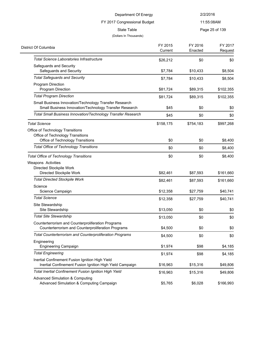# FY 2017 Congressional Budget

11:55:08AM

State Table **Page 25 of 139** 

#### (Dollars In Thousands)

| District Of Columbia                                                | FY 2015   | FY 2016   | FY 2017   |
|---------------------------------------------------------------------|-----------|-----------|-----------|
|                                                                     | Current   | Enacted   | Request   |
| <b>Total Science Laboratories Infrastructure</b>                    | \$26,212  | \$0       | \$0       |
| Safeguards and Security                                             |           |           |           |
| Safeguards and Security                                             | \$7,784   | \$10,433  | \$8,504   |
| <b>Total Safeguards and Security</b>                                | \$7,784   | \$10,433  | \$8,504   |
| Program Direction                                                   |           |           |           |
| Program Direction                                                   | \$81,724  | \$89,315  | \$102,355 |
| <b>Total Program Direction</b>                                      | \$81,724  | \$89,315  | \$102,355 |
| Small Business Innovation/Technology Transfer Research              |           |           |           |
| Small Business Innovation/Technology Transfer Research              | \$45      | \$0       | \$0       |
| <b>Total Small Business Innovation/Technology Transfer Research</b> | \$45      | \$0       | \$0       |
| <b>Total Science</b>                                                | \$158,175 | \$754,183 | \$997,268 |
| Office of Technology Transitions                                    |           |           |           |
| Office of Technology Transitions                                    |           |           |           |
| Office of Technology Transitions                                    | \$0       | \$0       | \$8,400   |
| Total Office of Technology Transitions                              | \$0       | \$0       | \$8,400   |
| <b>Total Office of Technology Transitions</b>                       | \$0       | \$0       | \$8,400   |
| Weapons Activities                                                  |           |           |           |
| Directed Stockpile Work                                             |           |           |           |
| Directed Stockpile Work                                             | \$82,461  | \$87,593  | \$161,660 |
| <b>Total Directed Stockpile Work</b>                                | \$82,461  | \$87,593  | \$161,660 |
| Science                                                             |           |           |           |
| Science Campaign                                                    | \$12,358  | \$27,759  | \$40,741  |
| <b>Total Science</b>                                                | \$12,358  | \$27,759  | \$40,741  |
| Site Stewardship                                                    |           |           |           |
| Site Stewardship                                                    | \$13,050  | \$0       | \$0       |
| <b>Total Site Stewardship</b>                                       | \$13,050  | \$0       | \$0       |
| Counterterrorism and Counterproliferation Programs                  |           |           |           |
| Counterterrorism and Counterproliferation Programs                  | \$4,500   | \$0       | \$0       |
| Total Counterterrorism and Counterproliferation Programs            | \$4,500   | \$0       | \$0       |
| Engineering                                                         |           |           |           |
| <b>Engineering Campaign</b>                                         | \$1,974   | \$98      | \$4,185   |
| <b>Total Engineering</b>                                            | \$1,974   | \$98      | \$4,185   |
| Inertial Confinement Fusion Ignition High Yield                     |           |           |           |
| Inertial Confinement Fusion Ignition High Yield Campaign            | \$16,963  | \$15,316  | \$49,806  |
| <b>Total Inertial Confinement Fusion Ignition High Yield</b>        | \$16,963  | \$15,316  | \$49,806  |
| <b>Advanced Simulation &amp; Computing</b>                          |           |           |           |
| Advanced Simulation & Computing Campaign                            | \$5,765   | \$6,028   | \$166,993 |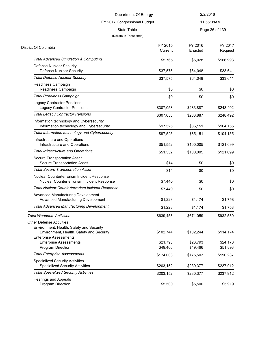### FY 2017 Congressional Budget

11:55:08AM

State Table **Page 26 of 139** 

#### (Dollars In Thousands)

 $\overline{\phantom{0}}$ 

| District Of Columbia                                                                                                                                     | FY 2015<br>Current   | FY 2016<br>Enacted   | FY 2017<br>Request   |
|----------------------------------------------------------------------------------------------------------------------------------------------------------|----------------------|----------------------|----------------------|
| <b>Total Advanced Simulation &amp; Computing</b>                                                                                                         | \$5,765              | \$6,028              | \$166,993            |
| Defense Nuclear Security<br><b>Defense Nuclear Security</b>                                                                                              | \$37,575             | \$64,048             | \$33,641             |
| <b>Total Defense Nuclear Security</b>                                                                                                                    | \$37,575             | \$64,048             | \$33,641             |
| Readiness Campaign<br>Readiness Campaign                                                                                                                 | \$0                  | \$0                  | \$0                  |
| <b>Total Readiness Campaign</b>                                                                                                                          | \$0                  | \$0                  | \$0                  |
| <b>Legacy Contractor Pensions</b><br><b>Legacy Contractor Pensions</b>                                                                                   | \$307,058            | \$283,887            | \$248,492            |
| <b>Total Legacy Contractor Pensions</b>                                                                                                                  | \$307,058            | \$283,887            | \$248,492            |
| Information technology and Cybersecurity<br>Information technology and Cybersecurity                                                                     | \$97,525             | \$85,151             | \$104,155            |
| Total Information technology and Cybersecurity                                                                                                           | \$97,525             | \$85,151             | \$104,155            |
| Infrastructure and Operations<br>Infrastructure and Operations                                                                                           | \$51,552             | \$100,005            | \$121,099            |
| <b>Total Infrastructure and Operations</b>                                                                                                               | \$51,552             | \$100,005            | \$121,099            |
| Secure Transportation Asset<br>Secure Transportation Asset                                                                                               | \$14                 | \$0                  | \$0                  |
| <b>Total Secure Transportation Asset</b>                                                                                                                 | \$14                 | \$0                  | \$0                  |
| Nuclear Counterterrorism Incident Response<br>Nuclear Counterterrorism Incident Response                                                                 | \$7,440              | \$0                  | \$0                  |
| Total Nuclear Counterterrorism Incident Response                                                                                                         | \$7,440              | \$0                  | \$0                  |
| Advanced Manufacturing Development<br>Advanced Manufacturing Development                                                                                 | \$1,223              | \$1,174              | \$1,758              |
| <b>Total Advanced Manufacturing Development</b>                                                                                                          | \$1,223              | \$1,174              | \$1,758              |
| <b>Total Weapons Activities</b>                                                                                                                          | \$639,458            | \$671,059            | \$932,530            |
| <b>Other Defense Activities</b><br>Environment, Health, Safety and Security<br>Environment, Health, Safety and Security<br><b>Enterprise Assessments</b> | \$102,744            | \$102,244            | \$114,174            |
| <b>Enterprise Assessments</b><br>Program Direction                                                                                                       | \$21,793<br>\$49,466 | \$23,793<br>\$49,466 | \$24,170<br>\$51,893 |
| <b>Total Enterprise Assessments</b>                                                                                                                      | \$174,003            | \$175,503            | \$190,237            |
| <b>Specialized Security Activities</b><br><b>Specialized Security Activities</b>                                                                         | \$203,152            | \$230,377            | \$237,912            |
| <b>Total Specialized Security Activities</b>                                                                                                             | \$203,152            | \$230,377            | \$237,912            |
| <b>Hearings and Appeals</b><br>Program Direction                                                                                                         | \$5,500              | \$5,500              | \$5,919              |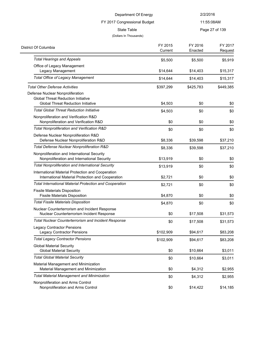| Department Of Energy                                                                                   |                                            | 2/2/2016       |           |
|--------------------------------------------------------------------------------------------------------|--------------------------------------------|----------------|-----------|
|                                                                                                        | 11:55:08AM<br>FY 2017 Congressional Budget |                |           |
| State Table                                                                                            |                                            | Page 27 of 139 |           |
| (Dollars In Thousands)                                                                                 |                                            |                |           |
| District Of Columbia                                                                                   | FY 2015                                    | FY 2016        | FY 2017   |
|                                                                                                        | Current                                    | Enacted        | Request   |
| <b>Total Hearings and Appeals</b>                                                                      | \$5,500                                    | \$5,500        | \$5,919   |
| Office of Legacy Management                                                                            |                                            |                |           |
| Legacy Management<br><b>Total Office of Legacy Management</b>                                          | \$14,644                                   | \$14,403       | \$15,317  |
|                                                                                                        | \$14,644                                   | \$14,403       | \$15,317  |
| <b>Total Other Defense Activities</b>                                                                  | \$397,299                                  | \$425,783      | \$449,385 |
| Defense Nuclear Nonproliferation                                                                       |                                            |                |           |
| <b>Global Threat Reduction Initiative</b><br><b>Global Threat Reduction Initiative</b>                 | \$4,503                                    | \$0            | \$0       |
| <b>Total Global Threat Reduction Initiative</b>                                                        | \$4,503                                    | \$0            | \$0       |
| Nonproliferation and Verification R&D                                                                  |                                            |                |           |
| Nonproliferation and Verification R&D                                                                  | \$0                                        | \$0            | \$0       |
| Total Nonproliferation and Verification R&D                                                            | \$0                                        | \$0            | \$0       |
| Defense Nuclear Nonproliferation R&D<br>Defense Nuclear Nonproliferation R&D                           | \$8,336                                    | \$39,598       | \$37,210  |
| Total Defense Nuclear Nonproliferation R&D                                                             | \$8,336                                    | \$39,598       | \$37,210  |
| Nonproliferation and International Security<br>Nonproliferation and International Security             | \$13,919                                   | \$0            | \$0       |
| <b>Total Nonproliferation and International Security</b>                                               | \$13,919                                   | \$0            | \$0       |
| International Material Protection and Cooperation<br>International Material Protection and Cooperation | \$2,721                                    | \$0            | \$0       |
| <b>Total International Material Protection and Cooperation</b>                                         | \$2,721                                    | \$0            | \$0       |
| <b>Fissile Materials Disposition</b><br><b>Fissile Materials Disposition</b>                           | \$4,870                                    | \$0            | \$0       |
| <b>Total Fissile Materials Disposition</b>                                                             |                                            |                |           |
| Nuclear Counterterrorism and Incident Response                                                         | \$4,870                                    | \$0            | \$0       |
| Nuclear Counterterrorism Incident Response                                                             | \$0                                        | \$17,508       | \$31,573  |
| <b>Total Nuclear Counterterrorism and Incident Response</b>                                            | \$0                                        | \$17,508       | \$31,573  |
| <b>Legacy Contractor Pensions</b>                                                                      |                                            |                |           |
| <b>Legacy Contractor Pensions</b>                                                                      | \$102,909                                  | \$94,617       | \$83,208  |
| <b>Total Legacy Contractor Pensions</b>                                                                | \$102,909                                  | \$94,617       | \$83,208  |
| <b>Global Material Security</b><br><b>Global Material Security</b>                                     | \$0                                        | \$10,664       | \$3,011   |
| <b>Total Global Material Security</b>                                                                  | \$0                                        | \$10,664       | \$3,011   |
| Material Management and Minimization<br>Material Management and Minimization                           | \$0                                        | \$4,312        | \$2,955   |
| <b>Total Material Management and Minimization</b>                                                      | \$0                                        | \$4,312        | \$2,955   |
| Nonproliferation and Arms Control<br>Nonproliferation and Arms Control                                 | \$0                                        | \$14,422       | \$14,185  |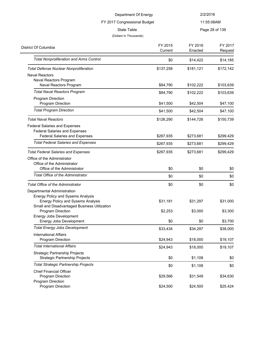|                                                                                                                      | Department Of Energy         | 2/2/2016            |                     |
|----------------------------------------------------------------------------------------------------------------------|------------------------------|---------------------|---------------------|
|                                                                                                                      | FY 2017 Congressional Budget |                     | 11:55:08AM          |
| <b>State Table</b><br>(Dollars In Thousands)                                                                         |                              |                     | Page 28 of 139      |
| District Of Columbia                                                                                                 | FY 2015<br>Current           | FY 2016<br>Enacted  | FY 2017<br>Request  |
| <b>Total Nonproliferation and Arms Control</b>                                                                       | \$0                          | \$14,422            | \$14,185            |
| <b>Total Defense Nuclear Nonproliferation</b>                                                                        | \$137,258                    | \$181,121           | \$172,142           |
| <b>Naval Reactors</b><br>Naval Reactors Program<br>Naval Reactors Program                                            | \$84,790                     | \$102,222           | \$103,639           |
| <b>Total Naval Reactors Program</b>                                                                                  |                              |                     |                     |
| Program Direction                                                                                                    | \$84,790                     | \$102,222           | \$103,639           |
| Program Direction                                                                                                    | \$41,500                     | \$42,504            | \$47,100            |
| <b>Total Program Direction</b>                                                                                       | \$41,500                     | \$42,504            | \$47,100            |
| <b>Total Naval Reactors</b>                                                                                          | \$126,290                    | \$144,726           | \$150,739           |
| <b>Federal Salaries and Expenses</b><br><b>Federal Salaries and Expenses</b><br><b>Federal Salaries and Expenses</b> | \$267,935                    | \$273,681           | \$299,429           |
| <b>Total Federal Salaries and Expenses</b>                                                                           | \$267,935                    | \$273,681           | \$299,429           |
|                                                                                                                      |                              |                     |                     |
| <b>Total Federal Salaries and Expenses</b>                                                                           | \$267,935                    | \$273,681           | \$299,429           |
| Office of the Administrator<br>Office of the Administrator                                                           |                              |                     |                     |
| Office of the Administrator                                                                                          | \$0                          | \$0                 | \$0                 |
| Total Office of the Administrator                                                                                    | \$0                          | \$0                 | \$0                 |
| Total Office of the Administrator                                                                                    | \$0                          | \$0                 | \$0                 |
| Departmental Administration<br><b>Energy Policy and Sysems Analysis</b>                                              |                              |                     |                     |
| <b>Energy Policy and Sysems Analysis</b><br>Small and Disadvantaged Business Utilization<br>Program Direction        | \$31,181<br>\$2,253          | \$31,297<br>\$3,000 | \$31,000<br>\$3,300 |
| Energy Jobs Development<br>Energy Jobs Development                                                                   | \$0                          | \$0                 | \$3,700             |
| <b>Total Energy Jobs Development</b>                                                                                 | \$33,434                     | \$34,297            | \$38,000            |
| <b>International Affairs</b><br>Program Direction                                                                    | \$24,943                     | \$18,000            | \$19,107            |
| <b>Total International Affairs</b>                                                                                   | \$24,943                     | \$18,000            | \$19,107            |
| <b>Strategic Partnership Projects</b><br>Strategic Partnership Projects                                              | \$0                          | \$1,108             | \$0                 |
| <b>Total Strategic Partnership Projects</b>                                                                          | \$0                          | \$1,108             | \$0                 |
| <b>Chief Financial Officer</b><br>Program Direction                                                                  | \$29,566                     | \$31,549            | \$34,630            |

Program Direction **\$24,500** \$24,500 \$25,424

Program Direction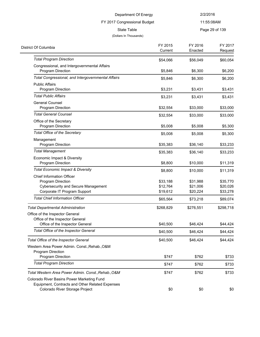### FY 2017 Congressional Budget

11:55:08AM

State Table **Page 29 of 139** 

#### (Dollars In Thousands)

 $\overline{\phantom{0}}$ 

| District Of Columbia                                                                                                            | FY 2015<br>Current | FY 2016<br>Enacted | FY 2017<br>Request |
|---------------------------------------------------------------------------------------------------------------------------------|--------------------|--------------------|--------------------|
| <b>Total Program Direction</b>                                                                                                  | \$54,066           | \$56,049           | \$60,054           |
| Congressional, and Intergovernmental Affairs                                                                                    |                    |                    |                    |
| Program Direction                                                                                                               | \$5,846            | \$6,300            | \$6,200            |
| Total Congressional, and Intergovernmental Affairs                                                                              | \$5,846            | \$6,300            | \$6,200            |
| <b>Public Affairs</b><br>Program Direction                                                                                      | \$3,231            | \$3,431            | \$3,431            |
| <b>Total Public Affairs</b>                                                                                                     | \$3,231            | \$3,431            | \$3,431            |
| <b>General Counsel</b><br>Program Direction                                                                                     | \$32,554           | \$33,000           | \$33,000           |
| <b>Total General Counsel</b>                                                                                                    | \$32,554           | \$33,000           | \$33,000           |
| Office of the Secretary<br><b>Program Direction</b>                                                                             | \$5,008            | \$5,008            | \$5,300            |
| Total Office of the Secretary                                                                                                   | \$5,008            | \$5,008            | \$5,300            |
| Management<br>Program Direction                                                                                                 | \$35,383           | \$36,140           | \$33,233           |
| <b>Total Management</b>                                                                                                         | \$35,383           | \$36,140           | \$33,233           |
| Economic Impact & Diversity<br>Program Direction                                                                                | \$8,800            | \$10,000           | \$11,319           |
| <b>Total Economic Impact &amp; Diversity</b>                                                                                    | \$8,800            | \$10,000           | \$11,319           |
| <b>Chief Information Officer</b>                                                                                                |                    |                    |                    |
| Program Direction                                                                                                               | \$33,188           | \$31,988           | \$35,770           |
| <b>Cybersecurity and Secure Management</b>                                                                                      | \$12,764           | \$21,006           | \$20,026           |
| Corporate IT Program Support                                                                                                    | \$19,612           | \$20,224           | \$33,278           |
| <b>Total Chief Information Officer</b>                                                                                          | \$65,564           | \$73,218           | \$89,074           |
| <b>Total Departmental Administration</b>                                                                                        | \$268,829          | \$276,551          | \$298,718          |
| Office of the Inspector General                                                                                                 |                    |                    |                    |
| Office of the Inspector General<br>Office of the Inspector General                                                              | \$40,500           | \$46,424           | \$44,424           |
| Total Office of the Inspector General                                                                                           | \$40,500           | \$46,424           | \$44,424           |
| Total Office of the Inspector General                                                                                           | \$40,500           | \$46,424           | \$44,424           |
| Western Area Power Admin. Const., Rehab., O&M<br>Program Direction                                                              |                    |                    |                    |
| Program Direction                                                                                                               | \$747              | \$762              | \$733              |
| <b>Total Program Direction</b>                                                                                                  | \$747              | \$762              | \$733              |
| Total Western Area Power Admin. Const., Rehab., O&M                                                                             | \$747              | \$762              | \$733              |
| Colorado River Basins Power Marketing Fund<br>Equipment, Contracts and Other Related Expenses<br>Colorado River Storage Project | \$0                | \$0                | \$0                |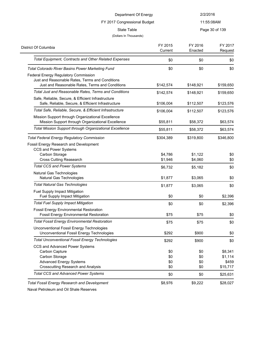FY 2017 Congressional Budget

11:55:08AM

State Table **Page 30 of 139** 

#### (Dollars In Thousands)

| District Of Columbia                                                                                     | FY 2015<br>Current | FY 2016<br>Enacted | FY 2017<br>Request |
|----------------------------------------------------------------------------------------------------------|--------------------|--------------------|--------------------|
| Total Equipment, Contracts and Other Related Expenses                                                    | \$0                | \$0                | \$0                |
| Total Colorado River Basins Power Marketing Fund                                                         | \$0                | \$0                | \$0                |
| Federal Energy Regulatory Commission                                                                     |                    |                    |                    |
| Just and Reasonable Rates, Terms and Conditions<br>Just and Reasonable Rates, Terms and Conditions       | \$142,574          | \$148,921          | \$159,650          |
| Total Just and Reasonable Rates, Terms and Conditions                                                    | \$142,574          | \$148,921          | \$159,650          |
| Safe, Reliable, Secure, & Efficient Infrastructure<br>Safe, Reliable, Secure, & Efficient Infrastructure | \$106,004          | \$112,507          | \$123,576          |
| Total Safe, Reliable, Secure, & Efficient Infrastructure                                                 | \$106,004          | \$112,507          | \$123,576          |
| Mission Support through Organizational Excellence<br>Mission Support through Organizational Excellence   | \$55,811           | \$58,372           | \$63,574           |
| Total Mission Support through Organizational Excellence                                                  | \$55,811           | \$58,372           | \$63,574           |
| <b>Total Federal Energy Regulatory Commission</b>                                                        | \$304,389          | \$319,800          | \$346,800          |
| Fossil Energy Research and Development<br><b>CCS and Power Systems</b>                                   |                    |                    |                    |
| Carbon Storage                                                                                           | \$4.786            | \$1,122            | \$0                |
| <b>Cross Cutting Reasearch</b>                                                                           | \$1,946            | \$4,060            | \$0                |
| <b>Total CCS and Power Systems</b>                                                                       | \$6,732            | \$5,182            | \$0                |
| Natural Gas Technologies<br>Natural Gas Technologies                                                     | \$1,877            | \$3,065            | \$0                |
| <b>Total Natural Gas Technologies</b>                                                                    | \$1,877            | \$3,065            | \$0                |
| Fuel Supply Impact Mitigation<br>Fuel Supply Impact Mitigation                                           | \$0                | \$0                | \$2,396            |
| <b>Total Fuel Supply Impact Mitigation</b>                                                               | \$0                | \$0                | \$2,396            |
| <b>Fossil Energy Environmental Restoration</b><br><b>Fossil Energy Environmental Restoration</b>         | \$75               | \$75               | \$0                |
| <b>Total Fossil Energy Environmental Restoration</b>                                                     | \$75               | \$75               | \$0                |
| Unconventional Fossil Energy Technologies<br>Unconventional Fossil Energy Technologies                   | \$292              | \$900              | \$0                |
| <b>Total Unconventional Fossil Energy Technologies</b>                                                   | \$292              | \$900              | \$0                |
| CCS and Advanced Power Systems<br>Carbon Capture                                                         |                    |                    | \$8,341            |
| Carbon Storage                                                                                           | \$0<br>\$0         | \$0<br>\$0         | \$1,114            |
| <b>Advanced Energy Systems</b>                                                                           | \$0                | \$0                | \$459              |
| <b>Crosscutting Research and Analysis</b>                                                                | \$0                | \$0                | \$15,717           |
| <b>Total CCS and Advanced Power Systems</b>                                                              | \$0                | \$0                | \$25,631           |
| <b>Total Fossil Energy Research and Development</b>                                                      | \$8,976            | \$9,222            | \$28,027           |

Naval Petroleum and Oil Shale Reserves

 $\overline{a}$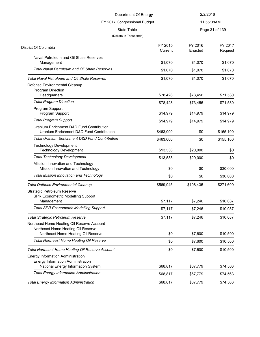| 2/2/2016           |                      |
|--------------------|----------------------|
|                    | 11:55:08AM           |
|                    | Page 31 of 139       |
| FY 2016<br>Enacted | FY 2017<br>Request   |
| \$1,070            | \$1,070              |
| \$1,070            | \$1,070              |
| \$1,070            | \$1,070              |
| \$73,456           | \$71,530             |
| \$73,456           | \$71,530             |
| \$14,979           | \$14,979             |
| \$14,979           | \$14,979             |
| \$0                | \$155,100            |
| \$0                | \$155,100            |
| \$20,000           | \$0                  |
| \$20,000           | \$0                  |
| \$0                | \$30,000             |
| \$0                | \$30,000             |
| \$108,435          | \$271,609            |
| \$7,246            | \$10,087             |
| \$7,246            | \$10,087             |
| \$7,246            | \$10,087             |
|                    |                      |
| \$7,600            | \$10,500             |
| \$7,600            | \$10,500             |
| \$7,600            | \$10,500             |
|                    |                      |
|                    | \$74,563<br>\$74,563 |
|                    | \$67,779<br>\$67,779 |

Total Energy Information Administration **\$68,817** \$68,817 \$67,779 \$74,563

 $\overline{\phantom{0}}$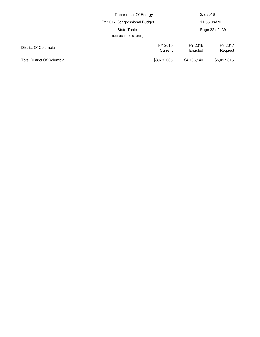|                            | Department Of Energy         |                    | 2/2/2016           |  |
|----------------------------|------------------------------|--------------------|--------------------|--|
|                            | FY 2017 Congressional Budget |                    | 11:55:08AM         |  |
|                            | State Table                  |                    | Page 32 of 139     |  |
|                            | (Dollars In Thousands)       |                    |                    |  |
| District Of Columbia       | FY 2015<br>Current           | FY 2016<br>Enacted | FY 2017<br>Request |  |
| Total District Of Columbia | \$3,672,065                  | \$4,106,140        | \$5,017,315        |  |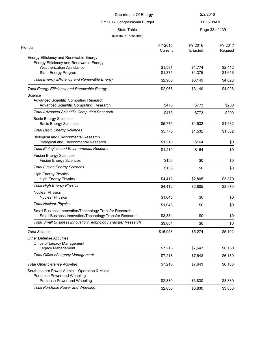| Department Of Energy<br>FY 2017 Congressional Budget                                         |                    | 2/2/2016           |                    |
|----------------------------------------------------------------------------------------------|--------------------|--------------------|--------------------|
|                                                                                              |                    | 11:55:08AM         |                    |
| State Table                                                                                  |                    |                    | Page 33 of 139     |
| (Dollars In Thousands)                                                                       |                    |                    |                    |
| Florida                                                                                      | FY 2015<br>Current | FY 2016<br>Enacted | FY 2017<br>Request |
| Energy Efficiency and Renewable Energy                                                       |                    |                    |                    |
| Energy Efficiency and Renewable Energy                                                       |                    |                    |                    |
| <b>Weatherization Assistance</b>                                                             | \$1,591            | \$1,774            | \$2,412            |
| State Energy Program                                                                         | \$1,375            | \$1,375            | \$1,616            |
| <b>Total Energy Efficiency and Renewable Energy</b>                                          | \$2,966            | \$3,149            | \$4,028            |
| <b>Total Energy Efficiency and Renewable Energy</b>                                          | \$2,966            | \$3,149            | \$4,028            |
| Science                                                                                      |                    |                    |                    |
| Advanced Scientific Computing Research                                                       |                    |                    |                    |
| Advanced Scientific Computing Research                                                       | \$473              | \$773              | \$200              |
| <b>Total Advanced Scientific Computing Research</b>                                          | \$473              | \$773              | \$200              |
| <b>Basic Energy Sciences</b>                                                                 |                    |                    |                    |
| <b>Basic Energy Sciences</b>                                                                 | \$5,775            | \$1,532            | \$1,532            |
| <b>Total Basic Energy Sciences</b>                                                           | \$5,775            | \$1,532            | \$1,532            |
| <b>Biological and Environmental Research</b><br><b>Biological and Environmental Research</b> | \$1,210            | \$164              | \$0                |
| <b>Total Biological and Environmental Research</b>                                           | \$1,210            | \$164              | \$0                |
| <b>Fusion Energy Sciences</b><br><b>Fusion Energy Sciences</b>                               | \$156              | \$0                | \$0                |
| <b>Total Fusion Energy Sciences</b>                                                          | \$156              | \$0                | \$0                |
| <b>High Energy Physics</b><br><b>High Energy Physics</b>                                     | \$4,412            | \$2,805            | \$3,370            |
| <b>Total High Energy Physics</b>                                                             | \$4,412            |                    | \$3,370            |
| <b>Nuclear Physics</b>                                                                       |                    | \$2,805            |                    |
| <b>Nuclear Physics</b>                                                                       | \$1,043            | \$0                | \$0                |
| <b>Total Nuclear Physics</b>                                                                 | \$1,043            | \$0                | \$0                |
| Small Business Innovation/Technology Transfer Research                                       |                    |                    |                    |
| Small Business Innovation/Technology Transfer Research                                       | \$3,884            | \$0                | \$0                |
| Total Small Business Innovation/Technology Transfer Research                                 | \$3,884            | \$0                | \$0                |
| <b>Total Science</b>                                                                         | \$16,953           | \$5,274            | \$5,102            |
| <b>Other Defense Activities</b>                                                              |                    |                    |                    |
| Office of Legacy Management                                                                  |                    |                    |                    |
| Legacy Management                                                                            | \$7,218            | \$7,643            | \$6,130            |
| <b>Total Office of Legacy Management</b>                                                     | \$7,218            | \$7,643            | \$6,130            |
| <b>Total Other Defense Activities</b>                                                        | \$7,218            | \$7,643            | \$6,130            |
| Southeastern Power Admin. - Operation & Maint.                                               |                    |                    |                    |
| Purchase Power and Wheeling                                                                  |                    |                    |                    |
| Purchase Power and Wheeling                                                                  | \$2,830            | \$3,830            | \$3,830            |
| <b>Total Purchase Power and Wheeling</b>                                                     | \$2,830            | \$3,830            | \$3,830            |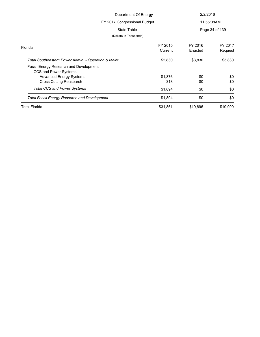| Department Of Energy                                            |                    | 2/2/2016           |                    |  |
|-----------------------------------------------------------------|--------------------|--------------------|--------------------|--|
| FY 2017 Congressional Budget                                    |                    |                    | 11:55:08AM         |  |
| State Table                                                     |                    |                    | Page 34 of 139     |  |
| (Dollars In Thousands)                                          |                    |                    |                    |  |
| Florida                                                         | FY 2015<br>Current | FY 2016<br>Enacted | FY 2017<br>Request |  |
| Total Southeastern Power Admin. - Operation & Maint.            | \$2,830            | \$3,830            | \$3,830            |  |
| Fossil Energy Research and Development<br>CCS and Power Systems |                    |                    |                    |  |
| <b>Advanced Energy Systems</b>                                  | \$1,876            | \$0                | \$0                |  |
| Cross Cutting Reasearch                                         | \$18               | \$0                | \$0                |  |
| <b>Total CCS and Power Systems</b>                              | \$1,894            | \$0                | \$0                |  |
| Total Fossil Energy Research and Development                    | \$1,894            | \$0                | \$0                |  |
| <b>Total Florida</b>                                            | \$31,861           | \$19,896           | \$19,090           |  |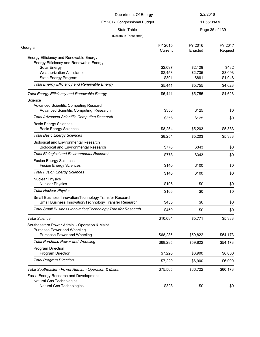| Department Of Energy<br>FY 2017 Congressional Budget           |                    | 2/2/2016           |                    |
|----------------------------------------------------------------|--------------------|--------------------|--------------------|
|                                                                |                    | 11:55:08AM         |                    |
| <b>State Table</b>                                             |                    |                    | Page 35 of 139     |
| (Dollars In Thousands)                                         |                    |                    |                    |
| Georgia                                                        | FY 2015<br>Current | FY 2016<br>Enacted | FY 2017<br>Request |
| Energy Efficiency and Renewable Energy                         |                    |                    |                    |
| Energy Efficiency and Renewable Energy<br>Solar Energy         | \$2,097            | \$2,129            | \$482              |
| <b>Weatherization Assistance</b>                               | \$2,453            | \$2,735            | \$3,093            |
| State Energy Program                                           | \$891              | \$891              | \$1,048            |
| <b>Total Energy Efficiency and Renewable Energy</b>            | \$5,441            | \$5,755            | \$4,623            |
| <b>Total Energy Efficiency and Renewable Energy</b>            | \$5,441            | \$5,755            | \$4,623            |
| Science                                                        |                    |                    |                    |
| Advanced Scientific Computing Research                         |                    |                    |                    |
| Advanced Scientific Computing Research                         | \$356              | \$125              | \$0                |
| <b>Total Advanced Scientific Computing Research</b>            | \$356              | \$125              | \$0                |
| <b>Basic Energy Sciences</b><br><b>Basic Energy Sciences</b>   | \$8,254            | \$5,203            | \$5,333            |
| <b>Total Basic Energy Sciences</b>                             | \$8,254            | \$5,203            | \$5,333            |
| <b>Biological and Environmental Research</b>                   |                    |                    |                    |
| <b>Biological and Environmental Research</b>                   | \$778              | \$343              | \$0                |
| <b>Total Biological and Environmental Research</b>             | \$778              | \$343              | \$0                |
| <b>Fusion Energy Sciences</b><br><b>Fusion Energy Sciences</b> | \$140              | \$100              | \$0                |
| <b>Total Fusion Energy Sciences</b>                            | \$140              | \$100              | \$0                |
| <b>Nuclear Physics</b><br><b>Nuclear Physics</b>               | \$106              | \$0                | \$0                |
| <b>Total Nuclear Physics</b>                                   | \$106              | \$0                | \$0                |
| Small Business Innovation/Technology Transfer Research         |                    |                    |                    |
| Small Business Innovation/Technology Transfer Research         | \$450              | \$0                | \$0                |
| Total Small Business Innovation/Technology Transfer Research   | \$450              | \$0                | \$0                |
| <b>Total Science</b>                                           | \$10,084           | \$5,771            | \$5,333            |
| Southeastern Power Admin. - Operation & Maint.                 |                    |                    |                    |
| Purchase Power and Wheeling                                    |                    |                    |                    |
| Purchase Power and Wheeling                                    | \$68,285           | \$59,822           | \$54,173           |
| <b>Total Purchase Power and Wheeling</b>                       | \$68,285           | \$59,822           | \$54,173           |
| Program Direction                                              |                    |                    |                    |
| Program Direction                                              | \$7,220            | \$6,900            | \$6,000            |
| <b>Total Program Direction</b>                                 | \$7,220            | \$6,900            | \$6,000            |
| Total Southeastern Power Admin. - Operation & Maint.           | \$75,505           | \$66,722           | \$60,173           |
| Fossil Energy Research and Development                         |                    |                    |                    |
| Natural Gas Technologies<br>Natural Gas Technologies           | \$328              | \$0                | \$0                |
|                                                                |                    |                    |                    |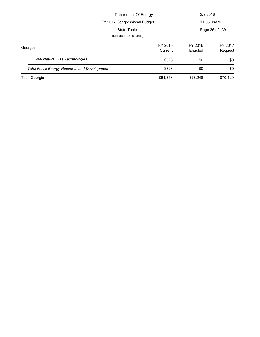| Department Of Energy                                |                        |                    | 2/2/2016           |  |
|-----------------------------------------------------|------------------------|--------------------|--------------------|--|
| FY 2017 Congressional Budget                        |                        |                    | 11:55:08AM         |  |
| State Table                                         |                        |                    | Page 36 of 139     |  |
|                                                     | (Dollars In Thousands) |                    |                    |  |
| Georgia                                             | FY 2015<br>Current     | FY 2016<br>Enacted | FY 2017<br>Request |  |
| <b>Total Natural Gas Technologies</b>               | \$328                  | \$0                | \$0                |  |
| <b>Total Fossil Energy Research and Development</b> | \$328                  | \$0                | \$0                |  |
| <b>Total Georgia</b>                                | \$91,358               | \$78,248           | \$70,129           |  |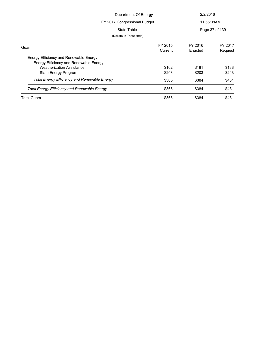| Department Of Energy                                |         | 2/2/2016   |                |
|-----------------------------------------------------|---------|------------|----------------|
| FY 2017 Congressional Budget                        |         | 11:55:08AM |                |
| State Table                                         |         |            | Page 37 of 139 |
| (Dollars In Thousands)                              |         |            |                |
| Guam                                                | FY 2015 | FY 2016    | FY 2017        |
|                                                     | Current | Enacted    | Request        |
| Energy Efficiency and Renewable Energy              |         |            |                |
| Energy Efficiency and Renewable Energy              |         |            |                |
| <b>Weatherization Assistance</b>                    | \$162   | \$181      | \$188          |
| State Energy Program                                | \$203   | \$203      | \$243          |
| <b>Total Energy Efficiency and Renewable Energy</b> | \$365   | \$384      | \$431          |
| <b>Total Energy Efficiency and Renewable Energy</b> | \$365   | \$384      | \$431          |
| <b>Total Guam</b>                                   | \$365   | \$384      | \$431          |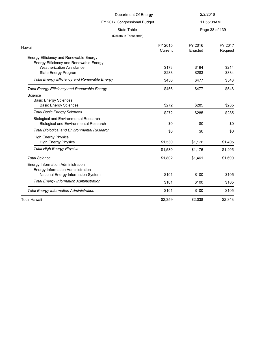|                                                     | Department Of Energy | 2/2/2016           |                    |
|-----------------------------------------------------|----------------------|--------------------|--------------------|
| FY 2017 Congressional Budget                        |                      | 11:55:08AM         |                    |
| <b>State Table</b><br>(Dollars In Thousands)        |                      | Page 38 of 139     |                    |
| Hawaii                                              | FY 2015<br>Current   | FY 2016<br>Enacted | FY 2017<br>Request |
| Energy Efficiency and Renewable Energy              |                      |                    |                    |
| Energy Efficiency and Renewable Energy              |                      |                    |                    |
| <b>Weatherization Assistance</b>                    | \$173                | \$194              | \$214              |
| <b>State Energy Program</b>                         | \$283                | \$283              | \$334              |
| <b>Total Energy Efficiency and Renewable Energy</b> | \$456                | \$477              | \$548              |
| <b>Total Energy Efficiency and Renewable Energy</b> | \$456                | \$477              | \$548              |
| Science                                             |                      |                    |                    |
| <b>Basic Energy Sciences</b>                        |                      |                    |                    |
| <b>Basic Energy Sciences</b>                        | \$272                | \$285              | \$285              |
| <b>Total Basic Energy Sciences</b>                  | \$272                | \$285              | \$285              |
| <b>Biological and Environmental Research</b>        |                      |                    |                    |
| <b>Biological and Environmental Research</b>        | \$0                  | \$0                | \$0                |
| <b>Total Biological and Environmental Research</b>  | \$0                  | \$0                | \$0                |
| <b>High Energy Physics</b>                          |                      |                    |                    |
| <b>High Energy Physics</b>                          | \$1,530              | \$1,176            | \$1,405            |
| <b>Total High Energy Physics</b>                    | \$1,530              | \$1,176            | \$1,405            |
| <b>Total Science</b>                                | \$1,802              | \$1,461            | \$1,690            |
| <b>Energy Information Administration</b>            |                      |                    |                    |
| <b>Energy Information Administration</b>            |                      |                    |                    |
| National Energy Information System                  | \$101                | \$100              | \$105              |
| <b>Total Energy Information Administration</b>      | \$101                | \$100              | \$105              |
| <b>Total Energy Information Administration</b>      | \$101                | \$100              | \$105              |
| Total Hawaii                                        | \$2,359              | \$2,038            | \$2.343            |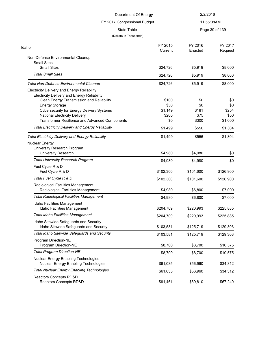| Department Of Energy<br>FY 2017 Congressional Budget                                              |                    | 2/2/2016           |                    |
|---------------------------------------------------------------------------------------------------|--------------------|--------------------|--------------------|
|                                                                                                   |                    |                    | 11:55:08AM         |
| <b>State Table</b>                                                                                |                    |                    | Page 39 of 139     |
| (Dollars In Thousands)                                                                            |                    |                    |                    |
| Idaho                                                                                             | FY 2015<br>Current | FY 2016<br>Enacted | FY 2017<br>Request |
| Non-Defense Environmental Cleanup                                                                 |                    |                    |                    |
| <b>Small Sites</b><br><b>Small Sites</b>                                                          | \$24,726           | \$5,919            | \$8,000            |
| <b>Total Small Sites</b>                                                                          | \$24,726           | \$5,919            | \$8,000            |
| <b>Total Non-Defense Environmental Cleanup</b>                                                    | \$24,726           | \$5,919            | \$8,000            |
| Electricity Delivery and Energy Reliability<br><b>Electricity Delivery and Energy Reliability</b> |                    |                    |                    |
| Clean Energy Transmission and Reliability                                                         | \$100              | \$0                | \$0                |
| <b>Energy Storage</b><br><b>Cybersecurity for Energy Delivery Systems</b>                         | \$50<br>\$1,149    | \$0<br>\$181       | \$0<br>\$254       |
| <b>National Electricity Delivery</b>                                                              | \$200              | \$75               | \$50               |
| Transformer Resilience and Advanced Components                                                    | \$0                | \$300              | \$1,000            |
| <b>Total Electricity Delivery and Energy Reliability</b>                                          | \$1,499            | \$556              | \$1,304            |
| <b>Total Electricity Delivery and Energy Reliability</b>                                          | \$1,499            | \$556              | \$1,304            |
| Nuclear Energy<br>University Research Program<br><b>University Research</b>                       | \$4,980            | \$4,980            | \$0                |
| <b>Total University Research Program</b>                                                          | \$4,980            | \$4,980            | \$0                |
| Fuel Cycle R & D                                                                                  |                    |                    |                    |
| Fuel Cycle R & D                                                                                  | \$102,300          | \$101,600          | \$126,900          |
| Total Fuel Cycle R & D                                                                            | \$102,300          | \$101,600          | \$126,900          |
| Radiological Facilities Management<br>Radiological Facilities Management                          | \$4,980            | \$6,800            | \$7,000            |
| <b>Total Radiological Facilities Management</b>                                                   | \$4,980            | \$6,800            | \$7,000            |
| Idaho Facilities Management<br>Idaho Facilities Management                                        | \$204,709          | \$220,993          | \$225,885          |
| <b>Total Idaho Facilities Management</b>                                                          | \$204,709          | \$220,993          | \$225,885          |
| Idaho Sitewide Safeguards and Security<br>Idaho Sitewide Safeguards and Security                  | \$103,581          | \$125,719          | \$129,303          |
| Total Idaho Sitewide Safeguards and Security                                                      | \$103,581          | \$125,719          | \$129,303          |
| Program Direction-NE<br>Program Direction-NE                                                      | \$8,700            | \$8,700            | \$10,575           |
| <b>Total Program Direction-NE</b>                                                                 | \$8,700            | \$8,700            | \$10,575           |
| Nuclear Energy Enabling Technologies<br>Nuclear Energy Enabling Technologies                      | \$61,035           | \$56,960           | \$34,312           |
| <b>Total Nuclear Energy Enabling Technologies</b>                                                 | \$61,035           | \$56,960           | \$34,312           |
| Reactors Concepts RD&D<br>Reactors Concepts RD&D                                                  | \$91,461           | \$89,810           | \$67,240           |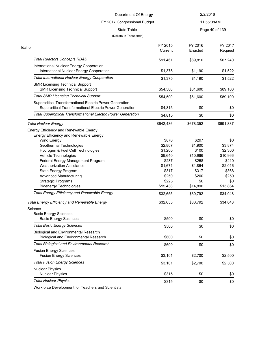## FY 2017 Congressional Budget

11:55:08AM

#### State Table **Page 40 of 139**

#### (Dollars In Thousands)

| . ugo .o o. .oo |  |
|-----------------|--|
|                 |  |
|                 |  |
|                 |  |
|                 |  |

| Idaho                                                                 | FY 2015   | FY 2016   | FY 2017   |
|-----------------------------------------------------------------------|-----------|-----------|-----------|
|                                                                       | Current   | Enacted   | Request   |
| <b>Total Reactors Concepts RD&amp;D</b>                               | \$91,461  | \$89,810  | \$67,240  |
| International Nuclear Energy Cooperation                              |           |           |           |
| International Nuclear Energy Cooperation                              | \$1,375   | \$1,190   | \$1,522   |
| <b>Total International Nuclear Energy Cooperation</b>                 | \$1,375   | \$1,190   | \$1,522   |
| <b>SMR Licensing Technical Support</b>                                |           |           |           |
| <b>SMR Licensing Technical Support</b>                                | \$54,500  | \$61,600  | \$89,100  |
| <b>Total SMR Licensing Technical Support</b>                          | \$54,500  | \$61,600  | \$89,100  |
| Supercritical Transformational Electric Power Generation              |           |           |           |
| Supercritical Transformational Electric Power Generation              | \$4,815   | \$0       | \$0       |
| <b>Total Supercritical Transformational Electric Power Generation</b> | \$4,815   | \$0       | \$0       |
| <b>Total Nuclear Energy</b>                                           | \$642,436 | \$678,352 | \$691,837 |
| Energy Efficiency and Renewable Energy                                |           |           |           |
| Energy Efficiency and Renewable Energy                                |           |           |           |
| Wind Energy                                                           | \$870     | \$297     | \$0       |
| Geothermal Technologies                                               | \$2,807   | \$1,900   | \$3,874   |
| Hydrogen & Fuel Cell Technologies                                     | \$1,200   | \$100     | \$2,300   |
| Vehicle Technologies                                                  | \$9,640   | \$10,966  | \$10,966  |
| Federal Energy Management Program                                     | \$237     | \$258     | \$410     |
| <b>Weatherization Assistance</b>                                      | \$1,671   | \$1,864   | \$2,016   |
| State Energy Program                                                  | \$317     | \$317     | \$368     |
| <b>Advanced Manufacturing</b>                                         | \$250     | \$200     | \$250     |
| <b>Strategic Programs</b>                                             | \$225     | \$0       | \$0       |
| <b>Bioenergy Technologies</b>                                         | \$15,438  | \$14,890  | \$13,864  |
| <b>Total Energy Efficiency and Renewable Energy</b>                   | \$32,655  | \$30,792  | \$34,048  |
| <b>Total Energy Efficiency and Renewable Energy</b>                   | \$32,655  | \$30,792  | \$34,048  |
| Science                                                               |           |           |           |
| <b>Basic Energy Sciences</b>                                          |           |           |           |
| <b>Basic Energy Sciences</b>                                          | \$500     | \$0       | \$0       |
| <b>Total Basic Energy Sciences</b>                                    | \$500     | \$0       | \$0       |
| <b>Biological and Environmental Research</b>                          |           |           |           |
| <b>Biological and Environmental Research</b>                          | \$600     | \$0       | \$0       |
| <b>Total Biological and Environmental Research</b>                    | \$600     | \$0       | \$0       |
| <b>Fusion Energy Sciences</b>                                         |           |           |           |
| <b>Fusion Energy Sciences</b>                                         | \$3,101   | \$2,700   | \$2,500   |
| <b>Total Fusion Energy Sciences</b>                                   | \$3,101   | \$2,700   | \$2,500   |
| <b>Nuclear Physics</b>                                                |           |           |           |
| <b>Nuclear Physics</b>                                                | \$315     | \$0       | \$0       |
| <b>Total Nuclear Physics</b>                                          | \$315     | \$0       | \$0       |

Workforce Development for Teachers and Scientists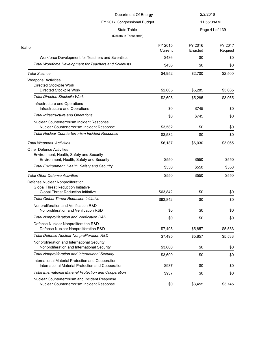# FY 2017 Congressional Budget

11:55:08AM

State Table **Page 41 of 139** 

### (Dollars In Thousands)

| Idaho                                                          | FY 2015<br>Current | FY 2016<br>Enacted | FY 2017<br>Request |
|----------------------------------------------------------------|--------------------|--------------------|--------------------|
| Workforce Development for Teachers and Scientists              | \$436              | \$0                | \$0                |
| <b>Total Workforce Development for Teachers and Scientists</b> | \$436              | \$0                | \$0                |
| <b>Total Science</b>                                           | \$4,952            | \$2,700            | \$2,500            |
| Weapons Activities                                             |                    |                    |                    |
| Directed Stockpile Work                                        |                    |                    |                    |
| Directed Stockpile Work                                        | \$2,605            | \$5,285            | \$3,065            |
| <b>Total Directed Stockpile Work</b>                           | \$2,605            | \$5,285            | \$3,065            |
| Infrastructure and Operations                                  |                    |                    |                    |
| Infrastructure and Operations                                  | \$0                | \$745              | \$0                |
| <b>Total Infrastructure and Operations</b>                     | \$0                | \$745              | \$0                |
| Nuclear Counterterrorism Incident Response                     |                    |                    |                    |
| Nuclear Counterterrorism Incident Response                     | \$3,582            | \$0                | \$0                |
| Total Nuclear Counterterrorism Incident Response               | \$3,582            | \$0                | \$0                |
| <b>Total Weapons Activities</b>                                | \$6,187            | \$6,030            | \$3,065            |
| <b>Other Defense Activities</b>                                |                    |                    |                    |
| Environment, Health, Safety and Security                       |                    |                    |                    |
| Environment, Health, Safety and Security                       | \$550              | \$550              | \$550              |
| Total Environment, Health, Safety and Security                 | \$550              | \$550              | \$550              |
| <b>Total Other Defense Activities</b>                          | \$550              | \$550              | \$550              |
| Defense Nuclear Nonproliferation                               |                    |                    |                    |
| <b>Global Threat Reduction Initiative</b>                      |                    |                    |                    |
| <b>Global Threat Reduction Initiative</b>                      | \$63,842           | \$0                | \$0                |
| Total Global Threat Reduction Initiative                       | \$63,842           | \$0                | \$0                |
| Nonproliferation and Verification R&D                          |                    |                    |                    |
| Nonproliferation and Verification R&D                          | \$0                | \$0                | \$0                |
| Total Nonproliferation and Verification R&D                    | \$0                | \$0                | \$0                |
| Defense Nuclear Nonproliferation R&D                           |                    |                    |                    |
| Defense Nuclear Nonproliferation R&D                           | \$7,495            | \$5,857            | \$5,533            |
| Total Defense Nuclear Nonproliferation R&D                     | \$7,495            | \$5,857            | \$5,533            |
| Nonproliferation and International Security                    |                    |                    |                    |
| Nonproliferation and International Security                    | \$3,600            | \$0                | \$0                |
| <b>Total Nonproliferation and International Security</b>       | \$3,600            | \$0                | \$0                |
| International Material Protection and Cooperation              |                    |                    |                    |
| International Material Protection and Cooperation              | \$937              | \$0                | \$0                |
| <b>Total International Material Protection and Cooperation</b> | \$937              | \$0                | \$0                |
| Nuclear Counterterrorism and Incident Response                 |                    |                    |                    |
| Nuclear Counterterrorism Incident Response                     | \$0                | \$3,455            | \$3,745            |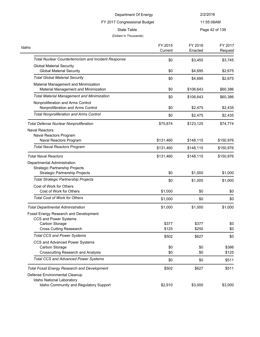FY 2017 Congressional Budget

11:55:08AM

# (Dollars In Thousands)

State Table **Page 42 of 139** 

| Idaho                                                                                                             | FY 2015<br>Current | FY 2016    | FY 2017        |
|-------------------------------------------------------------------------------------------------------------------|--------------------|------------|----------------|
|                                                                                                                   |                    | Enacted    | Request        |
| <b>Total Nuclear Counterterrorism and Incident Response</b>                                                       | \$0                | \$3,455    | \$3,745        |
| <b>Global Material Security</b><br><b>Global Material Security</b>                                                | \$0                | \$4,695    | \$2,675        |
| <b>Total Global Material Security</b>                                                                             | \$0                | \$4,695    | \$2,675        |
| Material Management and Minimization<br>Material Management and Minimization                                      | \$0                | \$106,643  | \$60,386       |
| <b>Total Material Management and Minimization</b>                                                                 | \$0                | \$106,643  | \$60,386       |
| Nonproliferation and Arms Control<br>Nonproliferation and Arms Control                                            | \$0                | \$2,475    | \$2,435        |
| <b>Total Nonproliferation and Arms Control</b>                                                                    | \$0                | \$2,475    | \$2,435        |
| <b>Total Defense Nuclear Nonproliferation</b>                                                                     | \$75,874           | \$123,125  | \$74,774       |
| <b>Naval Reactors</b><br>Naval Reactors Program                                                                   |                    |            |                |
| Naval Reactors Program                                                                                            | \$131,460          | \$148,115  | \$150,976      |
| <b>Total Naval Reactors Program</b>                                                                               | \$131,460          | \$148,115  | \$150,976      |
| <b>Total Naval Reactors</b>                                                                                       | \$131,460          | \$148,115  | \$150,976      |
| Departmental Administration                                                                                       |                    |            |                |
| <b>Strategic Partnership Projects</b><br><b>Strategic Partnership Projects</b>                                    | \$0                | \$1,000    | \$1,000        |
| <b>Total Strategic Partnership Projects</b>                                                                       | \$0                | \$1,000    | \$1,000        |
| Cost of Work for Others<br>Cost of Work for Others                                                                | \$1,000            | \$0        | \$0            |
| <b>Total Cost of Work for Others</b>                                                                              | \$1,000            | \$0        | \$0            |
| <b>Total Departmental Administration</b>                                                                          | \$1,000            | \$1,000    | \$1,000        |
| Fossil Energy Research and Development<br>CCS and Power Systems                                                   |                    |            |                |
| Carbon Storage                                                                                                    | \$377              | \$377      | \$0            |
| <b>Cross Cutting Reasearch</b>                                                                                    | \$125              | \$250      | \$0            |
| <b>Total CCS and Power Systems</b>                                                                                | \$502              | \$627      | \$0            |
| CCS and Advanced Power Systems                                                                                    |                    |            |                |
| Carbon Storage<br><b>Crosscutting Research and Analysis</b>                                                       | \$0<br>\$0         | \$0<br>\$0 | \$386          |
| <b>Total CCS and Advanced Power Systems</b>                                                                       | \$0                | \$0        | \$125<br>\$511 |
|                                                                                                                   |                    |            |                |
| <b>Total Fossil Energy Research and Development</b><br>Defense Environmental Cleanup<br>Idaho National Laboratory | \$502              | \$627      | \$511          |
| Idaho Community and Regulatory Support                                                                            | \$2,910            | \$3,000    | \$3,000        |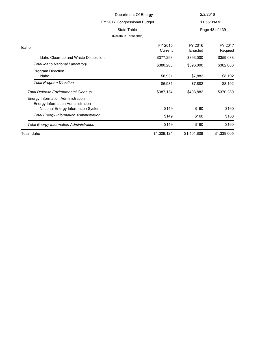| Department Of Energy                 |                              |                    | 2/2/2016           |  |
|--------------------------------------|------------------------------|--------------------|--------------------|--|
|                                      | FY 2017 Congressional Budget |                    | 11:55:08AM         |  |
|                                      | State Table                  |                    | Page 43 of 139     |  |
|                                      | (Dollars In Thousands)       |                    |                    |  |
|                                      | FY 2015<br>Current           | FY 2016<br>Enacted | FY 2017<br>Request |  |
| Idaho Clean-up and Waste Disposition | \$377,293                    | \$393,000          | \$359,088          |  |
| Total Idaho National Laboratory      | \$380,203                    | \$396,000          | \$362,088          |  |
| Program Direction<br>Idaho           | \$6.931                      | \$7.882            | \$8.192            |  |

Idaho \$6,931 \$7,882 \$8,192 **Total Program Direction**  $$6,931$   $$7,882$   $$8,192$ 

National Energy Information System **\$149** \$160 \$160 \$160 **Total Energy Information Administration 1998 <b>\$149** \$160 \$160 \$160

**Total Defense Environmental Cleanup 5387,134** \$403,882 \$370,280

**Total Energy Information Administration 5160** \$149 \$160 \$160

Energy Information Administration Energy Information Administration

Idaho

Total Idaho \$1,309,124 \$1,401,808 \$1,339,005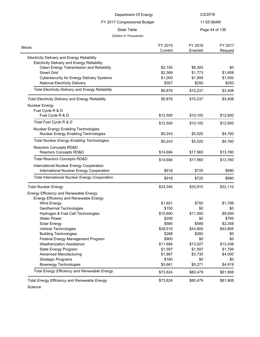| Department Of Energy<br>FY 2017 Congressional Budget                                       | 2/2/2016           |                    |
|--------------------------------------------------------------------------------------------|--------------------|--------------------|
|                                                                                            |                    |                    |
|                                                                                            | 11:55:08AM         |                    |
| State Table                                                                                |                    | Page 44 of 139     |
| (Dollars In Thousands)                                                                     |                    |                    |
| FY 2015<br>ois<br>Current                                                                  | FY 2016<br>Enacted | FY 2017<br>Request |
| Electricity Delivery and Energy Reliability<br>Electricity Delivery and Energy Reliability |                    |                    |
| Clean Energy Transmission and Reliability<br>\$2.150                                       | \$6.305            | \$0                |
| <b>Smart Grid</b><br>\$2,369                                                               | \$1.773            | \$1,658            |
| \$1,000<br>Cybersecurity for Energy Delivery Systems                                       | \$1.909            | \$1,500            |

National Electricity Delivery \$357 \$250 \$250 Total Electricity Delivery and Energy Reliability **\$5,876** \$10,237 \$3,408

Fuel Cycle R & D  $$12,500$   $$10,100$   $$12,600$ **Total Fuel Cycle R & D**  $$12,500$   $$10,100$   $$12,600$ 

*Total Electricity Delivery and Energy Reliability* \$5,876 \$10,237 \$3,408

| Nuclear Energy Enabling Technologies<br><b>Nuclear Energy Enabling Technologies</b> | \$5,243  | \$5,525  | \$4,760  |
|-------------------------------------------------------------------------------------|----------|----------|----------|
| <b>Total Nuclear Energy Enabling Technologies</b>                                   | \$5,243  | \$5,525  | \$4,760  |
| Reactors Concepts RD&D                                                              |          |          |          |
| <b>Reactors Concepts RD&amp;D</b>                                                   | \$14,684 | \$17,560 | \$13,760 |
| <b>Total Reactors Concepts RD&amp;D</b>                                             | \$14,684 | \$17,560 | \$13,760 |
| International Nuclear Energy Cooperation                                            |          |          |          |
| International Nuclear Energy Cooperation                                            | \$918    | \$725    | \$990    |
| <b>Total International Nuclear Energy Cooperation</b>                               | \$918    | \$725    | \$990    |
| Total Nuclear Energy                                                                | \$33,345 | \$33,910 | \$32,110 |
| Energy Efficiency and Renewable Energy                                              |          |          |          |
| Energy Efficiency and Renewable Energy                                              |          |          |          |
| <b>Wind Energy</b>                                                                  | \$1,601  | \$700    | \$1,799  |
| Geothermal Technologies                                                             | \$150    | \$0      | \$0      |
| Hydrogen & Fuel Cell Technologies                                                   | \$10,600 | \$11,500 | \$9,000  |
| <b>Water Power</b>                                                                  | \$206    | \$0      | \$795    |
| Solar Energy                                                                        | \$580    | \$589    | \$2,358  |
| Vehicle Technologies                                                                | \$38,510 | \$43,805 | \$43,805 |
| <b>Building Technologies</b>                                                        | \$288    | \$260    | \$0      |
| Federal Energy Management Program                                                   | \$900    | \$0      | \$0      |
| <b>Weatherization Assistance</b>                                                    | \$11,684 | \$13,027 | \$13,438 |
| State Energy Program                                                                | \$1,597  | \$1,597  | \$1,794  |
| <b>Advanced Manufacturing</b>                                                       | \$1,887  | \$3,730  | \$4,000  |
| <b>Strategic Programs</b>                                                           | \$160    | \$0      | \$0      |
| <b>Bioenergy Technologies</b>                                                       | \$5,661  | \$5,271  | \$4,919  |

Total Energy Efficiency and Renewable Energy **\$73,824** \$80,479 \$81,908

**Total Energy Efficiency and Renewable Energy**  $$73,824$  $$80,479$  $$81,908$ 

Science

Illinois

Nuclear Energy

Fuel Cycle R & D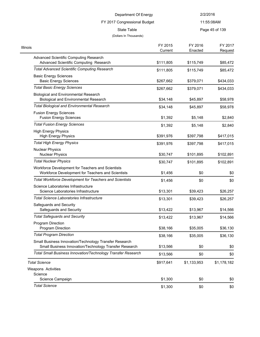# FY 2017 Congressional Budget

11:55:08AM

State Table **Page 45 of 139** 

### (Dollars In Thousands)

| FY 2015   | FY 2016            | FY 2017<br>Request |
|-----------|--------------------|--------------------|
|           |                    |                    |
| \$111,805 | \$115,749          | \$85,472           |
| \$111,805 | \$115,749          | \$85,472           |
| \$267,662 | \$379,071          | \$434,033          |
| \$267,662 | \$379,071          | \$434,033          |
| \$34,148  | \$45,897           | \$58,978           |
| \$34,148  | \$45,897           | \$58,978           |
| \$1,392   | \$5,148            | \$2,840            |
| \$1,392   | \$5,148            | \$2,840            |
| \$391,976 | \$397,798          | \$417,015          |
| \$391,976 | \$397,798          | \$417,015          |
| \$30,747  | \$101,895          | \$102,891          |
| \$30,747  | \$101,895          | \$102,891          |
| \$1,456   | \$0                | \$0                |
| \$1,456   | \$0                | \$0                |
| \$13,301  | \$39,423           | \$26,257           |
| \$13,301  | \$39,423           | \$26,257           |
| \$13,422  | \$13,967           | \$14,566           |
| \$13,422  | \$13,967           | \$14,566           |
| \$38,166  | \$35,005           | \$36,130           |
| \$38,166  | \$35,005           | \$36,130           |
| \$13,566  | \$0                | \$0                |
| \$13,566  | \$0                | \$0                |
| \$917,641 | \$1,133,953        | \$1,178,182        |
|           |                    |                    |
|           | \$0                | \$0                |
| \$1,300   | \$0                | \$0                |
|           | Current<br>\$1,300 | Enacted            |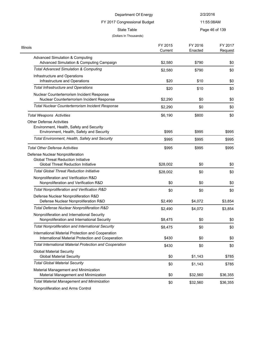## FY 2017 Congressional Budget

11:55:08AM

State Table **Page 46 of 139** 

#### (Dollars In Thousands)

| Illinois                                                                                                | FY 2015  | FY 2016  | FY 2017  |
|---------------------------------------------------------------------------------------------------------|----------|----------|----------|
|                                                                                                         | Current  | Enacted  | Request  |
| <b>Advanced Simulation &amp; Computing</b><br>Advanced Simulation & Computing Campaign                  | \$2,580  | \$790    | \$0      |
| <b>Total Advanced Simulation &amp; Computing</b>                                                        | \$2,580  | \$790    | \$0      |
| Infrastructure and Operations<br>Infrastructure and Operations                                          | \$20     | \$10     | \$0      |
| <b>Total Infrastructure and Operations</b>                                                              | \$20     | \$10     | \$0      |
| Nuclear Counterterrorism Incident Response<br>Nuclear Counterterrorism Incident Response                | \$2,290  | \$0      | \$0      |
| <b>Total Nuclear Counterterrorism Incident Response</b>                                                 | \$2,290  | \$0      | \$0      |
| <b>Total Weapons Activities</b>                                                                         | \$6,190  | \$800    | \$0      |
| <b>Other Defense Activities</b>                                                                         |          |          |          |
| Environment, Health, Safety and Security                                                                |          |          |          |
| Environment, Health, Safety and Security                                                                | \$995    | \$995    | \$995    |
| Total Environment, Health, Safety and Security                                                          | \$995    | \$995    | \$995    |
| <b>Total Other Defense Activities</b>                                                                   | \$995    | \$995    | \$995    |
| Defense Nuclear Nonproliferation                                                                        |          |          |          |
| <b>Global Threat Reduction Initiative</b>                                                               |          |          |          |
| <b>Global Threat Reduction Initiative</b>                                                               | \$28,002 | \$0      | \$0      |
| <b>Total Global Threat Reduction Initiative</b>                                                         | \$28,002 | \$0      | \$0      |
| Nonproliferation and Verification R&D<br>Nonproliferation and Verification R&D                          | \$0      | \$0      | \$0      |
| Total Nonproliferation and Verification R&D                                                             | \$0      | \$0      | \$0      |
| Defense Nuclear Nonproliferation R&D<br>Defense Nuclear Nonproliferation R&D                            | \$2,490  | \$4,072  | \$3,854  |
| Total Defense Nuclear Nonproliferation R&D                                                              | \$2,490  | \$4,072  | \$3,854  |
| Nonproliferation and International Security<br>Nonproliferation and International Security              | \$8,475  | \$0      | \$0      |
| <b>Total Nonproliferation and International Security</b>                                                |          |          |          |
| International Material Protection and Cooperation                                                       | \$8,475  | \$0      | \$0      |
| International Material Protection and Cooperation                                                       | \$430    | \$0      | \$0      |
| <b>Total International Material Protection and Cooperation</b>                                          | \$430    | \$0      | \$0      |
| <b>Global Material Security</b><br><b>Global Material Security</b>                                      | \$0      | \$1,143  | \$785    |
| <b>Total Global Material Security</b>                                                                   | \$0      | \$1,143  | \$785    |
| Material Management and Minimization<br>Material Management and Minimization                            | \$0      | \$32,560 | \$36,355 |
| <b>Total Material Management and Minimization</b>                                                       | \$0      | \$32,560 | \$36,355 |
| $\mathbf{B}$ $\mathbf{B}$ and $\mathbf{B}$ are solved as $\mathbf{A}$ and $\mathbf{A}$ and $\mathbf{A}$ |          |          |          |

Nonproliferation and Arms Control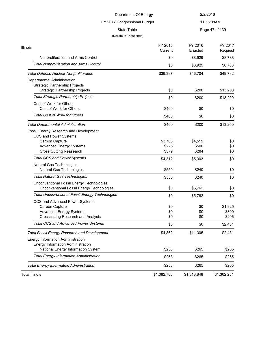## FY 2017 Congressional Budget

11:55:08AM

State Table **Page 47 of 139** 

### (Dollars In Thousands)

 $\frac{1}{2}$ 

| <b>Illinois</b>                                        | FY 2015<br>Current | FY 2016<br>Enacted | FY 2017<br>Request |
|--------------------------------------------------------|--------------------|--------------------|--------------------|
| Nonproliferation and Arms Control                      | \$0                | \$8,929            | \$8,788            |
| <b>Total Nonproliferation and Arms Control</b>         | \$0                | \$8,929            | \$8,788            |
| <b>Total Defense Nuclear Nonproliferation</b>          | \$39,397           | \$46,704           | \$49,782           |
| Departmental Administration                            |                    |                    |                    |
| <b>Strategic Partnership Projects</b>                  |                    |                    |                    |
| <b>Strategic Partnership Projects</b>                  | \$0                | \$200              | \$13,200           |
| <b>Total Strategic Partnership Projects</b>            | \$0                | \$200              | \$13,200           |
| Cost of Work for Others                                |                    |                    |                    |
| Cost of Work for Others                                | \$400              | \$0                | \$0                |
| <b>Total Cost of Work for Others</b>                   | \$400              | \$0                | \$0                |
| <b>Total Departmental Administration</b>               | \$400              | \$200              | \$13,200           |
| Fossil Energy Research and Development                 |                    |                    |                    |
| <b>CCS and Power Systems</b>                           |                    |                    |                    |
| Carbon Capture                                         | \$3,708            | \$4,519            | \$0                |
| <b>Advanced Energy Systems</b>                         | \$225              | \$500              | \$0                |
| <b>Cross Cutting Reasearch</b>                         | \$379              | \$284              | \$0                |
| <b>Total CCS and Power Systems</b>                     | \$4,312            | \$5,303            | \$0                |
| Natural Gas Technologies<br>Natural Gas Technologies   | \$550              | \$240              | \$0                |
| <b>Total Natural Gas Technologies</b>                  |                    |                    |                    |
|                                                        | \$550              | \$240              | \$0                |
| Unconventional Fossil Energy Technologies              |                    |                    |                    |
| Unconventional Fossil Energy Technologies              | \$0                | \$5,762            | \$0                |
| <b>Total Unconventional Fossil Energy Technologies</b> | \$0                | \$5,762            | \$0                |
| CCS and Advanced Power Systems                         |                    |                    |                    |
| Carbon Capture                                         | \$0                | \$0                | \$1,925            |
| <b>Advanced Energy Systems</b>                         | \$0                | \$0                | \$300              |
| <b>Crosscutting Research and Analysis</b>              | \$0                | \$0                | \$206              |
| <b>Total CCS and Advanced Power Systems</b>            | \$0                | \$0                | \$2,431            |
| Total Fossil Energy Research and Development           | \$4,862            | \$11,305           | \$2,431            |
| <b>Energy Information Administration</b>               |                    |                    |                    |
| Energy Information Administration                      |                    |                    |                    |
| National Energy Information System                     | \$258              | \$265              | \$265              |
| <b>Total Energy Information Administration</b>         | \$258              | \$265              | \$265              |
| <b>Total Energy Information Administration</b>         | \$258              | \$265              | \$265              |
| <b>Total Illinois</b>                                  | \$1,082,788        | \$1,318,848        | \$1,362,281        |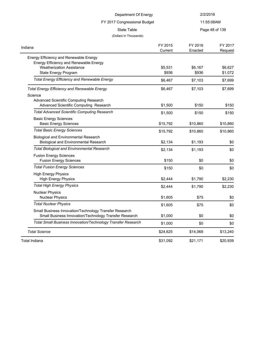| Department Of Energy                                                                         |                    | 2/2/2016           |                    |
|----------------------------------------------------------------------------------------------|--------------------|--------------------|--------------------|
| FY 2017 Congressional Budget                                                                 |                    | 11:55:08AM         |                    |
| <b>State Table</b>                                                                           |                    |                    | Page 48 of 139     |
| (Dollars In Thousands)                                                                       |                    |                    |                    |
| Indiana                                                                                      | FY 2015<br>Current | FY 2016<br>Enacted | FY 2017<br>Request |
| Energy Efficiency and Renewable Energy                                                       |                    |                    |                    |
| Energy Efficiency and Renewable Energy                                                       |                    |                    |                    |
| <b>Weatherization Assistance</b>                                                             | \$5,531            | \$6,167            | \$6,627            |
| State Energy Program                                                                         | \$936              | \$936              | \$1,072            |
| <b>Total Energy Efficiency and Renewable Energy</b>                                          | \$6,467            | \$7,103            | \$7,699            |
| <b>Total Energy Efficiency and Renewable Energy</b>                                          | \$6,467            | \$7,103            | \$7,699            |
| Science                                                                                      |                    |                    |                    |
| Advanced Scientific Computing Research                                                       |                    |                    |                    |
| Advanced Scientific Computing Research                                                       | \$1,500            | \$150              | \$150              |
| <b>Total Advanced Scientific Computing Research</b>                                          | \$1,500            | \$150              | \$150              |
| <b>Basic Energy Sciences</b>                                                                 |                    |                    |                    |
| <b>Basic Energy Sciences</b>                                                                 | \$15,792           | \$10,860           | \$10,860           |
| <b>Total Basic Energy Sciences</b>                                                           | \$15,792           | \$10,860           | \$10,860           |
| <b>Biological and Environmental Research</b><br><b>Biological and Environmental Research</b> | \$2,134            | \$1,193            | \$0                |
|                                                                                              |                    |                    |                    |
| <b>Total Biological and Environmental Research</b>                                           | \$2,134            | \$1,193            | \$0                |
| <b>Fusion Energy Sciences</b>                                                                | \$150              | \$0                |                    |
| <b>Fusion Energy Sciences</b>                                                                |                    |                    | \$0                |
| <b>Total Fusion Energy Sciences</b>                                                          | \$150              | \$0                | \$0                |
| <b>High Energy Physics</b><br><b>High Energy Physics</b>                                     | \$2,444            | \$1,790            | \$2,230            |
| <b>Total High Energy Physics</b>                                                             | \$2,444            | \$1,790            | \$2,230            |
| <b>Nuclear Physics</b>                                                                       |                    |                    |                    |
| <b>Nuclear Physics</b>                                                                       | \$1,605            | \$75               | \$0                |
| <b>Total Nuclear Physics</b>                                                                 | \$1,605            | \$75               | \$0                |
| Small Business Innovation/Technology Transfer Research                                       |                    |                    |                    |
| Small Business Innovation/Technology Transfer Research                                       | \$1,000            | \$0                | \$0                |
| Total Small Business Innovation/Technology Transfer Research                                 | \$1,000            | \$0                | \$0                |
| <b>Total Science</b>                                                                         | \$24,625           | \$14,068           | \$13,240           |
| <b>Total Indiana</b>                                                                         | \$31,092           | \$21,171           | \$20,939           |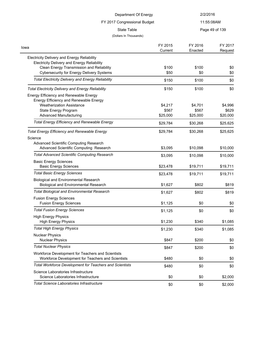| Department Of Energy                                                                                                                                                                                      |                              | 2/2/2016                     |                              |
|-----------------------------------------------------------------------------------------------------------------------------------------------------------------------------------------------------------|------------------------------|------------------------------|------------------------------|
| FY 2017 Congressional Budget                                                                                                                                                                              |                              | 11:55:08AM                   |                              |
| <b>State Table</b>                                                                                                                                                                                        |                              | Page 49 of 139               |                              |
| (Dollars In Thousands)                                                                                                                                                                                    |                              |                              |                              |
| Iowa                                                                                                                                                                                                      | FY 2015<br>Current           | FY 2016<br>Enacted           | FY 2017<br>Request           |
| <b>Electricity Delivery and Energy Reliability</b><br><b>Electricity Delivery and Energy Reliability</b><br>Clean Energy Transmission and Reliability<br><b>Cybersecurity for Energy Delivery Systems</b> | \$100<br>\$50                | \$100<br>\$0                 | \$0<br>\$0                   |
| <b>Total Electricity Delivery and Energy Reliability</b>                                                                                                                                                  | \$150                        | \$100                        | \$0                          |
| <b>Total Electricity Delivery and Energy Reliability</b>                                                                                                                                                  | \$150                        | \$100                        | \$0                          |
| Energy Efficiency and Renewable Energy<br>Energy Efficiency and Renewable Energy<br><b>Weatherization Assistance</b><br>State Energy Program<br><b>Advanced Manufacturing</b>                             | \$4,217<br>\$567<br>\$25,000 | \$4,701<br>\$567<br>\$25,000 | \$4,996<br>\$629<br>\$20,000 |
| <b>Total Energy Efficiency and Renewable Energy</b>                                                                                                                                                       | \$29,784                     | \$30,268                     | \$25,625                     |
| <b>Total Energy Efficiency and Renewable Energy</b><br>Science<br>Advanced Scientific Computing Research                                                                                                  | \$29,784                     | \$30,268                     | \$25,625                     |
| Advanced Scientific Computing Research<br><b>Total Advanced Scientific Computing Research</b>                                                                                                             | \$3,095                      | \$10,098                     | \$10,000                     |
| <b>Basic Energy Sciences</b><br><b>Basic Energy Sciences</b>                                                                                                                                              | \$3,095<br>\$23,478          | \$10,098<br>\$19,711         | \$10,000<br>\$19,711         |
| <b>Total Basic Energy Sciences</b>                                                                                                                                                                        | \$23,478                     | \$19,711                     | \$19,711                     |
| <b>Biological and Environmental Research</b><br><b>Biological and Environmental Research</b>                                                                                                              | \$1,627                      | \$802                        | \$819                        |
| <b>Total Biological and Environmental Research</b>                                                                                                                                                        | \$1,627                      | \$802                        | \$819                        |
| <b>Fusion Energy Sciences</b><br><b>Fusion Energy Sciences</b>                                                                                                                                            | \$1,125                      | \$0                          | \$0                          |
| <b>Total Fusion Energy Sciences</b>                                                                                                                                                                       | \$1,125                      | \$0                          | \$0                          |
| <b>High Energy Physics</b><br><b>High Energy Physics</b>                                                                                                                                                  | \$1,230                      | \$340                        | \$1,085                      |
| <b>Total High Energy Physics</b>                                                                                                                                                                          | \$1,230                      | \$340                        | \$1,085                      |
| <b>Nuclear Physics</b><br><b>Nuclear Physics</b>                                                                                                                                                          | \$847                        | \$200                        | \$0                          |
| <b>Total Nuclear Physics</b>                                                                                                                                                                              | \$847                        | \$200                        | \$0                          |
| Workforce Development for Teachers and Scientists<br>Workforce Development for Teachers and Scientists                                                                                                    | \$480                        | \$0                          | \$0                          |
| <b>Total Workforce Development for Teachers and Scientists</b>                                                                                                                                            | \$480                        | \$0                          | \$0                          |
| Science Laboratories Infrastructure<br>Science Laboratories Infrastructure                                                                                                                                | \$0                          | \$0                          | \$2,000                      |
| <b>Total Science Laboratories Infrastructure</b>                                                                                                                                                          | \$0                          | \$0                          | \$2,000                      |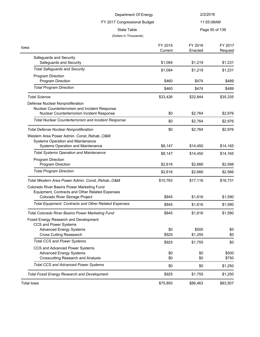| Department Of Energy<br>FY 2017 Congressional Budget                                                                             |                    | 2/2/2016           |                    |  |
|----------------------------------------------------------------------------------------------------------------------------------|--------------------|--------------------|--------------------|--|
|                                                                                                                                  |                    | 11:55:08AM         |                    |  |
| State Table<br>(Dollars In Thousands)                                                                                            |                    |                    | Page 50 of 139     |  |
| Iowa                                                                                                                             | FY 2015<br>Current | FY 2016<br>Enacted | FY 2017<br>Request |  |
| Safeguards and Security<br>Safeguards and Security                                                                               | \$1,084            | \$1,219            | \$1,231            |  |
| <b>Total Safeguards and Security</b>                                                                                             | \$1,084            | \$1,219            | \$1,231            |  |
| Program Direction<br>Program Direction                                                                                           | \$460              | \$474              | \$489              |  |
| <b>Total Program Direction</b>                                                                                                   | \$460              | \$474              | \$489              |  |
| <b>Total Science</b>                                                                                                             | \$33,426           | \$32,844           | \$35,335           |  |
| Defense Nuclear Nonproliferation<br>Nuclear Counterterrorism and Incident Response<br>Nuclear Counterterrorism Incident Response | \$0                | \$2,764            | \$2,976            |  |
| Total Nuclear Counterterrorism and Incident Response                                                                             | \$0                | \$2,764            | \$2,976            |  |
|                                                                                                                                  |                    |                    |                    |  |
| <b>Total Defense Nuclear Nonproliferation</b><br>Western Area Power Admin. Const., Rehab., O&M                                   | \$0                | \$2,764            | \$2,976            |  |
| Systems Operation and Maintenance<br>Systems Operation and Maintenance                                                           | \$8,147            | \$14,450           | \$14,165           |  |
| <b>Total Systems Operation and Maintenance</b>                                                                                   | \$8,147            | \$14,450           | \$14,165           |  |
| Program Direction<br>Program Direction                                                                                           | \$2,616            | \$2,666            | \$2,566            |  |
| <b>Total Program Direction</b>                                                                                                   | \$2,616            | \$2,666            | \$2,566            |  |
| Total Western Area Power Admin. Const., Rehab., O&M                                                                              | \$10,763           | \$17,116           | \$16,731           |  |
| Colorado River Basins Power Marketing Fund<br>Equipment, Contracts and Other Related Expenses<br>Colorado River Storage Project  | \$845              | \$1,616            | \$1,590            |  |
| Total Equipment, Contracts and Other Related Expenses                                                                            | \$845              | \$1,616            | \$1,590            |  |
| <b>Total Colorado River Basins Power Marketing Fund</b>                                                                          | \$845              | \$1,616            | \$1,590            |  |
| Fossil Energy Research and Development<br>CCS and Power Systems                                                                  |                    |                    |                    |  |
| <b>Advanced Energy Systems</b><br><b>Cross Cutting Reasearch</b>                                                                 | \$0<br>\$925       | \$500<br>\$1,255   | \$0<br>\$0         |  |
| <b>Total CCS and Power Systems</b>                                                                                               | \$925              | \$1,755            | \$0                |  |
| CCS and Advanced Power Systems<br><b>Advanced Energy Systems</b><br><b>Crosscutting Research and Analysis</b>                    | \$0<br>\$0         | \$0<br>\$0         | \$500<br>\$750     |  |
| <b>Total CCS and Advanced Power Systems</b>                                                                                      | \$0                | \$0                | \$1,250            |  |
| <b>Total Fossil Energy Research and Development</b>                                                                              | \$925              | \$1,755            | \$1,250            |  |
| <b>Total lowa</b>                                                                                                                | \$75,893           | \$86,463           | \$83,507           |  |
|                                                                                                                                  |                    |                    |                    |  |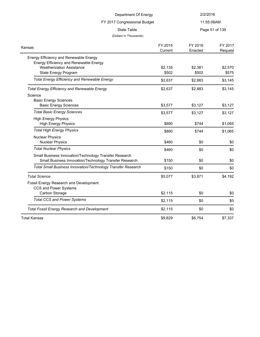| Department Of Energy                                                             |         | 2/2/2016   |                |
|----------------------------------------------------------------------------------|---------|------------|----------------|
| FY 2017 Congressional Budget                                                     |         | 11:55:08AM |                |
| <b>State Table</b>                                                               |         |            | Page 51 of 139 |
| (Dollars In Thousands)                                                           |         |            |                |
| Kansas                                                                           | FY 2015 | FY 2016    | FY 2017        |
|                                                                                  | Current | Enacted    | Request        |
| Energy Efficiency and Renewable Energy<br>Energy Efficiency and Renewable Energy |         |            |                |
| <b>Weatherization Assistance</b>                                                 | \$2,135 | \$2,381    | \$2,570        |
| State Energy Program                                                             | \$502   | \$502      | \$575          |
| <b>Total Energy Efficiency and Renewable Energy</b>                              | \$2,637 | \$2,883    | \$3,145        |
| <b>Total Energy Efficiency and Renewable Energy</b>                              | \$2,637 | \$2,883    | \$3,145        |
| Science                                                                          |         |            |                |
| <b>Basic Energy Sciences</b>                                                     |         |            |                |
| <b>Basic Energy Sciences</b>                                                     | \$3,577 | \$3,127    | \$3,127        |
| <b>Total Basic Energy Sciences</b>                                               | \$3,577 | \$3,127    | \$3,127        |
| <b>High Energy Physics</b><br><b>High Energy Physics</b>                         | \$890   | \$744      | \$1,065        |
| <b>Total High Energy Physics</b>                                                 | \$890   | \$744      | \$1,065        |
| <b>Nuclear Physics</b><br><b>Nuclear Physics</b>                                 | \$460   | \$0        | \$0            |
| <b>Total Nuclear Physics</b>                                                     | \$460   | \$0        | \$0            |
| Small Business Innovation/Technology Transfer Research                           |         |            |                |
| Small Business Innovation/Technology Transfer Research                           | \$150   | \$0        | \$0            |
| Total Small Business Innovation/Technology Transfer Research                     | \$150   | \$0        | \$0            |
| <b>Total Science</b>                                                             | \$5,077 | \$3,871    | \$4,192        |
| Fossil Energy Research and Development                                           |         |            |                |
| CCS and Power Systems                                                            |         |            |                |
| Carbon Storage                                                                   | \$2,115 | \$0        | \$0            |
| <b>Total CCS and Power Systems</b>                                               | \$2,115 | \$0        | \$0            |
| <b>Total Fossil Energy Research and Development</b>                              | \$2,115 | \$0        | \$0            |
| Total Kansas                                                                     | \$9,829 | \$6,754    | \$7,337        |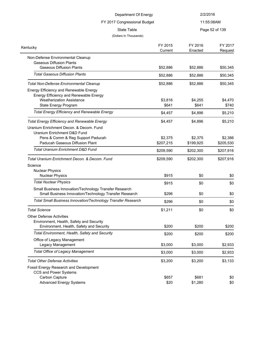| Department Of Energy                                                                                                                           |                      | 2/2/2016             |                      |
|------------------------------------------------------------------------------------------------------------------------------------------------|----------------------|----------------------|----------------------|
| FY 2017 Congressional Budget                                                                                                                   |                      | 11:55:08AM           |                      |
| State Table                                                                                                                                    |                      |                      | Page 52 of 139       |
| (Dollars In Thousands)                                                                                                                         |                      |                      |                      |
| Kentucky                                                                                                                                       | FY 2015<br>Current   | FY 2016<br>Enacted   | FY 2017<br>Request   |
| Non-Defense Environmental Cleanup<br><b>Gaseous Diffusion Plants</b><br><b>Gaseous Diffusion Plants</b>                                        | \$52,886             | \$52,886             | \$50,345             |
| <b>Total Gaseous Diffusion Plants</b>                                                                                                          | \$52,886             | \$52,886             | \$50,345             |
| <b>Total Non-Defense Environmental Cleanup</b>                                                                                                 | \$52,886             | \$52,886             | \$50,345             |
| Energy Efficiency and Renewable Energy<br>Energy Efficiency and Renewable Energy                                                               |                      |                      |                      |
| <b>Weatherization Assistance</b>                                                                                                               | \$3,816              | \$4,255              | \$4,470              |
| <b>State Energy Program</b>                                                                                                                    | \$641                | \$641                | \$740                |
| <b>Total Energy Efficiency and Renewable Energy</b>                                                                                            | \$4,457              | \$4,896              | \$5,210              |
| <b>Total Energy Efficiency and Renewable Energy</b>                                                                                            | \$4,457              | \$4,896              | \$5,210              |
| Uranium Enrichment Decon. & Decom. Fund<br>Uranium Enrichment D&D Fund<br>Pens & Comm & Reg Support Paducah<br>Paducah Gaseous Diffusion Plant | \$2,375<br>\$207,215 | \$2,375<br>\$199,925 | \$2,386<br>\$205,530 |
| <b>Total Uranium Enrichment D&amp;D Fund</b>                                                                                                   | \$209,590            | \$202,300            | \$207,916            |
|                                                                                                                                                |                      |                      |                      |
| Total Uranium Enrichment Decon. & Decom. Fund<br>Science<br><b>Nuclear Physics</b><br><b>Nuclear Physics</b>                                   | \$209,590<br>\$915   | \$202,300<br>\$0     | \$207,916<br>\$0     |
| <b>Total Nuclear Physics</b>                                                                                                                   |                      |                      |                      |
| Small Business Innovation/Technology Transfer Research<br>Small Business Innovation/Technology Transfer Research                               | \$915<br>\$296       | \$0<br>\$0           | \$0<br>\$0           |
| Total Small Business Innovation/Technology Transfer Research                                                                                   | \$296                | \$0                  | \$0                  |
| <b>Total Science</b>                                                                                                                           | \$1,211              | \$0                  | \$0                  |
| <b>Other Defense Activities</b>                                                                                                                |                      |                      |                      |
| Environment, Health, Safety and Security<br>Environment, Health, Safety and Security                                                           | \$200                | \$200                | \$200                |
| Total Environment, Health, Safety and Security                                                                                                 | \$200                | \$200                | \$200                |
| Office of Legacy Management<br>Legacy Management                                                                                               | \$3,000              | \$3,000              | \$2,933              |
| <b>Total Office of Legacy Management</b>                                                                                                       | \$3,000              | \$3,000              | \$2,933              |
| <b>Total Other Defense Activities</b>                                                                                                          | \$3,200              | \$3,200              | \$3,133              |
| Fossil Energy Research and Development<br>CCS and Power Systems<br>Carbon Capture                                                              | \$657                | \$681                | \$0                  |
| <b>Advanced Energy Systems</b>                                                                                                                 | \$20                 | \$1,280              | \$0                  |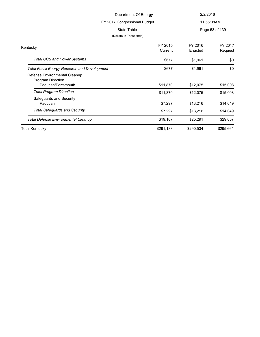| Department Of Energy                                                            |                                       | 2/2/2016           |                    |  |
|---------------------------------------------------------------------------------|---------------------------------------|--------------------|--------------------|--|
|                                                                                 | FY 2017 Congressional Budget          | 11:55:08AM         |                    |  |
|                                                                                 | State Table<br>(Dollars In Thousands) |                    | Page 53 of 139     |  |
| าtuckv                                                                          | FY 2015<br>Current                    | FY 2016<br>Enacted | FY 2017<br>Request |  |
| <b>Total CCS and Power Systems</b>                                              | \$677                                 | \$1.961            | \$0                |  |
| <b>Total Fossil Energy Research and Development</b>                             | \$677                                 | \$1,961            | \$0                |  |
| Defense Environmental Cleanup<br><b>Program Direction</b><br>Daducah/Dortemouth | <b>411 870</b>                        | <b>412 075</b>     | <b>C15 008</b>     |  |

Kentucky

| Paducah/Portsmouth                         | \$11,870  | \$12,075  | \$15,008  |
|--------------------------------------------|-----------|-----------|-----------|
| <b>Total Program Direction</b>             | \$11,870  | \$12,075  | \$15,008  |
| Safeguards and Security<br>Paducah         | \$7.297   | \$13,216  | \$14,049  |
| <b>Total Safequards and Security</b>       | \$7.297   | \$13,216  | \$14,049  |
| <b>Total Defense Environmental Cleanup</b> | \$19.167  | \$25.291  | \$29,057  |
| <b>Total Kentucky</b>                      | \$291,188 | \$290,534 | \$295,661 |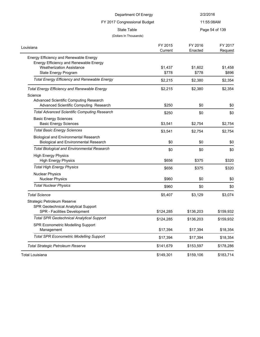| Department Of Energy                                                                         |                    | 2/2/2016           |                    |
|----------------------------------------------------------------------------------------------|--------------------|--------------------|--------------------|
| FY 2017 Congressional Budget                                                                 |                    |                    | 11:55:08AM         |
| State Table                                                                                  |                    |                    | Page 54 of 139     |
| (Dollars In Thousands)                                                                       |                    |                    |                    |
| Louisiana                                                                                    | FY 2015<br>Current | FY 2016<br>Enacted | FY 2017<br>Request |
| Energy Efficiency and Renewable Energy                                                       |                    |                    |                    |
| Energy Efficiency and Renewable Energy                                                       |                    |                    |                    |
| <b>Weatherization Assistance</b><br>State Energy Program                                     | \$1,437<br>\$778   | \$1,602<br>\$778   | \$1,458<br>\$896   |
| <b>Total Energy Efficiency and Renewable Energy</b>                                          | \$2,215            | \$2,380            | \$2,354            |
|                                                                                              |                    |                    |                    |
| <b>Total Energy Efficiency and Renewable Energy</b>                                          | \$2,215            | \$2,380            | \$2,354            |
| Science<br>Advanced Scientific Computing Research                                            |                    |                    |                    |
| Advanced Scientific Computing Research                                                       | \$250              | \$0                | \$0                |
| <b>Total Advanced Scientific Computing Research</b>                                          | \$250              | \$0                | \$0                |
| <b>Basic Energy Sciences</b>                                                                 |                    |                    |                    |
| <b>Basic Energy Sciences</b>                                                                 | \$3,541            | \$2,754            | \$2,754            |
| <b>Total Basic Energy Sciences</b>                                                           | \$3,541            | \$2,754            | \$2,754            |
| <b>Biological and Environmental Research</b><br><b>Biological and Environmental Research</b> | \$0                | \$0                | \$0                |
| <b>Total Biological and Environmental Research</b>                                           | \$0                | \$0                | \$0                |
| <b>High Energy Physics</b>                                                                   |                    |                    |                    |
| <b>High Energy Physics</b>                                                                   | \$656              | \$375              | \$320              |
| <b>Total High Energy Physics</b>                                                             | \$656              | \$375              | \$320              |
| <b>Nuclear Physics</b>                                                                       |                    |                    |                    |
| <b>Nuclear Physics</b>                                                                       | \$960              | \$0                | \$0                |
| <b>Total Nuclear Physics</b>                                                                 | \$960              | \$0                | \$0                |
| <b>Total Science</b>                                                                         | \$5,407            | \$3,129            | \$3,074            |
| Strategic Petroleum Reserve                                                                  |                    |                    |                    |
| SPR Geotechnical Analytical Support                                                          |                    |                    |                    |
| SPR - Facilities Development                                                                 | \$124,285          | \$136,203          | \$159,932          |
| <b>Total SPR Geotechnical Analytical Support</b>                                             | \$124,285          | \$136,203          | \$159,932          |
| SPR Econometric Modelling Support                                                            |                    |                    |                    |
| Management                                                                                   | \$17,394           | \$17,394           | \$18,354           |
| <b>Total SPR Econometric Modelling Support</b>                                               | \$17,394           | \$17,394           | \$18,354           |
| Total Strategic Petroleum Reserve                                                            | \$141,679          | \$153,597          | \$178,286          |
| <b>Total Louisiana</b>                                                                       | \$149,301          | \$159,106          | \$183,714          |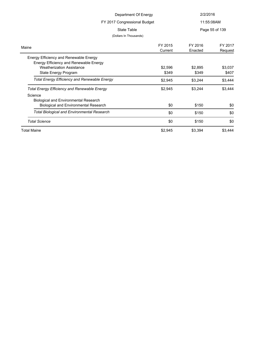| Department Of Energy                                                       |         | 2/2/2016   |                |
|----------------------------------------------------------------------------|---------|------------|----------------|
| FY 2017 Congressional Budget                                               |         | 11:55:08AM |                |
| State Table                                                                |         |            | Page 55 of 139 |
| (Dollars In Thousands)                                                     |         |            |                |
|                                                                            | FY 2015 | FY 2016    | FY 2017        |
| Maine                                                                      | Current | Enacted    | Request        |
| Energy Efficiency and Renewable Energy                                     |         |            |                |
| Energy Efficiency and Renewable Energy<br><b>Weatherization Assistance</b> | \$2,596 | \$2,895    | \$3,037        |
| State Energy Program                                                       | \$349   | \$349      | \$407          |
| <b>Total Energy Efficiency and Renewable Energy</b>                        | \$2,945 | \$3,244    | \$3,444        |
| <b>Total Energy Efficiency and Renewable Energy</b>                        | \$2,945 | \$3,244    | \$3,444        |
| Science                                                                    |         |            |                |
| <b>Biological and Environmental Research</b>                               |         |            |                |
| <b>Biological and Environmental Research</b>                               | \$0     | \$150      | \$0            |
| <b>Total Biological and Environmental Research</b>                         | \$0     | \$150      | \$0            |
| <b>Total Science</b>                                                       | \$0     | \$150      | \$0            |
| <b>Total Maine</b>                                                         | \$2,945 | \$3,394    | \$3,444        |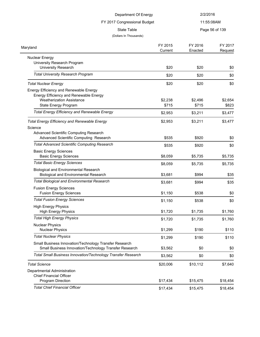| Department Of Energy                                                                                             |                    | 2/2/2016           |                    |
|------------------------------------------------------------------------------------------------------------------|--------------------|--------------------|--------------------|
| FY 2017 Congressional Budget                                                                                     |                    | 11:55:08AM         |                    |
| <b>State Table</b>                                                                                               |                    |                    | Page 56 of 139     |
| (Dollars In Thousands)                                                                                           |                    |                    |                    |
| Maryland                                                                                                         | FY 2015<br>Current | FY 2016<br>Enacted | FY 2017<br>Request |
| Nuclear Energy                                                                                                   |                    |                    |                    |
| University Research Program<br><b>University Research</b>                                                        | \$20               | \$20               | \$0                |
| <b>Total University Research Program</b>                                                                         | \$20               | \$20               | \$0                |
| <b>Total Nuclear Energy</b>                                                                                      | \$20               | \$20               | \$0                |
| Energy Efficiency and Renewable Energy                                                                           |                    |                    |                    |
| Energy Efficiency and Renewable Energy                                                                           |                    |                    |                    |
| <b>Weatherization Assistance</b>                                                                                 | \$2,238            | \$2,496            | \$2,654            |
| State Energy Program                                                                                             | \$715              | \$715              | \$823              |
| <b>Total Energy Efficiency and Renewable Energy</b>                                                              | \$2,953            | \$3,211            | \$3,477            |
| <b>Total Energy Efficiency and Renewable Energy</b>                                                              | \$2,953            | \$3,211            | \$3,477            |
| Science                                                                                                          |                    |                    |                    |
| Advanced Scientific Computing Research                                                                           |                    |                    |                    |
| Advanced Scientific Computing Research                                                                           | \$535              | \$920              | \$0                |
| <b>Total Advanced Scientific Computing Research</b>                                                              | \$535              | \$920              | \$0                |
| <b>Basic Energy Sciences</b>                                                                                     |                    |                    |                    |
| <b>Basic Energy Sciences</b>                                                                                     | \$8,059            | \$5,735            | \$5,735            |
| <b>Total Basic Energy Sciences</b>                                                                               | \$8,059            | \$5,735            | \$5,735            |
| <b>Biological and Environmental Research</b><br><b>Biological and Environmental Research</b>                     | \$3,681            | \$994              | \$35               |
| <b>Total Biological and Environmental Research</b>                                                               | \$3,681            | \$994              | \$35               |
| <b>Fusion Energy Sciences</b>                                                                                    |                    |                    |                    |
| <b>Fusion Energy Sciences</b>                                                                                    | \$1,150            | \$538              | \$0                |
| <b>Total Fusion Energy Sciences</b>                                                                              | \$1,150            | \$538              | \$0                |
| <b>High Energy Physics</b>                                                                                       |                    |                    |                    |
| <b>High Energy Physics</b>                                                                                       | \$1,720            | \$1,735            | \$1,760            |
| <b>Total High Energy Physics</b>                                                                                 | \$1,720            | \$1,735            | \$1,760            |
| <b>Nuclear Physics</b><br><b>Nuclear Physics</b>                                                                 |                    | \$190              |                    |
| <b>Total Nuclear Physics</b>                                                                                     | \$1,299            |                    | \$110              |
|                                                                                                                  | \$1,299            | \$190              | \$110              |
| Small Business Innovation/Technology Transfer Research<br>Small Business Innovation/Technology Transfer Research | \$3,562            | \$0                | \$0                |
| Total Small Business Innovation/Technology Transfer Research                                                     | \$3,562            | \$0                | \$0                |
| <b>Total Science</b>                                                                                             | \$20,006           | \$10,112           | \$7,640            |
| Departmental Administration                                                                                      |                    |                    |                    |
| <b>Chief Financial Officer</b>                                                                                   |                    |                    |                    |
| Program Direction                                                                                                | \$17,434           | \$15,475           | \$18,454           |
| <b>Total Chief Financial Officer</b>                                                                             | \$17,434           | \$15,475           | \$18,454           |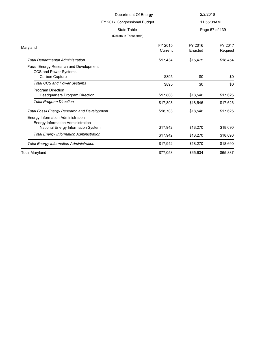|                                                                                                                                      | Department Of Energy                  | 2/2/2016           |                    |
|--------------------------------------------------------------------------------------------------------------------------------------|---------------------------------------|--------------------|--------------------|
|                                                                                                                                      | FY 2017 Congressional Budget          |                    | 11:55:08AM         |
|                                                                                                                                      | State Table<br>(Dollars In Thousands) |                    | Page 57 of 139     |
| Maryland                                                                                                                             | FY 2015<br>Current                    | FY 2016<br>Enacted | FY 2017<br>Request |
| <b>Total Departmental Administration</b>                                                                                             | \$17,434                              | \$15,475           | \$18,454           |
| Fossil Energy Research and Development<br>CCS and Power Systems<br>Carbon Capture                                                    | \$895                                 | \$0                | \$0                |
| <b>Total CCS and Power Systems</b>                                                                                                   | \$895                                 | \$0                | \$0                |
| Program Direction<br><b>Headquarters Program Direction</b>                                                                           | \$17,808                              | \$18,546           | \$17,626           |
| <b>Total Program Direction</b>                                                                                                       | \$17,808                              | \$18,546           | \$17,626           |
| Total Fossil Energy Research and Development<br><b>Energy Information Administration</b><br><b>Energy Information Administration</b> | \$18,703                              | \$18,546           | \$17,626           |
| National Energy Information System                                                                                                   | \$17,942                              | \$18,270           | \$18,690           |
| <b>Total Energy Information Administration</b>                                                                                       | \$17,942                              | \$18,270           | \$18,690           |
| <b>Total Energy Information Administration</b>                                                                                       | \$17,942                              | \$18,270           | \$18,690           |
| <b>Total Maryland</b>                                                                                                                | \$77,058                              | \$65,634           | \$65,887           |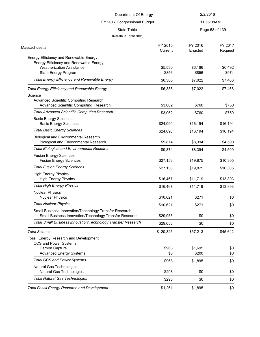| Department Of Energy                                                                         |           | 2/2/2016   |                |
|----------------------------------------------------------------------------------------------|-----------|------------|----------------|
| FY 2017 Congressional Budget                                                                 |           | 11:55:08AM |                |
| <b>State Table</b>                                                                           |           |            | Page 58 of 139 |
| (Dollars In Thousands)                                                                       |           |            |                |
|                                                                                              | FY 2015   | FY 2016    | FY 2017        |
| <b>Massachusetts</b>                                                                         | Current   | Enacted    | Request        |
| Energy Efficiency and Renewable Energy                                                       |           |            |                |
| Energy Efficiency and Renewable Energy                                                       |           |            |                |
| <b>Weatherization Assistance</b>                                                             | \$5,530   | \$6,166    | \$6,492        |
| State Energy Program                                                                         | \$856     | \$856      | \$974          |
| <b>Total Energy Efficiency and Renewable Energy</b>                                          | \$6,386   | \$7,022    | \$7,466        |
| <b>Total Energy Efficiency and Renewable Energy</b>                                          | \$6,386   | \$7,022    | \$7,466        |
| Science                                                                                      |           |            |                |
| Advanced Scientific Computing Research                                                       |           |            |                |
| Advanced Scientific Computing Research                                                       | \$3,062   | \$760      | \$750          |
| <b>Total Advanced Scientific Computing Research</b>                                          | \$3,062   | \$760      | \$750          |
| <b>Basic Energy Sciences</b>                                                                 |           |            |                |
| <b>Basic Energy Sciences</b>                                                                 | \$24,090  | \$16,194   | \$16,194       |
| <b>Total Basic Energy Sciences</b>                                                           | \$24,090  | \$16,194   | \$16,194       |
| <b>Biological and Environmental Research</b><br><b>Biological and Environmental Research</b> | \$9,874   | \$8,394    | \$4,500        |
| <b>Total Biological and Environmental Research</b>                                           | \$9,874   | \$8,394    | \$4,500        |
| <b>Fusion Energy Sciences</b>                                                                |           |            |                |
| <b>Fusion Energy Sciences</b>                                                                | \$27,158  | \$19,875   | \$10,305       |
| <b>Total Fusion Energy Sciences</b>                                                          | \$27,158  | \$19,875   | \$10,305       |
| <b>High Energy Physics</b>                                                                   |           |            |                |
| <b>High Energy Physics</b>                                                                   | \$16,467  | \$11,719   | \$13,893       |
| <b>Total High Energy Physics</b>                                                             | \$16,467  | \$11,719   | \$13,893       |
| <b>Nuclear Physics</b>                                                                       |           |            |                |
| <b>Nuclear Physics</b>                                                                       | \$10,621  | \$271      | \$0            |
| <b>Total Nuclear Physics</b>                                                                 | \$10,621  | \$271      | \$0            |
| Small Business Innovation/Technology Transfer Research                                       |           |            |                |
| Small Business Innovation/Technology Transfer Research                                       | \$29,053  | \$0        | \$0            |
| <b>Total Small Business Innovation/Technology Transfer Research</b>                          | \$29,053  | \$0        | \$0            |
| <b>Total Science</b>                                                                         | \$120,325 | \$57,213   | \$45,642       |
| Fossil Energy Research and Development                                                       |           |            |                |
| <b>CCS and Power Systems</b>                                                                 |           |            |                |
| Carbon Capture                                                                               | \$968     | \$1,695    | \$0            |
| <b>Advanced Energy Systems</b>                                                               | \$0       | \$200      | \$0            |
| <b>Total CCS and Power Systems</b>                                                           | \$968     | \$1,895    | \$0            |
| Natural Gas Technologies<br>Natural Gas Technologies                                         | \$293     | \$0        | \$0            |
| <b>Total Natural Gas Technologies</b>                                                        | \$293     | \$0        | \$0            |
|                                                                                              |           |            |                |
| <b>Total Fossil Energy Research and Development</b>                                          | \$1,261   | \$1,895    | \$0            |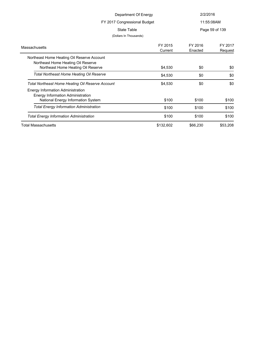| Department Of Energy                                                             |                    | 2/2/2016           |                    |  |
|----------------------------------------------------------------------------------|--------------------|--------------------|--------------------|--|
| FY 2017 Congressional Budget                                                     |                    |                    | 11:55:08AM         |  |
| State Table                                                                      |                    |                    | Page 59 of 139     |  |
| (Dollars In Thousands)                                                           |                    |                    |                    |  |
| Massachusetts                                                                    | FY 2015<br>Current | FY 2016<br>Enacted | FY 2017<br>Request |  |
| Northeast Home Heating Oil Reserve Account<br>Northeast Home Heating Oil Reserve |                    |                    |                    |  |
| Northeast Home Heating Oil Reserve                                               | \$4,530            | \$0                | \$0                |  |
| <b>Total Northeast Home Heating Oil Reserve</b>                                  | \$4,530            | \$0                | \$0                |  |
| Total Northeast Home Heating Oil Reserve Account                                 | \$4,530            | \$0                | \$0                |  |
| Energy Information Administration<br><b>Energy Information Administration</b>    |                    |                    |                    |  |
| National Energy Information System                                               | \$100              | \$100              | \$100              |  |
| <b>Total Energy Information Administration</b>                                   | \$100              | \$100              | \$100              |  |
| <b>Total Energy Information Administration</b>                                   | \$100              | \$100              | \$100              |  |
| <b>Total Massachusetts</b>                                                       | \$132,602          | \$66,230           | \$53,208           |  |
|                                                                                  |                    |                    |                    |  |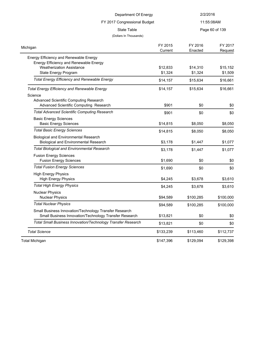| Department Of Energy                                                                                                 |                     | 2/2/2016            |                     |
|----------------------------------------------------------------------------------------------------------------------|---------------------|---------------------|---------------------|
| FY 2017 Congressional Budget                                                                                         |                     |                     | 11:55:08AM          |
| <b>State Table</b><br>(Dollars In Thousands)                                                                         |                     |                     | Page 60 of 139      |
| Michigan                                                                                                             | FY 2015<br>Current  | FY 2016<br>Enacted  | FY 2017<br>Request  |
| Energy Efficiency and Renewable Energy<br>Energy Efficiency and Renewable Energy<br><b>Weatherization Assistance</b> | \$12,833            | \$14,310            | \$15,152            |
| State Energy Program<br><b>Total Energy Efficiency and Renewable Energy</b>                                          | \$1,324<br>\$14,157 | \$1,324<br>\$15,634 | \$1,509<br>\$16,661 |
| <b>Total Energy Efficiency and Renewable Energy</b><br>Science<br>Advanced Scientific Computing Research             | \$14,157            | \$15,634            | \$16,661            |
| Advanced Scientific Computing Research<br><b>Total Advanced Scientific Computing Research</b>                        | \$901               | \$0                 | \$0                 |
| <b>Basic Energy Sciences</b><br><b>Basic Energy Sciences</b>                                                         | \$901<br>\$14,815   | \$0<br>\$8,050      | \$0<br>\$8,050      |
| <b>Total Basic Energy Sciences</b>                                                                                   | \$14,815            | \$8,050             | \$8,050             |
| <b>Biological and Environmental Research</b><br><b>Biological and Environmental Research</b>                         | \$3,178             | \$1,447             | \$1,077             |
| <b>Total Biological and Environmental Research</b>                                                                   | \$3,178             | \$1,447             | \$1,077             |
| <b>Fusion Energy Sciences</b><br><b>Fusion Energy Sciences</b>                                                       | \$1,690             | \$0                 | \$0                 |
| <b>Total Fusion Energy Sciences</b>                                                                                  | \$1,690             | \$0                 | \$0                 |
| <b>High Energy Physics</b><br><b>High Energy Physics</b>                                                             | \$4,245             | \$3,678             | \$3,610             |
| <b>Total High Energy Physics</b>                                                                                     | \$4,245             | \$3,678             | \$3,610             |
| <b>Nuclear Physics</b><br><b>Nuclear Physics</b>                                                                     | \$94,589            | \$100,285           | \$100,000           |
| <b>Total Nuclear Physics</b>                                                                                         | \$94,589            | \$100,285           | \$100,000           |
| Small Business Innovation/Technology Transfer Research<br>Small Business Innovation/Technology Transfer Research     | \$13,821            | \$0                 | \$0                 |
| Total Small Business Innovation/Technology Transfer Research                                                         | \$13,821            | \$0                 | \$0                 |
| <b>Total Science</b>                                                                                                 | \$133,239           | \$113,460           | \$112,737           |
| <b>Total Michigan</b>                                                                                                | \$147,396           | \$129,094           | \$129,398           |
|                                                                                                                      |                     |                     |                     |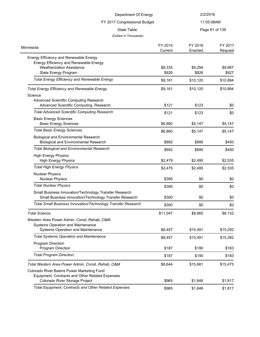| Department Of Energy                                                                                                                               |                    | 2/2/2016           |                    |
|----------------------------------------------------------------------------------------------------------------------------------------------------|--------------------|--------------------|--------------------|
| FY 2017 Congressional Budget                                                                                                                       |                    | 11:55:08AM         |                    |
| State Table                                                                                                                                        |                    |                    | Page 61 of 139     |
| (Dollars In Thousands)                                                                                                                             |                    |                    |                    |
| Minnesota                                                                                                                                          | FY 2015<br>Current | FY 2016<br>Enacted | FY 2017<br>Request |
| Energy Efficiency and Renewable Energy<br>Energy Efficiency and Renewable Energy<br><b>Weatherization Assistance</b>                               | \$8,335            | \$9,294            | \$9,967            |
| State Energy Program<br><b>Total Energy Efficiency and Renewable Energy</b>                                                                        | \$826<br>\$9,161   | \$826<br>\$10,120  | \$927<br>\$10,894  |
|                                                                                                                                                    |                    |                    |                    |
| <b>Total Energy Efficiency and Renewable Energy</b><br>Science<br>Advanced Scientific Computing Research<br>Advanced Scientific Computing Research | \$9,161<br>\$121   | \$10,120<br>\$123  | \$10,894<br>\$0    |
| <b>Total Advanced Scientific Computing Research</b>                                                                                                | \$121              | \$123              | \$0                |
| <b>Basic Energy Sciences</b><br><b>Basic Energy Sciences</b>                                                                                       | \$6,860            | \$5,147            | \$5,147            |
| <b>Total Basic Energy Sciences</b>                                                                                                                 | \$6,860            | \$5,147            | \$5,147            |
| <b>Biological and Environmental Research</b><br><b>Biological and Environmental Research</b>                                                       | \$892              | \$895              | \$450              |
| <b>Total Biological and Environmental Research</b>                                                                                                 | \$892              | \$895              | \$450              |
| <b>High Energy Physics</b><br><b>High Energy Physics</b>                                                                                           | \$2,479            | \$2,495            | \$2,535            |
| <b>Total High Energy Physics</b>                                                                                                                   | \$2,479            | \$2,495            | \$2,535            |
| <b>Nuclear Physics</b><br><b>Nuclear Physics</b>                                                                                                   | \$395              | \$0                | \$0                |
| <b>Total Nuclear Physics</b>                                                                                                                       | \$395              | \$0                | \$0                |
| Small Business Innovation/Technology Transfer Research<br>Small Business Innovation/Technology Transfer Research                                   | \$300              | \$0                | \$0                |
| <b>Total Small Business Innovation/Technology Transfer Research</b>                                                                                | \$300              | \$0                | \$0                |
| <b>Total Science</b>                                                                                                                               | \$11,047           | \$8,660            | \$8,132            |
| Western Area Power Admin. Const., Rehab., O&M<br>Systems Operation and Maintenance                                                                 |                    |                    |                    |
| Systems Operation and Maintenance                                                                                                                  | \$8,457            | \$15,491           | \$15,292           |
| <b>Total Systems Operation and Maintenance</b><br>Program Direction                                                                                | \$8,457            | \$15,491           | \$15,292           |
| Program Direction                                                                                                                                  | \$187              | \$190              | \$183              |
| <b>Total Program Direction</b>                                                                                                                     | \$187              | \$190              | \$183              |
| Total Western Area Power Admin. Const., Rehab., O&M                                                                                                | \$8,644            | \$15,681           | \$15,475           |
| Colorado River Basins Power Marketing Fund<br>Equipment, Contracts and Other Related Expenses                                                      |                    |                    |                    |
| Colorado River Storage Project                                                                                                                     | \$965              | \$1,846            | \$1,817            |
| Total Equipment, Contracts and Other Related Expenses                                                                                              | \$965              | \$1,846            | \$1,817            |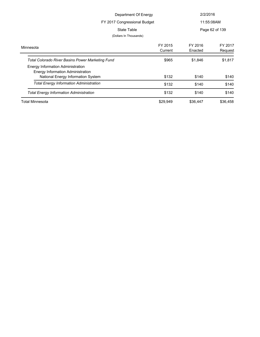| Department Of Energy<br>FY 2017 Congressional Budget                                                                              |                    | 2/2/2016<br>11:55:08AM |                    |
|-----------------------------------------------------------------------------------------------------------------------------------|--------------------|------------------------|--------------------|
| State Table<br>(Dollars In Thousands)                                                                                             |                    |                        | Page 62 of 139     |
| Minnesota                                                                                                                         | FY 2015<br>Current | FY 2016<br>Enacted     | FY 2017<br>Request |
| <b>Total Colorado River Basins Power Marketing Fund</b><br>Energy Information Administration<br>Energy Information Administration | \$965              | \$1,846                | \$1,817            |
| National Energy Information System                                                                                                | \$132              | \$140                  | \$140              |
| <b>Total Energy Information Administration</b>                                                                                    | \$132              | \$140                  | \$140              |
| <b>Total Energy Information Administration</b>                                                                                    | \$132              | \$140                  | \$140              |
| Total Minnesota                                                                                                                   | \$29,949           | \$36,447               | \$36,458           |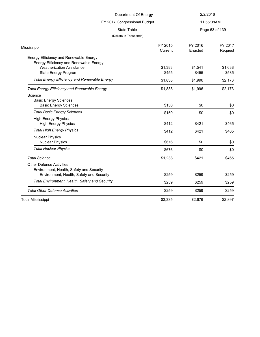| Department Of Energy                                |                    | 2/2/2016           |                    |
|-----------------------------------------------------|--------------------|--------------------|--------------------|
| FY 2017 Congressional Budget                        |                    | 11:55:08AM         |                    |
| <b>State Table</b><br>(Dollars In Thousands)        |                    |                    | Page 63 of 139     |
| Mississippi                                         | FY 2015<br>Current | FY 2016<br>Enacted | FY 2017<br>Request |
| Energy Efficiency and Renewable Energy              |                    |                    |                    |
| Energy Efficiency and Renewable Energy              |                    |                    |                    |
| <b>Weatherization Assistance</b>                    | \$1,383            | \$1,541            | \$1,638            |
| State Energy Program                                | \$455              | \$455              | \$535              |
| <b>Total Energy Efficiency and Renewable Energy</b> | \$1,838            | \$1,996            | \$2,173            |
| <b>Total Energy Efficiency and Renewable Energy</b> | \$1,838            | \$1,996            | \$2,173            |
| Science                                             |                    |                    |                    |
| <b>Basic Energy Sciences</b>                        |                    |                    |                    |
| <b>Basic Energy Sciences</b>                        | \$150              | \$0                | \$0                |
| <b>Total Basic Energy Sciences</b>                  | \$150              | \$0                | \$0                |
| <b>High Energy Physics</b>                          |                    |                    |                    |
| <b>High Energy Physics</b>                          | \$412              | \$421              | \$465              |
| <b>Total High Energy Physics</b>                    | \$412              | \$421              | \$465              |
| <b>Nuclear Physics</b>                              |                    |                    |                    |
| <b>Nuclear Physics</b>                              | \$676              | \$0                | \$0                |
| <b>Total Nuclear Physics</b>                        | \$676              | \$0                | \$0                |
| <b>Total Science</b>                                | \$1,238            | \$421              | \$465              |
| <b>Other Defense Activities</b>                     |                    |                    |                    |
| Environment, Health, Safety and Security            |                    |                    |                    |
| Environment, Health, Safety and Security            | \$259              | \$259              | \$259              |
| Total Environment, Health, Safety and Security      | \$259              | \$259              | \$259              |
| <b>Total Other Defense Activities</b>               | \$259              | \$259              | \$259              |
| <b>Total Mississippi</b>                            | \$3,335            | \$2.676            | \$2,897            |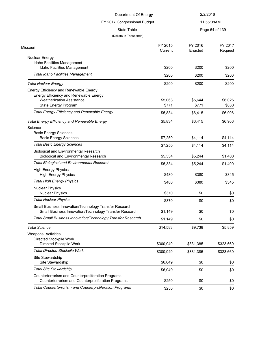|                                                                                                                  | Department Of Energy<br>FY 2017 Congressional Budget<br><b>State Table</b> |           | 2/2/2016       |
|------------------------------------------------------------------------------------------------------------------|----------------------------------------------------------------------------|-----------|----------------|
|                                                                                                                  |                                                                            |           | 11:55:08AM     |
|                                                                                                                  |                                                                            |           | Page 64 of 139 |
| (Dollars In Thousands)                                                                                           |                                                                            |           |                |
| Missouri                                                                                                         | FY 2015                                                                    | FY 2016   | FY 2017        |
|                                                                                                                  | Current                                                                    | Enacted   | Request        |
| <b>Nuclear Energy</b>                                                                                            |                                                                            |           |                |
| Idaho Facilities Management                                                                                      |                                                                            |           |                |
| Idaho Facilities Management                                                                                      | \$200                                                                      | \$200     | \$200          |
| <b>Total Idaho Facilities Management</b>                                                                         | \$200                                                                      | \$200     | \$200          |
| <b>Total Nuclear Energy</b>                                                                                      | \$200                                                                      | \$200     | \$200          |
| Energy Efficiency and Renewable Energy                                                                           |                                                                            |           |                |
| <b>Energy Efficiency and Renewable Energy</b>                                                                    |                                                                            |           |                |
| <b>Weatherization Assistance</b>                                                                                 | \$5,063                                                                    | \$5,644   | \$6,026        |
| State Energy Program                                                                                             | \$771                                                                      | \$771     | \$880          |
| <b>Total Energy Efficiency and Renewable Energy</b>                                                              | \$5,834                                                                    | \$6,415   | \$6,906        |
| <b>Total Energy Efficiency and Renewable Energy</b>                                                              | \$5,834                                                                    | \$6,415   | \$6,906        |
| Science                                                                                                          |                                                                            |           |                |
| <b>Basic Energy Sciences</b>                                                                                     |                                                                            |           |                |
| <b>Basic Energy Sciences</b>                                                                                     | \$7,250                                                                    | \$4,114   | \$4,114        |
| <b>Total Basic Energy Sciences</b>                                                                               | \$7,250                                                                    | \$4,114   | \$4,114        |
| <b>Biological and Environmental Research</b>                                                                     |                                                                            |           |                |
| <b>Biological and Environmental Research</b>                                                                     | \$5,334                                                                    | \$5,244   | \$1,400        |
| <b>Total Biological and Environmental Research</b>                                                               | \$5,334                                                                    | \$5,244   | \$1,400        |
| <b>High Energy Physics</b>                                                                                       |                                                                            |           |                |
| <b>High Energy Physics</b>                                                                                       | \$480                                                                      | \$380     | \$345          |
| <b>Total High Energy Physics</b>                                                                                 | \$480                                                                      | \$380     | \$345          |
| <b>Nuclear Physics</b>                                                                                           |                                                                            |           |                |
| <b>Nuclear Physics</b>                                                                                           | \$370                                                                      | \$0       | \$0            |
| <b>Total Nuclear Physics</b>                                                                                     | \$370                                                                      | \$0       | \$0            |
| Small Business Innovation/Technology Transfer Research<br>Small Business Innovation/Technology Transfer Research | \$1,149                                                                    | \$0       | \$0            |
| Total Small Business Innovation/Technology Transfer Research                                                     | \$1,149                                                                    | \$0       | \$0            |
|                                                                                                                  |                                                                            |           |                |
| <b>Total Science</b>                                                                                             | \$14,583                                                                   | \$9,738   | \$5,859        |
| Weapons Activities                                                                                               |                                                                            |           |                |
| Directed Stockpile Work                                                                                          |                                                                            |           |                |
| Directed Stockpile Work                                                                                          | \$300,949                                                                  | \$331,385 | \$323,669      |
| <b>Total Directed Stockpile Work</b>                                                                             | \$300,949                                                                  | \$331,385 | \$323,669      |
| Site Stewardship                                                                                                 |                                                                            |           |                |
| Site Stewardship                                                                                                 | \$6,049                                                                    | \$0       | \$0            |
| <b>Total Site Stewardship</b>                                                                                    | \$6,049                                                                    | \$0       | \$0            |
| Counterterrorism and Counterproliferation Programs                                                               |                                                                            |           |                |
| Counterterrorism and Counterproliferation Programs                                                               | \$250                                                                      | \$0       | \$0            |
| <b>Total Counterterrorism and Counterproliferation Programs</b>                                                  | \$250                                                                      | \$0       | \$0            |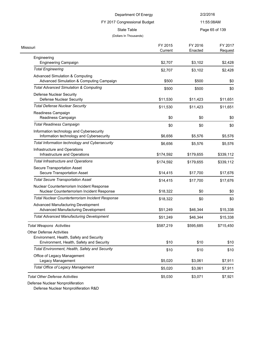## FY 2017 Congressional Budget

11:55:08AM

State Table **Page 65 of 139** 

#### (Dollars In Thousands)

| Missouri                                                                                                                | FY 2015<br>Current | FY 2016<br>Enacted | FY 2017<br>Request |
|-------------------------------------------------------------------------------------------------------------------------|--------------------|--------------------|--------------------|
| Engineering                                                                                                             |                    |                    |                    |
| <b>Engineering Campaign</b>                                                                                             | \$2,707            | \$3,102            | \$2,428            |
| <b>Total Engineering</b>                                                                                                | \$2,707            | \$3,102            | \$2,428            |
| <b>Advanced Simulation &amp; Computing</b><br>Advanced Simulation & Computing Campaign                                  | \$500              | \$500              | \$0                |
| <b>Total Advanced Simulation &amp; Computing</b>                                                                        | \$500              | \$500              | \$0                |
| Defense Nuclear Security<br>Defense Nuclear Security                                                                    | \$11,530           | \$11,423           | \$11,651           |
| <b>Total Defense Nuclear Security</b>                                                                                   | \$11,530           | \$11,423           | \$11,651           |
| Readiness Campaign<br>Readiness Campaign                                                                                | \$0                | \$0                | \$0                |
| <b>Total Readiness Campaign</b>                                                                                         | \$0                | \$0                | \$0                |
| Information technology and Cybersecurity<br>Information technology and Cybersecurity                                    | \$6,656            | \$5,576            | \$5,576            |
| Total Information technology and Cybersecurity                                                                          | \$6,656            | \$5,576            | \$5,576            |
| Infrastructure and Operations<br>Infrastructure and Operations                                                          | \$174,592          | \$179,655          | \$339,112          |
| <b>Total Infrastructure and Operations</b>                                                                              | \$174,592          | \$179,655          | \$339,112          |
| Secure Transportation Asset<br>Secure Transportation Asset                                                              | \$14,415           | \$17,700           | \$17,676           |
| <b>Total Secure Transportation Asset</b>                                                                                | \$14,415           | \$17,700           | \$17,676           |
| Nuclear Counterterrorism Incident Response<br>Nuclear Counterterrorism Incident Response                                | \$18,322           | \$0                | \$0                |
| <b>Total Nuclear Counterterrorism Incident Response</b>                                                                 | \$18,322           | \$0                | \$0                |
| Advanced Manufacturing Development<br>Advanced Manufacturing Development                                                | \$51,249           | \$46,344           | \$15,338           |
| <b>Total Advanced Manufacturing Development</b>                                                                         | \$51,249           | \$46,344           | \$15,338           |
| <b>Total Weapons Activities</b>                                                                                         | \$587,219          | \$595,685          | \$715,450          |
| <b>Other Defense Activities</b><br>Environment, Health, Safety and Security<br>Environment, Health, Safety and Security | \$10               | \$10               | \$10               |
| Total Environment, Health, Safety and Security                                                                          | \$10               | \$10               | \$10               |
| Office of Legacy Management<br>Legacy Management                                                                        | \$5,020            | \$3,061            | \$7,911            |
| <b>Total Office of Legacy Management</b>                                                                                | \$5,020            | \$3,061            | \$7,911            |
| <b>Total Other Defense Activities</b>                                                                                   | \$5,030            | \$3,071            | \$7,921            |

Defense Nuclear Nonproliferation

Defense Nuclear Nonproliferation R&D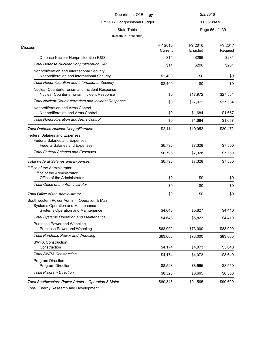## FY 2017 Congressional Budget

State Table **Page 66 of 139** 

11:55:08AM

### (Dollars In Thousands)

| Missouri                                                                                                             | FY 2015<br>Current | FY 2016<br>Enacted | FY 2017<br>Request |
|----------------------------------------------------------------------------------------------------------------------|--------------------|--------------------|--------------------|
| Defense Nuclear Nonproliferation R&D                                                                                 | \$14               | \$296              | \$281              |
| Total Defense Nuclear Nonproliferation R&D                                                                           | \$14               | \$296              | \$281              |
| Nonproliferation and International Security<br>Nonproliferation and International Security                           | \$2,400            | \$0                | \$0                |
| <b>Total Nonproliferation and International Security</b>                                                             | \$2,400            | \$0                | \$0                |
| Nuclear Counterterrorism and Incident Response<br>Nuclear Counterterrorism Incident Response                         | \$0                | \$17,972           | \$27,534           |
| <b>Total Nuclear Counterterrorism and Incident Response</b>                                                          | \$0                | \$17,972           | \$27,534           |
| Nonproliferation and Arms Control<br>Nonproliferation and Arms Control                                               | \$0                | \$1,684            | \$1,657            |
| <b>Total Nonproliferation and Arms Control</b>                                                                       | \$0                | \$1,684            | \$1,657            |
| <b>Total Defense Nuclear Nonproliferation</b>                                                                        | \$2,414            | \$19,952           | \$29,472           |
| <b>Federal Salaries and Expenses</b><br><b>Federal Salaries and Expenses</b><br><b>Federal Salaries and Expenses</b> | \$6,796            | \$7,328            | \$7,550            |
| <b>Total Federal Salaries and Expenses</b>                                                                           | \$6,796            | \$7,328            | \$7,550            |
| <b>Total Federal Salaries and Expenses</b>                                                                           | \$6,796            | \$7,328            | \$7,550            |
| Office of the Administrator<br>Office of the Administrator<br>Office of the Administrator                            | \$0                | \$0                | \$0                |
| Total Office of the Administrator                                                                                    | \$0                | \$0                | \$0                |
| Total Office of the Administrator                                                                                    | \$0                | \$0                | \$0                |
| Southwestern Power Admin. - Operation & Maint.<br>Systems Operation and Maintenance                                  |                    |                    |                    |
| Systems Operation and Maintenance                                                                                    | \$4,643            | \$5,827            | \$4,410            |
| <b>Total Systems Operation and Maintenance</b>                                                                       | \$4,643            | \$5,827            | \$4,410            |
| Purchase Power and Wheeling<br>Purchase Power and Wheeling                                                           | \$63,000           | \$73,000           | \$83,000           |
| <b>Total Purchase Power and Wheeling</b>                                                                             | \$63,000           | \$73,000           | \$83,000           |
| <b>SWPA Construction</b><br>Construction                                                                             | \$4,174            | \$4,073            | \$3,640            |
| <b>Total SWPA Construction</b>                                                                                       | \$4,174            | \$4,073            | \$3,640            |
| <b>Program Direction</b><br>Program Direction                                                                        | \$8,528            | \$8,665            | \$8,550            |
| <b>Total Program Direction</b>                                                                                       | \$8,528            | \$8,665            | \$8,550            |
| Total Southwestern Power Admin. - Operation & Maint.                                                                 | \$80,345           | \$91,565           | \$99,600           |

Fossil Energy Research and Development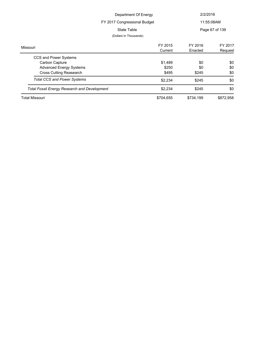|                                                     | Department Of Energy   |           | 2/2/2016       |  |
|-----------------------------------------------------|------------------------|-----------|----------------|--|
| FY 2017 Congressional Budget                        |                        |           | 11:55:08AM     |  |
|                                                     | State Table            |           | Page 67 of 139 |  |
|                                                     | (Dollars In Thousands) |           |                |  |
| Missouri                                            | FY 2015                | FY 2016   | FY 2017        |  |
|                                                     | Current                | Enacted   | Request        |  |
| CCS and Power Systems                               |                        |           |                |  |
| Carbon Capture                                      | \$1,489                | \$0       | \$0            |  |
| <b>Advanced Energy Systems</b>                      | \$250                  | \$0       | \$0            |  |
| Cross Cutting Reasearch                             | \$495                  | \$245     | \$0            |  |
| <b>Total CCS and Power Systems</b>                  | \$2,234                | \$245     | \$0            |  |
| <b>Total Fossil Energy Research and Development</b> | \$2,234                | \$245     | \$0            |  |
| Total Missouri                                      | \$704,655              | \$734,199 | \$872,958      |  |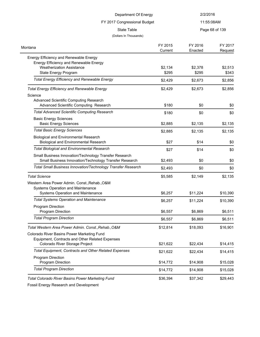| Department Of Energy                                                                                             |                    | 2/2/2016                     |                    |
|------------------------------------------------------------------------------------------------------------------|--------------------|------------------------------|--------------------|
| FY 2017 Congressional Budget<br><b>State Table</b>                                                               |                    | 11:55:08AM<br>Page 68 of 139 |                    |
|                                                                                                                  |                    |                              |                    |
| Montana                                                                                                          | FY 2015<br>Current | FY 2016<br>Enacted           | FY 2017<br>Request |
| Energy Efficiency and Renewable Energy<br>Energy Efficiency and Renewable Energy                                 |                    |                              |                    |
| <b>Weatherization Assistance</b><br>State Energy Program                                                         | \$2,134<br>\$295   | \$2,378<br>\$295             | \$2,513<br>\$343   |
| <b>Total Energy Efficiency and Renewable Energy</b>                                                              | \$2,429            | \$2,673                      | \$2,856            |
| <b>Total Energy Efficiency and Renewable Energy</b><br>Science                                                   | \$2,429            | \$2,673                      | \$2,856            |
| <b>Advanced Scientific Computing Research</b><br>Advanced Scientific Computing Research                          | \$180              | \$0                          | \$0                |
| <b>Total Advanced Scientific Computing Research</b>                                                              | \$180              | \$0                          | \$0                |
| <b>Basic Energy Sciences</b><br><b>Basic Energy Sciences</b>                                                     | \$2,885            | \$2,135                      | \$2,135            |
| <b>Total Basic Energy Sciences</b>                                                                               | \$2,885            | \$2,135                      | \$2,135            |
| <b>Biological and Environmental Research</b><br><b>Biological and Environmental Research</b>                     | \$27               | \$14                         | \$0                |
| <b>Total Biological and Environmental Research</b>                                                               | \$27               | \$14                         | \$0                |
| Small Business Innovation/Technology Transfer Research<br>Small Business Innovation/Technology Transfer Research | \$2,493            | \$0                          | \$0                |
| Total Small Business Innovation/Technology Transfer Research                                                     | \$2,493            | \$0                          | \$0                |
| <b>Total Science</b>                                                                                             | \$5,585            | \$2,149                      | \$2,135            |
| Western Area Power Admin. Const., Rehab., O&M<br>Systems Operation and Maintenance                               |                    |                              |                    |
| Systems Operation and Maintenance                                                                                | \$6,257            | \$11,224                     | \$10,390           |
| <b>Total Systems Operation and Maintenance</b>                                                                   | \$6,257            | \$11,224                     | \$10,390           |
| Program Direction<br>Program Direction                                                                           | \$6,557            | \$6,869                      | \$6,511            |
| <b>Total Program Direction</b>                                                                                   | \$6,557            | \$6,869                      | \$6,511            |
| Total Western Area Power Admin. Const., Rehab., O&M                                                              | \$12,814           | \$18,093                     | \$16,901           |
| Colorado River Basins Power Marketing Fund<br>Equipment, Contracts and Other Related Expenses                    |                    |                              |                    |
| Colorado River Storage Project                                                                                   | \$21,622           | \$22,434                     | \$14,415           |
| <b>Total Equipment, Contracts and Other Related Expenses</b>                                                     | \$21,622           | \$22,434                     | \$14,415           |
| Program Direction<br>Program Direction                                                                           | \$14,772           | \$14,908                     | \$15,028           |
| <b>Total Program Direction</b>                                                                                   | \$14,772           | \$14,908                     | \$15,028           |
| Total Colorado River Basins Power Marketing Fund                                                                 | \$36,394           | \$37,342                     | \$29,443           |

Fossil Energy Research and Development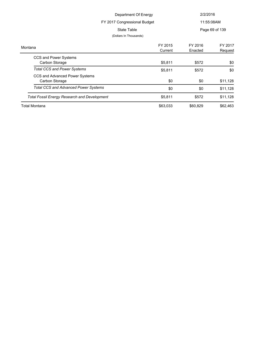| Department Of Energy<br>FY 2017 Congressional Budget |                        |            | 2/2/2016       |  |
|------------------------------------------------------|------------------------|------------|----------------|--|
|                                                      |                        | 11:55:08AM |                |  |
|                                                      | <b>State Table</b>     |            | Page 69 of 139 |  |
|                                                      | (Dollars In Thousands) |            |                |  |
| Montana                                              | FY 2015                | FY 2016    | FY 2017        |  |
|                                                      | Current                | Enacted    | Request        |  |
| CCS and Power Systems                                |                        |            |                |  |
| Carbon Storage                                       | \$5,811                | \$572      | \$0            |  |
| <b>Total CCS and Power Systems</b>                   | \$5,811                | \$572      | \$0            |  |
| CCS and Advanced Power Systems                       |                        |            |                |  |
| Carbon Storage                                       | \$0                    | \$0        | \$11,128       |  |
| <b>Total CCS and Advanced Power Systems</b>          | \$0                    | \$0        | \$11,128       |  |
| <b>Total Fossil Energy Research and Development</b>  | \$5,811                | \$572      | \$11,128       |  |
| Total Montana                                        | \$63,033               | \$60,829   | \$62,463       |  |
|                                                      |                        |            |                |  |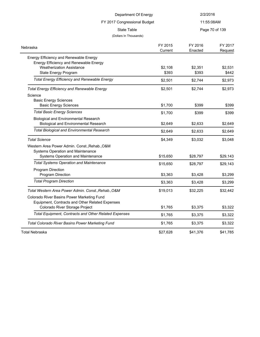| Department Of Energy                                                             |          | 2/2/2016   |                |  |
|----------------------------------------------------------------------------------|----------|------------|----------------|--|
| FY 2017 Congressional Budget                                                     |          | 11:55:08AM |                |  |
| <b>State Table</b>                                                               |          |            | Page 70 of 139 |  |
| (Dollars In Thousands)                                                           |          |            |                |  |
| Nebraska                                                                         | FY 2015  | FY 2016    | FY 2017        |  |
|                                                                                  | Current  | Enacted    | Request        |  |
| Energy Efficiency and Renewable Energy<br>Energy Efficiency and Renewable Energy |          |            |                |  |
| <b>Weatherization Assistance</b>                                                 | \$2,108  | \$2,351    | \$2,531        |  |
| State Energy Program                                                             | \$393    | \$393      | \$442          |  |
| <b>Total Energy Efficiency and Renewable Energy</b>                              | \$2,501  | \$2,744    | \$2,973        |  |
| <b>Total Energy Efficiency and Renewable Energy</b>                              | \$2,501  | \$2,744    | \$2,973        |  |
| Science                                                                          |          |            |                |  |
| <b>Basic Energy Sciences</b>                                                     |          |            |                |  |
| <b>Basic Energy Sciences</b>                                                     | \$1,700  | \$399      | \$399          |  |
| <b>Total Basic Energy Sciences</b>                                               | \$1,700  | \$399      | \$399          |  |
| <b>Biological and Environmental Research</b>                                     |          |            |                |  |
| <b>Biological and Environmental Research</b>                                     | \$2,649  | \$2,633    | \$2,649        |  |
| <b>Total Biological and Environmental Research</b>                               | \$2,649  | \$2,633    | \$2,649        |  |
| <b>Total Science</b>                                                             | \$4,349  | \$3,032    | \$3,048        |  |
| Western Area Power Admin. Const., Rehab., O&M                                    |          |            |                |  |
| Systems Operation and Maintenance                                                |          |            |                |  |
| Systems Operation and Maintenance                                                | \$15,650 | \$28,797   | \$29,143       |  |
| <b>Total Systems Operation and Maintenance</b>                                   | \$15,650 | \$28,797   | \$29,143       |  |
| Program Direction<br>Program Direction                                           | \$3,363  | \$3,428    | \$3,299        |  |
|                                                                                  |          |            |                |  |
| <b>Total Program Direction</b>                                                   | \$3,363  | \$3,428    | \$3,299        |  |
| Total Western Area Power Admin. Const., Rehab., O&M                              | \$19,013 | \$32,225   | \$32,442       |  |
| Colorado River Basins Power Marketing Fund                                       |          |            |                |  |
| Equipment, Contracts and Other Related Expenses                                  |          |            |                |  |
| Colorado River Storage Project                                                   | \$1,765  | \$3,375    | \$3,322        |  |
| Total Equipment, Contracts and Other Related Expenses                            | \$1,765  | \$3,375    | \$3,322        |  |
| <b>Total Colorado River Basins Power Marketing Fund</b>                          | \$1,765  | \$3,375    | \$3,322        |  |
| <b>Total Nebraska</b>                                                            | \$27,628 | \$41,376   | \$41,785       |  |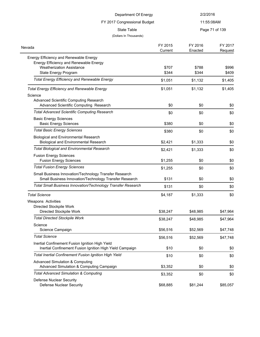| Department Of Energy<br>FY 2017 Congressional Budget<br><b>State Table</b>                                                                         |                    | 2/2/2016<br>11:55:08AM |                    |
|----------------------------------------------------------------------------------------------------------------------------------------------------|--------------------|------------------------|--------------------|
|                                                                                                                                                    |                    |                        |                    |
|                                                                                                                                                    |                    | (Dollars In Thousands) |                    |
| Nevada                                                                                                                                             | FY 2015<br>Current | FY 2016<br>Enacted     | FY 2017<br>Request |
| Energy Efficiency and Renewable Energy<br>Energy Efficiency and Renewable Energy<br><b>Weatherization Assistance</b><br>State Energy Program       | \$707<br>\$344     | \$788<br>\$344         | \$996<br>\$409     |
| <b>Total Energy Efficiency and Renewable Energy</b>                                                                                                | \$1,051            | \$1,132                | \$1,405            |
| <b>Total Energy Efficiency and Renewable Energy</b><br>Science<br>Advanced Scientific Computing Research<br>Advanced Scientific Computing Research | \$1,051<br>\$0     | \$1,132<br>\$0         | \$1,405<br>\$0     |
| <b>Total Advanced Scientific Computing Research</b>                                                                                                | \$0                | \$0                    | \$0                |
| <b>Basic Energy Sciences</b><br><b>Basic Energy Sciences</b>                                                                                       | \$380              | \$0                    | \$0                |
| <b>Total Basic Energy Sciences</b>                                                                                                                 | \$380              | \$0                    | \$0                |
| <b>Biological and Environmental Research</b><br><b>Biological and Environmental Research</b>                                                       | \$2,421            | \$1,333                | \$0                |
| <b>Total Biological and Environmental Research</b>                                                                                                 | \$2,421            | \$1,333                | \$0                |
| <b>Fusion Energy Sciences</b><br><b>Fusion Energy Sciences</b>                                                                                     | \$1,255            | \$0                    | \$0                |
| <b>Total Fusion Energy Sciences</b>                                                                                                                | \$1,255            | \$0                    | \$0                |
| Small Business Innovation/Technology Transfer Research<br>Small Business Innovation/Technology Transfer Research                                   | \$131              | \$0                    | \$0                |
| Total Small Business Innovation/Technology Transfer Research                                                                                       | \$131              | \$0                    | \$0                |
| <b>Total Science</b><br>Weapons Activities                                                                                                         | \$4,187            | \$1,333                | \$0                |
| Directed Stockpile Work<br>Directed Stockpile Work                                                                                                 | \$38,247           | \$48,985               | \$47,964           |
| <b>Total Directed Stockpile Work</b>                                                                                                               | \$38,247           | \$48,985               | \$47,964           |
| Science<br>Science Campaign                                                                                                                        | \$56,516           | \$52,569               | \$47,748           |
| <b>Total Science</b>                                                                                                                               | \$56,516           | \$52,569               | \$47,748           |
| Inertial Confinement Fusion Ignition High Yield<br>Inertial Confinement Fusion Ignition High Yield Campaign                                        | \$10               | \$0                    | \$0                |
| <b>Total Inertial Confinement Fusion Ignition High Yield</b>                                                                                       | \$10               | \$0                    | \$0                |
| <b>Advanced Simulation &amp; Computing</b><br>Advanced Simulation & Computing Campaign                                                             | \$3,352            | \$0                    | \$0                |
| <b>Total Advanced Simulation &amp; Computing</b>                                                                                                   | \$3,352            | \$0                    | \$0                |
| Defense Nuclear Security<br><b>Defense Nuclear Security</b>                                                                                        | \$68,885           | \$81,244               | \$85,057           |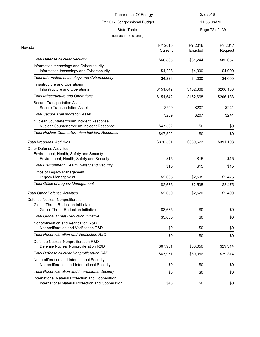#### FY 2017 Congressional Budget

11:55:08AM

# State Table **Page 72 of 139**

|  | (Dollars In Thousands) |
|--|------------------------|
|--|------------------------|

| Nevada                                                   | FY 2015   | FY 2016   | FY 2017   |
|----------------------------------------------------------|-----------|-----------|-----------|
|                                                          | Current   | Enacted   | Request   |
| <b>Total Defense Nuclear Security</b>                    | \$68,885  | \$81,244  | \$85,057  |
| Information technology and Cybersecurity                 |           |           |           |
| Information technology and Cybersecurity                 | \$4,228   | \$4,000   | \$4,000   |
| Total Information technology and Cybersecurity           | \$4,228   | \$4,000   | \$4,000   |
| Infrastructure and Operations                            |           |           |           |
| Infrastructure and Operations                            | \$151,642 | \$152,668 | \$206,188 |
| <b>Total Infrastructure and Operations</b>               | \$151,642 | \$152,668 | \$206,188 |
| Secure Transportation Asset                              |           |           |           |
| Secure Transportation Asset                              | \$209     | \$207     | \$241     |
| <b>Total Secure Transportation Asset</b>                 | \$209     | \$207     | \$241     |
| Nuclear Counterterrorism Incident Response               |           |           |           |
| Nuclear Counterterrorism Incident Response               | \$47,502  | \$0       | \$0       |
| Total Nuclear Counterterrorism Incident Response         | \$47,502  | \$0       | \$0       |
| <b>Total Weapons Activities</b>                          | \$370,591 | \$339,673 | \$391,198 |
| <b>Other Defense Activities</b>                          |           |           |           |
| Environment, Health, Safety and Security                 |           |           |           |
| Environment, Health, Safety and Security                 | \$15      | \$15      | \$15      |
| Total Environment, Health, Safety and Security           | \$15      | \$15      | \$15      |
| Office of Legacy Management                              |           |           |           |
| Legacy Management                                        | \$2,635   | \$2,505   | \$2,475   |
| <b>Total Office of Legacy Management</b>                 | \$2,635   | \$2,505   | \$2,475   |
| <b>Total Other Defense Activities</b>                    | \$2,650   | \$2,520   | \$2,490   |
| Defense Nuclear Nonproliferation                         |           |           |           |
| <b>Global Threat Reduction Initiative</b>                |           |           |           |
| <b>Global Threat Reduction Initiative</b>                | \$3,635   | \$0       | \$0       |
| <b>Total Global Threat Reduction Initiative</b>          | \$3,635   | \$0       | \$0       |
| Nonproliferation and Verification R&D                    |           |           |           |
| Nonproliferation and Verification R&D                    | \$0       | \$0       | \$0       |
| Total Nonproliferation and Verification R&D              | \$0       | \$0       | \$0       |
| Defense Nuclear Nonproliferation R&D                     |           |           |           |
| Defense Nuclear Nonproliferation R&D                     | \$67,951  | \$60,056  | \$29,314  |
| Total Defense Nuclear Nonproliferation R&D               | \$67,951  | \$60,056  | \$29,314  |
| Nonproliferation and International Security              |           |           |           |
| Nonproliferation and International Security              | \$0       | \$0       | \$0       |
| <b>Total Nonproliferation and International Security</b> | \$0       | \$0       | \$0       |
| International Material Protection and Cooperation        |           |           |           |
| International Material Protection and Cooperation        | \$48      | \$0       | \$0       |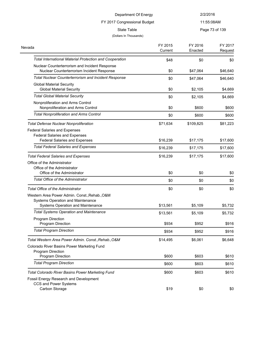FY 2017 Congressional Budget

11:55:08AM

State Table **Page 73 of 139** 

| Nevada                                                         | FY 2015<br>Current | FY 2016<br>Enacted | FY 2017<br>Request |
|----------------------------------------------------------------|--------------------|--------------------|--------------------|
| <b>Total International Material Protection and Cooperation</b> | \$48               | \$0                | \$0                |
| Nuclear Counterterrorism and Incident Response                 |                    |                    |                    |
| Nuclear Counterterrorism Incident Response                     | \$0                | \$47,064           | \$46,640           |
| <b>Total Nuclear Counterterrorism and Incident Response</b>    | \$0                | \$47,064           | \$46,640           |
| <b>Global Material Security</b>                                |                    |                    |                    |
| <b>Global Material Security</b>                                | \$0                | \$2,105            | \$4,669            |
| <b>Total Global Material Security</b>                          | \$0                | \$2,105            | \$4,669            |
| Nonproliferation and Arms Control                              |                    |                    |                    |
| Nonproliferation and Arms Control                              | \$0                | \$600              | \$600              |
| <b>Total Nonproliferation and Arms Control</b>                 | \$0                | \$600              | \$600              |
| <b>Total Defense Nuclear Nonproliferation</b>                  | \$71,634           | \$109,825          | \$81,223           |
| <b>Federal Salaries and Expenses</b>                           |                    |                    |                    |
| <b>Federal Salaries and Expenses</b>                           |                    |                    |                    |
| <b>Federal Salaries and Expenses</b>                           | \$16,239           | \$17,175           | \$17,600           |
| <b>Total Federal Salaries and Expenses</b>                     | \$16,239           | \$17,175           | \$17,600           |
| <b>Total Federal Salaries and Expenses</b>                     | \$16,239           | \$17,175           | \$17,600           |
| Office of the Administrator                                    |                    |                    |                    |
| Office of the Administrator                                    |                    |                    |                    |
| Office of the Administrator                                    | \$0                | \$0                | \$0                |
| <b>Total Office of the Administrator</b>                       | \$0                | \$0                | \$0                |
| <b>Total Office of the Administrator</b>                       | \$0                | \$0                | \$0                |
| Western Area Power Admin. Const., Rehab., O&M                  |                    |                    |                    |
| Systems Operation and Maintenance                              |                    |                    |                    |
| Systems Operation and Maintenance                              | \$13,561           | \$5,109            | \$5,732            |
| <b>Total Systems Operation and Maintenance</b>                 | \$13,561           | \$5,109            | \$5,732            |
| Program Direction                                              |                    |                    |                    |
| Program Direction                                              | \$934              | \$952              | \$916              |
| <b>Total Program Direction</b>                                 | \$934              | \$952              | \$916              |
| Total Western Area Power Admin. Const., Rehab., O&M            | \$14,495           | \$6,061            | \$6,648            |
| Colorado River Basins Power Marketing Fund                     |                    |                    |                    |
| Program Direction                                              |                    |                    |                    |
| Program Direction                                              | \$600              | \$603              | \$610              |
| <b>Total Program Direction</b>                                 | \$600              | \$603              | \$610              |
| <b>Total Colorado River Basins Power Marketing Fund</b>        | \$600              | \$603              | \$610              |
| Fossil Energy Research and Development                         |                    |                    |                    |
| CCS and Power Systems                                          |                    |                    |                    |
| Carbon Storage                                                 | \$19               | \$0                | \$0                |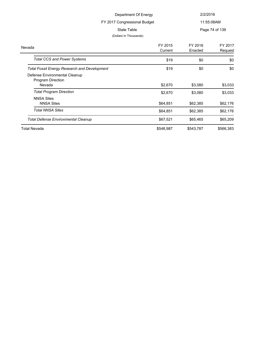| Department Of Energy         |               | 2/2/2016                                              |          |
|------------------------------|---------------|-------------------------------------------------------|----------|
| FY 2017 Congressional Budget |               | 11:55:08AM                                            |          |
| State Table                  |               | Page 74 of 139                                        |          |
| (Dollars In Thousands)       |               |                                                       |          |
|                              | <b>EVACAF</b> | $\Gamma$ $\Gamma$ $\Gamma$ $\Gamma$ $\Gamma$ $\Gamma$ | $\Gamma$ |

|           | FY 2016   | FY 2017   |
|-----------|-----------|-----------|
|           |           | Request   |
| \$19      | \$0       | \$0       |
| \$19      | \$0       | \$0       |
|           |           |           |
|           |           |           |
| \$2,670   | \$3,080   | \$3,033   |
| \$2,670   | \$3,080   | \$3,033   |
|           |           |           |
| \$64,851  | \$62,385  | \$62,176  |
| \$64,851  | \$62,385  | \$62,176  |
| \$67,521  | \$65,465  | \$65,209  |
| \$548,987 | \$543,787 | \$566,383 |
|           | Current   | Enacted   |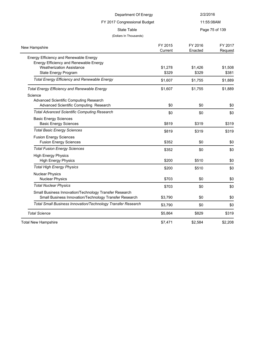| Department Of Energy                                                                                                                         |                    | 2/2/2016                     |                    |
|----------------------------------------------------------------------------------------------------------------------------------------------|--------------------|------------------------------|--------------------|
| FY 2017 Congressional Budget<br><b>State Table</b>                                                                                           |                    | 11:55:08AM<br>Page 75 of 139 |                    |
|                                                                                                                                              |                    |                              |                    |
| New Hampshire                                                                                                                                | FY 2015<br>Current | FY 2016<br>Enacted           | FY 2017<br>Request |
| Energy Efficiency and Renewable Energy<br>Energy Efficiency and Renewable Energy<br><b>Weatherization Assistance</b><br>State Energy Program | \$1,278<br>\$329   | \$1,426<br>\$329             | \$1,508<br>\$381   |
| <b>Total Energy Efficiency and Renewable Energy</b>                                                                                          | \$1,607            | \$1,755                      | \$1,889            |
| <b>Total Energy Efficiency and Renewable Energy</b><br>Science<br>Advanced Scientific Computing Research                                     | \$1,607            | \$1,755                      | \$1,889            |
| Advanced Scientific Computing Research                                                                                                       | \$0                | \$0                          | \$0                |
| <b>Total Advanced Scientific Computing Research</b>                                                                                          | \$0                | \$0                          | \$0                |
| <b>Basic Energy Sciences</b><br><b>Basic Energy Sciences</b>                                                                                 | \$819              | \$319                        | \$319              |
| <b>Total Basic Energy Sciences</b>                                                                                                           | \$819              | \$319                        | \$319              |
| <b>Fusion Energy Sciences</b><br><b>Fusion Energy Sciences</b>                                                                               | \$352              | \$0                          | \$0                |
| <b>Total Fusion Energy Sciences</b>                                                                                                          | \$352              | \$0                          | \$0                |
| <b>High Energy Physics</b><br><b>High Energy Physics</b>                                                                                     | \$200              | \$510                        | \$0                |
| <b>Total High Energy Physics</b>                                                                                                             | \$200              | \$510                        | \$0                |
| <b>Nuclear Physics</b><br><b>Nuclear Physics</b>                                                                                             | \$703              | \$0                          | \$0                |
| <b>Total Nuclear Physics</b>                                                                                                                 | \$703              | \$0                          | \$0                |
| Small Business Innovation/Technology Transfer Research<br>Small Business Innovation/Technology Transfer Research                             | \$3,790            | \$0                          | \$0                |
| Total Small Business Innovation/Technology Transfer Research                                                                                 | \$3,790            | \$0                          | \$0                |
| <b>Total Science</b>                                                                                                                         | \$5,864            | \$829                        | \$319              |
| <b>Total New Hampshire</b>                                                                                                                   | \$7,471            | \$2,584                      | \$2,208            |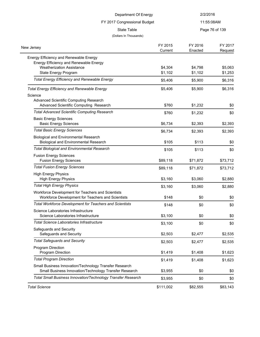| Department Of Energy                                                                                             |           | 2/2/2016   |                |
|------------------------------------------------------------------------------------------------------------------|-----------|------------|----------------|
| FY 2017 Congressional Budget<br><b>State Table</b>                                                               |           | 11:55:08AM |                |
|                                                                                                                  |           |            | Page 76 of 139 |
| (Dollars In Thousands)                                                                                           |           |            |                |
|                                                                                                                  | FY 2015   | FY 2016    | FY 2017        |
| New Jersey                                                                                                       | Current   | Enacted    | Request        |
| Energy Efficiency and Renewable Energy                                                                           |           |            |                |
| Energy Efficiency and Renewable Energy                                                                           |           |            |                |
| <b>Weatherization Assistance</b>                                                                                 | \$4,304   | \$4,798    | \$5,063        |
| State Energy Program                                                                                             | \$1,102   | \$1,102    | \$1,253        |
| <b>Total Energy Efficiency and Renewable Energy</b>                                                              | \$5,406   | \$5,900    | \$6,316        |
| <b>Total Energy Efficiency and Renewable Energy</b>                                                              | \$5,406   | \$5,900    | \$6,316        |
| Science                                                                                                          |           |            |                |
| Advanced Scientific Computing Research                                                                           |           |            |                |
| Advanced Scientific Computing Research                                                                           | \$760     | \$1,232    | \$0            |
| <b>Total Advanced Scientific Computing Research</b>                                                              | \$760     | \$1,232    | \$0            |
| <b>Basic Energy Sciences</b>                                                                                     |           |            |                |
| <b>Basic Energy Sciences</b>                                                                                     | \$6,734   | \$2,393    | \$2,393        |
| <b>Total Basic Energy Sciences</b>                                                                               | \$6,734   | \$2,393    | \$2,393        |
| <b>Biological and Environmental Research</b><br><b>Biological and Environmental Research</b>                     | \$105     | \$113      | \$0            |
| <b>Total Biological and Environmental Research</b>                                                               | \$105     | \$113      | \$0            |
| <b>Fusion Energy Sciences</b>                                                                                    |           |            |                |
| <b>Fusion Energy Sciences</b>                                                                                    | \$89,118  | \$71,872   | \$73,712       |
| <b>Total Fusion Energy Sciences</b>                                                                              | \$89,118  | \$71,872   | \$73,712       |
| <b>High Energy Physics</b>                                                                                       |           |            |                |
| <b>High Energy Physics</b>                                                                                       | \$3,160   | \$3,060    | \$2,880        |
| <b>Total High Energy Physics</b>                                                                                 | \$3,160   | \$3,060    | \$2,880        |
| Workforce Development for Teachers and Scientists                                                                |           |            |                |
| Workforce Development for Teachers and Scientists                                                                | \$148     | \$0        | \$0            |
| <b>Total Workforce Development for Teachers and Scientists</b>                                                   | \$148     | \$0        | \$0            |
| Science Laboratories Infrastructure                                                                              |           |            |                |
| Science Laboratories Infrastructure                                                                              | \$3,100   | \$0        | \$0            |
| <b>Total Science Laboratories Infrastructure</b>                                                                 | \$3,100   | \$0        | \$0            |
| Safeguards and Security<br>Safeguards and Security                                                               | \$2,503   | \$2,477    | \$2,535        |
| <b>Total Safeguards and Security</b>                                                                             | \$2,503   | \$2,477    | \$2,535        |
| Program Direction                                                                                                |           |            |                |
| Program Direction                                                                                                | \$1,419   | \$1,408    | \$1,623        |
| <b>Total Program Direction</b>                                                                                   | \$1,419   | \$1,408    | \$1,623        |
| Small Business Innovation/Technology Transfer Research<br>Small Business Innovation/Technology Transfer Research | \$3,955   | \$0        | \$0            |
| Total Small Business Innovation/Technology Transfer Research                                                     | \$3,955   | \$0        | \$0            |
| <b>Total Science</b>                                                                                             | \$111,002 | \$82,555   | \$83,143       |
|                                                                                                                  |           |            |                |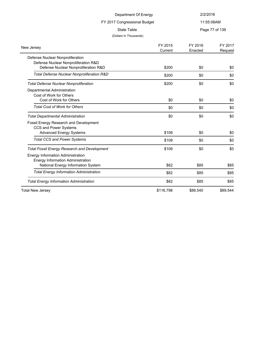| Department Of Energy<br>FY 2017 Congressional Budget |                    | 2/2/2016<br>11:55:08AM |                    |  |
|------------------------------------------------------|--------------------|------------------------|--------------------|--|
|                                                      |                    |                        |                    |  |
| (Dollars In Thousands)                               |                    |                        |                    |  |
| New Jersey                                           | FY 2015<br>Current | FY 2016<br>Enacted     | FY 2017<br>Request |  |
| Defense Nuclear Nonproliferation                     |                    |                        |                    |  |
| Defense Nuclear Nonproliferation R&D                 |                    |                        |                    |  |
| Defense Nuclear Nonproliferation R&D                 | \$200              | \$0                    | \$0                |  |
| Total Defense Nuclear Nonproliferation R&D           | \$200              | \$0                    | \$0                |  |
| <b>Total Defense Nuclear Nonproliferation</b>        | \$200              | \$0                    | \$0                |  |
| Departmental Administration                          |                    |                        |                    |  |
| Cost of Work for Others                              |                    |                        |                    |  |
| Cost of Work for Others                              | \$0                | \$0                    | \$0                |  |
| <b>Total Cost of Work for Others</b>                 | \$0                | \$0                    | \$0                |  |
| <b>Total Departmental Administration</b>             | \$0                | \$0                    | \$0                |  |
| Fossil Energy Research and Development               |                    |                        |                    |  |
| CCS and Power Systems                                |                    |                        |                    |  |
| <b>Advanced Energy Systems</b>                       | \$108              | \$0                    | \$0                |  |
| <b>Total CCS and Power Systems</b>                   | \$108              | \$0                    | \$0                |  |
| <b>Total Fossil Energy Research and Development</b>  | \$108              | \$0                    | \$0                |  |
| <b>Energy Information Administration</b>             |                    |                        |                    |  |
| <b>Energy Information Administration</b>             |                    |                        |                    |  |
| National Energy Information System                   | \$82               | \$85                   | \$85               |  |
| <b>Total Energy Information Administration</b>       | \$82               | \$85                   | \$85               |  |
| <b>Total Energy Information Administration</b>       | \$82               | \$85                   | \$85               |  |
| <b>Total New Jersey</b>                              | \$116,798          | \$88,540               | \$89,544           |  |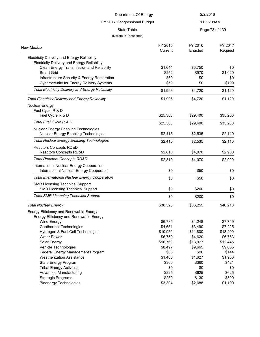|                                                                                                   | Department Of Energy   |          | 2/2/2016       |
|---------------------------------------------------------------------------------------------------|------------------------|----------|----------------|
| FY 2017 Congressional Budget                                                                      |                        |          | 11:55:08AM     |
|                                                                                                   | <b>State Table</b>     |          | Page 78 of 139 |
|                                                                                                   | (Dollars In Thousands) |          |                |
|                                                                                                   |                        |          |                |
| New Mexico                                                                                        | FY 2015                | FY 2016  | FY 2017        |
|                                                                                                   | Current                | Enacted  | Request        |
| Electricity Delivery and Energy Reliability<br><b>Electricity Delivery and Energy Reliability</b> |                        |          |                |
| Clean Energy Transmission and Reliability                                                         | \$1,644                | \$3,750  | \$0            |
| Smart Grid                                                                                        | \$252                  | \$970    | \$1,020        |
| Infrastructure Security & Energy Restoration                                                      | \$50                   | \$0      | \$0            |
| <b>Cybersecurity for Energy Delivery Systems</b>                                                  | \$50                   | \$0      | \$100          |
| <b>Total Electricity Delivery and Energy Reliability</b>                                          | \$1,996                | \$4,720  | \$1,120        |
| <b>Total Electricity Delivery and Energy Reliability</b>                                          | \$1,996                | \$4,720  | \$1,120        |
| <b>Nuclear Energy</b>                                                                             |                        |          |                |
| Fuel Cycle R & D                                                                                  |                        |          |                |
| Fuel Cycle R & D                                                                                  | \$25,300               | \$29,400 | \$35,200       |
| Total Fuel Cycle R & D                                                                            | \$25,300               | \$29,400 | \$35,200       |
| Nuclear Energy Enabling Technologies                                                              |                        |          |                |
| Nuclear Energy Enabling Technologies                                                              | \$2,415                | \$2,535  | \$2,110        |
| <b>Total Nuclear Energy Enabling Technologies</b>                                                 | \$2,415                | \$2,535  | \$2,110        |
| Reactors Concepts RD&D                                                                            |                        |          |                |
| Reactors Concepts RD&D                                                                            | \$2,810                | \$4,070  | \$2,900        |
| <b>Total Reactors Concepts RD&amp;D</b>                                                           | \$2,810                | \$4,070  | \$2,900        |
| International Nuclear Energy Cooperation                                                          |                        |          |                |
| International Nuclear Energy Cooperation                                                          | \$0                    | \$50     | \$0            |
| <b>Total International Nuclear Energy Cooperation</b>                                             | \$0                    | \$50     | \$0            |
| <b>SMR Licensing Technical Support</b>                                                            |                        |          |                |
| <b>SMR Licensing Technical Support</b>                                                            | \$0                    | \$200    | \$0            |
| <b>Total SMR Licensing Technical Support</b>                                                      | \$0                    | \$200    | \$0            |
| <b>Total Nuclear Energy</b>                                                                       | \$30,525               | \$36,255 | \$40,210       |
| Energy Efficiency and Renewable Energy                                                            |                        |          |                |
| Energy Efficiency and Renewable Energy                                                            |                        |          |                |
| Wind Energy                                                                                       | \$6,785                | \$4,248  | \$7,749        |
| Geothermal Technologies                                                                           | \$4,661                | \$3,490  | \$7,225        |
| Hydrogen & Fuel Cell Technologies                                                                 | \$10,950               | \$11,800 | \$13,200       |
| <b>Water Power</b>                                                                                | \$6,759                | \$4,620  | \$6,763        |
| Solar Energy                                                                                      | \$16,769               | \$13,977 | \$12,445       |
| Vehicle Technologies                                                                              | \$8,497                | \$9,665  | \$9,665        |

Federal Energy Management Program **\$83** \$90 \$144 Weatherization Assistance **\$1,460** \$1,627 \$1,906 State Energy Program **\$360** \$360 \$421 Tribal Energy Activities \$0 \$0 \$0 Advanced Manufacturing and the settlement of the settlement of the settlement of the settlement of the settlement of the settlement of the settlement of the settlement of the settlement of the settlement of the settlement Strategic Programs **\$250** \$130 \$300 Bioenergy Technologies 61,199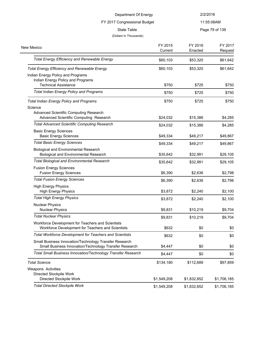| Department Of Energy<br>FY 2017 Congressional Budget<br>State Table |  | 2/2/2016<br>11:55:08AM |                        |          |
|---------------------------------------------------------------------|--|------------------------|------------------------|----------|
|                                                                     |  |                        |                        |          |
|                                                                     |  |                        | (Dollars In Thousands) |          |
| exico                                                               |  | FY 2015                | FY 2016                | FY 2017  |
|                                                                     |  | Current                | Enacted                | Request  |
| <b>Total Energy Efficiency and Renewable Energy</b>                 |  | \$60,103               | \$53,320               | \$61,642 |

New Mexico

| <b>Total Energy Efficiency and Renewable Energy</b>                                                              | \$60,103  | \$53,320  | \$61,642 |
|------------------------------------------------------------------------------------------------------------------|-----------|-----------|----------|
| Indian Energy Policy and Programs<br>Indian Energy Policy and Programs                                           |           |           |          |
| <b>Technical Assistance</b>                                                                                      | \$750     | \$725     | \$750    |
| <b>Total Indian Energy Policy and Programs</b>                                                                   | \$750     | \$725     | \$750    |
| <b>Total Indian Energy Policy and Programs</b>                                                                   | \$750     | \$725     | \$750    |
| Science                                                                                                          |           |           |          |
| Advanced Scientific Computing Research<br>Advanced Scientific Computing Research                                 | \$24,032  | \$15,386  | \$4,285  |
| <b>Total Advanced Scientific Computing Research</b>                                                              | \$24,032  | \$15,386  | \$4,285  |
| <b>Basic Energy Sciences</b><br><b>Basic Energy Sciences</b>                                                     | \$49,334  | \$49,217  | \$49,867 |
| <b>Total Basic Energy Sciences</b>                                                                               | \$49,334  | \$49,217  | \$49,867 |
| <b>Biological and Environmental Research</b><br><b>Biological and Environmental Research</b>                     | \$35,642  | \$32,991  | \$29,105 |
| <b>Total Biological and Environmental Research</b>                                                               | \$35,642  | \$32,991  | \$29,105 |
| <b>Fusion Energy Sciences</b><br><b>Fusion Energy Sciences</b>                                                   | \$6,390   | \$2,636   | \$2,798  |
| <b>Total Fusion Energy Sciences</b>                                                                              | \$6,390   | \$2,636   | \$2,798  |
| <b>High Energy Physics</b><br><b>High Energy Physics</b>                                                         | \$3,872   | \$2,240   | \$2,100  |
| <b>Total High Energy Physics</b>                                                                                 | \$3,872   | \$2,240   | \$2,100  |
| <b>Nuclear Physics</b><br><b>Nuclear Physics</b>                                                                 | \$9,831   | \$10,219  | \$9,704  |
| <b>Total Nuclear Physics</b>                                                                                     | \$9,831   | \$10,219  | \$9,704  |
| Workforce Development for Teachers and Scientists<br>Workforce Development for Teachers and Scientists           | \$632     | \$0       | \$0      |
| <b>Total Workforce Development for Teachers and Scientists</b>                                                   | \$632     | \$0       | \$0      |
| Small Business Innovation/Technology Transfer Research<br>Small Business Innovation/Technology Transfer Research | \$4,447   | \$0       | \$0      |
| Total Small Business Innovation/Technology Transfer Research                                                     | \$4,447   | \$0       | \$0      |
| <b>Total Science</b>                                                                                             | \$134,180 | \$112,689 | \$97,859 |
| Weapons Activities<br>Directed Stockpile Work                                                                    |           |           |          |

Directed Stockpile Work **61,549,208** \$1,549,208 \$1,832,852 \$1,706,185 *Total Directed Stockpile Work* \$1,549,208 \$1,832,852 \$1,706,185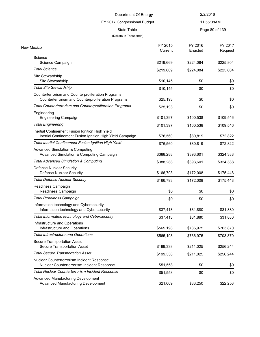# FY 2017 Congressional Budget

11:55:08AM

State Table **Page 80 of 139** 

| New Mexico                                               | FY 2015<br>Current | FY 2016<br>Enacted | FY 2017<br>Request |
|----------------------------------------------------------|--------------------|--------------------|--------------------|
| Science                                                  |                    |                    |                    |
| Science Campaign                                         | \$219,669          | \$224,084          | \$225,804          |
| <b>Total Science</b>                                     | \$219,669          | \$224,084          | \$225,804          |
| Site Stewardship                                         |                    |                    |                    |
| Site Stewardship                                         | \$10,145           | \$0                | \$0                |
| <b>Total Site Stewardship</b>                            | \$10,145           | \$0                | \$0                |
| Counterterrorism and Counterproliferation Programs       |                    |                    |                    |
| Counterterrorism and Counterproliferation Programs       | \$25,193           | \$0                | \$0                |
| Total Counterterrorism and Counterproliferation Programs | \$25,193           | \$0                | \$0                |
| Engineering                                              |                    |                    |                    |
| <b>Engineering Campaign</b>                              | \$101,397          | \$100,538          | \$109,546          |
| <b>Total Engineering</b>                                 | \$101,397          | \$100,538          | \$109,546          |
| Inertial Confinement Fusion Ignition High Yield          |                    |                    |                    |
| Inertial Confinement Fusion Ignition High Yield Campaign | \$76,560           | \$80,819           | \$72,822           |
| Total Inertial Confinement Fusion Ignition High Yield    | \$76,560           | \$80,819           | \$72,822           |
| <b>Advanced Simulation &amp; Computing</b>               |                    |                    |                    |
| Advanced Simulation & Computing Campaign                 | \$388,288          | \$393,601          | \$324,388          |
| <b>Total Advanced Simulation &amp; Computing</b>         | \$388,288          | \$393,601          | \$324,388          |
| Defense Nuclear Security                                 |                    |                    |                    |
| <b>Defense Nuclear Security</b>                          | \$166,793          | \$172,008          | \$175,448          |
| <b>Total Defense Nuclear Security</b>                    | \$166,793          | \$172,008          | \$175,448          |
| Readiness Campaign                                       |                    |                    |                    |
| Readiness Campaign                                       | \$0                | \$0                | \$0                |
| <b>Total Readiness Campaign</b>                          | \$0                | \$0                | \$0                |
| Information technology and Cybersecurity                 |                    |                    |                    |
| Information technology and Cybersecurity                 | \$37,413           | \$31,880           | \$31,880           |
| Total Information technology and Cybersecurity           | \$37,413           | \$31,880           | \$31,880           |
| Infrastructure and Operations                            |                    |                    |                    |
| Infrastructure and Operations                            | \$565,198          | \$736,975          | \$703,870          |
| <b>Total Infrastructure and Operations</b>               | \$565,198          | \$736,975          | \$703,870          |
| Secure Transportation Asset                              |                    |                    |                    |
| Secure Transportation Asset                              | \$199,338          | \$211,025          | \$256,244          |
| <b>Total Secure Transportation Asset</b>                 | \$199,338          | \$211,025          | \$256,244          |
| Nuclear Counterterrorism Incident Response               |                    |                    |                    |
| Nuclear Counterterrorism Incident Response               | \$51,558           | \$0                | \$0                |
| <b>Total Nuclear Counterterrorism Incident Response</b>  | \$51,558           | \$0                | \$0                |
| Advanced Manufacturing Development                       |                    |                    |                    |
| <b>Advanced Manufacturing Development</b>                | \$21,069           | \$33,250           | \$22,253           |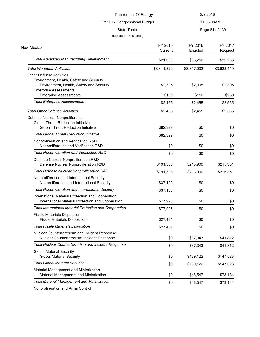| Department Of Energy<br>FY 2017 Congressional Budget                          |             | 2/2/2016<br>11:55:08AM |             |
|-------------------------------------------------------------------------------|-------------|------------------------|-------------|
|                                                                               |             |                        |             |
| (Dollars In Thousands)                                                        |             |                        |             |
|                                                                               | FY 2015     | FY 2016                | FY 2017     |
| New Mexico                                                                    | Current     | Enacted                | Request     |
| <b>Total Advanced Manufacturing Development</b>                               | \$21,069    | \$33,250               | \$22,253    |
| <b>Total Weapons Activities</b>                                               | \$3,411,829 | \$3,817,032            | \$3,628,440 |
| <b>Other Defense Activities</b>                                               |             |                        |             |
| Environment, Health, Safety and Security                                      |             |                        |             |
| Environment, Health, Safety and Security                                      | \$2,305     | \$2,305                | \$2,305     |
| <b>Enterprise Assessments</b><br><b>Enterprise Assessments</b>                | \$150       | \$150                  | \$250       |
| <b>Total Enterprise Assessments</b>                                           | \$2,455     | \$2,455                | \$2,555     |
| <b>Total Other Defense Activities</b>                                         | \$2,455     | \$2,455                | \$2,555     |
|                                                                               |             |                        |             |
| Defense Nuclear Nonproliferation<br><b>Global Threat Reduction Initiative</b> |             |                        |             |
| <b>Global Threat Reduction Initiative</b>                                     | \$82,399    | \$0                    | \$0         |
| <b>Total Global Threat Reduction Initiative</b>                               | \$82,399    | \$0                    | \$0         |
| Nonproliferation and Verification R&D                                         |             |                        |             |
| Nonproliferation and Verification R&D                                         | \$0         | \$0                    | \$0         |
| Total Nonproliferation and Verification R&D                                   | \$0         | \$0                    | \$0         |
| Defense Nuclear Nonproliferation R&D                                          |             |                        |             |
| Defense Nuclear Nonproliferation R&D                                          | \$191,308   | \$213,900              | \$215,351   |
| Total Defense Nuclear Nonproliferation R&D                                    | \$191,308   | \$213,900              | \$215,351   |
| Nonproliferation and International Security                                   |             |                        |             |
| Nonproliferation and International Security                                   | \$37,100    | \$0                    | \$0         |
| <b>Total Nonproliferation and International Security</b>                      | \$37,100    | \$0                    | \$0         |
| International Material Protection and Cooperation                             |             |                        |             |
| International Material Protection and Cooperation                             | \$77,998    | \$0                    | \$0         |
| <b>Total International Material Protection and Cooperation</b>                | \$77,998    | \$0                    | \$0         |
| <b>Fissile Materials Disposition</b><br><b>Fissile Materials Disposition</b>  | \$27,434    | \$0                    | \$0         |
| <b>Total Fissile Materials Disposition</b>                                    | \$27,434    | \$0                    | \$0         |
| Nuclear Counterterrorism and Incident Response                                |             |                        |             |
| Nuclear Counterterrorism Incident Response                                    | \$0         | \$37,343               | \$41,812    |
| <b>Total Nuclear Counterterrorism and Incident Response</b>                   | \$0         | \$37,343               | \$41,812    |
| <b>Global Material Security</b>                                               |             |                        |             |
| <b>Global Material Security</b><br><b>Total Global Material Security</b>      | \$0         | \$139,122              | \$147,523   |
|                                                                               | \$0         | \$139,122              | \$147,523   |
| Material Management and Minimization<br>Material Management and Minimization  | \$0         | \$48,547               | \$73,184    |
| <b>Total Material Management and Minimization</b>                             | \$0         | \$48,547               | \$73,184    |
|                                                                               |             |                        |             |

Nonproliferation and Arms Control

 $\overline{\phantom{0}}$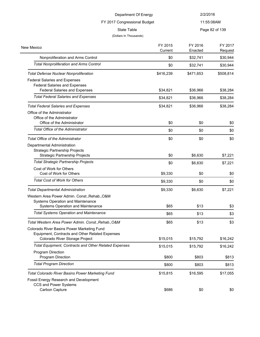| Department Of Energy<br>FY 2017 Congressional Budget                                                                            |                    | 2/2/2016           |                    |
|---------------------------------------------------------------------------------------------------------------------------------|--------------------|--------------------|--------------------|
|                                                                                                                                 |                    |                    | 11:55:08AM         |
| <b>State Table</b><br>(Dollars In Thousands)                                                                                    |                    |                    | Page 82 of 139     |
| New Mexico                                                                                                                      | FY 2015<br>Current | FY 2016<br>Enacted | FY 2017<br>Request |
| Nonproliferation and Arms Control                                                                                               | \$0                | \$32,741           | \$30,944           |
| <b>Total Nonproliferation and Arms Control</b>                                                                                  | \$0                | \$32,741           | \$30,944           |
| <b>Total Defense Nuclear Nonproliferation</b>                                                                                   | \$416,239          | \$471,653          | \$508,814          |
| <b>Federal Salaries and Expenses</b><br><b>Federal Salaries and Expenses</b><br><b>Federal Salaries and Expenses</b>            | \$34,821           | \$36,966           | \$38,284           |
| <b>Total Federal Salaries and Expenses</b>                                                                                      | \$34,821           | \$36,966           | \$38,284           |
| <b>Total Federal Salaries and Expenses</b>                                                                                      | \$34,821           | \$36,966           | \$38,284           |
| Office of the Administrator<br>Office of the Administrator<br>Office of the Administrator                                       | \$0                | \$0                | \$0                |
| <b>Total Office of the Administrator</b>                                                                                        | \$0                | \$0                | \$0                |
| <b>Total Office of the Administrator</b>                                                                                        | \$0                | \$0                | \$0                |
| Departmental Administration<br><b>Strategic Partnership Projects</b><br><b>Strategic Partnership Projects</b>                   | \$0                | \$6,630            | \$7,221            |
| <b>Total Strategic Partnership Projects</b>                                                                                     | \$0                | \$6,630            | \$7,221            |
| Cost of Work for Others<br>Cost of Work for Others                                                                              | \$9,330            | \$0                | \$0                |
| <b>Total Cost of Work for Others</b>                                                                                            | \$9,330            | \$0                | \$0                |
| <b>Total Departmental Administration</b>                                                                                        | \$9,330            | \$6,630            | \$7,221            |
| Western Area Power Admin. Const., Rehab., O&M                                                                                   |                    |                    |                    |
| Systems Operation and Maintenance<br>Systems Operation and Maintenance                                                          | \$65               | \$13               | \$3                |
| <b>Total Systems Operation and Maintenance</b>                                                                                  | \$65               | \$13               | \$3                |
| Total Western Area Power Admin. Const., Rehab., O&M                                                                             | \$65               | \$13               | \$3                |
| Colorado River Basins Power Marketing Fund<br>Equipment, Contracts and Other Related Expenses<br>Colorado River Storage Project | \$15,015           | \$15,792           | \$16,242           |
| <b>Total Equipment, Contracts and Other Related Expenses</b>                                                                    | \$15,015           | \$15,792           | \$16,242           |
| Program Direction<br>Program Direction                                                                                          | \$800              | \$803              | \$813              |
| <b>Total Program Direction</b>                                                                                                  | \$800              | \$803              | \$813              |
| Total Colorado River Basins Power Marketing Fund<br>Eneeil Energy Peegarch and Development                                      | \$15,815           | \$16,595           | \$17,055           |

Fossil Energy Research and Development

CCS and Power Systems

 $\overline{a}$  $\sim 10^{11}$ 

 $Carbon Capture$   $$686$   $$0$   $$0$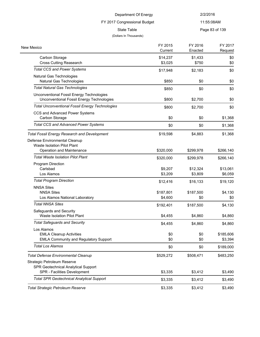11:55:08AM

State Table **Page 83 of 139** 

#### (Dollars In Thousands)

FY 2017 Congressional Budget

| New Mexico                                                                             | FY 2015<br>Current | FY 2016<br>Enacted | FY 2017<br>Request |
|----------------------------------------------------------------------------------------|--------------------|--------------------|--------------------|
| Carbon Storage                                                                         | \$14,237           | \$1,433            | \$0                |
| <b>Cross Cutting Reasearch</b>                                                         | \$3,025            | \$750              | \$0                |
| <b>Total CCS and Power Systems</b>                                                     | \$17,948           | \$2,183            | \$0                |
| Natural Gas Technologies<br>Natural Gas Technologies                                   | \$850              | \$0                | \$0                |
| <b>Total Natural Gas Technologies</b>                                                  | \$850              | \$0                | \$0                |
| Unconventional Fossil Energy Technologies<br>Unconventional Fossil Energy Technologies | \$800              | \$2,700            | \$0                |
| <b>Total Unconventional Fossil Energy Technologies</b>                                 | \$800              | \$2,700            | \$0                |
| CCS and Advanced Power Systems<br>Carbon Storage                                       | \$0                | \$0                | \$1,368            |
| <b>Total CCS and Advanced Power Systems</b>                                            | \$0                | \$0                | \$1,368            |
| <b>Total Fossil Energy Research and Development</b>                                    | \$19,598           | \$4,883            | \$1,368            |
| Defense Environmental Cleanup                                                          |                    |                    |                    |
| Waste Isolation Pilot Plant                                                            |                    |                    |                    |
| Operation and Maintenance<br>Total Waste Isolation Pilot Plant                         | \$320,000          | \$299,978          | \$266,140          |
|                                                                                        | \$320,000          | \$299,978          | \$266,140          |
| <b>Program Direction</b><br>Carlsbad                                                   | \$9,207            | \$12,324           | \$13,061           |
| Los Alamos                                                                             | \$3,209            | \$3,809            | \$6,059            |
| <b>Total Program Direction</b>                                                         | \$12,416           | \$16,133           | \$19,120           |
| <b>NNSA Sites</b>                                                                      |                    |                    |                    |
| <b>NNSA Sites</b>                                                                      | \$187,801          | \$187,500          | \$4,130            |
| Los Alamos National Laboratory                                                         | \$4,600            | \$0                | \$0                |
| <b>Total NNSA Sites</b>                                                                | \$192,401          | \$187,500          | \$4,130            |
| Safeguards and Security<br><b>Waste Isolation Pilot Plant</b>                          |                    |                    |                    |
|                                                                                        | \$4,455            | \$4,860            | \$4,860            |
| <b>Total Safeguards and Security</b>                                                   | \$4,455            | \$4,860            | \$4,860            |
| Los Alamos<br><b>EMLA Cleanup Activities</b>                                           | \$0                | \$0                | \$185,606          |
| <b>EMLA Community and Regulatory Support</b>                                           | \$0                | \$0                | \$3,394            |
| <b>Total Los Alamos</b>                                                                | \$0                | \$0                | \$189,000          |
| <b>Total Defense Environmental Cleanup</b>                                             | \$529,272          | \$508,471          | \$483,250          |
| Strategic Petroleum Reserve                                                            |                    |                    |                    |
| SPR Geotechnical Analytical Support                                                    |                    |                    |                    |
| SPR - Facilities Development                                                           | \$3,335            | \$3,412            | \$3,490            |
| <b>Total SPR Geotechnical Analytical Support</b>                                       | \$3,335            | \$3,412            | \$3,490            |
| <b>Total Strategic Petroleum Reserve</b>                                               | \$3,335            | \$3,412            | \$3,490            |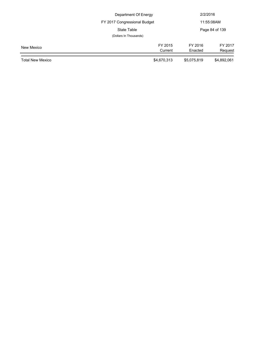|                         | Department Of Energy         |             | 2/2/2016       |  |
|-------------------------|------------------------------|-------------|----------------|--|
|                         | FY 2017 Congressional Budget |             | 11:55:08AM     |  |
|                         | State Table                  |             | Page 84 of 139 |  |
|                         | (Dollars In Thousands)       |             |                |  |
| New Mexico              | FY 2015                      | FY 2016     | FY 2017        |  |
|                         | Current                      | Enacted     | Request        |  |
| <b>Total New Mexico</b> | \$4,670,313                  | \$5,075,819 | \$4,892,061    |  |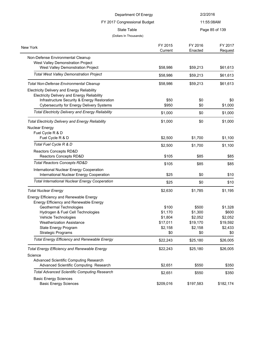| Department Of Energy<br>FY 2017 Congressional Budget                                               |           | 2/2/2016       |           |
|----------------------------------------------------------------------------------------------------|-----------|----------------|-----------|
|                                                                                                    |           | 11:55:08AM     |           |
| <b>State Table</b>                                                                                 |           | Page 85 of 139 |           |
| (Dollars In Thousands)                                                                             |           |                |           |
|                                                                                                    | FY 2015   | FY 2016        | FY 2017   |
| New York                                                                                           | Current   | Enacted        | Request   |
| Non-Defense Environmental Cleanup                                                                  |           |                |           |
| West Valley Demonstration Project                                                                  |           |                |           |
| West Valley Demonstration Project<br><b>Total West Valley Demonstration Project</b>                | \$58,986  | \$59,213       | \$61,613  |
|                                                                                                    | \$58,986  | \$59,213       | \$61,613  |
| Total Non-Defense Environmental Cleanup                                                            | \$58,986  | \$59,213       | \$61,613  |
| <b>Electricity Delivery and Energy Reliability</b>                                                 |           |                |           |
| <b>Electricity Delivery and Energy Reliability</b><br>Infrastructure Security & Energy Restoration | \$50      | \$0            | \$0       |
| <b>Cybersecurity for Energy Delivery Systems</b>                                                   | \$950     | \$0            | \$1,000   |
| <b>Total Electricity Delivery and Energy Reliability</b>                                           | \$1,000   | \$0            | \$1,000   |
| <b>Total Electricity Delivery and Energy Reliability</b>                                           | \$1,000   | \$0            | \$1,000   |
| Nuclear Energy                                                                                     |           |                |           |
| Fuel Cycle R & D                                                                                   |           |                |           |
| Fuel Cycle R & D                                                                                   | \$2,500   | \$1,700        | \$1,100   |
| Total Fuel Cycle R & D                                                                             | \$2,500   | \$1,700        | \$1,100   |
| Reactors Concepts RD&D                                                                             |           |                |           |
| Reactors Concepts RD&D                                                                             | \$105     | \$85           | \$85      |
| <b>Total Reactors Concepts RD&amp;D</b>                                                            | \$105     | \$85           | \$85      |
| International Nuclear Energy Cooperation                                                           |           |                |           |
| International Nuclear Energy Cooperation                                                           | \$25      | \$0            | \$10      |
| <b>Total International Nuclear Energy Cooperation</b>                                              | \$25      | \$0            | \$10      |
| <b>Total Nuclear Energy</b>                                                                        | \$2,630   | \$1,785        | \$1,195   |
| Energy Efficiency and Renewable Energy                                                             |           |                |           |
| Energy Efficiency and Renewable Energy                                                             |           |                |           |
| Geothermal Technologies                                                                            | \$100     | \$500          | \$1,328   |
| Hydrogen & Fuel Cell Technologies                                                                  | \$1,170   | \$1,300        | \$600     |
| Vehicle Technologies                                                                               | \$1,804   | \$2,052        | \$2,052   |
| <b>Weatherization Assistance</b>                                                                   | \$17,011  | \$19,170       | \$19,592  |
| State Energy Program                                                                               | \$2,158   | \$2,158        | \$2,433   |
| <b>Strategic Programs</b>                                                                          | \$0       | \$0            | \$0       |
| <b>Total Energy Efficiency and Renewable Energy</b>                                                | \$22,243  | \$25,180       | \$26,005  |
| <b>Total Energy Efficiency and Renewable Energy</b>                                                | \$22,243  | \$25,180       | \$26,005  |
| Science                                                                                            |           |                |           |
| Advanced Scientific Computing Research                                                             |           |                |           |
| Advanced Scientific Computing Research                                                             | \$2,651   | \$550          | \$350     |
| <b>Total Advanced Scientific Computing Research</b>                                                | \$2,651   | \$550          | \$350     |
| <b>Basic Energy Sciences</b>                                                                       |           |                |           |
| <b>Basic Energy Sciences</b>                                                                       | \$209,016 | \$197,583      | \$182,174 |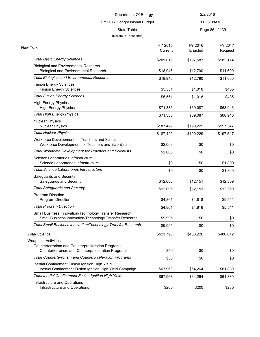# FY 2017 Congressional Budget

11:55:08AM

| State Table | Page 86 of 139 |
|-------------|----------------|
|             |                |

| New York                                                                                                         | FY 2015<br>Current | FY 2016<br>Enacted | FY 2017<br>Request |
|------------------------------------------------------------------------------------------------------------------|--------------------|--------------------|--------------------|
| <b>Total Basic Energy Sciences</b>                                                                               | \$209,016          | \$197,583          | \$182,174          |
| <b>Biological and Environmental Research</b><br><b>Biological and Environmental Research</b>                     | \$18,946           | \$12,790           | \$11,600           |
| <b>Total Biological and Environmental Research</b>                                                               | \$18,946           | \$12,790           | \$11,600           |
| <b>Fusion Energy Sciences</b><br><b>Fusion Energy Sciences</b>                                                   | \$5,551            | \$1,018            | \$485              |
| <b>Total Fusion Energy Sciences</b>                                                                              | \$5,551            | \$1,018            | \$485              |
| <b>High Energy Physics</b><br><b>High Energy Physics</b>                                                         | \$71,335           | \$69,087           | \$68,946           |
| <b>Total High Energy Physics</b>                                                                                 | \$71,335           | \$69,087           | \$68,946           |
| <b>Nuclear Physics</b><br><b>Nuclear Physics</b>                                                                 | \$187,429          | \$190,229          | \$197,547          |
| <b>Total Nuclear Physics</b>                                                                                     | \$187,429          | \$190,229          | \$197,547          |
| Workforce Development for Teachers and Scientists<br>Workforce Development for Teachers and Scientists           | \$2,008            | \$0                | \$0                |
| <b>Total Workforce Development for Teachers and Scientists</b>                                                   | \$2,008            | \$0                | \$0                |
| Science Laboratories Infrastructure<br>Science Laboratories Infrastructure                                       | \$0                | \$0                | \$1,800            |
| <b>Total Science Laboratories Infrastructure</b>                                                                 | \$0                | \$0                | \$1,800            |
| Safeguards and Security<br>Safeguards and Security                                                               | \$12,006           | \$12,151           | \$12,369           |
| <b>Total Safeguards and Security</b>                                                                             | \$12,006           | \$12,151           | \$12,369           |
| Program Direction<br>Program Direction                                                                           | \$4,861            | \$4,818            | \$5,541            |
| <b>Total Program Direction</b>                                                                                   | \$4,861            | \$4,818            | \$5,541            |
| Small Business Innovation/Technology Transfer Research<br>Small Business Innovation/Technology Transfer Research | \$9,995            | \$0                | \$0                |
| Total Small Business Innovation/Technology Transfer Research                                                     | \$9,995            | \$0                | \$0                |
| Total Science                                                                                                    | \$523,798          | \$488,226          | \$480,812          |
| <b>Weapons Activities</b>                                                                                        |                    |                    |                    |
| Counterterrorism and Counterproliferation Programs<br>Counterterrorism and Counterproliferation Programs         | \$50               | \$0                | \$0                |
| <b>Total Counterterrorism and Counterproliferation Programs</b>                                                  | \$50               | \$0                | \$0                |
| Inertial Confinement Fusion Ignition High Yield<br>Inertial Confinement Fusion Ignition High Yield Campaign      | \$67,963           | \$64,264           | \$61,830           |
| <b>Total Inertial Confinement Fusion Ignition High Yield</b>                                                     | \$67,963           | \$64,264           | \$61,830           |
| Infrastructure and Operations<br>Infrastructure and Operations                                                   | \$200              | \$200              | \$235              |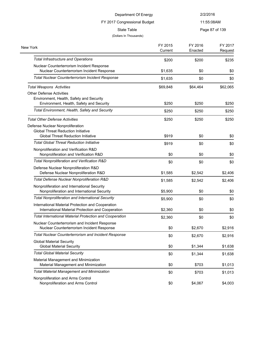#### FY 2017 Congressional Budget

#### 11:55:08AM

State Table **Page 87 of 139** 

| New York                                                       | FY 2015<br>Current | FY 2016<br>Enacted | FY 2017<br>Request |
|----------------------------------------------------------------|--------------------|--------------------|--------------------|
|                                                                |                    |                    |                    |
| <b>Total Infrastructure and Operations</b>                     | \$200              | \$200              | \$235              |
| Nuclear Counterterrorism Incident Response                     |                    |                    |                    |
| Nuclear Counterterrorism Incident Response                     | \$1,635            | \$0                | \$0                |
| <b>Total Nuclear Counterterrorism Incident Response</b>        | \$1,635            | \$0                | \$0                |
| <b>Total Weapons Activities</b>                                | \$69,848           | \$64,464           | \$62,065           |
| <b>Other Defense Activities</b>                                |                    |                    |                    |
| Environment, Health, Safety and Security                       |                    |                    |                    |
| Environment, Health, Safety and Security                       | \$250              | \$250              | \$250              |
| Total Environment, Health, Safety and Security                 | \$250              | \$250              | \$250              |
| <b>Total Other Defense Activities</b>                          | \$250              | \$250              | \$250              |
| Defense Nuclear Nonproliferation                               |                    |                    |                    |
| <b>Global Threat Reduction Initiative</b>                      |                    |                    |                    |
| <b>Global Threat Reduction Initiative</b>                      | \$919              | \$0                | \$0                |
| <b>Total Global Threat Reduction Initiative</b>                | \$919              | \$0                | \$0                |
| Nonproliferation and Verification R&D                          |                    |                    |                    |
| Nonproliferation and Verification R&D                          | \$0                | \$0                | \$0                |
| Total Nonproliferation and Verification R&D                    | \$0                | \$0                | \$0                |
| Defense Nuclear Nonproliferation R&D                           |                    |                    |                    |
| Defense Nuclear Nonproliferation R&D                           | \$1,585            | \$2,542            | \$2,406            |
| Total Defense Nuclear Nonproliferation R&D                     | \$1,585            | \$2,542            | \$2,406            |
| Nonproliferation and International Security                    |                    |                    |                    |
| Nonproliferation and International Security                    | \$5,900            | \$0                | \$0                |
| <b>Total Nonproliferation and International Security</b>       | \$5,900            | \$0                | \$0                |
| International Material Protection and Cooperation              |                    |                    |                    |
| International Material Protection and Cooperation              | \$2,360            | \$0                | \$0                |
| <b>Total International Material Protection and Cooperation</b> | \$2,360            | \$0                | \$0                |
| Nuclear Counterterrorism and Incident Response                 |                    |                    |                    |
| Nuclear Counterterrorism Incident Response                     | \$0                | \$2,670            | \$2,916            |
| Total Nuclear Counterterrorism and Incident Response           | \$0                | \$2,670            | \$2,916            |
| <b>Global Material Security</b>                                |                    |                    |                    |
| <b>Global Material Security</b>                                | \$0                | \$1,344            | \$1,638            |
| <b>Total Global Material Security</b>                          | \$0                | \$1,344            | \$1,638            |
| Material Management and Minimization                           |                    |                    |                    |
| Material Management and Minimization                           | \$0                | \$703              | \$1,013            |
| <b>Total Material Management and Minimization</b>              | \$0                | \$703              | \$1,013            |
| Nonproliferation and Arms Control                              |                    |                    |                    |
| Nonproliferation and Arms Control                              | \$0                | \$4,067            | \$4,003            |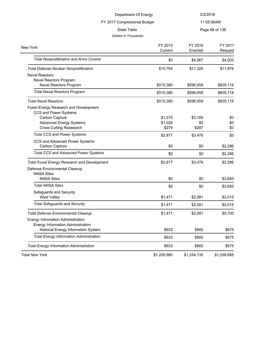|                                                                                                                                                              | Department Of Energy        | 2/2/2016                |                    |
|--------------------------------------------------------------------------------------------------------------------------------------------------------------|-----------------------------|-------------------------|--------------------|
| FY 2017 Congressional Budget                                                                                                                                 |                             |                         | 11:55:08AM         |
| <b>State Table</b><br>(Dollars In Thousands)                                                                                                                 |                             |                         | Page 88 of 139     |
| New York                                                                                                                                                     | FY 2015<br>Current          | FY 2016<br>Enacted      | FY 2017<br>Request |
| <b>Total Nonproliferation and Arms Control</b>                                                                                                               | \$0                         | \$4,067                 | \$4,003            |
| <b>Total Defense Nuclear Nonproliferation</b>                                                                                                                | \$10,764                    | \$11,326                | \$11,976           |
| <b>Naval Reactors</b><br>Naval Reactors Program<br>Naval Reactors Program                                                                                    | \$515,380                   | \$596,959               | \$605,118          |
| <b>Total Naval Reactors Program</b>                                                                                                                          | \$515,380                   | \$596,959               | \$605,118          |
| <b>Total Naval Reactors</b>                                                                                                                                  | \$515,380                   | \$596,959               | \$605,118          |
| Fossil Energy Research and Development<br><b>CCS and Power Systems</b><br>Carbon Capture<br><b>Advanced Energy Systems</b><br><b>Cross Cutting Reasearch</b> | \$1,570<br>\$1,028<br>\$279 | \$3,189<br>\$0<br>\$287 | \$0<br>\$0<br>\$0  |
| <b>Total CCS and Power Systems</b>                                                                                                                           | \$2,877                     | \$3,476                 | \$0                |
| CCS and Advanced Power Systems<br>Carbon Capture                                                                                                             | \$0                         | \$0                     | \$2,286            |
| <b>Total CCS and Advanced Power Systems</b>                                                                                                                  | \$0                         | \$0                     | \$2,286            |
| <b>Total Fossil Energy Research and Development</b><br>Defense Environmental Cleanup<br><b>NNSA Sites</b>                                                    | \$2,877                     | \$3,476                 | \$2,286            |
| <b>NNSA Sites</b><br><b>Total NNSA Sites</b>                                                                                                                 | \$0                         | \$0                     | \$3,685            |
| Safeguards and Security<br><b>West Valley</b>                                                                                                                | \$0<br>\$1,471              | \$0<br>\$2,591          | \$3,685<br>\$2,015 |
| <b>Total Safeguards and Security</b>                                                                                                                         | \$1,471                     | \$2,591                 | \$2,015            |
| <b>Total Defense Environmental Cleanup</b><br>Energy Information Administration                                                                              | \$1,471                     | \$2,591                 | \$5,700            |
| Energy Information Administration<br>National Energy Information System                                                                                      | \$633                       | \$665                   | \$675              |
| <b>Total Energy Information Administration</b>                                                                                                               | \$633                       | \$665                   | \$675              |
| <b>Total Energy Information Administration</b>                                                                                                               | \$633                       | \$665                   | \$675              |
| <b>Total New York</b>                                                                                                                                        | \$1,209,880                 | \$1,254,135             | \$1,258,695        |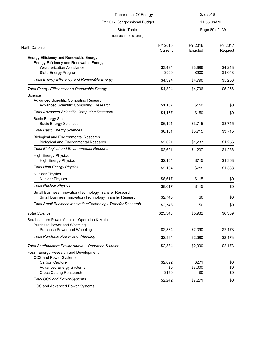| Department Of Energy                                                                                             |          | 2/2/2016   |                |
|------------------------------------------------------------------------------------------------------------------|----------|------------|----------------|
| FY 2017 Congressional Budget                                                                                     |          | 11:55:08AM |                |
| <b>State Table</b>                                                                                               |          |            | Page 89 of 139 |
| (Dollars In Thousands)                                                                                           |          |            |                |
| North Carolina                                                                                                   | FY 2015  | FY 2016    | FY 2017        |
|                                                                                                                  | Current  | Enacted    | Request        |
| Energy Efficiency and Renewable Energy                                                                           |          |            |                |
| Energy Efficiency and Renewable Energy<br><b>Weatherization Assistance</b>                                       | \$3,494  | \$3,896    | \$4,213        |
| State Energy Program                                                                                             | \$900    | \$900      | \$1,043        |
| <b>Total Energy Efficiency and Renewable Energy</b>                                                              | \$4,394  | \$4,796    | \$5,256        |
|                                                                                                                  |          |            |                |
| <b>Total Energy Efficiency and Renewable Energy</b>                                                              | \$4,394  | \$4,796    | \$5,256        |
| Science                                                                                                          |          |            |                |
| Advanced Scientific Computing Research<br>Advanced Scientific Computing Research                                 |          | \$150      | \$0            |
|                                                                                                                  | \$1,157  |            |                |
| <b>Total Advanced Scientific Computing Research</b>                                                              | \$1,157  | \$150      | \$0            |
| <b>Basic Energy Sciences</b><br><b>Basic Energy Sciences</b>                                                     | \$6,101  | \$3,715    | \$3,715        |
| <b>Total Basic Energy Sciences</b>                                                                               | \$6,101  | \$3,715    | \$3,715        |
| <b>Biological and Environmental Research</b>                                                                     |          |            |                |
| <b>Biological and Environmental Research</b>                                                                     | \$2,621  | \$1,237    | \$1,256        |
| <b>Total Biological and Environmental Research</b>                                                               | \$2,621  | \$1,237    | \$1,256        |
| <b>High Energy Physics</b>                                                                                       |          |            |                |
| <b>High Energy Physics</b>                                                                                       | \$2,104  | \$715      | \$1,368        |
| <b>Total High Energy Physics</b>                                                                                 | \$2,104  | \$715      | \$1,368        |
| <b>Nuclear Physics</b>                                                                                           |          |            |                |
| <b>Nuclear Physics</b>                                                                                           | \$8,617  | \$115      | \$0            |
| <b>Total Nuclear Physics</b>                                                                                     | \$8,617  | \$115      | \$0            |
| Small Business Innovation/Technology Transfer Research<br>Small Business Innovation/Technology Transfer Research | \$2,748  | \$0        | \$0            |
| <b>Total Small Business Innovation/Technology Transfer Research</b>                                              |          |            |                |
|                                                                                                                  | \$2,748  | \$0        | \$0            |
| <b>Total Science</b>                                                                                             | \$23,348 | \$5,932    | \$6,339        |
| Southeastern Power Admin. - Operation & Maint.                                                                   |          |            |                |
| Purchase Power and Wheeling                                                                                      |          |            |                |
| Purchase Power and Wheeling                                                                                      | \$2,334  | \$2,390    | \$2,173        |
| <b>Total Purchase Power and Wheeling</b>                                                                         | \$2,334  | \$2,390    | \$2,173        |
| Total Southeastern Power Admin. - Operation & Maint.                                                             | \$2,334  | \$2,390    | \$2,173        |
| Fossil Energy Research and Development                                                                           |          |            |                |
| CCS and Power Systems                                                                                            |          |            |                |
| Carbon Capture                                                                                                   | \$2,092  | \$271      | \$0            |
| <b>Advanced Energy Systems</b>                                                                                   | \$0      | \$7,000    | \$0            |
| <b>Cross Cutting Reasearch</b>                                                                                   | \$150    | \$0        | \$0            |
| <b>Total CCS and Power Systems</b>                                                                               | \$2,242  | \$7,271    | \$0            |

CCS and Advanced Power Systems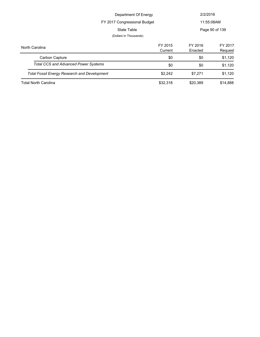|                                                     | Department Of Energy         |                    | 2/2/2016           |  |
|-----------------------------------------------------|------------------------------|--------------------|--------------------|--|
|                                                     | FY 2017 Congressional Budget |                    | 11:55:08AM         |  |
| State Table                                         |                              |                    | Page 90 of 139     |  |
|                                                     | (Dollars In Thousands)       |                    |                    |  |
| North Carolina                                      | FY 2015<br>Current           | FY 2016<br>Enacted | FY 2017<br>Request |  |
| Carbon Capture                                      | \$0                          | \$0                | \$1,120            |  |
| <b>Total CCS and Advanced Power Systems</b>         | \$0                          | \$0                | \$1,120            |  |
| <b>Total Fossil Energy Research and Development</b> | \$2.242                      | \$7,271            | \$1,120            |  |
| <b>Total North Carolina</b>                         | \$32,318                     | \$20,389           | \$14,888           |  |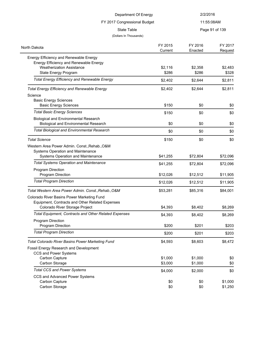| Department Of Energy                                                             |          | 2/2/2016   |                |
|----------------------------------------------------------------------------------|----------|------------|----------------|
| FY 2017 Congressional Budget<br><b>State Table</b>                               |          | 11:55:08AM |                |
|                                                                                  |          |            | Page 91 of 139 |
| (Dollars In Thousands)                                                           |          |            |                |
| North Dakota                                                                     | FY 2015  | FY 2016    | FY 2017        |
|                                                                                  | Current  | Enacted    | Request        |
| Energy Efficiency and Renewable Energy<br>Energy Efficiency and Renewable Energy |          |            |                |
| <b>Weatherization Assistance</b>                                                 | \$2,116  | \$2,358    | \$2,483        |
| State Energy Program                                                             | \$286    | \$286      | \$328          |
| <b>Total Energy Efficiency and Renewable Energy</b>                              | \$2,402  | \$2,644    | \$2,811        |
| <b>Total Energy Efficiency and Renewable Energy</b>                              | \$2,402  | \$2,644    | \$2,811        |
| Science                                                                          |          |            |                |
| <b>Basic Energy Sciences</b>                                                     |          |            |                |
| <b>Basic Energy Sciences</b>                                                     | \$150    | \$0        | \$0            |
| <b>Total Basic Energy Sciences</b>                                               | \$150    | \$0        | \$0            |
| <b>Biological and Environmental Research</b>                                     |          |            |                |
| <b>Biological and Environmental Research</b>                                     | \$0      | \$0        | \$0            |
| <b>Total Biological and Environmental Research</b>                               | \$0      | \$0        | \$0            |
| <b>Total Science</b>                                                             | \$150    | \$0        | \$0            |
| Western Area Power Admin. Const., Rehab., O&M                                    |          |            |                |
| Systems Operation and Maintenance                                                |          |            |                |
| Systems Operation and Maintenance                                                | \$41,255 | \$72,804   | \$72,096       |
| <b>Total Systems Operation and Maintenance</b>                                   | \$41,255 | \$72,804   | \$72,096       |
| Program Direction                                                                |          |            |                |
| Program Direction                                                                | \$12,026 | \$12,512   | \$11,905       |
| <b>Total Program Direction</b>                                                   | \$12,026 | \$12,512   | \$11,905       |
| Total Western Area Power Admin. Const., Rehab., O&M                              | \$53,281 | \$85,316   | \$84,001       |
| Colorado River Basins Power Marketing Fund                                       |          |            |                |
| Equipment, Contracts and Other Related Expenses                                  |          |            |                |
| Colorado River Storage Project                                                   | \$4,393  | \$8,402    | \$8,269        |
| Total Equipment, Contracts and Other Related Expenses                            | \$4,393  | \$8,402    | \$8,269        |
| Program Direction                                                                |          |            |                |
| Program Direction                                                                | \$200    | \$201      | \$203          |
| <b>Total Program Direction</b>                                                   | \$200    | \$201      | \$203          |
| <b>Total Colorado River Basins Power Marketing Fund</b>                          | \$4,593  | \$8,603    | \$8,472        |
| Fossil Energy Research and Development                                           |          |            |                |
| CCS and Power Systems                                                            |          |            |                |
| Carbon Capture                                                                   | \$1,000  | \$1,000    | \$0            |
| Carbon Storage                                                                   | \$3,000  | \$1,000    | \$0            |
| <b>Total CCS and Power Systems</b>                                               | \$4,000  | \$2,000    | \$0            |
| CCS and Advanced Power Systems                                                   |          |            |                |
| Carbon Capture                                                                   | \$0      | \$0        | \$1,000        |
| Carbon Storage                                                                   | \$0      | \$0        | \$1,250        |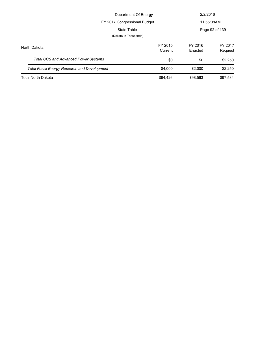|                                                     | Department Of Energy   |                    | 2/2/2016           |
|-----------------------------------------------------|------------------------|--------------------|--------------------|
| FY 2017 Congressional Budget                        |                        |                    | 11:55:08AM         |
|                                                     | State Table            |                    | Page 92 of 139     |
|                                                     | (Dollars In Thousands) |                    |                    |
| North Dakota                                        | FY 2015<br>Current     | FY 2016<br>Enacted | FY 2017<br>Request |
| <b>Total CCS and Advanced Power Systems</b>         | \$0                    | \$0                | \$2,250            |
| <b>Total Fossil Energy Research and Development</b> | \$4,000                | \$2,000            | \$2,250            |
| <b>Total North Dakota</b>                           | \$64,426               | \$98,563           | \$97,534           |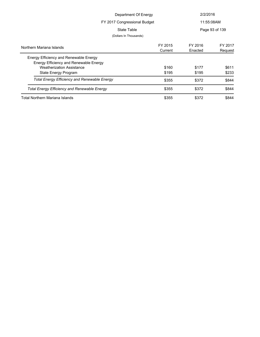| Department Of Energy                                |         | 2/2/2016   |                |
|-----------------------------------------------------|---------|------------|----------------|
| FY 2017 Congressional Budget                        |         | 11:55:08AM |                |
| State Table                                         |         |            | Page 93 of 139 |
| (Dollars In Thousands)                              |         |            |                |
| Northern Mariana Islands                            | FY 2015 | FY 2016    | FY 2017        |
|                                                     | Current | Enacted    | Request        |
| Energy Efficiency and Renewable Energy              |         |            |                |
| Energy Efficiency and Renewable Energy              |         |            |                |
| <b>Weatherization Assistance</b>                    | \$160   | \$177      | \$611          |
| State Energy Program                                | \$195   | \$195      | \$233          |
| <b>Total Energy Efficiency and Renewable Energy</b> | \$355   | \$372      | \$844          |
| <b>Total Energy Efficiency and Renewable Energy</b> | \$355   | \$372      | \$844          |
| Total Northern Mariana Islands                      | \$355   | \$372      | \$844          |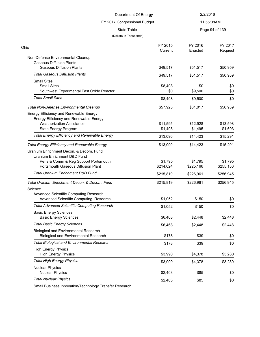| 11:55:08AM<br>FY 2017 Congressional Budget<br><b>State Table</b><br>Page 94 of 139<br>(Dollars In Thousands)<br>FY 2015<br>FY 2016<br>Current<br>Enacted<br>Non-Defense Environmental Cleanup<br><b>Gaseous Diffusion Plants</b><br><b>Gaseous Diffusion Plants</b><br>\$49,517<br>\$51,517<br><b>Total Gaseous Diffusion Plants</b><br>\$49,517<br>\$51,517<br><b>Small Sites</b><br><b>Small Sites</b><br>\$8,408<br>\$0<br>\$0<br>\$0<br>\$9,500<br>Southwest Experimental Fast Oxide Reactor<br>\$0<br><b>Total Small Sites</b><br>\$8,408<br>\$9,500<br>\$0<br>\$57,925<br>\$61,017<br>\$50,959<br><b>Total Non-Defense Environmental Cleanup</b><br>Energy Efficiency and Renewable Energy<br>Energy Efficiency and Renewable Energy<br><b>Weatherization Assistance</b><br>\$11,595<br>\$12,928<br>State Energy Program<br>\$1,495<br>\$1,495<br><b>Total Energy Efficiency and Renewable Energy</b><br>\$13,090<br>\$14,423<br><b>Total Energy Efficiency and Renewable Energy</b><br>\$13,090<br>\$14,423<br>Uranium Enrichment Decon, & Decom, Fund<br>Uranium Enrichment D&D Fund<br>Pens & Comm & Reg Support Portsmouth<br>\$1,795<br>\$1,795<br>Portsmouth Gaseous Diffusion Plant<br>\$214,024<br>\$225,166<br><b>Total Uranium Enrichment D&amp;D Fund</b><br>\$215,819<br>\$226,961<br>Total Uranium Enrichment Decon, & Decom, Fund<br>\$215,819<br>\$226,961<br>Science<br>Advanced Scientific Computing Research<br>Advanced Scientific Computing Research<br>\$150<br>\$0<br>\$1,052<br><b>Total Advanced Scientific Computing Research</b><br>\$1,052<br>\$150<br>\$0<br><b>Basic Energy Sciences</b><br><b>Basic Energy Sciences</b><br>\$6,468<br>\$2,448<br><b>Total Basic Energy Sciences</b><br>\$6,468<br>\$2,448<br>\$2,448<br><b>Biological and Environmental Research</b><br><b>Biological and Environmental Research</b><br>\$178<br>\$39<br><b>Total Biological and Environmental Research</b><br>\$178<br>\$39<br><b>High Energy Physics</b><br><b>High Energy Physics</b><br>\$3,990<br>\$4,378<br><b>Total High Energy Physics</b><br>\$3,990<br>\$4,378<br><b>Nuclear Physics</b><br><b>Nuclear Physics</b><br>\$2,403<br>\$85<br><b>Total Nuclear Physics</b><br>\$2,403<br>\$85 | Department Of Energy |  | 2/2/2016 |                    |
|------------------------------------------------------------------------------------------------------------------------------------------------------------------------------------------------------------------------------------------------------------------------------------------------------------------------------------------------------------------------------------------------------------------------------------------------------------------------------------------------------------------------------------------------------------------------------------------------------------------------------------------------------------------------------------------------------------------------------------------------------------------------------------------------------------------------------------------------------------------------------------------------------------------------------------------------------------------------------------------------------------------------------------------------------------------------------------------------------------------------------------------------------------------------------------------------------------------------------------------------------------------------------------------------------------------------------------------------------------------------------------------------------------------------------------------------------------------------------------------------------------------------------------------------------------------------------------------------------------------------------------------------------------------------------------------------------------------------------------------------------------------------------------------------------------------------------------------------------------------------------------------------------------------------------------------------------------------------------------------------------------------------------------------------------------------------------------------------------------------------------------------------------------------------------------------------------------------------|----------------------|--|----------|--------------------|
|                                                                                                                                                                                                                                                                                                                                                                                                                                                                                                                                                                                                                                                                                                                                                                                                                                                                                                                                                                                                                                                                                                                                                                                                                                                                                                                                                                                                                                                                                                                                                                                                                                                                                                                                                                                                                                                                                                                                                                                                                                                                                                                                                                                                                        |                      |  |          |                    |
|                                                                                                                                                                                                                                                                                                                                                                                                                                                                                                                                                                                                                                                                                                                                                                                                                                                                                                                                                                                                                                                                                                                                                                                                                                                                                                                                                                                                                                                                                                                                                                                                                                                                                                                                                                                                                                                                                                                                                                                                                                                                                                                                                                                                                        |                      |  |          |                    |
|                                                                                                                                                                                                                                                                                                                                                                                                                                                                                                                                                                                                                                                                                                                                                                                                                                                                                                                                                                                                                                                                                                                                                                                                                                                                                                                                                                                                                                                                                                                                                                                                                                                                                                                                                                                                                                                                                                                                                                                                                                                                                                                                                                                                                        |                      |  |          |                    |
|                                                                                                                                                                                                                                                                                                                                                                                                                                                                                                                                                                                                                                                                                                                                                                                                                                                                                                                                                                                                                                                                                                                                                                                                                                                                                                                                                                                                                                                                                                                                                                                                                                                                                                                                                                                                                                                                                                                                                                                                                                                                                                                                                                                                                        | Ohio                 |  |          | FY 2017<br>Request |
|                                                                                                                                                                                                                                                                                                                                                                                                                                                                                                                                                                                                                                                                                                                                                                                                                                                                                                                                                                                                                                                                                                                                                                                                                                                                                                                                                                                                                                                                                                                                                                                                                                                                                                                                                                                                                                                                                                                                                                                                                                                                                                                                                                                                                        |                      |  |          |                    |
|                                                                                                                                                                                                                                                                                                                                                                                                                                                                                                                                                                                                                                                                                                                                                                                                                                                                                                                                                                                                                                                                                                                                                                                                                                                                                                                                                                                                                                                                                                                                                                                                                                                                                                                                                                                                                                                                                                                                                                                                                                                                                                                                                                                                                        |                      |  |          | \$50,959           |
|                                                                                                                                                                                                                                                                                                                                                                                                                                                                                                                                                                                                                                                                                                                                                                                                                                                                                                                                                                                                                                                                                                                                                                                                                                                                                                                                                                                                                                                                                                                                                                                                                                                                                                                                                                                                                                                                                                                                                                                                                                                                                                                                                                                                                        |                      |  |          | \$50,959           |
|                                                                                                                                                                                                                                                                                                                                                                                                                                                                                                                                                                                                                                                                                                                                                                                                                                                                                                                                                                                                                                                                                                                                                                                                                                                                                                                                                                                                                                                                                                                                                                                                                                                                                                                                                                                                                                                                                                                                                                                                                                                                                                                                                                                                                        |                      |  |          |                    |
|                                                                                                                                                                                                                                                                                                                                                                                                                                                                                                                                                                                                                                                                                                                                                                                                                                                                                                                                                                                                                                                                                                                                                                                                                                                                                                                                                                                                                                                                                                                                                                                                                                                                                                                                                                                                                                                                                                                                                                                                                                                                                                                                                                                                                        |                      |  |          |                    |
|                                                                                                                                                                                                                                                                                                                                                                                                                                                                                                                                                                                                                                                                                                                                                                                                                                                                                                                                                                                                                                                                                                                                                                                                                                                                                                                                                                                                                                                                                                                                                                                                                                                                                                                                                                                                                                                                                                                                                                                                                                                                                                                                                                                                                        |                      |  |          |                    |
|                                                                                                                                                                                                                                                                                                                                                                                                                                                                                                                                                                                                                                                                                                                                                                                                                                                                                                                                                                                                                                                                                                                                                                                                                                                                                                                                                                                                                                                                                                                                                                                                                                                                                                                                                                                                                                                                                                                                                                                                                                                                                                                                                                                                                        |                      |  |          |                    |
|                                                                                                                                                                                                                                                                                                                                                                                                                                                                                                                                                                                                                                                                                                                                                                                                                                                                                                                                                                                                                                                                                                                                                                                                                                                                                                                                                                                                                                                                                                                                                                                                                                                                                                                                                                                                                                                                                                                                                                                                                                                                                                                                                                                                                        |                      |  |          |                    |
|                                                                                                                                                                                                                                                                                                                                                                                                                                                                                                                                                                                                                                                                                                                                                                                                                                                                                                                                                                                                                                                                                                                                                                                                                                                                                                                                                                                                                                                                                                                                                                                                                                                                                                                                                                                                                                                                                                                                                                                                                                                                                                                                                                                                                        |                      |  |          |                    |
|                                                                                                                                                                                                                                                                                                                                                                                                                                                                                                                                                                                                                                                                                                                                                                                                                                                                                                                                                                                                                                                                                                                                                                                                                                                                                                                                                                                                                                                                                                                                                                                                                                                                                                                                                                                                                                                                                                                                                                                                                                                                                                                                                                                                                        |                      |  |          | \$13,598           |
|                                                                                                                                                                                                                                                                                                                                                                                                                                                                                                                                                                                                                                                                                                                                                                                                                                                                                                                                                                                                                                                                                                                                                                                                                                                                                                                                                                                                                                                                                                                                                                                                                                                                                                                                                                                                                                                                                                                                                                                                                                                                                                                                                                                                                        |                      |  |          | \$1,693            |
|                                                                                                                                                                                                                                                                                                                                                                                                                                                                                                                                                                                                                                                                                                                                                                                                                                                                                                                                                                                                                                                                                                                                                                                                                                                                                                                                                                                                                                                                                                                                                                                                                                                                                                                                                                                                                                                                                                                                                                                                                                                                                                                                                                                                                        |                      |  |          | \$15,291           |
|                                                                                                                                                                                                                                                                                                                                                                                                                                                                                                                                                                                                                                                                                                                                                                                                                                                                                                                                                                                                                                                                                                                                                                                                                                                                                                                                                                                                                                                                                                                                                                                                                                                                                                                                                                                                                                                                                                                                                                                                                                                                                                                                                                                                                        |                      |  |          | \$15,291           |
|                                                                                                                                                                                                                                                                                                                                                                                                                                                                                                                                                                                                                                                                                                                                                                                                                                                                                                                                                                                                                                                                                                                                                                                                                                                                                                                                                                                                                                                                                                                                                                                                                                                                                                                                                                                                                                                                                                                                                                                                                                                                                                                                                                                                                        |                      |  |          |                    |
|                                                                                                                                                                                                                                                                                                                                                                                                                                                                                                                                                                                                                                                                                                                                                                                                                                                                                                                                                                                                                                                                                                                                                                                                                                                                                                                                                                                                                                                                                                                                                                                                                                                                                                                                                                                                                                                                                                                                                                                                                                                                                                                                                                                                                        |                      |  |          | \$1,795            |
|                                                                                                                                                                                                                                                                                                                                                                                                                                                                                                                                                                                                                                                                                                                                                                                                                                                                                                                                                                                                                                                                                                                                                                                                                                                                                                                                                                                                                                                                                                                                                                                                                                                                                                                                                                                                                                                                                                                                                                                                                                                                                                                                                                                                                        |                      |  |          | \$255,150          |
|                                                                                                                                                                                                                                                                                                                                                                                                                                                                                                                                                                                                                                                                                                                                                                                                                                                                                                                                                                                                                                                                                                                                                                                                                                                                                                                                                                                                                                                                                                                                                                                                                                                                                                                                                                                                                                                                                                                                                                                                                                                                                                                                                                                                                        |                      |  |          | \$256,945          |
|                                                                                                                                                                                                                                                                                                                                                                                                                                                                                                                                                                                                                                                                                                                                                                                                                                                                                                                                                                                                                                                                                                                                                                                                                                                                                                                                                                                                                                                                                                                                                                                                                                                                                                                                                                                                                                                                                                                                                                                                                                                                                                                                                                                                                        |                      |  |          | \$256,945          |
|                                                                                                                                                                                                                                                                                                                                                                                                                                                                                                                                                                                                                                                                                                                                                                                                                                                                                                                                                                                                                                                                                                                                                                                                                                                                                                                                                                                                                                                                                                                                                                                                                                                                                                                                                                                                                                                                                                                                                                                                                                                                                                                                                                                                                        |                      |  |          |                    |
|                                                                                                                                                                                                                                                                                                                                                                                                                                                                                                                                                                                                                                                                                                                                                                                                                                                                                                                                                                                                                                                                                                                                                                                                                                                                                                                                                                                                                                                                                                                                                                                                                                                                                                                                                                                                                                                                                                                                                                                                                                                                                                                                                                                                                        |                      |  |          |                    |
|                                                                                                                                                                                                                                                                                                                                                                                                                                                                                                                                                                                                                                                                                                                                                                                                                                                                                                                                                                                                                                                                                                                                                                                                                                                                                                                                                                                                                                                                                                                                                                                                                                                                                                                                                                                                                                                                                                                                                                                                                                                                                                                                                                                                                        |                      |  |          |                    |
|                                                                                                                                                                                                                                                                                                                                                                                                                                                                                                                                                                                                                                                                                                                                                                                                                                                                                                                                                                                                                                                                                                                                                                                                                                                                                                                                                                                                                                                                                                                                                                                                                                                                                                                                                                                                                                                                                                                                                                                                                                                                                                                                                                                                                        |                      |  |          |                    |
|                                                                                                                                                                                                                                                                                                                                                                                                                                                                                                                                                                                                                                                                                                                                                                                                                                                                                                                                                                                                                                                                                                                                                                                                                                                                                                                                                                                                                                                                                                                                                                                                                                                                                                                                                                                                                                                                                                                                                                                                                                                                                                                                                                                                                        |                      |  |          | \$2,448            |
|                                                                                                                                                                                                                                                                                                                                                                                                                                                                                                                                                                                                                                                                                                                                                                                                                                                                                                                                                                                                                                                                                                                                                                                                                                                                                                                                                                                                                                                                                                                                                                                                                                                                                                                                                                                                                                                                                                                                                                                                                                                                                                                                                                                                                        |                      |  |          |                    |
|                                                                                                                                                                                                                                                                                                                                                                                                                                                                                                                                                                                                                                                                                                                                                                                                                                                                                                                                                                                                                                                                                                                                                                                                                                                                                                                                                                                                                                                                                                                                                                                                                                                                                                                                                                                                                                                                                                                                                                                                                                                                                                                                                                                                                        |                      |  |          |                    |
|                                                                                                                                                                                                                                                                                                                                                                                                                                                                                                                                                                                                                                                                                                                                                                                                                                                                                                                                                                                                                                                                                                                                                                                                                                                                                                                                                                                                                                                                                                                                                                                                                                                                                                                                                                                                                                                                                                                                                                                                                                                                                                                                                                                                                        |                      |  |          | \$0                |
|                                                                                                                                                                                                                                                                                                                                                                                                                                                                                                                                                                                                                                                                                                                                                                                                                                                                                                                                                                                                                                                                                                                                                                                                                                                                                                                                                                                                                                                                                                                                                                                                                                                                                                                                                                                                                                                                                                                                                                                                                                                                                                                                                                                                                        |                      |  |          | \$0                |
|                                                                                                                                                                                                                                                                                                                                                                                                                                                                                                                                                                                                                                                                                                                                                                                                                                                                                                                                                                                                                                                                                                                                                                                                                                                                                                                                                                                                                                                                                                                                                                                                                                                                                                                                                                                                                                                                                                                                                                                                                                                                                                                                                                                                                        |                      |  |          | \$3,280            |
|                                                                                                                                                                                                                                                                                                                                                                                                                                                                                                                                                                                                                                                                                                                                                                                                                                                                                                                                                                                                                                                                                                                                                                                                                                                                                                                                                                                                                                                                                                                                                                                                                                                                                                                                                                                                                                                                                                                                                                                                                                                                                                                                                                                                                        |                      |  |          | \$3,280            |
|                                                                                                                                                                                                                                                                                                                                                                                                                                                                                                                                                                                                                                                                                                                                                                                                                                                                                                                                                                                                                                                                                                                                                                                                                                                                                                                                                                                                                                                                                                                                                                                                                                                                                                                                                                                                                                                                                                                                                                                                                                                                                                                                                                                                                        |                      |  |          | \$0                |
|                                                                                                                                                                                                                                                                                                                                                                                                                                                                                                                                                                                                                                                                                                                                                                                                                                                                                                                                                                                                                                                                                                                                                                                                                                                                                                                                                                                                                                                                                                                                                                                                                                                                                                                                                                                                                                                                                                                                                                                                                                                                                                                                                                                                                        |                      |  |          | \$0                |

Small Business Innovation/Technology Transfer Research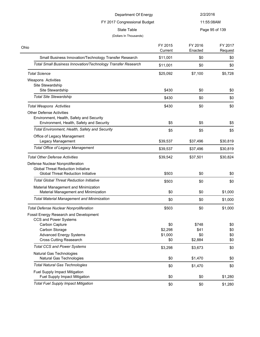| Department Of Energy                                                                                                       |                    | 2/2/2016           |                    |
|----------------------------------------------------------------------------------------------------------------------------|--------------------|--------------------|--------------------|
| FY 2017 Congressional Budget                                                                                               |                    | 11:55:08AM         |                    |
| <b>State Table</b><br>(Dollars In Thousands)                                                                               |                    |                    | Page 95 of 139     |
| Ohio                                                                                                                       | FY 2015<br>Current | FY 2016<br>Enacted | FY 2017<br>Request |
| Small Business Innovation/Technology Transfer Research                                                                     | \$11,001           | \$0                | \$0                |
| <b>Total Small Business Innovation/Technology Transfer Research</b>                                                        | \$11,001           | \$0                | \$0                |
| <b>Total Science</b>                                                                                                       | \$25,092           | \$7,100            | \$5,728            |
| Weapons Activities<br>Site Stewardship                                                                                     |                    |                    |                    |
| Site Stewardship                                                                                                           | \$430              | \$0                | \$0                |
| <b>Total Site Stewardship</b>                                                                                              | \$430              | \$0                | \$0                |
| <b>Total Weapons Activities</b>                                                                                            | \$430              | \$0                | \$0                |
| <b>Other Defense Activities</b><br>Environment, Health, Safety and Security<br>Environment, Health, Safety and Security    | \$5                | \$5                | \$5                |
| Total Environment, Health, Safety and Security                                                                             | \$5                | \$5                | \$5                |
| Office of Legacy Management<br>Legacy Management                                                                           | \$39,537           | \$37,496           | \$30,819           |
| <b>Total Office of Legacy Management</b>                                                                                   | \$39,537           | \$37,496           | \$30,819           |
| <b>Total Other Defense Activities</b>                                                                                      | \$39,542           | \$37,501           | \$30,824           |
| Defense Nuclear Nonproliferation<br><b>Global Threat Reduction Initiative</b><br><b>Global Threat Reduction Initiative</b> | \$503              | \$0                | \$0                |
| <b>Total Global Threat Reduction Initiative</b>                                                                            | \$503              | \$0                | \$0                |
| Material Management and Minimization<br>Material Management and Minimization                                               | \$0                | \$0                | \$1,000            |
| <b>Total Material Management and Minimization</b>                                                                          | \$0                | \$0                | \$1,000            |
| <b>Total Defense Nuclear Nonproliferation</b>                                                                              | \$503              | \$0                | \$1,000            |
| Fossil Energy Research and Development<br>CCS and Power Systems                                                            |                    |                    |                    |
| Carbon Capture                                                                                                             | \$0                | \$748              | \$0                |
| Carbon Storage<br><b>Advanced Energy Systems</b>                                                                           | \$2,298<br>\$1,000 | \$41<br>\$0        | \$0<br>\$0         |
| <b>Cross Cutting Reasearch</b>                                                                                             | \$0                | \$2,884            | \$0                |
| <b>Total CCS and Power Systems</b>                                                                                         | \$3,298            | \$3,673            | \$0                |
| Natural Gas Technologies<br>Natural Gas Technologies                                                                       | \$0                | \$1,470            | \$0                |
| <b>Total Natural Gas Technologies</b>                                                                                      | \$0                | \$1,470            | \$0                |
| Fuel Supply Impact Mitigation<br>Fuel Supply Impact Mitigation                                                             | \$0                | \$0                | \$1,280            |
| <b>Total Fuel Supply Impact Mitigation</b>                                                                                 | \$0                | \$0                | \$1,280            |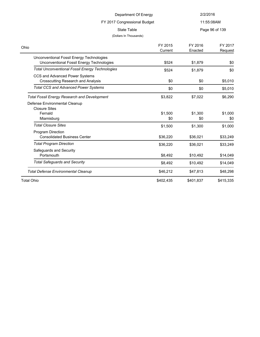# FY 2017 Congressional Budget

11:55:08AM

State Table **Page 96 of 139** 

| Ohio                                                                                   | FY 2015   | FY 2016   | FY 2017   |
|----------------------------------------------------------------------------------------|-----------|-----------|-----------|
|                                                                                        | Current   | Enacted   | Request   |
| Unconventional Fossil Energy Technologies<br>Unconventional Fossil Energy Technologies | \$524     | \$1.879   | \$0       |
| <b>Total Unconventional Fossil Energy Technologies</b>                                 | \$524     | \$1,879   | \$0       |
| CCS and Advanced Power Systems<br>Crosscutting Research and Analysis                   | \$0       | \$0       | \$5,010   |
| <b>Total CCS and Advanced Power Systems</b>                                            | \$0       | \$0       | \$5,010   |
| <b>Total Fossil Energy Research and Development</b>                                    | \$3,822   | \$7,022   | \$6,290   |
| Defense Environmental Cleanup<br><b>Closure Sites</b><br>Fernald                       | \$1,500   | \$1,300   | \$1,000   |
| Miamisburg                                                                             | \$0       | \$0       | \$0       |
| <b>Total Closure Sites</b>                                                             | \$1,500   | \$1,300   | \$1,000   |
| <b>Program Direction</b><br><b>Consolidated Business Center</b>                        | \$36,220  | \$36,021  | \$33,249  |
| <b>Total Program Direction</b>                                                         | \$36,220  | \$36,021  | \$33,249  |
| Safequards and Security<br>Portsmouth                                                  | \$8,492   | \$10,492  | \$14,049  |
| <b>Total Safeguards and Security</b>                                                   | \$8,492   | \$10,492  | \$14,049  |
| <b>Total Defense Environmental Cleanup</b>                                             | \$46,212  | \$47,813  | \$48,298  |
| <b>Total Ohio</b>                                                                      | \$402,435 | \$401,837 | \$415,335 |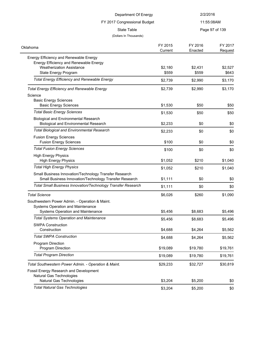| Department Of Energy                                                                                             |                    | 2/2/2016           |                    |  |  |
|------------------------------------------------------------------------------------------------------------------|--------------------|--------------------|--------------------|--|--|
| FY 2017 Congressional Budget                                                                                     |                    | 11:55:08AM         |                    |  |  |
| <b>State Table</b>                                                                                               |                    |                    | Page 97 of 139     |  |  |
| (Dollars In Thousands)                                                                                           |                    |                    |                    |  |  |
| Oklahoma                                                                                                         | FY 2015<br>Current | FY 2016<br>Enacted | FY 2017<br>Request |  |  |
| Energy Efficiency and Renewable Energy                                                                           |                    |                    |                    |  |  |
| Energy Efficiency and Renewable Energy                                                                           |                    |                    |                    |  |  |
| <b>Weatherization Assistance</b><br>State Energy Program                                                         | \$2,180<br>\$559   | \$2,431<br>\$559   | \$2,527<br>\$643   |  |  |
| <b>Total Energy Efficiency and Renewable Energy</b>                                                              |                    |                    |                    |  |  |
|                                                                                                                  | \$2,739            | \$2,990            | \$3,170            |  |  |
| <b>Total Energy Efficiency and Renewable Energy</b>                                                              | \$2,739            | \$2,990            | \$3,170            |  |  |
| Science                                                                                                          |                    |                    |                    |  |  |
| <b>Basic Energy Sciences</b><br><b>Basic Energy Sciences</b>                                                     | \$1,530            | \$50               | \$50               |  |  |
| <b>Total Basic Energy Sciences</b>                                                                               |                    |                    |                    |  |  |
| <b>Biological and Environmental Research</b>                                                                     | \$1,530            | \$50               | \$50               |  |  |
| <b>Biological and Environmental Research</b>                                                                     | \$2,233            | \$0                | \$0                |  |  |
| <b>Total Biological and Environmental Research</b>                                                               | \$2,233            | \$0                | \$0                |  |  |
| <b>Fusion Energy Sciences</b>                                                                                    |                    |                    |                    |  |  |
| <b>Fusion Energy Sciences</b>                                                                                    | \$100              | \$0                | \$0                |  |  |
| <b>Total Fusion Energy Sciences</b>                                                                              | \$100              | \$0                | \$0                |  |  |
| <b>High Energy Physics</b>                                                                                       |                    |                    |                    |  |  |
| <b>High Energy Physics</b>                                                                                       | \$1,052            | \$210              | \$1,040            |  |  |
| <b>Total High Energy Physics</b>                                                                                 | \$1,052            | \$210              | \$1,040            |  |  |
| Small Business Innovation/Technology Transfer Research<br>Small Business Innovation/Technology Transfer Research | \$1,111            | \$0                | \$0                |  |  |
| Total Small Business Innovation/Technology Transfer Research                                                     | \$1,111            | \$0                | \$0                |  |  |
| <b>Total Science</b>                                                                                             | \$6,026            | \$260              | \$1,090            |  |  |
| Southwestern Power Admin. - Operation & Maint.                                                                   |                    |                    |                    |  |  |
| Systems Operation and Maintenance                                                                                |                    |                    |                    |  |  |
| Systems Operation and Maintenance                                                                                | \$5,456            | \$8,683            | \$5,496            |  |  |
| <b>Total Systems Operation and Maintenance</b>                                                                   | \$5,456            | \$8,683            | \$5,496            |  |  |
| <b>SWPA Construction</b><br>Construction                                                                         | \$4,688            | \$4,264            | \$5,562            |  |  |
| <b>Total SWPA Construction</b>                                                                                   | \$4,688            | \$4,264            | \$5,562            |  |  |
| Program Direction                                                                                                |                    |                    |                    |  |  |
| Program Direction                                                                                                | \$19,089           | \$19,780           | \$19,761           |  |  |
| <b>Total Program Direction</b>                                                                                   | \$19,089           | \$19,780           | \$19,761           |  |  |
| Total Southwestern Power Admin. - Operation & Maint.                                                             | \$29,233           | \$32,727           | \$30,819           |  |  |
| Fossil Energy Research and Development                                                                           |                    |                    |                    |  |  |
| Natural Gas Technologies                                                                                         |                    |                    |                    |  |  |
| Natural Gas Technologies                                                                                         | \$3,204            | \$5,200            | \$0                |  |  |
| <b>Total Natural Gas Technologies</b>                                                                            | \$3,204            | \$5,200            | \$0                |  |  |
|                                                                                                                  |                    |                    |                    |  |  |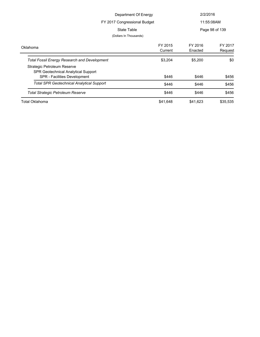| Department Of Energy<br>FY 2017 Congressional Budget                                                                                                             |                    | 2/2/2016<br>11:55:08AM |                    |
|------------------------------------------------------------------------------------------------------------------------------------------------------------------|--------------------|------------------------|--------------------|
| State Table<br>(Dollars In Thousands)                                                                                                                            |                    |                        | Page 98 of 139     |
| Oklahoma                                                                                                                                                         | FY 2015<br>Current | FY 2016<br>Enacted     | FY 2017<br>Request |
| <b>Total Fossil Energy Research and Development</b><br>Strategic Petroleum Reserve<br><b>SPR Geotechnical Analytical Support</b><br>SPR - Facilities Development | \$3,204<br>\$446   | \$5,200<br>\$446       | \$0<br>\$456       |
| <b>Total SPR Geotechnical Analytical Support</b>                                                                                                                 | \$446              | \$446                  | \$456              |
| <b>Total Strategic Petroleum Reserve</b>                                                                                                                         | \$446              | \$446                  | \$456              |
| Total Oklahoma                                                                                                                                                   | \$41,648           | \$41,623               | \$35,535           |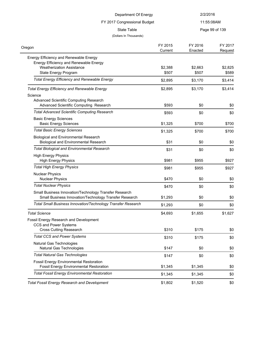| Department Of Energy                                                                                                                         |                    | 2/2/2016           |                    |
|----------------------------------------------------------------------------------------------------------------------------------------------|--------------------|--------------------|--------------------|
| FY 2017 Congressional Budget                                                                                                                 |                    | 11:55:08AM         |                    |
| <b>State Table</b>                                                                                                                           |                    |                    | Page 99 of 139     |
| (Dollars In Thousands)                                                                                                                       |                    |                    |                    |
| Oregon                                                                                                                                       | FY 2015<br>Current | FY 2016<br>Enacted | FY 2017<br>Request |
| Energy Efficiency and Renewable Energy<br>Energy Efficiency and Renewable Energy<br><b>Weatherization Assistance</b><br>State Energy Program | \$2,388<br>\$507   | \$2,663<br>\$507   | \$2,825<br>\$589   |
| <b>Total Energy Efficiency and Renewable Energy</b>                                                                                          | \$2,895            | \$3,170            | \$3,414            |
| <b>Total Energy Efficiency and Renewable Energy</b><br>Science<br>Advanced Scientific Computing Research                                     | \$2,895            | \$3,170            | \$3,414            |
| Advanced Scientific Computing Research                                                                                                       | \$593              | \$0                | \$0                |
| <b>Total Advanced Scientific Computing Research</b>                                                                                          | \$593              | \$0                | \$0                |
| <b>Basic Energy Sciences</b><br><b>Basic Energy Sciences</b>                                                                                 | \$1,325            | \$700              | \$700              |
| <b>Total Basic Energy Sciences</b>                                                                                                           | \$1,325            | \$700              | \$700              |
| <b>Biological and Environmental Research</b><br><b>Biological and Environmental Research</b>                                                 | \$31               | \$0                | \$0                |
| <b>Total Biological and Environmental Research</b>                                                                                           | \$31               | \$0                | \$0                |
| <b>High Energy Physics</b><br><b>High Energy Physics</b>                                                                                     | \$981              | \$955              | \$927              |
| <b>Total High Energy Physics</b>                                                                                                             | \$981              | \$955              | \$927              |
| <b>Nuclear Physics</b><br><b>Nuclear Physics</b>                                                                                             | \$470              | \$0                | \$0                |
| <b>Total Nuclear Physics</b>                                                                                                                 | \$470              | \$0                | \$0                |
| Small Business Innovation/Technology Transfer Research<br>Small Business Innovation/Technology Transfer Research                             | \$1,293            | \$0                | \$0                |
| <b>Total Small Business Innovation/Technology Transfer Research</b>                                                                          | \$1,293            | \$0                | \$0                |
| <b>Total Science</b>                                                                                                                         | \$4,693            | \$1,655            | \$1,627            |
| Fossil Energy Research and Development<br>CCS and Power Systems<br><b>Cross Cutting Reasearch</b>                                            | \$310              | \$175              | \$0                |
| <b>Total CCS and Power Systems</b>                                                                                                           | \$310              | \$175              | \$0                |
| Natural Gas Technologies<br>Natural Gas Technologies                                                                                         | \$147              | \$0                | \$0                |
| <b>Total Natural Gas Technologies</b>                                                                                                        | \$147              | \$0                | \$0                |
| <b>Fossil Energy Environmental Restoration</b><br><b>Fossil Energy Environmental Restoration</b>                                             | \$1,345            | \$1,345            | \$0                |
| <b>Total Fossil Energy Environmental Restoration</b>                                                                                         | \$1,345            | \$1,345            | \$0                |
| <b>Total Fossil Energy Research and Development</b>                                                                                          | \$1,802            | \$1,520            | \$0                |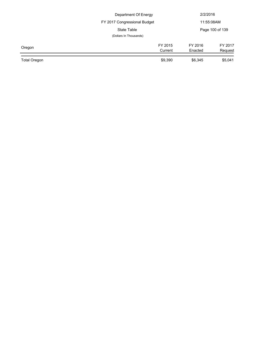|              | Department Of Energy         |         | 2/2/2016<br>11:55:08AM<br>Page 100 of 139 |  |
|--------------|------------------------------|---------|-------------------------------------------|--|
|              | FY 2017 Congressional Budget |         |                                           |  |
|              | State Table                  |         |                                           |  |
|              | (Dollars In Thousands)       |         |                                           |  |
| Oregon       | FY 2015                      | FY 2016 | FY 2017                                   |  |
|              | Current                      | Enacted | Request                                   |  |
| Total Oregon | \$9,390                      | \$6,345 | \$5,041                                   |  |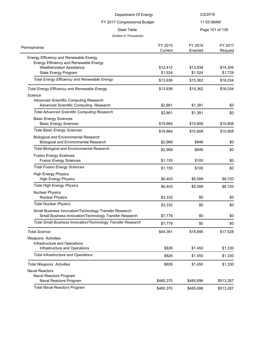| Department Of Energy<br>FY 2017 Congressional Budget                                                             |           | 2/2/2016<br>11:55:08AM |           |                    |
|------------------------------------------------------------------------------------------------------------------|-----------|------------------------|-----------|--------------------|
|                                                                                                                  |           |                        |           | <b>State Table</b> |
| (Dollars In Thousands)                                                                                           |           |                        |           |                    |
|                                                                                                                  | FY 2015   | FY 2016                | FY 2017   |                    |
| Pennsylvania                                                                                                     | Current   | Enacted                | Request   |                    |
| Energy Efficiency and Renewable Energy                                                                           |           |                        |           |                    |
| Energy Efficiency and Renewable Energy<br><b>Weatherization Assistance</b>                                       | \$12,412  |                        | \$14,305  |                    |
| State Energy Program                                                                                             | \$1,524   | \$13,838<br>\$1,524    | \$1,729   |                    |
| <b>Total Energy Efficiency and Renewable Energy</b>                                                              | \$13,936  | \$15,362               | \$16,034  |                    |
|                                                                                                                  |           |                        |           |                    |
| <b>Total Energy Efficiency and Renewable Energy</b>                                                              | \$13,936  | \$15,362               | \$16,034  |                    |
| Science                                                                                                          |           |                        |           |                    |
| Advanced Scientific Computing Research<br>Advanced Scientific Computing Research                                 | \$2,861   | \$1,391                | \$0       |                    |
| <b>Total Advanced Scientific Computing Research</b>                                                              |           |                        |           |                    |
| <b>Basic Energy Sciences</b>                                                                                     | \$2,861   | \$1,391                | \$0       |                    |
| <b>Basic Energy Sciences</b>                                                                                     | \$19,864  | \$10,808               | \$10,808  |                    |
| <b>Total Basic Energy Sciences</b>                                                                               | \$19,864  | \$10,808               | \$10,808  |                    |
| <b>Biological and Environmental Research</b>                                                                     |           |                        |           |                    |
| <b>Biological and Environmental Research</b>                                                                     | \$2,968   | \$948                  | \$0       |                    |
| <b>Total Biological and Environmental Research</b>                                                               | \$2,968   | \$948                  | \$0       |                    |
| <b>Fusion Energy Sciences</b>                                                                                    |           |                        |           |                    |
| <b>Fusion Energy Sciences</b>                                                                                    | \$1,155   | \$100                  | \$0       |                    |
| <b>Total Fusion Energy Sciences</b>                                                                              | \$1,155   | \$100                  | \$0       |                    |
| <b>High Energy Physics</b>                                                                                       |           |                        |           |                    |
| <b>High Energy Physics</b>                                                                                       | \$6,403   | \$5,599                | \$6,720   |                    |
| <b>Total High Energy Physics</b>                                                                                 | \$6,403   | \$5,599                | \$6,720   |                    |
| <b>Nuclear Physics</b><br><b>Nuclear Physics</b>                                                                 | \$3,332   | \$0                    | \$0       |                    |
| <b>Total Nuclear Physics</b>                                                                                     |           |                        |           |                    |
|                                                                                                                  | \$3,332   | \$0                    | \$0       |                    |
| Small Business Innovation/Technology Transfer Research<br>Small Business Innovation/Technology Transfer Research | \$7,778   | \$0                    | \$0       |                    |
| Total Small Business Innovation/Technology Transfer Research                                                     | \$7,778   | \$0                    | \$0       |                    |
| <b>Total Science</b>                                                                                             | \$44,361  | \$18,846               | \$17,528  |                    |
| Weapons Activities                                                                                               |           |                        |           |                    |
| Infrastructure and Operations                                                                                    |           |                        |           |                    |
| Infrastructure and Operations                                                                                    | \$826     | \$1,450                | \$1,330   |                    |
| <b>Total Infrastructure and Operations</b>                                                                       | \$826     | \$1,450                | \$1,330   |                    |
| <b>Total Weapons Activities</b>                                                                                  | \$826     | \$1,450                | \$1,330   |                    |
| <b>Naval Reactors</b>                                                                                            |           |                        |           |                    |
| Naval Reactors Program                                                                                           |           |                        |           |                    |
| Naval Reactors Program                                                                                           | \$465,370 | \$485,696              | \$513,287 |                    |
| <b>Total Naval Reactors Program</b>                                                                              | \$465,370 | \$485,696              | \$513,287 |                    |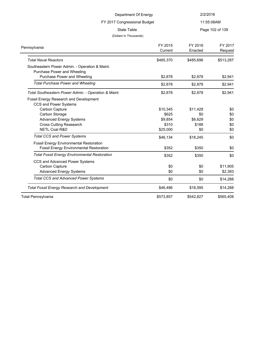| Department Of Energy<br>FY 2017 Congressional Budget                                             |                    | 2/2/2016<br>11:55:08AM |                     |                                       |
|--------------------------------------------------------------------------------------------------|--------------------|------------------------|---------------------|---------------------------------------|
|                                                                                                  |                    |                        |                     | State Table<br>(Dollars In Thousands) |
| Pennsylvania                                                                                     | FY 2015<br>Current | FY 2016<br>Enacted     | FY 2017<br>Request  |                                       |
| <b>Total Naval Reactors</b>                                                                      | \$465,370          | \$485,696              | \$513,287           |                                       |
| Southeastern Power Admin. - Operation & Maint.<br>Purchase Power and Wheeling                    |                    |                        |                     |                                       |
| Purchase Power and Wheeling                                                                      | \$2,878            | \$2,878                | \$2,941             |                                       |
| <b>Total Purchase Power and Wheeling</b>                                                         | \$2,878            | \$2,878                | \$2,941             |                                       |
| Total Southeastern Power Admin. - Operation & Maint.                                             | \$2,878            | \$2,878                | \$2,941             |                                       |
| Fossil Energy Research and Development<br>CCS and Power Systems                                  |                    |                        |                     |                                       |
| Carbon Capture                                                                                   | \$10,345           | \$11,428               | \$0                 |                                       |
| Carbon Storage                                                                                   | \$625              | \$0                    | \$0                 |                                       |
| <b>Advanced Energy Systems</b>                                                                   | \$9,854            | \$6,629                | \$0                 |                                       |
| <b>Cross Cutting Reasearch</b>                                                                   | \$310              | \$188                  | \$0                 |                                       |
| <b>NETL Coal R&amp;D</b>                                                                         | \$25,000           | \$0                    | \$0                 |                                       |
| <b>Total CCS and Power Systems</b>                                                               | \$46,134           | \$18,245               | \$0                 |                                       |
| <b>Fossil Energy Environmental Restoration</b><br><b>Fossil Energy Environmental Restoration</b> | \$352              | \$350                  | \$0                 |                                       |
| <b>Total Fossil Energy Environmental Restoration</b>                                             | \$352              | \$350                  | \$0                 |                                       |
| CCS and Advanced Power Systems<br>Carbon Capture<br><b>Advanced Energy Systems</b>               | \$0<br>\$0         | \$0<br>\$0             | \$11,905<br>\$2,383 |                                       |
| <b>Total CCS and Advanced Power Systems</b>                                                      | \$0                | \$0                    | \$14,288            |                                       |
| <b>Total Fossil Energy Research and Development</b>                                              | \$46,486           | \$18,595               | \$14,288            |                                       |
| Total Pennsylvania                                                                               | \$573,857          | \$542,827              | \$565,408           |                                       |
|                                                                                                  |                    |                        |                     |                                       |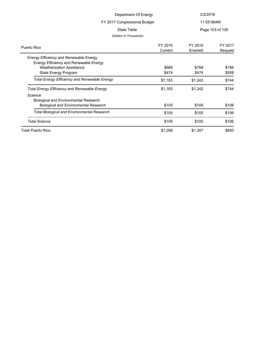| Department Of Energy                                |             | 2/2/2016<br>11:55:08AM |                 |  |
|-----------------------------------------------------|-------------|------------------------|-----------------|--|
| FY 2017 Congressional Budget                        |             |                        |                 |  |
|                                                     |             |                        |                 |  |
|                                                     | State Table |                        | Page 103 of 139 |  |
| (Dollars In Thousands)                              |             |                        |                 |  |
| Puerto Rico                                         | FY 2015     | FY 2016                | FY 2017         |  |
|                                                     | Current     | Enacted                | Request         |  |
| Energy Efficiency and Renewable Energy              |             |                        |                 |  |
| Energy Efficiency and Renewable Energy              |             |                        |                 |  |
| <b>Weatherization Assistance</b>                    | \$689       | \$768                  | \$186           |  |
| State Energy Program                                | \$474       | \$474                  | \$558           |  |
| <b>Total Energy Efficiency and Renewable Energy</b> | \$1,163     | \$1,242                | \$744           |  |
| <b>Total Energy Efficiency and Renewable Energy</b> | \$1,163     | \$1,242                | \$744           |  |
| Science                                             |             |                        |                 |  |
| <b>Biological and Environmental Research</b>        |             |                        |                 |  |
| <b>Biological and Environmental Research</b>        | \$105       | \$105                  | \$106           |  |
| <b>Total Biological and Environmental Research</b>  | \$105       | \$105                  | \$106           |  |
| <b>Total Science</b>                                | \$105       | \$105                  | \$106           |  |
| <b>Total Puerto Rico</b>                            | \$1,268     | \$1,347                | \$850           |  |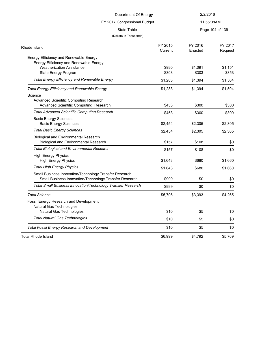| Department Of Energy                                                                                             |                    | 2/2/2016           |                    |
|------------------------------------------------------------------------------------------------------------------|--------------------|--------------------|--------------------|
| FY 2017 Congressional Budget<br><b>State Table</b><br>(Dollars In Thousands)                                     |                    | 11:55:08AM         |                    |
|                                                                                                                  |                    |                    | Page 104 of 139    |
| Rhode Island                                                                                                     | FY 2015<br>Current | FY 2016<br>Enacted | FY 2017<br>Request |
| Energy Efficiency and Renewable Energy<br>Energy Efficiency and Renewable Energy                                 |                    |                    |                    |
| <b>Weatherization Assistance</b><br>State Energy Program                                                         | \$980<br>\$303     | \$1,091<br>\$303   | \$1,151<br>\$353   |
| <b>Total Energy Efficiency and Renewable Energy</b>                                                              | \$1,283            | \$1,394            | \$1,504            |
| <b>Total Energy Efficiency and Renewable Energy</b><br>Science                                                   | \$1,283            | \$1,394            | \$1,504            |
| Advanced Scientific Computing Research<br>Advanced Scientific Computing Research                                 | \$453              | \$300              | \$300              |
| <b>Total Advanced Scientific Computing Research</b>                                                              | \$453              | \$300              | \$300              |
| <b>Basic Energy Sciences</b><br><b>Basic Energy Sciences</b>                                                     | \$2,454            | \$2,305            | \$2,305            |
| <b>Total Basic Energy Sciences</b>                                                                               | \$2,454            | \$2,305            | \$2,305            |
| <b>Biological and Environmental Research</b><br><b>Biological and Environmental Research</b>                     | \$157              | \$108              | \$0                |
| <b>Total Biological and Environmental Research</b>                                                               | \$157              | \$108              | \$0                |
| <b>High Energy Physics</b><br><b>High Energy Physics</b>                                                         | \$1,643            | \$680              | \$1,660            |
| <b>Total High Energy Physics</b>                                                                                 | \$1,643            | \$680              | \$1,660            |
| Small Business Innovation/Technology Transfer Research<br>Small Business Innovation/Technology Transfer Research | \$999              | \$0                | \$0                |
| Total Small Business Innovation/Technology Transfer Research                                                     | \$999              | \$0                | \$0                |
| <b>Total Science</b>                                                                                             | \$5,706            | \$3,393            | \$4,265            |
| Fossil Energy Research and Development<br>Natural Gas Technologies                                               |                    |                    |                    |
| Natural Gas Technologies<br><b>Total Natural Gas Technologies</b>                                                | \$10               | \$5                | \$0                |
|                                                                                                                  | \$10               | \$5                | \$0                |
| <b>Total Fossil Energy Research and Development</b>                                                              | \$10               | \$5                | \$0                |
| <b>Total Rhode Island</b>                                                                                        | \$6,999            | \$4,792            | \$5,769            |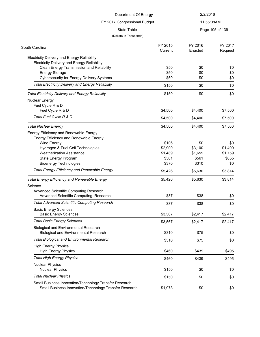| Department Of Energy                                                      |              | 2/2/2016   |                 |
|---------------------------------------------------------------------------|--------------|------------|-----------------|
| FY 2017 Congressional Budget                                              |              | 11:55:08AM |                 |
| <b>State Table</b>                                                        |              |            | Page 105 of 139 |
| (Dollars In Thousands)                                                    |              |            |                 |
|                                                                           |              |            |                 |
| South Carolina                                                            | FY 2015      | FY 2016    | FY 2017         |
|                                                                           | Current      | Enacted    | Request         |
| <b>Electricity Delivery and Energy Reliability</b>                        |              |            |                 |
| <b>Electricity Delivery and Energy Reliability</b>                        |              |            |                 |
| Clean Energy Transmission and Reliability                                 | \$50         | \$0        | \$0             |
| <b>Energy Storage</b><br><b>Cybersecurity for Energy Delivery Systems</b> | \$50<br>\$50 | \$0<br>\$0 | \$0<br>\$0      |
|                                                                           |              |            |                 |
| <b>Total Electricity Delivery and Energy Reliability</b>                  | \$150        | \$0        | \$0             |
| <b>Total Electricity Delivery and Energy Reliability</b>                  | \$150        | \$0        | \$0             |
| <b>Nuclear Energy</b>                                                     |              |            |                 |
| Fuel Cycle R & D                                                          |              |            |                 |
| Fuel Cycle R & D                                                          | \$4,500      | \$4,400    | \$7,500         |
| Total Fuel Cycle R & D                                                    | \$4,500      | \$4,400    | \$7,500         |
| <b>Total Nuclear Energy</b>                                               | \$4,500      | \$4,400    | \$7,500         |
| Energy Efficiency and Renewable Energy                                    |              |            |                 |
| Energy Efficiency and Renewable Energy                                    |              |            |                 |
| Wind Energy                                                               | \$106        | \$0        | \$0             |
| Hydrogen & Fuel Cell Technologies                                         | \$2,900      | \$3,100    | \$1,400         |
| <b>Weatherization Assistance</b>                                          | \$1,489      | \$1,659    | \$1,759         |
| State Energy Program                                                      | \$561        | \$561      | \$655           |
| <b>Bioenergy Technologies</b>                                             | \$370        | \$310      | \$0             |
| <b>Total Energy Efficiency and Renewable Energy</b>                       | \$5,426      | \$5,630    | \$3,814         |
| <b>Total Energy Efficiency and Renewable Energy</b>                       | \$5,426      | \$5,630    | \$3,814         |
| Science                                                                   |              |            |                 |
| Advanced Scientific Computing Research                                    |              |            |                 |
| Advanced Scientific Computing Research                                    | \$37         | \$38       | \$0             |
| <b>Total Advanced Scientific Computing Research</b>                       | \$37         | \$38       | \$0             |
| <b>Basic Energy Sciences</b>                                              |              |            |                 |
| <b>Basic Energy Sciences</b>                                              | \$3,567      | \$2,417    | \$2,417         |
| <b>Total Basic Energy Sciences</b>                                        | \$3,567      | \$2,417    | \$2,417         |
| <b>Biological and Environmental Research</b>                              |              |            |                 |
| <b>Biological and Environmental Research</b>                              | \$310        | \$75       | \$0             |
| <b>Total Biological and Environmental Research</b>                        | \$310        | \$75       | \$0             |
| <b>High Energy Physics</b>                                                |              |            |                 |
| <b>High Energy Physics</b>                                                | \$460        | \$439      | \$495           |
| <b>Total High Energy Physics</b>                                          | \$460        | \$439      | \$495           |
| <b>Nuclear Physics</b>                                                    | \$150        | \$0        |                 |
| <b>Nuclear Physics</b>                                                    |              |            | \$0             |
| <b>Total Nuclear Physics</b>                                              | \$150        | \$0        | \$0             |

 $\frac{1}{2}$ 

Small Business Innovation/Technology Transfer Research Small Business Innovation/Technology Transfer Research  $$1,973$   $$0$   $$9$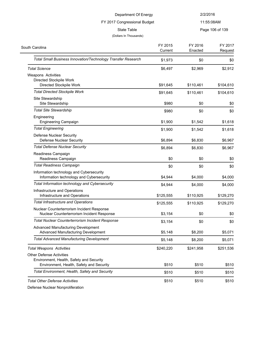| Department Of Energy<br>FY 2017 Congressional Budget                                     |                    | 2/2/2016           |                    |
|------------------------------------------------------------------------------------------|--------------------|--------------------|--------------------|
|                                                                                          |                    |                    | 11:55:08AM         |
| <b>State Table</b><br>(Dollars In Thousands)                                             |                    |                    | Page 106 of 139    |
| South Carolina                                                                           | FY 2015<br>Current | FY 2016<br>Enacted | FY 2017<br>Request |
| Total Small Business Innovation/Technology Transfer Research                             | \$1,973            | \$0                | \$0                |
| <b>Total Science</b>                                                                     | \$6,497            | \$2,969            | \$2,912            |
| Weapons Activities<br>Directed Stockpile Work<br>Directed Stockpile Work                 | \$91,645           | \$110,461          | \$104,610          |
| <b>Total Directed Stockpile Work</b>                                                     | \$91,645           | \$110,461          | \$104,610          |
| Site Stewardship<br>Site Stewardship                                                     | \$980              | \$0                | \$0                |
| <b>Total Site Stewardship</b>                                                            | \$980              | \$0                | \$0                |
| Engineering<br><b>Engineering Campaign</b>                                               | \$1,900            | \$1,542            | \$1,618            |
| <b>Total Engineering</b>                                                                 | \$1,900            | \$1,542            | \$1,618            |
| <b>Defense Nuclear Security</b><br><b>Defense Nuclear Security</b>                       | \$6,894            | \$6,830            | \$6,967            |
| <b>Total Defense Nuclear Security</b>                                                    | \$6,894            | \$6,830            | \$6,967            |
| Readiness Campaign<br>Readiness Campaign                                                 | \$0                | \$0                | \$0                |
| <b>Total Readiness Campaign</b>                                                          | \$0                | \$0                | \$0                |
| Information technology and Cybersecurity<br>Information technology and Cybersecurity     | \$4,944            | \$4,000            | \$4,000            |
| Total Information technology and Cybersecurity                                           | \$4,944            | \$4,000            | \$4,000            |
| Infrastructure and Operations<br>Infrastructure and Operations                           | \$125,555          | \$110,925          | \$129,270          |
| <b>Total Infrastructure and Operations</b>                                               | \$125,555          | \$110,925          | \$129,270          |
| Nuclear Counterterrorism Incident Response<br>Nuclear Counterterrorism Incident Response | \$3,154            | \$0                | \$0                |
| Total Nuclear Counterterrorism Incident Response                                         | \$3,154            | \$0                | \$0                |
| <b>Advanced Manufacturing Development</b><br>Advanced Manufacturing Development          | \$5,148            | \$8,200            | \$5,071            |
| <b>Total Advanced Manufacturing Development</b>                                          | \$5,148            | \$8,200            | \$5,071            |
| <b>Total Weapons Activities</b>                                                          | \$240,220          | \$241,958          | \$251,536          |
| <b>Other Defense Activities</b>                                                          |                    |                    |                    |
| Environment, Health, Safety and Security<br>Environment, Health, Safety and Security     | \$510              | \$510              | \$510              |
| Total Environment, Health, Safety and Security                                           | \$510              | \$510              | \$510              |
| <b>Total Other Defense Activities</b>                                                    | \$510              | \$510              | \$510              |

Defense Nuclear Nonproliferation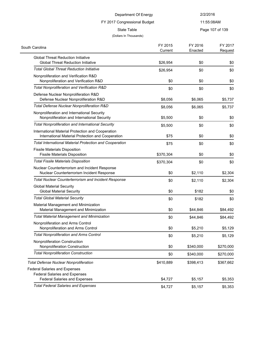### FY 2017 Congressional Budget

11:55:08AM

State Table **Page 107 of 139** 

| South Carolina                                                                                         | FY 2015<br>Current | FY 2016<br>Enacted | FY 2017<br>Request |
|--------------------------------------------------------------------------------------------------------|--------------------|--------------------|--------------------|
| <b>Global Threat Reduction Initiative</b><br><b>Global Threat Reduction Initiative</b>                 | \$26,954           | \$0                | \$0                |
| <b>Total Global Threat Reduction Initiative</b>                                                        |                    |                    |                    |
|                                                                                                        | \$26,954           | \$0                | \$0                |
| Nonproliferation and Verification R&D<br>Nonproliferation and Verification R&D                         | \$0                | \$0                | \$0                |
| Total Nonproliferation and Verification R&D                                                            | \$0                | \$0                | \$0                |
| Defense Nuclear Nonproliferation R&D<br>Defense Nuclear Nonproliferation R&D                           | \$8,056            | \$6,065            | \$5,737            |
| Total Defense Nuclear Nonproliferation R&D                                                             | \$8,056            | \$6,065            | \$5,737            |
| Nonproliferation and International Security<br>Nonproliferation and International Security             | \$5,500            | \$0                | \$0                |
| <b>Total Nonproliferation and International Security</b>                                               | \$5,500            | \$0                | \$0                |
| International Material Protection and Cooperation<br>International Material Protection and Cooperation | \$75               | \$0                | \$0                |
| <b>Total International Material Protection and Cooperation</b>                                         | \$75               | \$0                | \$0                |
| <b>Fissile Materials Disposition</b><br><b>Fissile Materials Disposition</b>                           | \$370,304          | \$0                | \$0                |
| <b>Total Fissile Materials Disposition</b>                                                             | \$370,304          | \$0                | \$0                |
| Nuclear Counterterrorism and Incident Response<br>Nuclear Counterterrorism Incident Response           | \$0                | \$2,110            | \$2,304            |
| <b>Total Nuclear Counterterrorism and Incident Response</b>                                            | \$0                | \$2,110            | \$2,304            |
| <b>Global Material Security</b><br><b>Global Material Security</b>                                     | \$0                | \$182              | \$0                |
| <b>Total Global Material Security</b>                                                                  | \$0                | \$182              | \$0                |
| Material Management and Minimization<br>Material Management and Minimization                           | \$0                | \$44,846           | \$84,492           |
| <b>Total Material Management and Minimization</b>                                                      | \$0                | \$44,846           | \$84,492           |
| Nonproliferation and Arms Control<br>Nonproliferation and Arms Control                                 | \$0                | \$5,210            | \$5,129            |
| <b>Total Nonproliferation and Arms Control</b>                                                         | \$0                | \$5,210            | \$5,129            |
| Nonproliferation Construction<br>Nonproliferation Construction                                         | \$0                | \$340,000          | \$270,000          |
| <b>Total Nonproliferation Construction</b>                                                             | \$0                | \$340,000          | \$270,000          |
| <b>Total Defense Nuclear Nonproliferation</b>                                                          | \$410,889          | \$398,413          | \$367,662          |
| <b>Federal Salaries and Expenses</b>                                                                   |                    |                    |                    |
| <b>Federal Salaries and Expenses</b><br><b>Federal Salaries and Expenses</b>                           | \$4,727            | \$5,157            | \$5,353            |
| <b>Total Federal Salaries and Expenses</b>                                                             | \$4,727            | \$5,157            | \$5,353            |
|                                                                                                        |                    |                    |                    |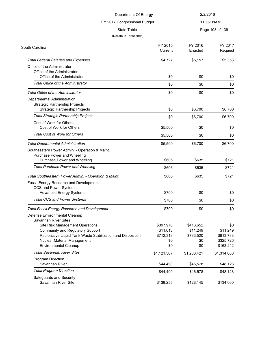| Department Of Energy<br>FY 2017 Congressional Budget<br><b>State Table</b> |                    |                    | 2/2/2016           |  |
|----------------------------------------------------------------------------|--------------------|--------------------|--------------------|--|
|                                                                            |                    |                    | 11:55:08AM         |  |
|                                                                            |                    |                    | Page 108 of 139    |  |
| (Dollars In Thousands)                                                     |                    |                    |                    |  |
| South Carolina                                                             | FY 2015<br>Current | FY 2016<br>Enacted | FY 2017<br>Request |  |
| <b>Total Federal Salaries and Expenses</b>                                 | \$4,727            | \$5,157            | \$5,353            |  |
| Office of the Administrator                                                |                    |                    |                    |  |
| Office of the Administrator                                                |                    |                    |                    |  |
| Office of the Administrator                                                | \$0                | \$0                | \$0                |  |
| <b>Total Office of the Administrator</b>                                   | \$0                | \$0                | \$0                |  |
| <b>Total Office of the Administrator</b>                                   | \$0                | \$0                | \$0                |  |
| Departmental Administration                                                |                    |                    |                    |  |
| Strategic Partnership Projects                                             |                    |                    |                    |  |
| <b>Strategic Partnership Projects</b>                                      | \$0                | \$6,700            | \$6,700            |  |
| <b>Total Strategic Partnership Projects</b>                                | \$0                | \$6,700            | \$6,700            |  |
| Cost of Work for Others                                                    |                    |                    |                    |  |
| Cost of Work for Others                                                    | \$5,500            | \$0                | \$0                |  |
| <b>Total Cost of Work for Others</b>                                       | \$5,500            | \$0                | \$0                |  |
| <b>Total Departmental Administration</b>                                   | \$5,500            | \$6,700            | \$6,700            |  |
| Southeastern Power Admin. - Operation & Maint.                             |                    |                    |                    |  |
| Purchase Power and Wheeling                                                |                    |                    |                    |  |
| Purchase Power and Wheeling                                                | \$606              | \$635              | \$721              |  |
| <b>Total Purchase Power and Wheeling</b>                                   | \$606              | \$635              | \$721              |  |
| Total Southeastern Power Admin. - Operation & Maint.                       | \$606              | \$635              | \$721              |  |
| Fossil Energy Research and Development                                     |                    |                    |                    |  |
| CCS and Power Systems                                                      |                    |                    |                    |  |
| <b>Advanced Energy Systems</b>                                             | \$700              | \$0                | \$0                |  |
| <b>Total CCS and Power Systems</b>                                         | \$700              | \$0                | \$0                |  |
| <b>Total Fossil Energy Research and Development</b>                        | \$700              | \$0                | \$0                |  |
| Defense Environmental Cleanup                                              |                    |                    |                    |  |
| <b>Savannah River Sites</b>                                                |                    |                    |                    |  |
| <b>Site Risk Management Operations</b>                                     | \$397,976          | \$413,652          | \$0                |  |
| Community and Regulatory Support                                           | \$11,013           | \$11,249           | \$11,249           |  |
| Radioactive Liquid Tank Waste Stabilization and Disposition                | \$712,318          | \$783,520          | \$813,783          |  |
| Nuclear Material Management                                                | \$0                | \$0                | \$325,726          |  |
| <b>Environmental Cleanup</b>                                               | \$0                | \$0                | \$163,242          |  |
| <b>Total Savannah River Sites</b>                                          | \$1,121,307        | \$1,208,421        | \$1,314,000        |  |
| Program Direction                                                          |                    |                    |                    |  |
| Savannah River                                                             | \$44,490           | \$46,578           | \$48,123           |  |
| <b>Total Program Direction</b>                                             | \$44,490           | \$46,578           | \$48,123           |  |
| Safeguards and Security                                                    |                    |                    |                    |  |
| Savannah River Site                                                        | \$138,235          | \$128,145          | \$134,000          |  |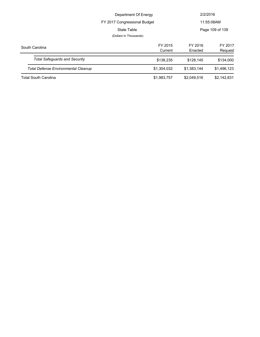|                                            | Department Of Energy                  |                    | 2/2/2016           |
|--------------------------------------------|---------------------------------------|--------------------|--------------------|
|                                            | FY 2017 Congressional Budget          |                    | 11:55:08AM         |
|                                            | State Table<br>(Dollars In Thousands) |                    | Page 109 of 139    |
|                                            |                                       |                    |                    |
| South Carolina                             | FY 2015<br>Current                    | FY 2016<br>Enacted | FY 2017<br>Request |
| <b>Total Safequards and Security</b>       | \$138,235                             | \$128.145          | \$134,000          |
| <b>Total Defense Environmental Cleanup</b> | \$1,304,032                           | \$1,383,144        | \$1,496,123        |
| <b>Total South Carolina</b>                | \$1,983,757                           | \$2,049,516        | \$2,142,831        |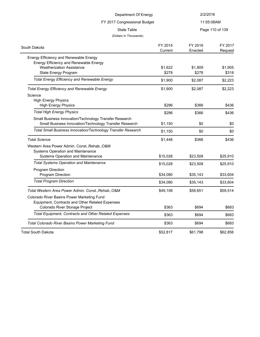| Department Of Energy<br>FY 2017 Congressional Budget<br><b>State Table</b> |          | 2/2/2016   |                 |
|----------------------------------------------------------------------------|----------|------------|-----------------|
|                                                                            |          | 11:55:08AM |                 |
|                                                                            |          |            | Page 110 of 139 |
| (Dollars In Thousands)                                                     |          |            |                 |
| South Dakota                                                               | FY 2015  | FY 2016    | FY 2017         |
|                                                                            | Current  | Enacted    | Request         |
| Energy Efficiency and Renewable Energy                                     |          |            |                 |
| Energy Efficiency and Renewable Energy                                     |          |            |                 |
| <b>Weatherization Assistance</b>                                           | \$1,622  | \$1,809    | \$1,905         |
| State Energy Program                                                       | \$278    | \$278      | \$318           |
| <b>Total Energy Efficiency and Renewable Energy</b>                        | \$1,900  | \$2,087    | \$2,223         |
| <b>Total Energy Efficiency and Renewable Energy</b>                        | \$1,900  | \$2,087    | \$2,223         |
| Science                                                                    |          |            |                 |
| <b>High Energy Physics</b>                                                 |          |            |                 |
| <b>High Energy Physics</b>                                                 | \$296    | \$366      | \$436           |
| <b>Total High Energy Physics</b>                                           | \$296    | \$366      | \$436           |
| Small Business Innovation/Technology Transfer Research                     |          |            |                 |
| Small Business Innovation/Technology Transfer Research                     | \$1,150  | \$0        | \$0             |
| Total Small Business Innovation/Technology Transfer Research               | \$1,150  | \$0        | \$0             |
| <b>Total Science</b>                                                       | \$1,446  | \$366      | \$436           |
| Western Area Power Admin. Const., Rehab., O&M                              |          |            |                 |
| Systems Operation and Maintenance                                          |          |            |                 |
| Systems Operation and Maintenance                                          | \$15,028 | \$23,508   | \$25,910        |
| <b>Total Systems Operation and Maintenance</b>                             | \$15,028 | \$23,508   | \$25,910        |
| Program Direction                                                          |          |            |                 |
| Program Direction                                                          | \$34,080 | \$35,143   | \$33,604        |
| <b>Total Program Direction</b>                                             | \$34,080 | \$35,143   | \$33,604        |
| Total Western Area Power Admin. Const., Rehab., O&M                        | \$49,108 | \$58,651   | \$59,514        |
| Colorado River Basins Power Marketing Fund                                 |          |            |                 |
| Equipment, Contracts and Other Related Expenses                            |          |            |                 |
| Colorado River Storage Project                                             | \$363    | \$694      | \$683           |
| Total Equipment, Contracts and Other Related Expenses                      | \$363    | \$694      | \$683           |
| <b>Total Colorado River Basins Power Marketing Fund</b>                    | \$363    | \$694      | \$683           |
| <b>Total South Dakota</b>                                                  | \$52,817 | \$61,798   | \$62,856        |
|                                                                            |          |            |                 |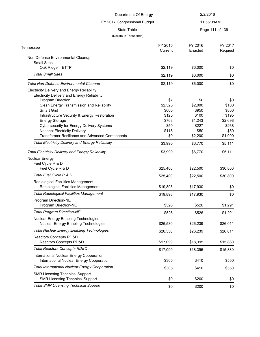| Department Of Energy<br>FY 2017 Congressional Budget                                                     |                    | 2/2/2016           |                    |
|----------------------------------------------------------------------------------------------------------|--------------------|--------------------|--------------------|
|                                                                                                          |                    | 11:55:08AM         |                    |
| <b>State Table</b><br>(Dollars In Thousands)                                                             |                    |                    | Page 111 of 139    |
| Tennessee                                                                                                | FY 2015<br>Current | FY 2016<br>Enacted | FY 2017<br>Request |
| Non-Defense Environmental Cleanup<br><b>Small Sites</b>                                                  |                    |                    |                    |
| Oak Ridge - ETTP                                                                                         | \$2,119            | \$6,000            | \$0                |
| <b>Total Small Sites</b>                                                                                 | \$2,119            | \$6,000            | \$0                |
| <b>Total Non-Defense Environmental Cleanup</b>                                                           | \$2,119            | \$6,000            | \$0                |
| <b>Electricity Delivery and Energy Reliability</b><br><b>Electricity Delivery and Energy Reliability</b> |                    |                    |                    |
| Program Direction                                                                                        | \$7                | \$0                | \$0                |
| Clean Energy Transmission and Reliability                                                                | \$2,325            | \$2,000            | \$100              |
| Smart Grid                                                                                               | \$600              | \$950              | \$800              |
| Infrastructure Security & Energy Restoration                                                             | \$125              | \$100              | \$195              |
| <b>Energy Storage</b>                                                                                    | \$768              | \$1,243            | \$2,698            |
| <b>Cybersecurity for Energy Delivery Systems</b>                                                         | \$50               | \$227              | \$268              |
| <b>National Electricity Delivery</b>                                                                     | \$115              | \$50               | \$50               |
| Transformer Resilience and Advanced Components                                                           | \$0                | \$2,200            | \$1,000            |
| <b>Total Electricity Delivery and Energy Reliability</b>                                                 | \$3,990            | \$6,770            | \$5,111            |
| <b>Total Electricity Delivery and Energy Reliability</b>                                                 | \$3,990            | \$6,770            | \$5,111            |
| Nuclear Energy                                                                                           |                    |                    |                    |
| Fuel Cycle R & D                                                                                         |                    |                    |                    |
| Fuel Cycle R & D                                                                                         | \$25,400           | \$22,500           | \$30,800           |
| Total Fuel Cycle R & D                                                                                   | \$25,400           | \$22,500           | \$30,800           |
| Radiological Facilities Management<br>Radiological Facilities Management                                 | \$19,898           | \$17,930           | \$0                |
| <b>Total Radiological Facilities Management</b>                                                          | \$19,898           | \$17,930           | \$0                |
| Program Direction-NE                                                                                     |                    |                    |                    |
| Program Direction-NE                                                                                     | \$526              | \$526              | \$1,291            |
| <b>Total Program Direction-NE</b>                                                                        | \$526              | \$526              | \$1,291            |
| <b>Nuclear Energy Enabling Technologies</b><br>Nuclear Energy Enabling Technologies                      | \$26,530           | \$26,239           | \$26,011           |
| <b>Total Nuclear Energy Enabling Technologies</b>                                                        | \$26,530           | \$26,239           | \$26,011           |
| Reactors Concepts RD&D<br>Reactors Concepts RD&D                                                         | \$17,099           | \$18,395           | \$15,880           |
| <b>Total Reactors Concepts RD&amp;D</b>                                                                  | \$17,099           | \$18,395           | \$15,880           |
| International Nuclear Energy Cooperation<br>International Nuclear Energy Cooperation                     | \$305              | \$410              | \$550              |
| <b>Total International Nuclear Energy Cooperation</b>                                                    | \$305              | \$410              | \$550              |
| <b>SMR Licensing Technical Support</b><br><b>SMR Licensing Technical Support</b>                         | \$0                | \$200              | \$0                |
| <b>Total SMR Licensing Technical Support</b>                                                             |                    |                    |                    |
|                                                                                                          | \$0                | \$200              | \$0                |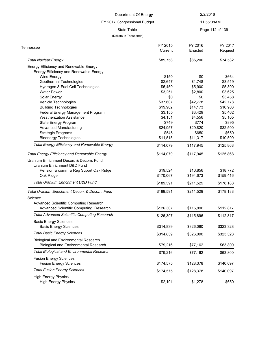### FY 2017 Congressional Budget

### 11:55:08AM

State Table **Page 112 of 139** 

| Page 112 of 139 |  |  |  |
|-----------------|--|--|--|
|-----------------|--|--|--|

| Tennessee                                                                                    | FY 2015<br>Current | FY 2016<br>Enacted | FY 2017<br>Request |
|----------------------------------------------------------------------------------------------|--------------------|--------------------|--------------------|
| <b>Total Nuclear Energy</b>                                                                  | \$89,758           | \$86,200           | \$74,532           |
| Energy Efficiency and Renewable Energy                                                       |                    |                    |                    |
| Energy Efficiency and Renewable Energy                                                       |                    |                    |                    |
| Wind Energy                                                                                  | \$150              | \$0                | \$664              |
| Geothermal Technologies                                                                      | \$2,647            | \$1,748            | \$3,519            |
| Hydrogen & Fuel Cell Technologies                                                            | \$5,450            | \$5,900            | \$5,800            |
| <b>Water Power</b>                                                                           | \$3,251            | \$2,800            | \$3,625            |
| Solar Energy                                                                                 | \$0                | \$0                | \$3,458            |
| Vehicle Technologies                                                                         | \$37,607           | \$42,778           | \$42,778           |
| <b>Building Technologies</b>                                                                 | \$19,902           | \$14,173           | \$10,903           |
| Federal Energy Management Program                                                            | \$3,155            | \$3,429            | \$5,462            |
| <b>Weatherization Assistance</b>                                                             | \$4,151            | \$4,556            | \$5,105            |
| State Energy Program                                                                         | \$749              | \$774              | \$895              |
| <b>Advanced Manufacturing</b>                                                                | \$24,957           | \$29,820           | \$32,500           |
| <b>Strategic Programs</b>                                                                    | \$545              | \$650              | \$650              |
| <b>Bioenergy Technologies</b>                                                                | \$11,515           | \$11,317           | \$10,509           |
| <b>Total Energy Efficiency and Renewable Energy</b>                                          | \$114,079          | \$117,945          | \$125,868          |
| <b>Total Energy Efficiency and Renewable Energy</b>                                          | \$114,079          | \$117,945          | \$125,868          |
| Uranium Enrichment Decon. & Decom. Fund                                                      |                    |                    |                    |
| Uranium Enrichment D&D Fund                                                                  |                    |                    |                    |
| Pension & comm & Reg Suport Oak Ridge                                                        | \$19,524           | \$16,856           | \$18,772           |
| Oak Ridge                                                                                    | \$170,067          | \$194,673          | \$159,416          |
| <b>Total Uranium Enrichment D&amp;D Fund</b>                                                 | \$189,591          | \$211,529          | \$178,188          |
| Total Uranium Enrichment Decon. & Decom. Fund                                                | \$189,591          | \$211,529          | \$178,188          |
| Science                                                                                      |                    |                    |                    |
| Advanced Scientific Computing Research                                                       |                    |                    |                    |
| Advanced Scientific Computing Research                                                       | \$126,307          | \$115,896          | \$112,817          |
| <b>Total Advanced Scientific Computing Research</b>                                          | \$126,307          | \$115,896          | \$112,817          |
| <b>Basic Energy Sciences</b>                                                                 |                    |                    |                    |
| <b>Basic Energy Sciences</b>                                                                 | \$314,839          | \$326,090          | \$323,328          |
| <b>Total Basic Energy Sciences</b>                                                           | \$314,839          | \$326,090          | \$323,328          |
| <b>Biological and Environmental Research</b><br><b>Biological and Environmental Research</b> | \$79,216           | \$77,162           | \$63,800           |
| <b>Total Biological and Environmental Research</b>                                           | \$79,216           | \$77,162           | \$63,800           |
| <b>Fusion Energy Sciences</b>                                                                |                    |                    |                    |
| <b>Fusion Energy Sciences</b>                                                                | \$174,575          | \$128,378          | \$140,097          |
| <b>Total Fusion Energy Sciences</b>                                                          | \$174,575          | \$128,378          | \$140,097          |
| <b>High Energy Physics</b><br><b>High Energy Physics</b>                                     | \$2,101            | \$1,278            | \$650              |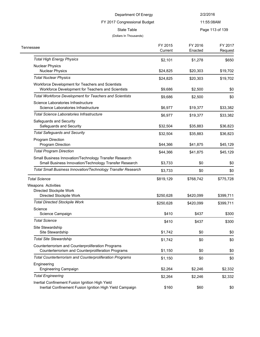#### 11:55:08AM

State Table **Page 113 of 139** 

### (Dollars In Thousands)

FY 2017 Congressional Budget

| Page 115 OF 15 |  |  |
|----------------|--|--|
|                |  |  |

| Tennessee                                                                                                        | FY 2015<br>Current | FY 2016<br>Enacted | FY 2017<br>Request |
|------------------------------------------------------------------------------------------------------------------|--------------------|--------------------|--------------------|
| <b>Total High Energy Physics</b>                                                                                 | \$2,101            | \$1,278            | \$650              |
| <b>Nuclear Physics</b>                                                                                           |                    |                    |                    |
| <b>Nuclear Physics</b>                                                                                           | \$24,825           | \$20,303           | \$19,702           |
| <b>Total Nuclear Physics</b>                                                                                     | \$24,825           | \$20,303           | \$19,702           |
| Workforce Development for Teachers and Scientists<br>Workforce Development for Teachers and Scientists           | \$9,686            | \$2,500            | \$0                |
| Total Workforce Development for Teachers and Scientists                                                          | \$9,686            | \$2,500            | \$0                |
| Science Laboratories Infrastructure<br>Science Laboratories Infrastructure                                       | \$6,977            | \$19,377           | \$33,382           |
| Total Science Laboratories Infrastructure                                                                        | \$6,977            | \$19,377           | \$33,382           |
| Safeguards and Security<br>Safeguards and Security                                                               | \$32,504           | \$35,883           | \$36,823           |
| <b>Total Safeguards and Security</b>                                                                             | \$32,504           | \$35,883           | \$36,823           |
| Program Direction<br>Program Direction                                                                           | \$44,366           | \$41,875           | \$45,129           |
| <b>Total Program Direction</b>                                                                                   | \$44,366           | \$41,875           | \$45,129           |
| Small Business Innovation/Technology Transfer Research<br>Small Business Innovation/Technology Transfer Research | \$3,733            | \$0                | \$0                |
| Total Small Business Innovation/Technology Transfer Research                                                     | \$3,733            | \$0                | \$0                |
| <b>Total Science</b>                                                                                             | \$819,129          | \$768,742          | \$775,728          |
| Weapons Activities                                                                                               |                    |                    |                    |
| Directed Stockpile Work                                                                                          |                    |                    |                    |
| Directed Stockpile Work                                                                                          | \$250,628          | \$420,099          | \$399,711          |
| <b>Total Directed Stockpile Work</b>                                                                             | \$250,628          | \$420,099          | \$399,711          |
| Science                                                                                                          |                    |                    |                    |
| Science Campaign                                                                                                 | \$410              | \$437              | \$300              |
| <b>Total Science</b>                                                                                             | \$410              | \$437              | \$300              |
| Site Stewardship<br>Site Stewardship                                                                             | \$1,742            | \$0                | \$0                |
| <b>Total Site Stewardship</b>                                                                                    | \$1,742            | \$0                | \$0                |
| Counterterrorism and Counterproliferation Programs                                                               |                    |                    |                    |
| Counterterrorism and Counterproliferation Programs                                                               | \$1,150            | \$0                | \$0                |
| Total Counterterrorism and Counterproliferation Programs                                                         | \$1,150            | \$0                | \$0                |
| Engineering                                                                                                      |                    |                    |                    |
| Engineering Campaign                                                                                             | \$2,264            | \$2,246            | \$2,332            |
| <b>Total Engineering</b>                                                                                         | \$2,264            | \$2,246            | \$2,332            |
| Inertial Confinement Fusion Ignition High Yield<br>Inertial Confinement Fusion Ignition High Yield Campaign      | \$160              | \$60               | \$0                |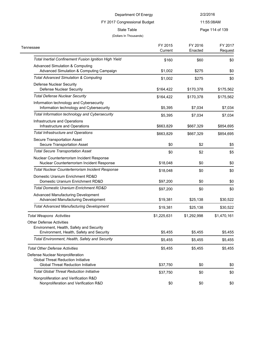# FY 2017 Congressional Budget

### 11:55:08AM

State Table **Page 114 of 139** 

| Tennessee                                                                                                               | FY 2015<br>Current | FY 2016<br>Enacted | FY 2017<br>Request |
|-------------------------------------------------------------------------------------------------------------------------|--------------------|--------------------|--------------------|
| <b>Total Inertial Confinement Fusion Ignition High Yield</b>                                                            | \$160              | \$60               | \$0                |
| <b>Advanced Simulation &amp; Computing</b><br>Advanced Simulation & Computing Campaign                                  | \$1,002            | \$275              | \$0                |
| <b>Total Advanced Simulation &amp; Computing</b>                                                                        | \$1,002            | \$275              | \$0                |
| Defense Nuclear Security<br><b>Defense Nuclear Security</b>                                                             | \$164,422          | \$170,378          | \$175,562          |
| <b>Total Defense Nuclear Security</b>                                                                                   | \$164,422          | \$170,378          | \$175,562          |
| Information technology and Cybersecurity<br>Information technology and Cybersecurity                                    | \$5,395            | \$7,034            | \$7,034            |
| Total Information technology and Cybersecurity                                                                          | \$5,395            | \$7,034            | \$7,034            |
| Infrastructure and Operations<br>Infrastructure and Operations                                                          | \$663,829          | \$667,329          | \$854,695          |
| <b>Total Infrastructure and Operations</b>                                                                              | \$663,829          | \$667,329          | \$854,695          |
| Secure Transportation Asset<br>Secure Transportation Asset                                                              | \$0                | \$2                | \$5                |
| <b>Total Secure Transportation Asset</b>                                                                                | \$0                | \$2                | \$5                |
| Nuclear Counterterrorism Incident Response<br>Nuclear Counterterrorism Incident Response                                | \$18,048           | \$0                | \$0                |
| Total Nuclear Counterterrorism Incident Response                                                                        | \$18,048           | \$0                | \$0                |
| Domestic Uranium Enrichment RD&D<br>Domestic Uranium Enrichment RD&D                                                    | \$97,200           | \$0                | \$0                |
| Total Domestic Uranium Enrichment RD&D                                                                                  | \$97,200           | \$0                | \$0                |
| Advanced Manufacturing Development<br>Advanced Manufacturing Development                                                | \$19,381           | \$25,138           | \$30,522           |
| <b>Total Advanced Manufacturing Development</b>                                                                         | \$19,381           | \$25,138           | \$30,522           |
| <b>Total Weapons Activities</b>                                                                                         | \$1,225,631        | \$1,292,998        | \$1,470,161        |
| <b>Other Defense Activities</b><br>Environment, Health, Safety and Security<br>Environment, Health, Safety and Security | \$5,455            | \$5,455            | \$5,455            |
| Total Environment, Health, Safety and Security                                                                          | \$5,455            | \$5,455            | \$5,455            |
| <b>Total Other Defense Activities</b>                                                                                   | \$5,455            | \$5,455            | \$5,455            |
| Defense Nuclear Nonproliferation<br><b>Global Threat Reduction Initiative</b>                                           |                    |                    |                    |
| <b>Global Threat Reduction Initiative</b>                                                                               | \$37,750           | \$0                | \$0                |
| <b>Total Global Threat Reduction Initiative</b>                                                                         | \$37,750           | \$0                | \$0                |
| Nonproliferation and Verification R&D<br>Nonproliferation and Verification R&D                                          | \$0                | \$0                | \$0                |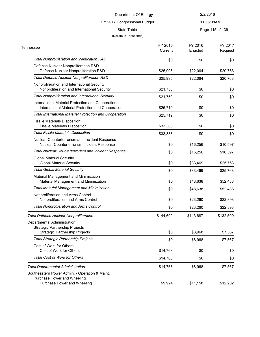FY 2017 Congressional Budget

11:55:08AM

State Table **Page 115 of 139** 

| Tennessee                                                                                                     | FY 2015   | FY 2016   | FY 2017   |
|---------------------------------------------------------------------------------------------------------------|-----------|-----------|-----------|
|                                                                                                               | Current   | Enacted   | Request   |
| Total Nonproliferation and Verification R&D                                                                   | \$0       | \$0       | \$0       |
| Defense Nuclear Nonproliferation R&D<br>Defense Nuclear Nonproliferation R&D                                  | \$25,995  | \$22,064  | \$20,768  |
| Total Defense Nuclear Nonproliferation R&D                                                                    | \$25,995  | \$22,064  | \$20,768  |
| Nonproliferation and International Security<br>Nonproliferation and International Security                    | \$21,750  | \$0       | \$0       |
| <b>Total Nonproliferation and International Security</b>                                                      | \$21,750  | \$0       | \$0       |
| International Material Protection and Cooperation<br>International Material Protection and Cooperation        | \$25,719  | \$0       | \$0       |
| <b>Total International Material Protection and Cooperation</b>                                                | \$25,719  | \$0       | \$0       |
| <b>Fissile Materials Disposition</b><br><b>Fissile Materials Disposition</b>                                  | \$33,388  | \$0       | \$0       |
| <b>Total Fissile Materials Disposition</b>                                                                    | \$33,388  | \$0       | \$0       |
| Nuclear Counterterrorism and Incident Response<br>Nuclear Counterterrorism Incident Response                  | \$0       | \$16,256  | \$10,597  |
| <b>Total Nuclear Counterterrorism and Incident Response</b>                                                   | \$0       | \$16,256  | \$10,597  |
| <b>Global Material Security</b><br><b>Global Material Security</b>                                            | \$0       | \$33,469  | \$25,763  |
| <b>Total Global Material Security</b>                                                                         | \$0       | \$33,469  | \$25,763  |
| Material Management and Minimization<br>Material Management and Minimization                                  | \$0       | \$48,638  | \$52,488  |
| <b>Total Material Management and Minimization</b>                                                             | \$0       | \$48,638  | \$52,488  |
| Nonproliferation and Arms Control<br>Nonproliferation and Arms Control                                        | \$0       | \$23,260  | \$22,893  |
| <b>Total Nonproliferation and Arms Control</b>                                                                | \$0       | \$23,260  | \$22,893  |
| <b>Total Defense Nuclear Nonproliferation</b>                                                                 | \$144,602 | \$143,687 | \$132,509 |
| Departmental Administration<br><b>Strategic Partnership Projects</b><br><b>Strategic Partnership Projects</b> | \$0       | \$8.968   | \$7,567   |
| <b>Total Strategic Partnership Projects</b>                                                                   | \$0       | \$8,968   | \$7,567   |
| Cost of Work for Others<br>Cost of Work for Others                                                            | \$14,768  | \$0       | \$0       |
| <b>Total Cost of Work for Others</b>                                                                          | \$14,768  | \$0       | \$0       |
| <b>Total Departmental Administration</b>                                                                      | \$14,768  | \$8,968   | \$7,567   |
| Southeastern Power Admin. - Operation & Maint.<br>Purchase Power and Wheeling<br>Purchase Power and Wheeling  | \$9,924   | \$11,158  | \$12,202  |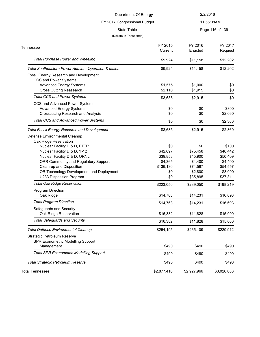### FY 2017 Congressional Budget

11:55:08AM

State Table **Page 116 of 139** 

### (Dollars In Thousands)

 $\frac{1}{2}$ 

| Tennessee                                                       | FY 2015     | FY 2016     | FY 2017     |
|-----------------------------------------------------------------|-------------|-------------|-------------|
|                                                                 | Current     | Enacted     | Request     |
| <b>Total Purchase Power and Wheeling</b>                        | \$9,924     | \$11,158    | \$12,202    |
| Total Southeastern Power Admin. - Operation & Maint.            | \$9,924     | \$11,158    | \$12,202    |
| Fossil Energy Research and Development<br>CCS and Power Systems |             |             |             |
| <b>Advanced Energy Systems</b>                                  | \$1,575     | \$1.000     | \$0         |
| <b>Cross Cutting Reasearch</b>                                  | \$2,110     | \$1,915     | \$0         |
| <b>Total CCS and Power Systems</b>                              | \$3,685     | \$2,915     | \$0         |
| CCS and Advanced Power Systems                                  |             |             |             |
| <b>Advanced Energy Systems</b>                                  | \$0         | \$0         | \$300       |
| <b>Crosscutting Research and Analysis</b>                       | \$0         | \$0         | \$2,060     |
| <b>Total CCS and Advanced Power Systems</b>                     | \$0         | \$0         | \$2,360     |
| <b>Total Fossil Energy Research and Development</b>             | \$3,685     | \$2,915     | \$2,360     |
| Defense Environmental Cleanup                                   |             |             |             |
| Oak Ridge Reservation                                           |             |             |             |
| Nuclear Facility D & D, ETTP                                    | \$0         | \$0         | \$100       |
| Nuclear Facility D & D, Y-12                                    | \$42,697    | \$75,458    | \$48,442    |
| Nuclear Facility D & D, ORNL                                    | \$39,858    | \$45,900    | \$50,409    |
| ORR Community and Regulatory Support                            | \$4,365     | \$4,400     | \$4,400     |
| Clean-up and Disposition                                        | \$136,130   | \$74,597    | \$54,557    |
| OR Technology Development and Deployment                        | \$0         | \$2,800     | \$3,000     |
| U233 Disposition Program                                        | \$0         | \$35,895    | \$37,311    |
| <b>Total Oak Ridge Reservation</b>                              | \$223,050   | \$239,050   | \$198,219   |
| Program Direction                                               |             |             |             |
| Oak Ridge                                                       | \$14,763    | \$14,231    | \$16,693    |
| <b>Total Program Direction</b>                                  | \$14,763    | \$14,231    | \$16,693    |
| Safeguards and Security                                         |             |             |             |
| Oak Ridge Reservation                                           | \$16,382    | \$11,828    | \$15,000    |
| <b>Total Safeguards and Security</b>                            | \$16,382    | \$11,828    | \$15,000    |
| <b>Total Defense Environmental Cleanup</b>                      | \$254,195   | \$265,109   | \$229,912   |
| Strategic Petroleum Reserve                                     |             |             |             |
| SPR Econometric Modelling Support                               |             |             |             |
| Management                                                      | \$490       | \$490       | \$490       |
| <b>Total SPR Econometric Modelling Support</b>                  | \$490       | \$490       | \$490       |
| Total Strategic Petroleum Reserve                               | \$490       | \$490       | \$490       |
| <b>Total Tennessee</b>                                          | \$2,877,416 | \$2,927,966 | \$3,020,083 |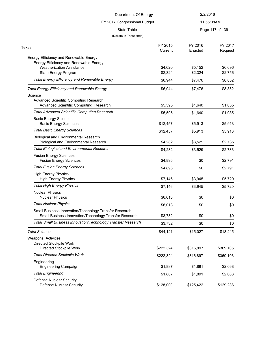| Department Of Energy                                                                                                                         |                     | 2/2/2016           |                    |
|----------------------------------------------------------------------------------------------------------------------------------------------|---------------------|--------------------|--------------------|
| FY 2017 Congressional Budget                                                                                                                 |                     | 11:55:08AM         |                    |
| <b>State Table</b>                                                                                                                           |                     |                    | Page 117 of 139    |
| (Dollars In Thousands)                                                                                                                       |                     |                    |                    |
| Texas                                                                                                                                        | FY 2015<br>Current  | FY 2016<br>Enacted | FY 2017<br>Request |
| Energy Efficiency and Renewable Energy<br>Energy Efficiency and Renewable Energy<br><b>Weatherization Assistance</b><br>State Energy Program | \$4,620<br>\$2,324  | \$5,152<br>\$2,324 | \$6,096<br>\$2,756 |
| <b>Total Energy Efficiency and Renewable Energy</b>                                                                                          | \$6,944             | \$7,476            | \$8,852            |
| <b>Total Energy Efficiency and Renewable Energy</b><br>Science<br><b>Advanced Scientific Computing Research</b>                              | \$6,944             | \$7,476            | \$8,852            |
| Advanced Scientific Computing Research                                                                                                       | \$5,595             | \$1,640            | \$1,085            |
| <b>Total Advanced Scientific Computing Research</b><br><b>Basic Energy Sciences</b><br><b>Basic Energy Sciences</b>                          | \$5,595<br>\$12,457 | \$1,640<br>\$5,913 | \$1,085<br>\$5,913 |
| <b>Total Basic Energy Sciences</b>                                                                                                           | \$12,457            | \$5,913            | \$5,913            |
| <b>Biological and Environmental Research</b><br><b>Biological and Environmental Research</b>                                                 | \$4,282             | \$3,529            | \$2,736            |
| <b>Total Biological and Environmental Research</b>                                                                                           | \$4,282             | \$3,529            | \$2,736            |
| <b>Fusion Energy Sciences</b><br><b>Fusion Energy Sciences</b>                                                                               | \$4,896             | \$0                | \$2,791            |
| <b>Total Fusion Energy Sciences</b>                                                                                                          | \$4,896             | \$0                | \$2,791            |
| <b>High Energy Physics</b><br><b>High Energy Physics</b>                                                                                     | \$7,146             | \$3,945            | \$5,720            |
| <b>Total High Energy Physics</b>                                                                                                             | \$7,146             | \$3,945            | \$5,720            |
| <b>Nuclear Physics</b><br><b>Nuclear Physics</b>                                                                                             | \$6,013             | \$0                | \$0                |
| <b>Total Nuclear Physics</b>                                                                                                                 | \$6,013             | \$0                | \$0                |
| Small Business Innovation/Technology Transfer Research<br>Small Business Innovation/Technology Transfer Research                             | \$3,732             | \$0                | \$0                |
| Total Small Business Innovation/Technology Transfer Research                                                                                 | \$3,732             | \$0                | \$0                |
| <b>Total Science</b><br>Weapons Activities                                                                                                   | \$44,121            | \$15,027           | \$18,245           |
| Directed Stockpile Work<br>Directed Stockpile Work                                                                                           | \$222,324           | \$316,897          | \$369,106          |
| <b>Total Directed Stockpile Work</b>                                                                                                         | \$222,324           | \$316,897          | \$369,106          |
| Engineering<br><b>Engineering Campaign</b>                                                                                                   | \$1,887             | \$1,891            | \$2,068            |
| <b>Total Engineering</b>                                                                                                                     | \$1,887             | \$1,891            | \$2,068            |
| Defense Nuclear Security<br>Defense Nuclear Security                                                                                         | \$128,000           | \$125,422          | \$129,238          |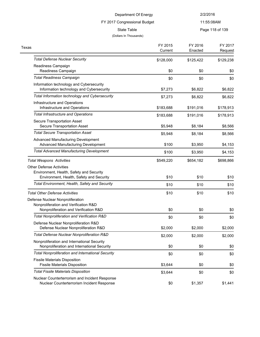# 11:55:08AM

State Table **Page 118 of 139** 

#### (Dollars In Thousands)

 $\overline{a}$ 

FY 2017 Congressional Budget

| Texas                                                                                        | FY 2015<br>Current | FY 2016<br>Enacted | FY 2017<br>Request |
|----------------------------------------------------------------------------------------------|--------------------|--------------------|--------------------|
| <b>Total Defense Nuclear Security</b>                                                        |                    |                    |                    |
| Readiness Campaign                                                                           | \$128,000          | \$125,422          | \$129,238          |
| Readiness Campaign                                                                           | \$0                | \$0                | \$0                |
| <b>Total Readiness Campaign</b>                                                              | \$0                | \$0                | \$0                |
| Information technology and Cybersecurity<br>Information technology and Cybersecurity         | \$7,273            | \$6,822            | \$6,822            |
| Total Information technology and Cybersecurity                                               | \$7,273            | \$6,822            | \$6,822            |
| Infrastructure and Operations<br>Infrastructure and Operations                               | \$183,688          | \$191,016          | \$178,913          |
| <b>Total Infrastructure and Operations</b>                                                   | \$183,688          | \$191,016          | \$178,913          |
| Secure Transportation Asset<br>Secure Transportation Asset                                   | \$5,948            | \$8,184            | \$8,566            |
| <b>Total Secure Transportation Asset</b>                                                     | \$5,948            | \$8,184            | \$8,566            |
| Advanced Manufacturing Development<br>Advanced Manufacturing Development                     | \$100              | \$3,950            | \$4,153            |
| <b>Total Advanced Manufacturing Development</b>                                              | \$100              | \$3,950            | \$4,153            |
| <b>Total Weapons Activities</b>                                                              | \$549,220          | \$654,182          | \$698,866          |
| <b>Other Defense Activities</b>                                                              |                    |                    |                    |
| Environment, Health, Safety and Security                                                     |                    |                    |                    |
| Environment, Health, Safety and Security                                                     | \$10               | \$10               | \$10               |
| Total Environment, Health, Safety and Security                                               | \$10               | \$10               | \$10               |
| <b>Total Other Defense Activities</b>                                                        | \$10               | \$10               | \$10               |
| Defense Nuclear Nonproliferation<br>Nonproliferation and Verification R&D                    |                    |                    |                    |
| Nonproliferation and Verification R&D                                                        | \$0                | \$0                | \$0                |
| Total Nonproliferation and Verification R&D                                                  | \$0                | \$0                | \$0                |
| Defense Nuclear Nonproliferation R&D<br>Defense Nuclear Nonproliferation R&D                 | \$2,000            | \$2,000            | \$2,000            |
| Total Defense Nuclear Nonproliferation R&D                                                   | \$2,000            | \$2,000            | \$2,000            |
| Nonproliferation and International Security<br>Nonproliferation and International Security   | \$0                | \$0                | \$0                |
| <b>Total Nonproliferation and International Security</b>                                     | \$0                | \$0                | \$0                |
| <b>Fissile Materials Disposition</b><br><b>Fissile Materials Disposition</b>                 | \$3,644            | \$0                | \$0                |
| <b>Total Fissile Materials Disposition</b>                                                   | \$3,644            | \$0                | \$0                |
| Nuclear Counterterrorism and Incident Response<br>Nuclear Counterterrorism Incident Response | \$0                | \$1,357            | \$1,441            |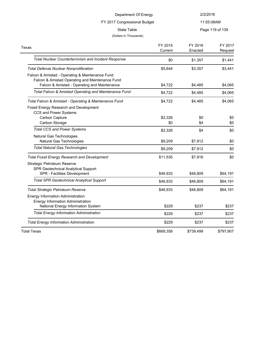| Department Of Energy         | 2/2/2016        |
|------------------------------|-----------------|
| FY 2017 Congressional Budget | 11:55:08AM      |
| State Table                  | Page 119 of 139 |
| (Dollars In Thousands)       |                 |
|                              |                 |

| Texas                                                 | FY 2015<br>Current | FY 2016<br>Enacted | FY 2017<br>Request |
|-------------------------------------------------------|--------------------|--------------------|--------------------|
| Total Nuclear Counterterrorism and Incident Response  | \$0                | \$1,357            | \$1,441            |
| <b>Total Defense Nuclear Nonproliferation</b>         | \$5,644            | \$3,357            | \$3,441            |
| Falcon & Amistad - Operating & Maintenance Fund       |                    |                    |                    |
| Falcon & Amistad Operating and Maintenance Fund       |                    |                    |                    |
| Falcon & Amistad - Operating and Maintenance          | \$4,722            | \$4,485            | \$4,065            |
| Total Falcon & Amistad Operating and Maintenance Fund | \$4,722            | \$4,485            | \$4,065            |
| Total Falcon & Amistad - Operating & Maintenance Fund | \$4,722            | \$4,485            | \$4,065            |
| Fossil Energy Research and Development                |                    |                    |                    |
| CCS and Power Systems                                 |                    |                    |                    |
| Carbon Capture                                        | \$2,326            | \$0                | \$0                |
| Carbon Storage                                        | \$0                | \$4                | \$0                |
| <b>Total CCS and Power Systems</b>                    | \$2,326            | \$4                | \$0                |
| Natural Gas Technologies                              |                    |                    |                    |
| Natural Gas Technologies                              | \$9,209            | \$7,912            | \$0                |
| <b>Total Natural Gas Technologies</b>                 | \$9,209            | \$7,912            | \$0                |
| <b>Total Fossil Energy Research and Development</b>   | \$11,535           | \$7,916            | \$0                |
| Strategic Petroleum Reserve                           |                    |                    |                    |
| SPR Geotechnical Analytical Support                   |                    |                    |                    |
| SPR - Facilities Development                          | \$46,933           | \$46,809           | \$64,191           |
| <b>Total SPR Geotechnical Analytical Support</b>      | \$46,933           | \$46,809           | \$64,191           |
| <b>Total Strategic Petroleum Reserve</b>              | \$46,933           | \$46,809           | \$64,191           |
| <b>Energy Information Administration</b>              |                    |                    |                    |
| Energy Information Administration                     |                    |                    |                    |
| National Energy Information System                    | \$229              | \$237              | \$237              |
| <b>Total Energy Information Administration</b>        | \$229              | \$237              | \$237              |
| <b>Total Energy Information Administration</b>        | \$229              | \$237              | \$237              |
| <b>Total Texas</b>                                    | \$669,358          | \$739,499          | \$797,907          |
|                                                       |                    |                    |                    |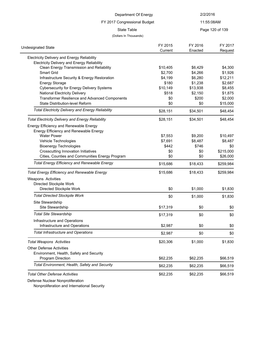### FY 2017 Congressional Budget

### 11:55:08AM

State Table **Page 120 of 139** 

#### (Dollars In Thousands)

| <b>Undesignated State</b>                                | FY 2015  | FY 2016  | FY 2017   |
|----------------------------------------------------------|----------|----------|-----------|
|                                                          | Current  | Enacted  | Request   |
| Electricity Delivery and Energy Reliability              |          |          |           |
| <b>Electricity Delivery and Energy Reliability</b>       |          |          |           |
| Clean Energy Transmission and Reliability                | \$10,405 | \$6,429  | \$4,300   |
| <b>Smart Grid</b>                                        | \$2,700  | \$4,266  | \$1,926   |
| Infrastructure Security & Energy Restoration             | \$4,199  | \$6,280  | \$12,211  |
| <b>Energy Storage</b>                                    | \$180    | \$1,238  | \$2,687   |
| <b>Cybersecurity for Energy Delivery Systems</b>         | \$10,149 | \$13,938 | \$8,455   |
| <b>National Electricity Delivery</b>                     | \$518    | \$2.150  | \$1,875   |
| Transformer Resilience and Advanced Components           | \$0      | \$200    | \$2,000   |
| State Distribution-level Reform                          | \$0      | \$0      | \$15,000  |
| <b>Total Electricity Delivery and Energy Reliability</b> | \$28,151 | \$34,501 | \$48,454  |
| <b>Total Electricity Delivery and Energy Reliability</b> | \$28,151 | \$34,501 | \$48,454  |
| Energy Efficiency and Renewable Energy                   |          |          |           |
| Energy Efficiency and Renewable Energy                   |          |          |           |
| <b>Water Power</b>                                       | \$7,553  | \$9,200  | \$10,497  |
| Vehicle Technologies                                     | \$7,691  | \$8,487  | \$8,487   |
| <b>Bioenergy Technologies</b>                            | \$442    | \$746    | \$0       |
| <b>Crosscutting Innovation Initiatives</b>               | \$0      | \$0      | \$215,000 |
| Cities, Counties and Communities Energy Program          | \$0      | \$0      | \$26,000  |
| <b>Total Energy Efficiency and Renewable Energy</b>      | \$15,686 | \$18,433 | \$259,984 |
| <b>Total Energy Efficiency and Renewable Energy</b>      | \$15,686 | \$18,433 | \$259,984 |
| Weapons Activities                                       |          |          |           |
| Directed Stockpile Work                                  |          |          |           |
| Directed Stockpile Work                                  | \$0      | \$1,000  | \$1,830   |
| <b>Total Directed Stockpile Work</b>                     | \$0      | \$1,000  | \$1,830   |
| Site Stewardship                                         |          |          |           |
| Site Stewardship                                         | \$17,319 | \$0      | \$0       |
| <b>Total Site Stewardship</b>                            | \$17,319 | \$0      | \$0       |
| Infrastructure and Operations                            |          |          |           |
| Infrastructure and Operations                            | \$2,987  | \$0      | \$0       |
| <b>Total Infrastructure and Operations</b>               | \$2,987  | \$0      | \$0       |
| <b>Total Weapons Activities</b>                          | \$20,306 | \$1,000  | \$1,830   |
| <b>Other Defense Activities</b>                          |          |          |           |
| Environment, Health, Safety and Security                 |          |          |           |
| <b>Program Direction</b>                                 | \$62,235 | \$62,235 | \$66,519  |
| Total Environment, Health, Safety and Security           | \$62,235 | \$62,235 | \$66,519  |
| <b>Total Other Defense Activities</b>                    | \$62,235 | \$62,235 | \$66,519  |
|                                                          |          |          |           |

Defense Nuclear Nonproliferation

Nonproliferation and International Security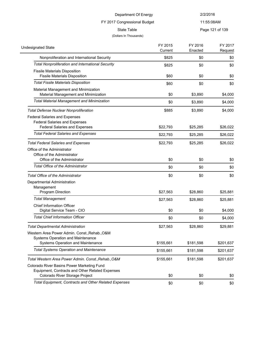# FY 2017 Congressional Budget

11:55:08AM

State Table **Page 121 of 139** 

| <b>Undesignated State</b>                                                                     | FY 2015<br>Current | FY 2016<br>Enacted | FY 2017<br>Request |
|-----------------------------------------------------------------------------------------------|--------------------|--------------------|--------------------|
| Nonproliferation and International Security                                                   | \$825              | \$0                | \$0                |
| <b>Total Nonproliferation and International Security</b>                                      | \$825              | \$0                | \$0                |
| <b>Fissile Materials Disposition</b><br><b>Fissile Materials Disposition</b>                  | \$60               | \$0                | \$0                |
| <b>Total Fissile Materials Disposition</b>                                                    | \$60               | \$0                | \$0                |
| Material Management and Minimization<br>Material Management and Minimization                  | \$0                | \$3,890            | \$4,000            |
| <b>Total Material Management and Minimization</b>                                             | \$0                | \$3,890            | \$4,000            |
| <b>Total Defense Nuclear Nonproliferation</b>                                                 | \$885              | \$3,890            | \$4,000            |
| <b>Federal Salaries and Expenses</b><br><b>Federal Salaries and Expenses</b>                  |                    |                    |                    |
| <b>Federal Salaries and Expenses</b>                                                          | \$22,793           | \$25,285           | \$26,022           |
| <b>Total Federal Salaries and Expenses</b>                                                    | \$22,793           | \$25,285           | \$26,022           |
| <b>Total Federal Salaries and Expenses</b>                                                    | \$22,793           | \$25,285           | \$26,022           |
| Office of the Administrator<br>Office of the Administrator<br>Office of the Administrator     | \$0                | \$0                | \$0                |
| <b>Total Office of the Administrator</b>                                                      | \$0                | \$0                | \$0                |
| <b>Total Office of the Administrator</b>                                                      | \$0                | \$0                | \$0                |
| Departmental Administration<br>Management                                                     |                    |                    |                    |
| Program Direction                                                                             | \$27,563           | \$28,860           | \$25,881           |
| <b>Total Management</b>                                                                       | \$27,563           | \$28,860           | \$25,881           |
| Chief Information Officer<br>Digital Service Team - CIO                                       | \$0                | \$0                | \$4,000            |
| <b>Total Chief Information Officer</b>                                                        | \$0                | \$0                | \$4,000            |
| <b>Total Departmental Administration</b>                                                      | \$27,563           | \$28,860           | \$29,881           |
| Western Area Power Admin. Const., Rehab., O&M<br>Systems Operation and Maintenance            |                    |                    |                    |
| Systems Operation and Maintenance                                                             | \$155,661          | \$181,598          | \$201,637          |
| <b>Total Systems Operation and Maintenance</b>                                                | \$155,661          | \$181,598          | \$201,637          |
| Total Western Area Power Admin. Const., Rehab., O&M                                           | \$155,661          | \$181,598          | \$201,637          |
| Colorado River Basins Power Marketing Fund<br>Equipment, Contracts and Other Related Expenses |                    |                    |                    |
| Colorado River Storage Project                                                                | \$0                | \$0                | \$0                |
| <b>Total Equipment, Contracts and Other Related Expenses</b>                                  | \$0                | \$0                | \$0                |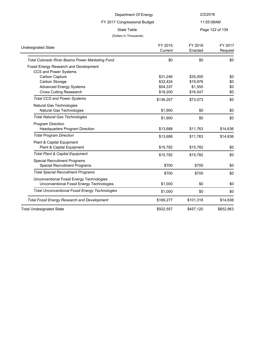### 11:55:08AM

State Table **Page 122 of 139** 

### (Dollars In Thousands)

FY 2017 Congressional Budget

| <b>Undesignated State</b>                              | FY 2015   | FY 2016   | FY 2017   |
|--------------------------------------------------------|-----------|-----------|-----------|
|                                                        | Current   | Enacted   | Request   |
| Total Colorado River Basins Power Marketing Fund       | \$0       | \$0       | \$0       |
| Fossil Energy Research and Development                 |           |           |           |
| CCS and Power Systems                                  |           |           |           |
| Carbon Capture                                         | \$31,246  | \$35,000  | \$0       |
| Carbon Storage                                         | \$32,424  | \$19,976  | \$0       |
| <b>Advanced Energy Systems</b>                         | \$54,337  | \$1,550   | \$0       |
| <b>Cross Cutting Reasearch</b>                         | \$18,200  | \$16,547  | \$0       |
| <b>Total CCS and Power Systems</b>                     | \$136,207 | \$73,073  | \$0       |
| Natural Gas Technologies                               |           |           |           |
| Natural Gas Technologies                               | \$1,900   | \$0       | \$0       |
| <b>Total Natural Gas Technologies</b>                  | \$1,900   | \$0       | \$0       |
| Program Direction                                      |           |           |           |
| <b>Headquarters Program Direction</b>                  | \$13,688  | \$11,763  | \$14,636  |
| <b>Total Program Direction</b>                         | \$13,688  | \$11,763  | \$14,636  |
| Plant & Capital Equipment                              |           |           |           |
| Plant & Capital Equipment                              | \$15,782  | \$15,782  | \$0       |
| <b>Total Plant &amp; Capital Equipment</b>             | \$15,782  | \$15,782  | \$0       |
| <b>Special Recruitment Programs</b>                    |           |           |           |
| <b>Special Recruitment Programs</b>                    | \$700     | \$700     | \$0       |
| <b>Total Special Recruitment Programs</b>              | \$700     | \$700     | \$0       |
| Unconventional Fossil Energy Technologies              |           |           |           |
| Unconventional Fossil Energy Technologies              | \$1,000   | \$0       | \$0       |
| <b>Total Unconventional Fossil Energy Technologies</b> | \$1,000   | \$0       | \$0       |
| <b>Total Fossil Energy Research and Development</b>    | \$169,277 | \$101,318 | \$14,636  |
| <b>Total Undesignated State</b>                        | \$502,557 | \$457,120 | \$652,963 |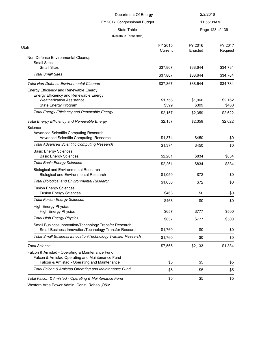| Department Of Energy<br>FY 2017 Congressional Budget<br><b>State Table</b>                                       |                    | 2/2/2016<br>11:55:08AM |                    |
|------------------------------------------------------------------------------------------------------------------|--------------------|------------------------|--------------------|
|                                                                                                                  |                    |                        |                    |
|                                                                                                                  |                    | (Dollars In Thousands) |                    |
| Utah                                                                                                             | FY 2015<br>Current | FY 2016<br>Enacted     | FY 2017<br>Request |
| Non-Defense Environmental Cleanup                                                                                |                    |                        |                    |
| <b>Small Sites</b><br><b>Small Sites</b>                                                                         | \$37,867           | \$38,644               | \$34,784           |
| <b>Total Small Sites</b>                                                                                         | \$37,867           | \$38,644               | \$34,784           |
| <b>Total Non-Defense Environmental Cleanup</b>                                                                   | \$37,867           | \$38,644               | \$34,784           |
| Energy Efficiency and Renewable Energy<br>Energy Efficiency and Renewable Energy                                 |                    |                        |                    |
| <b>Weatherization Assistance</b><br>State Energy Program                                                         | \$1,758<br>\$399   | \$1,960<br>\$399       | \$2,162<br>\$460   |
| <b>Total Energy Efficiency and Renewable Energy</b>                                                              | \$2,157            | \$2,359                | \$2,622            |
| <b>Total Energy Efficiency and Renewable Energy</b>                                                              | \$2,157            | \$2,359                | \$2,622            |
| Science                                                                                                          |                    |                        |                    |
| Advanced Scientific Computing Research<br>Advanced Scientific Computing Research                                 | \$1,374            | \$450                  | \$0                |
| <b>Total Advanced Scientific Computing Research</b>                                                              | \$1,374            | \$450                  | \$0                |
| <b>Basic Energy Sciences</b><br><b>Basic Energy Sciences</b>                                                     | \$2,261            | \$834                  | \$834              |
| <b>Total Basic Energy Sciences</b>                                                                               | \$2,261            | \$834                  | \$834              |
| <b>Biological and Environmental Research</b><br><b>Biological and Environmental Research</b>                     | \$1,050            | \$72                   | \$0                |
| <b>Total Biological and Environmental Research</b>                                                               | \$1,050            | \$72                   | \$0                |
| <b>Fusion Energy Sciences</b><br><b>Fusion Energy Sciences</b>                                                   | \$463              | \$0                    | \$0                |
| <b>Total Fusion Energy Sciences</b>                                                                              | \$463              | \$0                    | \$0                |
| <b>High Energy Physics</b><br><b>High Energy Physics</b>                                                         | \$657              | \$777                  | \$500              |
| <b>Total High Energy Physics</b>                                                                                 | \$657              | \$777                  | \$500              |
| Small Business Innovation/Technology Transfer Research<br>Small Business Innovation/Technology Transfer Research | \$1,760            | \$0                    | \$0                |
| Total Small Business Innovation/Technology Transfer Research                                                     | \$1,760            | \$0                    | \$0                |
| <b>Total Science</b>                                                                                             | \$7,565            | \$2,133                | \$1,334            |
| Falcon & Amistad - Operating & Maintenance Fund<br>Falcon & Amistad Operating and Maintenance Fund               |                    |                        |                    |
| Falcon & Amistad - Operating and Maintenance                                                                     | \$5                | \$5                    | \$5                |
| Total Falcon & Amistad Operating and Maintenance Fund                                                            | \$5                | \$5                    | \$5                |
| Total Falcon & Amistad - Operating & Maintenance Fund                                                            | \$5                | \$5                    | \$5                |
| Western Area Rower Admin Copet Behab ORM                                                                         |                    |                        |                    |

Western Area Power Admin. Const.,Rehab.,O&M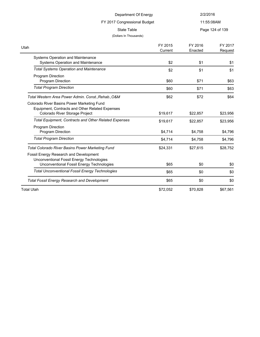# FY 2017 Congressional Budget

11:55:08AM

State Table **Page 124 of 139** 

| Utah                                                         | FY 2015  | FY 2016  | FY 2017  |
|--------------------------------------------------------------|----------|----------|----------|
|                                                              | Current  | Enacted  | Request  |
| <b>Systems Operation and Maintenance</b>                     |          |          |          |
| Systems Operation and Maintenance                            | \$2      | \$1      | \$1      |
| <b>Total Systems Operation and Maintenance</b>               | \$2      | \$1      | \$1      |
| Program Direction                                            |          |          |          |
| <b>Program Direction</b>                                     | \$60     | \$71     | \$63     |
| <b>Total Program Direction</b>                               | \$60     | \$71     | \$63     |
| Total Western Area Power Admin. Const., Rehab., O&M          | \$62     | \$72     | \$64     |
| Colorado River Basins Power Marketing Fund                   |          |          |          |
| Equipment, Contracts and Other Related Expenses              |          |          |          |
| Colorado River Storage Project                               | \$19,617 | \$22,857 | \$23,956 |
| <b>Total Equipment, Contracts and Other Related Expenses</b> | \$19,617 | \$22,857 | \$23,956 |
| Program Direction                                            |          |          |          |
| Program Direction                                            | \$4,714  | \$4,758  | \$4,796  |
| <b>Total Program Direction</b>                               | \$4,714  | \$4,758  | \$4,796  |
| <b>Total Colorado River Basins Power Marketing Fund</b>      | \$24,331 | \$27,615 | \$28,752 |
| Fossil Energy Research and Development                       |          |          |          |
| Unconventional Fossil Energy Technologies                    |          |          |          |
| Unconventional Fossil Energy Technologies                    | \$65     | \$0      | \$0      |
| <b>Total Unconventional Fossil Energy Technologies</b>       | \$65     | \$0      | \$0      |
| <b>Total Fossil Energy Research and Development</b>          | \$65     | \$0      | \$0      |
| <b>Total Utah</b>                                            | \$72,052 | \$70,828 | \$67,561 |
|                                                              |          |          |          |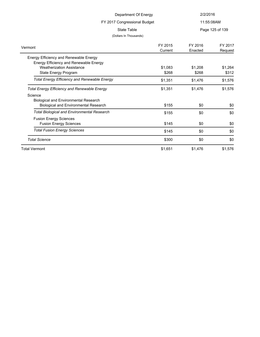| Department Of Energy                                |         | 2/2/2016   |                 |
|-----------------------------------------------------|---------|------------|-----------------|
| FY 2017 Congressional Budget                        |         | 11:55:08AM |                 |
| <b>State Table</b>                                  |         |            | Page 125 of 139 |
| (Dollars In Thousands)                              |         |            |                 |
|                                                     | FY 2015 | FY 2016    | FY 2017         |
| Vermont                                             | Current | Enacted    | Request         |
| Energy Efficiency and Renewable Energy              |         |            |                 |
| Energy Efficiency and Renewable Energy              |         |            |                 |
| <b>Weatherization Assistance</b>                    | \$1,083 | \$1,208    | \$1,264         |
| State Energy Program                                | \$268   | \$268      | \$312           |
| <b>Total Energy Efficiency and Renewable Energy</b> | \$1,351 | \$1,476    | \$1,576         |
| <b>Total Energy Efficiency and Renewable Energy</b> | \$1,351 | \$1,476    | \$1,576         |
| Science                                             |         |            |                 |
| <b>Biological and Environmental Research</b>        |         |            |                 |
| Biological and Environmental Research               | \$155   | \$0        | \$0             |
| <b>Total Biological and Environmental Research</b>  | \$155   | \$0        | \$0             |
| <b>Fusion Energy Sciences</b>                       |         |            |                 |
| <b>Fusion Energy Sciences</b>                       | \$145   | \$0        | \$0             |
| <b>Total Fusion Energy Sciences</b>                 | \$145   | \$0        | \$0             |
| <b>Total Science</b>                                | \$300   | \$0        | \$0             |
| <b>Total Vermont</b>                                | \$1,651 | \$1,476    | \$1,576         |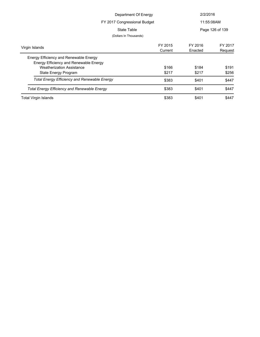| Department Of Energy                                |         | 2/2/2016   |                 |
|-----------------------------------------------------|---------|------------|-----------------|
| FY 2017 Congressional Budget                        |         | 11:55:08AM |                 |
| State Table                                         |         |            | Page 126 of 139 |
| (Dollars In Thousands)                              |         |            |                 |
| Virgin Islands                                      | FY 2015 | FY 2016    | FY 2017         |
|                                                     | Current | Enacted    | Request         |
| Energy Efficiency and Renewable Energy              |         |            |                 |
| Energy Efficiency and Renewable Energy              |         |            |                 |
| <b>Weatherization Assistance</b>                    | \$166   | \$184      | \$191           |
| State Energy Program                                | \$217   | \$217      | \$256           |
| <b>Total Energy Efficiency and Renewable Energy</b> | \$383   | \$401      | \$447           |
| <b>Total Energy Efficiency and Renewable Energy</b> | \$383   | \$401      | \$447           |
| <b>Total Virgin Islands</b>                         | \$383   | \$401      | \$447           |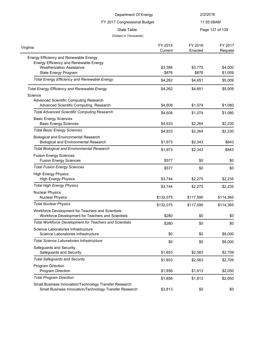| Department Of Energy                                                                                                                         |                    | 2/2/2016           |                    |
|----------------------------------------------------------------------------------------------------------------------------------------------|--------------------|--------------------|--------------------|
| FY 2017 Congressional Budget                                                                                                                 |                    |                    | 11:55:08AM         |
| State Table<br>(Dollars In Thousands)                                                                                                        |                    |                    | Page 127 of 139    |
| Virginia                                                                                                                                     | FY 2015<br>Current | FY 2016<br>Enacted | FY 2017<br>Request |
| Energy Efficiency and Renewable Energy<br>Energy Efficiency and Renewable Energy<br><b>Weatherization Assistance</b><br>State Energy Program | \$3,386<br>\$876   | \$3,775<br>\$876   | \$4,000<br>\$1,009 |
| <b>Total Energy Efficiency and Renewable Energy</b>                                                                                          | \$4,262            | \$4,651            | \$5,009            |
| <b>Total Energy Efficiency and Renewable Energy</b><br>Science<br>Advanced Scientific Computing Research                                     | \$4,262            | \$4,651            | \$5,009            |
| Advanced Scientific Computing Research                                                                                                       | \$4,608            | \$1,074            | \$1,080            |
| <b>Total Advanced Scientific Computing Research</b><br><b>Basic Energy Sciences</b>                                                          | \$4,608            | \$1,074            | \$1,080            |
| <b>Basic Energy Sciences</b>                                                                                                                 | \$4,933            | \$2,264            | \$2,230            |
| <b>Total Basic Energy Sciences</b><br><b>Biological and Environmental Research</b>                                                           | \$4,933            | \$2,264            | \$2,230            |
| <b>Biological and Environmental Research</b>                                                                                                 | \$1,973            | \$2,343            | \$843              |
| <b>Total Biological and Environmental Research</b>                                                                                           | \$1,973            | \$2,343            | \$843              |
| <b>Fusion Energy Sciences</b><br><b>Fusion Energy Sciences</b>                                                                               | \$577              | \$0                | \$0                |
| <b>Total Fusion Energy Sciences</b>                                                                                                          | \$577              | \$0                | \$0                |
| <b>High Energy Physics</b><br><b>High Energy Physics</b>                                                                                     | \$3,744            | \$2,275            | \$2,235            |
| <b>Total High Energy Physics</b>                                                                                                             | \$3,744            | \$2,275            | \$2,235            |
| <b>Nuclear Physics</b><br><b>Nuclear Physics</b>                                                                                             | \$132,075          | \$117,590          | \$114,365          |
| <b>Total Nuclear Physics</b>                                                                                                                 | \$132,075          | \$117,590          | \$114,365          |
| Workforce Development for Teachers and Scientists<br>Workforce Development for Teachers and Scientists                                       | \$280              | \$0                | \$0                |
| <b>Total Workforce Development for Teachers and Scientists</b>                                                                               | \$280              | \$0                | \$0                |
| Science Laboratories Infrastructure<br>Science Laboratories Infrastructure                                                                   | \$0                | \$0                | \$8,000            |
| <b>Total Science Laboratories Infrastructure</b>                                                                                             | \$0                | \$0                | \$8,000            |
| Safeguards and Security<br>Safeguards and Security                                                                                           | \$1,853            | \$2,563            | \$2,709            |
| <b>Total Safeguards and Security</b>                                                                                                         | \$1,853            | \$2,563            | \$2,709            |
| Program Direction<br>Program Direction                                                                                                       | \$1,856            | \$1,813            | \$2,050            |
| <b>Total Program Direction</b>                                                                                                               | \$1,856            | \$1,813            | \$2,050            |
| Small Business Innovation/Technology Transfer Research<br>Small Business Innovation/Technology Transfer Research                             | \$3,813            | \$0                | \$0                |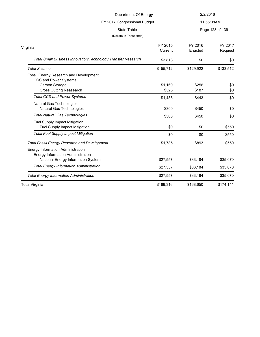| Department Of Energy                                                                                                |                    | 2/2/2016           |                    |
|---------------------------------------------------------------------------------------------------------------------|--------------------|--------------------|--------------------|
| FY 2017 Congressional Budget                                                                                        |                    |                    | 11:55:08AM         |
| <b>State Table</b><br>(Dollars In Thousands)                                                                        |                    |                    | Page 128 of 139    |
| Virginia                                                                                                            | FY 2015<br>Current | FY 2016<br>Enacted | FY 2017<br>Request |
| Total Small Business Innovation/Technology Transfer Research                                                        | \$3,813            | \$0                | \$0                |
| <b>Total Science</b>                                                                                                | \$155,712          | \$129,922          | \$133,512          |
| Fossil Energy Research and Development<br>CCS and Power Systems<br>Carbon Storage<br><b>Cross Cutting Reasearch</b> | \$1,160<br>\$325   | \$256<br>\$187     | \$0<br>\$0         |
| <b>Total CCS and Power Systems</b>                                                                                  | \$1,485            | \$443              | \$0                |
| Natural Gas Technologies<br>Natural Gas Technologies                                                                | \$300              | \$450              | \$0                |
| <b>Total Natural Gas Technologies</b>                                                                               | \$300              | \$450              | \$0                |
| Fuel Supply Impact Mitigation<br>Fuel Supply Impact Mitigation                                                      | \$0                | \$0                | \$550              |
| <b>Total Fuel Supply Impact Mitigation</b>                                                                          | \$0                | \$0                | \$550              |
| <b>Total Fossil Energy Research and Development</b><br><b>Energy Information Administration</b>                     | \$1,785            | \$893              | \$550              |
| Energy Information Administration<br>National Energy Information System                                             | \$27,557           | \$33,184           | \$35,070           |
| <b>Total Energy Information Administration</b>                                                                      | \$27,557           | \$33,184           | \$35,070           |
| <b>Total Energy Information Administration</b>                                                                      | \$27,557           | \$33,184           | \$35,070           |
| <b>Total Virginia</b>                                                                                               | \$189,316          | \$168,650          | \$174,141          |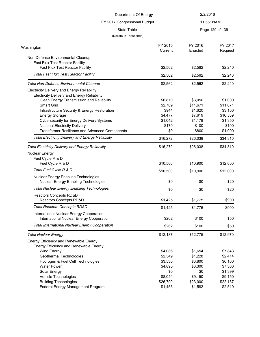| Department Of Energy                                                                              |                    | 2/2/2016            |                     |
|---------------------------------------------------------------------------------------------------|--------------------|---------------------|---------------------|
| FY 2017 Congressional Budget                                                                      |                    | 11:55:08AM          |                     |
| <b>State Table</b><br>(Dollars In Thousands)                                                      |                    |                     | Page 129 of 139     |
| Washington                                                                                        | FY 2015<br>Current | FY 2016<br>Enacted  | FY 2017<br>Request  |
| Non-Defense Environmental Cleanup                                                                 |                    |                     |                     |
| <b>Fast Flux Test Reactor Facility</b><br><b>Fast Flux Test Reactor Facility</b>                  | \$2,562            | \$2,562             | \$2,240             |
| <b>Total Fast Flux Test Reactor Facility</b>                                                      | \$2,562            | \$2,562             | \$2,240             |
| <b>Total Non-Defense Environmental Cleanup</b>                                                    | \$2,562            | \$2,562             | \$2,240             |
| Electricity Delivery and Energy Reliability<br><b>Electricity Delivery and Energy Reliability</b> |                    |                     |                     |
| Clean Energy Transmission and Reliability<br><b>Smart Grid</b>                                    | \$6,870<br>\$2,769 | \$3,050<br>\$11,671 | \$1,000             |
| Infrastructure Security & Energy Restoration                                                      | \$944              | \$1,620             | \$11,671<br>\$3,150 |
| <b>Energy Storage</b>                                                                             | \$4,477            | \$7,619             | \$16,539            |
| <b>Cybersecurity for Energy Delivery Systems</b>                                                  | \$1,042            | \$1,178             | \$1,350             |
| <b>National Electricity Delivery</b>                                                              | \$170              | \$100               | \$100               |
| Transformer Resilience and Advanced Components                                                    | \$0                | \$800               | \$1,000             |
| <b>Total Electricity Delivery and Energy Reliability</b>                                          | \$16,272           | \$26,038            | \$34,810            |
| <b>Total Electricity Delivery and Energy Reliability</b>                                          | \$16,272           | \$26,038            | \$34,810            |
| Nuclear Energy                                                                                    |                    |                     |                     |
| Fuel Cycle R & D                                                                                  |                    |                     |                     |
| Fuel Cycle R & D                                                                                  | \$10,500           | \$10,900            | \$12,000            |
| Total Fuel Cycle R & D                                                                            | \$10,500           | \$10,900            | \$12,000            |
| Nuclear Energy Enabling Technologies<br>Nuclear Energy Enabling Technologies                      | \$0                | \$0                 | \$20                |
| <b>Total Nuclear Energy Enabling Technologies</b>                                                 | \$0                | \$0                 | \$20                |
| Reactors Concepts RD&D                                                                            |                    |                     |                     |
| Reactors Concepts RD&D                                                                            | \$1,425            | \$1,775             | \$900               |
| <b>Total Reactors Concepts RD&amp;D</b>                                                           | \$1,425            | \$1,775             | \$900               |
| International Nuclear Energy Cooperation                                                          |                    |                     |                     |
| International Nuclear Energy Cooperation                                                          | \$262              | \$100               | \$50                |
| <b>Total International Nuclear Energy Cooperation</b>                                             | \$262              | \$100               | \$50                |
| <b>Total Nuclear Energy</b>                                                                       | \$12,187           | \$12,775            | \$12,970            |
| Energy Efficiency and Renewable Energy                                                            |                    |                     |                     |
| Energy Efficiency and Renewable Energy                                                            |                    |                     |                     |
| Wind Energy                                                                                       | \$4,086            | \$1,654             | \$7,843             |
| Geothermal Technologies                                                                           | \$2,349            | \$1,228             | \$2,414             |
| Hydrogen & Fuel Cell Technologies                                                                 | \$3,530            | \$3,800             | \$6,100             |
| <b>Water Power</b>                                                                                | \$4,895            | \$3,300             | \$7,306             |
| Solar Energy                                                                                      | \$0                | \$0                 | \$1,399             |
| Vehicle Technologies                                                                              | \$8,044            | \$9,150             | \$9,150             |
| <b>Building Technologies</b>                                                                      | \$26,709           | \$23,000            | \$22,137            |
| Federal Energy Management Program                                                                 | \$1,455            | \$1,582             | \$2,519             |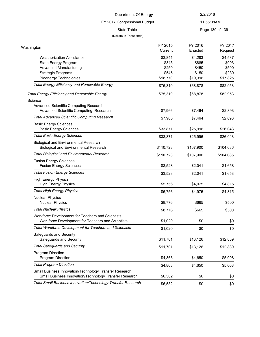### 11:55:08AM

FY 2017 Congressional Budget

### (Dollars In Thousands)

State Table **Page 130 of 139** 

| Washington                                                                                                       | FY 2015<br>Current | FY 2016<br>Enacted | FY 2017<br>Request |
|------------------------------------------------------------------------------------------------------------------|--------------------|--------------------|--------------------|
| <b>Weatherization Assistance</b>                                                                                 | \$3,841            | \$4,283            | \$4,537            |
| State Energy Program                                                                                             | \$845              | \$885              | \$993              |
| <b>Advanced Manufacturing</b>                                                                                    | \$250              | \$450              | \$500              |
| <b>Strategic Programs</b>                                                                                        | \$545              | \$150              | \$230              |
| <b>Bioenergy Technologies</b>                                                                                    | \$18,770           | \$19,396           | \$17,825           |
| <b>Total Energy Efficiency and Renewable Energy</b>                                                              | \$75,319           | \$68,878           | \$82,953           |
| <b>Total Energy Efficiency and Renewable Energy</b>                                                              | \$75,319           | \$68,878           | \$82,953           |
| Science                                                                                                          |                    |                    |                    |
| Advanced Scientific Computing Research                                                                           |                    |                    |                    |
| Advanced Scientific Computing Research                                                                           | \$7,966            | \$7,464            | \$2,893            |
| <b>Total Advanced Scientific Computing Research</b>                                                              | \$7,966            | \$7,464            | \$2,893            |
| <b>Basic Energy Sciences</b>                                                                                     |                    |                    |                    |
| <b>Basic Energy Sciences</b>                                                                                     | \$33,871           | \$25,996           | \$26,043           |
| <b>Total Basic Energy Sciences</b>                                                                               | \$33,871           | \$25,996           | \$26,043           |
| <b>Biological and Environmental Research</b>                                                                     |                    |                    |                    |
| <b>Biological and Environmental Research</b>                                                                     | \$110,723          | \$107,900          | \$104,086          |
| <b>Total Biological and Environmental Research</b>                                                               | \$110,723          | \$107,900          | \$104,086          |
| <b>Fusion Energy Sciences</b><br><b>Fusion Energy Sciences</b>                                                   | \$3,528            | \$2,041            | \$1,658            |
| <b>Total Fusion Energy Sciences</b>                                                                              | \$3,528            | \$2,041            | \$1,658            |
| <b>High Energy Physics</b>                                                                                       |                    |                    |                    |
| <b>High Energy Physics</b>                                                                                       | \$5,756            | \$4,975            | \$4,815            |
| <b>Total High Energy Physics</b>                                                                                 | \$5,756            | \$4,975            | \$4,815            |
| <b>Nuclear Physics</b>                                                                                           |                    |                    |                    |
| <b>Nuclear Physics</b>                                                                                           | \$8,776            | \$665              | \$500              |
| <b>Total Nuclear Physics</b>                                                                                     | \$8,776            | \$665              | \$500              |
| Workforce Development for Teachers and Scientists                                                                |                    |                    |                    |
| Workforce Development for Teachers and Scientists                                                                | \$1,020            | \$0                | \$0                |
| Total Workforce Development for Teachers and Scientists                                                          | \$1,020            | \$0                | \$0                |
| Safeguards and Security<br>Safeguards and Security                                                               | \$11,701           | \$13,126           | \$12,839           |
| <b>Total Safeguards and Security</b>                                                                             | \$11,701           | \$13,126           | \$12,839           |
| Program Direction                                                                                                |                    |                    |                    |
| Program Direction                                                                                                | \$4,863            | \$4,650            | \$5,008            |
| <b>Total Program Direction</b>                                                                                   | \$4,863            | \$4,650            | \$5,008            |
| Small Business Innovation/Technology Transfer Research<br>Small Business Innovation/Technology Transfer Research | \$6,582            | \$0                | \$0                |
| Total Small Business Innovation/Technology Transfer Research                                                     | \$6,582            | \$0                | \$0                |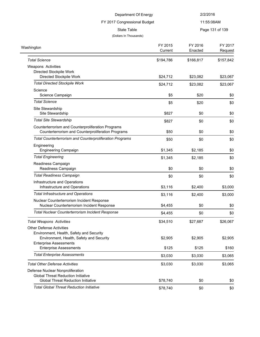| Department Of Energy                                           |           | 2/2/2016  |                 |
|----------------------------------------------------------------|-----------|-----------|-----------------|
| FY 2017 Congressional Budget                                   |           |           | 11:55:08AM      |
| <b>State Table</b>                                             |           |           | Page 131 of 139 |
| (Dollars In Thousands)                                         |           |           |                 |
|                                                                | FY 2015   | FY 2016   | FY 2017         |
| Washington                                                     | Current   | Enacted   | Request         |
| <b>Total Science</b>                                           | \$194,786 | \$166,817 | \$157,842       |
| Weapons Activities                                             |           |           |                 |
| Directed Stockpile Work                                        |           |           |                 |
| Directed Stockpile Work                                        | \$24,712  | \$23,082  | \$23,067        |
| <b>Total Directed Stockpile Work</b>                           | \$24,712  | \$23,082  | \$23,067        |
| Science                                                        |           |           |                 |
| Science Campaign                                               | \$5       | \$20      | \$0             |
| <b>Total Science</b>                                           | \$5       | \$20      | \$0             |
| Site Stewardship                                               |           |           |                 |
| Site Stewardship                                               | \$827     | \$0       | \$0             |
| <b>Total Site Stewardship</b>                                  | \$827     | \$0       | \$0             |
| Counterterrorism and Counterproliferation Programs             |           |           |                 |
| Counterterrorism and Counterproliferation Programs             | \$50      | \$0       | \$0             |
| Total Counterterrorism and Counterproliferation Programs       | \$50      | \$0       | \$0             |
| Engineering                                                    |           |           |                 |
| <b>Engineering Campaign</b>                                    | \$1,345   | \$2,185   | \$0             |
| <b>Total Engineering</b>                                       | \$1,345   | \$2,185   | \$0             |
| Readiness Campaign                                             |           |           |                 |
| Readiness Campaign                                             | \$0       | \$0       | \$0             |
| <b>Total Readiness Campaign</b>                                | \$0       | \$0       | \$0             |
| Infrastructure and Operations                                  |           |           |                 |
| Infrastructure and Operations                                  | \$3,116   | \$2,400   | \$3,000         |
| <b>Total Infrastructure and Operations</b>                     | \$3,116   | \$2,400   | \$3,000         |
| Nuclear Counterterrorism Incident Response                     |           |           |                 |
| Nuclear Counterterrorism Incident Response                     | \$4,455   | \$0       | \$0             |
| <b>Total Nuclear Counterterrorism Incident Response</b>        | \$4,455   | \$0       | \$0             |
| <b>Total Weapons Activities</b>                                | \$34,510  | \$27,687  | \$26,067        |
| <b>Other Defense Activities</b>                                |           |           |                 |
| Environment, Health, Safety and Security                       |           |           |                 |
| Environment, Health, Safety and Security                       | \$2,905   | \$2,905   | \$2,905         |
| <b>Enterprise Assessments</b><br><b>Enterprise Assessments</b> | \$125     | \$125     | \$160           |
|                                                                |           |           |                 |
| <b>Total Enterprise Assessments</b>                            | \$3,030   | \$3,030   | \$3,065         |
| <b>Total Other Defense Activities</b>                          | \$3,030   | \$3,030   | \$3,065         |
| Defense Nuclear Nonproliferation                               |           |           |                 |
| <b>Global Threat Reduction Initiative</b>                      |           |           |                 |
| <b>Global Threat Reduction Initiative</b>                      | \$78,740  | \$0       | \$0             |
| <b>Total Global Threat Reduction Initiative</b>                | \$78,740  | \$0       | \$0             |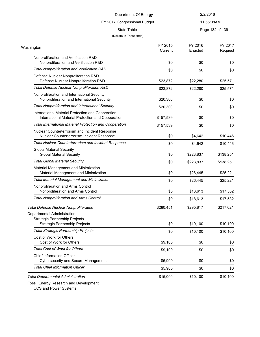### FY 2017 Congressional Budget

11:55:08AM

State Table **Page 132 of 139** 

#### (Dollars In Thousands)

| Washington                                                                                             | FY 2015<br>Current | FY 2016<br>Enacted | FY 2017<br>Request |
|--------------------------------------------------------------------------------------------------------|--------------------|--------------------|--------------------|
| Nonproliferation and Verification R&D<br>Nonproliferation and Verification R&D                         | \$0                | \$0                | \$0                |
| Total Nonproliferation and Verification R&D                                                            | \$0                | \$0                | \$0                |
| Defense Nuclear Nonproliferation R&D<br>Defense Nuclear Nonproliferation R&D                           | \$23,872           | \$22,280           | \$25,571           |
| Total Defense Nuclear Nonproliferation R&D                                                             | \$23,872           | \$22,280           | \$25,571           |
| Nonproliferation and International Security<br>Nonproliferation and International Security             | \$20,300           | \$0                | \$0                |
| <b>Total Nonproliferation and International Security</b>                                               | \$20,300           | \$0                | \$0                |
| International Material Protection and Cooperation<br>International Material Protection and Cooperation | \$157,539          | \$0                | \$0                |
| <b>Total International Material Protection and Cooperation</b>                                         | \$157,539          | \$0                | \$0                |
| Nuclear Counterterrorism and Incident Response<br>Nuclear Counterterrorism Incident Response           | \$0                | \$4,642            | \$10,446           |
| <b>Total Nuclear Counterterrorism and Incident Response</b>                                            | \$0                | \$4,642            | \$10,446           |
| <b>Global Material Security</b><br><b>Global Material Security</b>                                     | \$0                | \$223,837          | \$138,251          |
| <b>Total Global Material Security</b>                                                                  | \$0                | \$223,837          | \$138,251          |
| Material Management and Minimization<br>Material Management and Minimization                           | \$0                | \$26,445           | \$25,221           |
| <b>Total Material Management and Minimization</b>                                                      | \$0                | \$26,445           | \$25,221           |
| Nonproliferation and Arms Control<br>Nonproliferation and Arms Control                                 | \$0                | \$18,613           | \$17,532           |
| <b>Total Nonproliferation and Arms Control</b>                                                         | \$0                | \$18,613           | \$17,532           |
| <b>Total Defense Nuclear Nonproliferation</b>                                                          | \$280,451          | \$295,817          | \$217,021          |
| Departmental Administration                                                                            |                    |                    |                    |
| <b>Strategic Partnership Projects</b><br><b>Strategic Partnership Projects</b>                         | \$0                | \$10,100           | \$10,100           |
| <b>Total Strategic Partnership Projects</b>                                                            | \$0                | \$10,100           | \$10,100           |
| Cost of Work for Others<br>Cost of Work for Others                                                     | \$9,100            | \$0                | \$0                |
| <b>Total Cost of Work for Others</b>                                                                   | \$9,100            | \$0                | \$0                |
| Chief Information Officer<br><b>Cybersecurity and Secure Management</b>                                | \$5,900            | \$0                | \$0                |
| <b>Total Chief Information Officer</b>                                                                 | \$5,900            | \$0                | \$0                |
| <b>Total Departmental Administration</b>                                                               | \$15,000           | \$10,100           | \$10,100           |

Fossil Energy Research and Development

CCS and Power Systems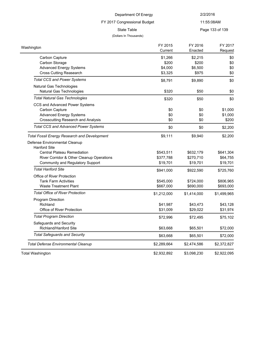# FY 2017 Congressional Budget

(Dollars In Thousands)

11:55:08AM

State Table **Page 133 of 139** 

| Washington                                                                  | FY 2015<br>Current | FY 2016<br>Enacted | FY 2017<br>Request |
|-----------------------------------------------------------------------------|--------------------|--------------------|--------------------|
| Carbon Capture                                                              | \$1,266            | \$2,215            | \$0                |
| Carbon Storage                                                              | \$200              | \$200              | \$0                |
| <b>Advanced Energy Systems</b>                                              | \$4,000            | \$6,500            | \$0                |
| <b>Cross Cutting Reasearch</b>                                              | \$3,325            | \$975              | \$0                |
| <b>Total CCS and Power Systems</b>                                          | \$8,791            | \$9,890            | \$0                |
| Natural Gas Technologies<br>Natural Gas Technologies                        | \$320              | \$50               | \$0                |
| <b>Total Natural Gas Technologies</b>                                       | \$320              | \$50               | \$0                |
| CCS and Advanced Power Systems                                              |                    |                    |                    |
| Carbon Capture                                                              | \$0                | \$0                | \$1,000            |
| <b>Advanced Energy Systems</b><br><b>Crosscutting Research and Analysis</b> | \$0<br>\$0         | \$0<br>\$0         | \$1,000<br>\$200   |
| <b>Total CCS and Advanced Power Systems</b>                                 |                    |                    |                    |
|                                                                             | \$0                | \$0                | \$2,200            |
| <b>Total Fossil Energy Research and Development</b>                         | \$9,111            | \$9,940            | \$2,200            |
| Defense Environmental Cleanup                                               |                    |                    |                    |
| <b>Hanford Site</b>                                                         |                    |                    |                    |
| <b>Central Plateau Remediation</b>                                          | \$543,511          | \$632,179          | \$641,304          |
| River Corridor & Other Cleanup Operations                                   | \$377,788          | \$270,710          | \$64,755           |
| Community and Regulatory Support                                            | \$19,701           | \$19,701           | \$19,701           |
| <b>Total Hanford Site</b>                                                   | \$941,000          | \$922,590          | \$725,760          |
| Office of River Protection                                                  |                    |                    |                    |
| <b>Tank Farm Activities</b>                                                 | \$545,000          | \$724,000          | \$806,965          |
| <b>Waste Treatment Plant</b>                                                | \$667,000          | \$690,000          | \$693,000          |
| <b>Total Office of River Protection</b>                                     | \$1,212,000        | \$1,414,000        | \$1,499,965        |
| <b>Program Direction</b>                                                    |                    |                    |                    |
| Richland                                                                    | \$41,987           | \$43,473           | \$43,128           |
| Office of River Protection                                                  | \$31,009           | \$29,022           | \$31,974           |
| <b>Total Program Direction</b>                                              | \$72,996           | \$72,495           | \$75,102           |
| Safeguards and Security                                                     |                    |                    |                    |
| Richland/Hanford Site                                                       | \$63,668           | \$65,501           | \$72,000           |
| <b>Total Safeguards and Security</b>                                        | \$63,668           | \$65,501           | \$72,000           |
| <b>Total Defense Environmental Cleanup</b>                                  | \$2,289,664        | \$2,474,586        | \$2,372,827        |
|                                                                             | \$2,932,892        | \$3,098,230        | \$2,922,095        |
| <b>Total Washington</b>                                                     |                    |                    |                    |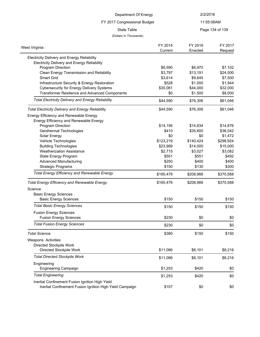| Department Of Energy                                     |                    | 2/2/2016           |                 |
|----------------------------------------------------------|--------------------|--------------------|-----------------|
| FY 2017 Congressional Budget                             |                    |                    | 11:55:08AM      |
| <b>State Table</b>                                       |                    |                    | Page 134 of 139 |
| (Dollars In Thousands)                                   |                    |                    |                 |
|                                                          |                    |                    |                 |
| West Virginia                                            | FY 2015<br>Current | FY 2016<br>Enacted | FY 2017         |
|                                                          |                    |                    | Request         |
| Electricity Delivery and Energy Reliability              |                    |                    |                 |
| <b>Electricity Delivery and Energy Reliability</b>       |                    |                    |                 |
| Program Direction                                        | \$6,590            | \$6,970            | \$7,102         |
| Clean Energy Transmission and Reliability                | \$3,797            | \$13,191           | \$24,500        |
| <b>Smart Grid</b>                                        | \$3,614            | \$9,645            | \$7,500         |
| Infrastructure Security & Energy Restoration             | \$528              | \$1,000            | \$1,944         |
| <b>Cybersecurity for Energy Delivery Systems</b>         | \$30,061           | \$44,000           | \$32,000        |
| Transformer Resilience and Advanced Components           | \$0                | \$1,500            | \$8,000         |
| <b>Total Electricity Delivery and Energy Reliability</b> | \$44,590           | \$76,306           | \$81,046        |
| <b>Total Electricity Delivery and Energy Reliability</b> | \$44,590           | \$76,306           | \$81,046        |
| Energy Efficiency and Renewable Energy                   |                    |                    |                 |
| Energy Efficiency and Renewable Energy                   |                    |                    |                 |
| Program Direction                                        | \$14,195           | \$14,834           | \$14,876        |
| Geothermal Technologies                                  | \$410              | \$35,600           | \$36,042        |
| Solar Energy                                             | \$0                | \$0                | \$1,472         |
| Vehicle Technologies                                     | \$123,219          | \$140,424          | \$298,924       |
| <b>Building Technologies</b>                             | \$23,989           | \$14,000           | \$15,000        |
| <b>Weatherization Assistance</b>                         | \$2,715            | \$3,027            | \$3,082         |
| State Energy Program                                     | \$551              | \$551              | \$492           |
| <b>Advanced Manufacturing</b>                            | \$250              | \$400              | \$400           |
| <b>Strategic Programs</b>                                | \$150              | \$130              | \$300           |
| <b>Total Energy Efficiency and Renewable Energy</b>      | \$165,479          | \$208,966          | \$370,588       |
|                                                          |                    |                    |                 |
| <b>Total Energy Efficiency and Renewable Energy</b>      | \$165,479          | \$208,966          | \$370,588       |
| Science                                                  |                    |                    |                 |
| <b>Basic Energy Sciences</b>                             |                    |                    |                 |
| <b>Basic Energy Sciences</b>                             | \$150              | \$150              | \$150           |
| <b>Total Basic Energy Sciences</b>                       | \$150              | \$150              | \$150           |
| <b>Fusion Energy Sciences</b>                            |                    |                    |                 |
| <b>Fusion Energy Sciences</b>                            | \$230              | \$0                | \$0             |
| <b>Total Fusion Energy Sciences</b>                      | \$230              | \$0                | \$0             |
| <b>Total Science</b>                                     | \$380              | \$150              | \$150           |
| Weapons Activities                                       |                    |                    |                 |
| Directed Stockpile Work                                  |                    |                    |                 |

| DIICOLCU OLUUNUIIC VVUIN                        |          |         |         |
|-------------------------------------------------|----------|---------|---------|
| Directed Stockpile Work                         | \$11.066 | \$8.101 | \$8.216 |
| <b>Total Directed Stockpile Work</b>            | \$11.066 | \$8.101 | \$8,216 |
| Engineering<br><b>Engineering Campaign</b>      | \$1.253  | \$420   | \$0     |
| <b>Total Engineering</b>                        | \$1.253  | \$420   | \$0     |
| Inertial Confinement Fusion Ignition High Yield |          |         |         |

Inertial Confinement Fusion Ignition High Yield Campaign \$107 \$0 \$0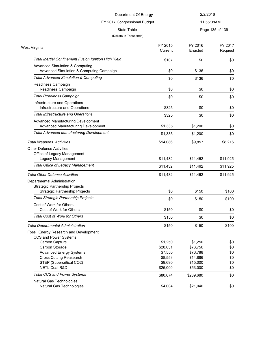FY 2017 Congressional Budget

11:55:08AM

State Table **Page 135 of 139** 

| Page 135 of 139 |  |
|-----------------|--|
|                 |  |

| West Virginia                                         | FY 2015<br>Current | FY 2016<br>Enacted | FY 2017<br>Request |
|-------------------------------------------------------|--------------------|--------------------|--------------------|
| Total Inertial Confinement Fusion Ignition High Yield | \$107              | \$0                | \$0                |
| <b>Advanced Simulation &amp; Computing</b>            |                    |                    |                    |
| Advanced Simulation & Computing Campaign              | \$0                | \$136              | \$0                |
| <b>Total Advanced Simulation &amp; Computing</b>      | \$0                | \$136              | \$0                |
| Readiness Campaign                                    |                    |                    |                    |
| Readiness Campaign                                    | \$0                | \$0                | \$0                |
| <b>Total Readiness Campaign</b>                       | \$0                | \$0                | \$0                |
| Infrastructure and Operations                         |                    |                    |                    |
| Infrastructure and Operations                         | \$325              | \$0                | \$0                |
| <b>Total Infrastructure and Operations</b>            | \$325              | \$0                | \$0                |
| Advanced Manufacturing Development                    |                    |                    |                    |
| Advanced Manufacturing Development                    | \$1,335            | \$1,200            | \$0                |
| <b>Total Advanced Manufacturing Development</b>       | \$1,335            | \$1,200            | \$0                |
| <b>Total Weapons Activities</b>                       | \$14,086           | \$9,857            | \$8,216            |
| <b>Other Defense Activities</b>                       |                    |                    |                    |
| Office of Legacy Management                           |                    |                    |                    |
| Legacy Management                                     | \$11,432           | \$11,462           | \$11,925           |
| <b>Total Office of Legacy Management</b>              | \$11,432           | \$11,462           | \$11,925           |
| <b>Total Other Defense Activities</b>                 | \$11,432           | \$11,462           | \$11,925           |
| Departmental Administration                           |                    |                    |                    |
| <b>Strategic Partnership Projects</b>                 |                    |                    |                    |
| <b>Strategic Partnership Projects</b>                 | \$0                | \$150              | \$100              |
| <b>Total Strategic Partnership Projects</b>           | \$0                | \$150              | \$100              |
| Cost of Work for Others                               |                    |                    |                    |
| Cost of Work for Others                               | \$150              | \$0                | \$0                |
| <b>Total Cost of Work for Others</b>                  | \$150              | \$0                | \$0                |
| <b>Total Departmental Administration</b>              | \$150              | \$150              | \$100              |
| Fossil Energy Research and Development                |                    |                    |                    |
| CCS and Power Systems                                 |                    |                    |                    |
| Carbon Capture                                        | \$1,250            | \$1,250            | \$0                |
| Carbon Storage                                        | \$28,031           | \$78,756           | \$0                |
| <b>Advanced Energy Systems</b>                        | \$7,550            | \$76,788           | \$0                |
| <b>Cross Cutting Reasearch</b>                        | \$8,553            | \$14,886           | \$0                |
| STEP (Supercritical CO2)                              | \$9,690            | \$15,000           | \$0                |
| <b>NETL Coal R&amp;D</b>                              | \$25,000           | \$53,000           | \$0                |
| <b>Total CCS and Power Systems</b>                    | \$80,074           | \$239,680          | \$0                |
| Natural Gas Technologies                              |                    |                    |                    |
| Natural Gas Technologies                              | \$4,004            | \$21,040           | \$0                |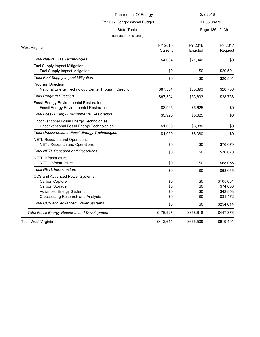FY 2017 Congressional Budget

11:55:08AM

State Table **Page 136 of 139** 

| West Virginia                                          | FY 2015   | FY 2016   | FY 2017   |
|--------------------------------------------------------|-----------|-----------|-----------|
|                                                        | Current   | Enacted   | Request   |
| <b>Total Natural Gas Technologies</b>                  | \$4,004   | \$21,040  | \$0       |
| Fuel Supply Impact Mitigation                          |           |           |           |
| Fuel Supply Impact Mitigation                          | \$0       | \$0       | \$20,501  |
| <b>Total Fuel Supply Impact Mitigation</b>             | \$0       | \$0       | \$20,501  |
| <b>Program Direction</b>                               |           |           |           |
| National Energy Technology Center Program Direction    | \$87,504  | \$83,893  | \$28,736  |
| <b>Total Program Direction</b>                         | \$87,504  | \$83,893  | \$28,736  |
| <b>Fossil Energy Environmental Restoration</b>         |           |           |           |
| <b>Fossil Energy Environmental Restoration</b>         | \$3,925   | \$5,625   | \$0       |
| <b>Total Fossil Energy Environmental Restoration</b>   | \$3,925   | \$5,625   | \$0       |
| Unconventional Fossil Energy Technologies              |           |           |           |
| Unconventional Fossil Energy Technologies              | \$1,020   | \$8,380   | \$0       |
| <b>Total Unconventional Fossil Energy Technologies</b> | \$1,020   | \$8,380   | \$0       |
| <b>NETL Research and Operations</b>                    |           |           |           |
| <b>NETL Research and Operations</b>                    | \$0       | \$0       | \$76,070  |
| <b>Total NETL Research and Operations</b>              | \$0       | \$0       | \$76,070  |
| <b>NETL Infrastructure</b>                             |           |           |           |
| <b>NETL Infrastructure</b>                             | \$0       | \$0       | \$68,055  |
| <b>Total NETL Infrastructure</b>                       | \$0       | \$0       | \$68,055  |
| CCS and Advanced Power Systems                         |           |           |           |
| Carbon Capture                                         | \$0       | \$0       | \$105,004 |
| Carbon Storage                                         | \$0       | \$0       | \$74,680  |
| <b>Advanced Energy Systems</b>                         | \$0       | \$0       | \$42,858  |
| <b>Crosscutting Research and Analysis</b>              | \$0       | \$0       | \$31,472  |
| <b>Total CCS and Advanced Power Systems</b>            | \$0       | \$0       | \$254,014 |
| <b>Total Fossil Energy Research and Development</b>    | \$176,527 | \$358,618 | \$447,376 |
| <b>Total West Virginia</b>                             | \$412,644 | \$665,509 | \$919,401 |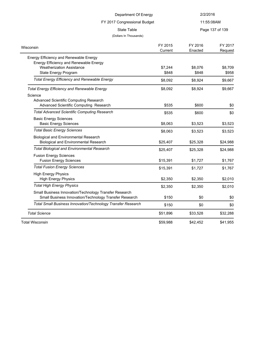| Department Of Energy<br>FY 2017 Congressional Budget<br><b>State Table</b> |          | 2/2/2016<br>11:55:08AM<br>Page 137 of 139 |          |                        |         |         |         |
|----------------------------------------------------------------------------|----------|-------------------------------------------|----------|------------------------|---------|---------|---------|
|                                                                            |          |                                           |          | (Dollars In Thousands) |         |         |         |
|                                                                            |          |                                           |          | Wisconsin              | FY 2015 | FY 2016 | FY 2017 |
|                                                                            | Current  | Enacted                                   | Request  |                        |         |         |         |
| Energy Efficiency and Renewable Energy                                     |          |                                           |          |                        |         |         |         |
| Energy Efficiency and Renewable Energy                                     |          |                                           |          |                        |         |         |         |
| <b>Weatherization Assistance</b>                                           | \$7,244  | \$8,076                                   | \$8,709  |                        |         |         |         |
| State Energy Program                                                       | \$848    | \$848                                     | \$958    |                        |         |         |         |
| <b>Total Energy Efficiency and Renewable Energy</b>                        | \$8,092  | \$8,924                                   | \$9,667  |                        |         |         |         |
| <b>Total Energy Efficiency and Renewable Energy</b>                        | \$8,092  | \$8,924                                   | \$9,667  |                        |         |         |         |
| Science                                                                    |          |                                           |          |                        |         |         |         |
| Advanced Scientific Computing Research                                     |          |                                           |          |                        |         |         |         |
| Advanced Scientific Computing Research                                     | \$535    | \$600                                     | \$0      |                        |         |         |         |
| <b>Total Advanced Scientific Computing Research</b>                        | \$535    | \$600                                     | \$0      |                        |         |         |         |
| <b>Basic Energy Sciences</b>                                               |          |                                           |          |                        |         |         |         |
| <b>Basic Energy Sciences</b>                                               | \$8,063  | \$3,523                                   | \$3,523  |                        |         |         |         |
| <b>Total Basic Energy Sciences</b>                                         | \$8,063  | \$3,523                                   | \$3,523  |                        |         |         |         |
| <b>Biological and Environmental Research</b>                               |          |                                           |          |                        |         |         |         |
| <b>Biological and Environmental Research</b>                               | \$25,407 | \$25,328                                  | \$24,988 |                        |         |         |         |
| <b>Total Biological and Environmental Research</b>                         | \$25,407 | \$25,328                                  | \$24,988 |                        |         |         |         |
| <b>Fusion Energy Sciences</b>                                              |          |                                           |          |                        |         |         |         |
| <b>Fusion Energy Sciences</b>                                              | \$15,391 | \$1,727                                   | \$1,767  |                        |         |         |         |
| <b>Total Fusion Energy Sciences</b>                                        | \$15,391 | \$1,727                                   | \$1,767  |                        |         |         |         |
| <b>High Energy Physics</b>                                                 |          |                                           |          |                        |         |         |         |
| <b>High Energy Physics</b>                                                 | \$2,350  | \$2,350                                   | \$2,010  |                        |         |         |         |
| <b>Total High Energy Physics</b>                                           | \$2,350  | \$2,350                                   | \$2,010  |                        |         |         |         |
| Small Business Innovation/Technology Transfer Research                     |          |                                           |          |                        |         |         |         |
| Small Business Innovation/Technology Transfer Research                     | \$150    | \$0                                       | \$0      |                        |         |         |         |
| Total Small Business Innovation/Technology Transfer Research               | \$150    | \$0                                       | \$0      |                        |         |         |         |
| <b>Total Science</b>                                                       | \$51,896 | \$33,528                                  | \$32,288 |                        |         |         |         |
| <b>Total Wisconsin</b>                                                     | \$59,988 | \$42,452                                  | \$41,955 |                        |         |         |         |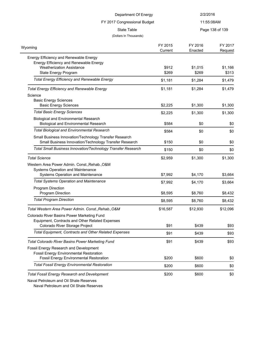| Department Of Energy<br>FY 2017 Congressional Budget<br><b>State Table</b>                                       |          | 2/2/2016<br>11:55:08AM<br>Page 138 of 139 |          |                        |                    |                    |                    |
|------------------------------------------------------------------------------------------------------------------|----------|-------------------------------------------|----------|------------------------|--------------------|--------------------|--------------------|
|                                                                                                                  |          |                                           |          | (Dollars In Thousands) |                    |                    |                    |
|                                                                                                                  |          |                                           |          | Wyoming                | FY 2015<br>Current | FY 2016<br>Enacted | FY 2017<br>Request |
| Energy Efficiency and Renewable Energy                                                                           |          |                                           |          |                        |                    |                    |                    |
| Energy Efficiency and Renewable Energy                                                                           |          |                                           |          |                        |                    |                    |                    |
| <b>Weatherization Assistance</b>                                                                                 | \$912    | \$1,015                                   | \$1,166  |                        |                    |                    |                    |
| State Energy Program                                                                                             | \$269    | \$269                                     | \$313    |                        |                    |                    |                    |
| <b>Total Energy Efficiency and Renewable Energy</b>                                                              | \$1,181  | \$1,284                                   | \$1,479  |                        |                    |                    |                    |
| <b>Total Energy Efficiency and Renewable Energy</b>                                                              | \$1,181  | \$1,284                                   | \$1,479  |                        |                    |                    |                    |
| Science                                                                                                          |          |                                           |          |                        |                    |                    |                    |
| <b>Basic Energy Sciences</b>                                                                                     |          |                                           |          |                        |                    |                    |                    |
| <b>Basic Energy Sciences</b>                                                                                     | \$2,225  | \$1,300                                   | \$1,300  |                        |                    |                    |                    |
| <b>Total Basic Energy Sciences</b>                                                                               | \$2,225  | \$1,300                                   | \$1,300  |                        |                    |                    |                    |
| <b>Biological and Environmental Research</b><br><b>Biological and Environmental Research</b>                     | \$584    | \$0                                       | \$0      |                        |                    |                    |                    |
| <b>Total Biological and Environmental Research</b>                                                               | \$584    | \$0                                       | \$0      |                        |                    |                    |                    |
| Small Business Innovation/Technology Transfer Research<br>Small Business Innovation/Technology Transfer Research | \$150    | \$0                                       | \$0      |                        |                    |                    |                    |
| Total Small Business Innovation/Technology Transfer Research                                                     | \$150    | \$0                                       | \$0      |                        |                    |                    |                    |
| <b>Total Science</b>                                                                                             | \$2,959  | \$1,300                                   | \$1,300  |                        |                    |                    |                    |
| Western Area Power Admin. Const., Rehab., O&M                                                                    |          |                                           |          |                        |                    |                    |                    |
| Systems Operation and Maintenance                                                                                |          |                                           |          |                        |                    |                    |                    |
| Systems Operation and Maintenance                                                                                | \$7,992  | \$4,170                                   | \$3,664  |                        |                    |                    |                    |
| <b>Total Systems Operation and Maintenance</b>                                                                   | \$7,992  | \$4,170                                   | \$3,664  |                        |                    |                    |                    |
| Program Direction                                                                                                |          |                                           |          |                        |                    |                    |                    |
| Program Direction                                                                                                | \$8,595  | \$8,760                                   | \$8,432  |                        |                    |                    |                    |
| <b>Total Program Direction</b>                                                                                   | \$8,595  | \$8,760                                   | \$8,432  |                        |                    |                    |                    |
| Total Western Area Power Admin. Const., Rehab., O&M                                                              | \$16,587 | \$12,930                                  | \$12,096 |                        |                    |                    |                    |
| Colorado River Basins Power Marketing Fund                                                                       |          |                                           |          |                        |                    |                    |                    |
| Equipment, Contracts and Other Related Expenses                                                                  |          |                                           |          |                        |                    |                    |                    |
| Colorado River Storage Project                                                                                   | \$91     | \$439                                     | \$93     |                        |                    |                    |                    |
| <b>Total Equipment, Contracts and Other Related Expenses</b>                                                     | \$91     | \$439                                     | \$93     |                        |                    |                    |                    |
| <b>Total Colorado River Basins Power Marketing Fund</b>                                                          | \$91     | \$439                                     | \$93     |                        |                    |                    |                    |
| Fossil Energy Research and Development                                                                           |          |                                           |          |                        |                    |                    |                    |
| <b>Fossil Energy Environmental Restoration</b>                                                                   |          |                                           |          |                        |                    |                    |                    |
| <b>Fossil Energy Environmental Restoration</b>                                                                   | \$200    | \$600                                     | \$0      |                        |                    |                    |                    |
| <b>Total Fossil Energy Environmental Restoration</b>                                                             | \$200    | \$600                                     | \$0      |                        |                    |                    |                    |
| <b>Total Fossil Energy Research and Development</b>                                                              | \$200    | \$600                                     | \$0      |                        |                    |                    |                    |

Naval Petroleum and Oil Shale Reserves

Naval Petroleum and Oil Shale Reserves